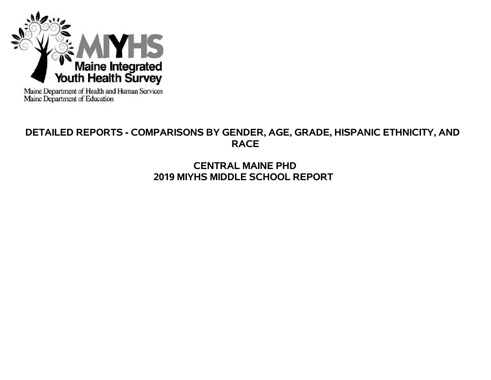

Maine Department of Health and Human Services<br>Maine Department of Education

# **DETAILED REPORTS - COMPARISONS BY GENDER, AGE, GRADE, HISPANIC ETHNICITY, AND RACE**

# **CENTRAL MAINE PHD 2019 MIYHS MIDDLE SCHOOL REPORT**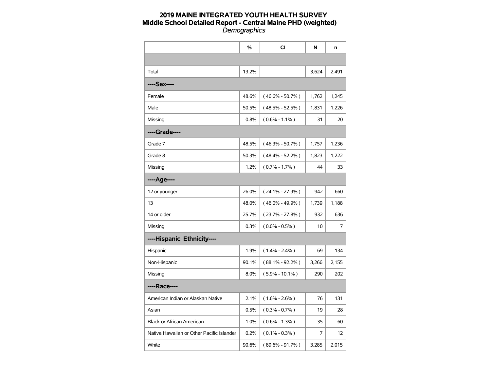|                                           | $\%$  | CI                  | N     | n     |
|-------------------------------------------|-------|---------------------|-------|-------|
|                                           |       |                     |       |       |
| Total                                     | 13.2% |                     | 3,624 | 2,491 |
| ----Sex----                               |       |                     |       |       |
| Female                                    | 48.6% | $(46.6\% - 50.7\%)$ | 1,762 | 1,245 |
| Male                                      | 50.5% | $(48.5\% - 52.5\%)$ | 1,831 | 1,226 |
| Missing                                   | 0.8%  | $(0.6\% - 1.1\%)$   | 31    | 20    |
| ----Grade----                             |       |                     |       |       |
| Grade 7                                   | 48.5% | $(46.3\% - 50.7\%)$ | 1,757 | 1,236 |
| Grade 8                                   | 50.3% | $(48.4\% - 52.2\%)$ | 1,823 | 1,222 |
| Missing                                   | 1.2%  | $(0.7\% - 1.7\%)$   | 44    | 33    |
| ----Age----                               |       |                     |       |       |
| 12 or younger                             | 26.0% | $(24.1\% - 27.9\%)$ | 942   | 660   |
| 13                                        | 48.0% | $(46.0\% - 49.9\%)$ | 1,739 | 1,188 |
| 14 or older                               | 25.7% | $(23.7\% - 27.8\%)$ | 932   | 636   |
| Missing                                   | 0.3%  | $(0.0\% - 0.5\%)$   | 10    | 7     |
| ----Hispanic Ethnicity----                |       |                     |       |       |
| Hispanic                                  | 1.9%  | $(1.4\% - 2.4\%)$   | 69    | 134   |
| Non-Hispanic                              | 90.1% | $(88.1\% - 92.2\%)$ | 3,266 | 2,155 |
| Missing                                   | 8.0%  | $(5.9\% - 10.1\%)$  | 290   | 202   |
| ----Race----                              |       |                     |       |       |
| American Indian or Alaskan Native         | 2.1%  | $(1.6\% - 2.6\%)$   | 76    | 131   |
| Asian                                     | 0.5%  | $(0.3\% - 0.7\%)$   | 19    | 28    |
| <b>Black or African American</b>          | 1.0%  | $(0.6\% - 1.3\%)$   | 35    | 60    |
| Native Hawaiian or Other Pacific Islander | 0.2%  | $(0.1\% - 0.3\%)$   | 7     | 12    |
| White                                     | 90.6% | $(89.6\% - 91.7\%)$ | 3,285 | 2,015 |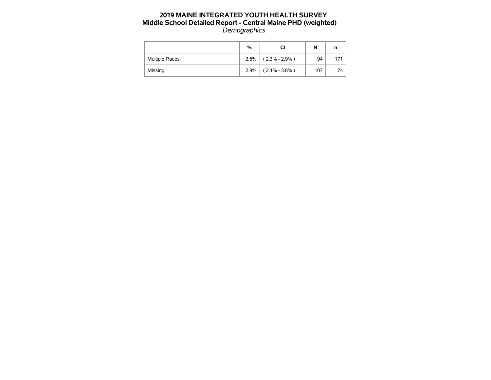|                | %    |                   | N   |      |
|----------------|------|-------------------|-----|------|
| Multiple Races | 2.6% | $(2.3\% - 2.9\%)$ | 94  | 171  |
| Missing        | 2.9% | $(2.1\% - 3.8\%)$ | 107 | 74 I |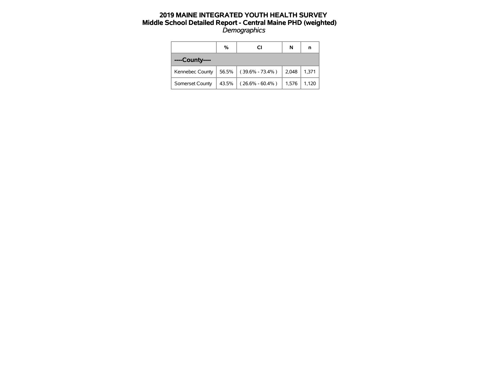|                 | %     | CI                  | N     | n     |
|-----------------|-------|---------------------|-------|-------|
| ----County----  |       |                     |       |       |
| Kennebec County | 56.5% | $(39.6\% - 73.4\%)$ | 2,048 | 1,371 |
| Somerset County | 43.5% | $(26.6\% - 60.4\%)$ | 1,576 | 1,120 |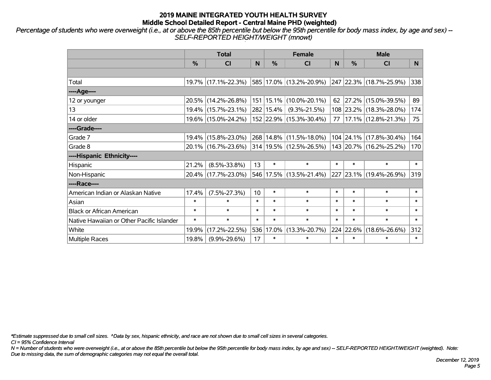*Percentage of students who were overweight (i.e., at or above the 85th percentile but below the 95th percentile for body mass index, by age and sex) -- SELF-REPORTED HEIGHT/WEIGHT (mnowt)*

|                                           |               | <b>Total</b>        |        |           | <b>Female</b>               |        | <b>Male</b> |                          |        |  |
|-------------------------------------------|---------------|---------------------|--------|-----------|-----------------------------|--------|-------------|--------------------------|--------|--|
|                                           | $\frac{0}{0}$ | <b>CI</b>           | N      | %         | <b>CI</b>                   | N      | %           | <b>CI</b>                | N.     |  |
|                                           |               |                     |        |           |                             |        |             |                          |        |  |
| Total                                     |               | 19.7% (17.1%-22.3%) |        |           | 585 17.0% (13.2%-20.9%)     |        |             | 247 22.3% (18.7%-25.9%)  | 338    |  |
| ----Age----                               |               |                     |        |           |                             |        |             |                          |        |  |
| 12 or younger                             |               | 20.5% (14.2%-26.8%) |        |           | 151   15.1%   (10.0%-20.1%) | 62     |             | 27.2% (15.0%-39.5%)      | 89     |  |
| 13                                        |               | 19.4% (15.7%-23.1%) |        | 282 15.4% | $(9.3\% - 21.5\%)$          |        |             | 108 23.2% (18.3%-28.0%)  | 174    |  |
| 14 or older                               |               | 19.6% (15.0%-24.2%) |        |           | 152 22.9% (15.3%-30.4%)     | 77     |             | $ 17.1\% $ (12.8%-21.3%) | 75     |  |
| ----Grade----                             |               |                     |        |           |                             |        |             |                          |        |  |
| Grade 7                                   |               | 19.4% (15.8%-23.0%) |        |           | 268 14.8% (11.5%-18.0%)     |        |             | 104 24.1% (17.8%-30.4%)  | 164    |  |
| Grade 8                                   |               | 20.1% (16.7%-23.6%) |        |           | 314 19.5% (12.5%-26.5%)     |        |             | 143 20.7% (16.2%-25.2%)  | 170    |  |
| ----Hispanic Ethnicity----                |               |                     |        |           |                             |        |             |                          |        |  |
| Hispanic                                  | 21.2%         | $(8.5\% - 33.8\%)$  | 13     | $\ast$    | $\ast$                      | $\ast$ | $\ast$      | $\ast$                   | $\ast$ |  |
| Non-Hispanic                              |               | 20.4% (17.7%-23.0%) |        |           | 546 17.5% (13.5%-21.4%)     |        |             | 227 23.1% (19.4%-26.9%)  | 319    |  |
| ----Race----                              |               |                     |        |           |                             |        |             |                          |        |  |
| American Indian or Alaskan Native         | 17.4%         | $(7.5\% - 27.3\%)$  | 10     | $\ast$    | $\ast$                      | $\ast$ | $\ast$      | $\ast$                   | $\ast$ |  |
| Asian                                     | $\ast$        | $\ast$              | $\ast$ | $\ast$    | $\ast$                      | $\ast$ | $\ast$      | $\ast$                   | $\ast$ |  |
| <b>Black or African American</b>          | $\ast$        | $\ast$              | $\ast$ | $\ast$    | $\ast$                      | $\ast$ | $\ast$      | $\ast$                   | $\ast$ |  |
| Native Hawaiian or Other Pacific Islander | $\ast$        | $\ast$              | $\ast$ | $\ast$    | $\ast$                      | $\ast$ | $\ast$      | $\ast$                   | $\ast$ |  |
| White                                     | 19.9%         | $(17.2\% - 22.5\%)$ | 536    | 17.0%     | $(13.3\% - 20.7\%)$         |        | 224 22.6%   | $(18.6\% - 26.6\%)$      | 312    |  |
| <b>Multiple Races</b>                     | 19.8%         | $(9.9\% - 29.6\%)$  | 17     | $\ast$    | $\ast$                      | $\ast$ | $\ast$      | $\ast$                   | $\ast$ |  |

*\*Estimate suppressed due to small cell sizes. ^Data by sex, hispanic ethnicity, and race are not shown due to small cell sizes in several categories.*

*CI = 95% Confidence Interval*

*N = Number of students who were overweight (i.e., at or above the 85th percentile but below the 95th percentile for body mass index, by age and sex) -- SELF-REPORTED HEIGHT/WEIGHT (weighted). Note: Due to missing data, the sum of demographic categories may not equal the overall total.*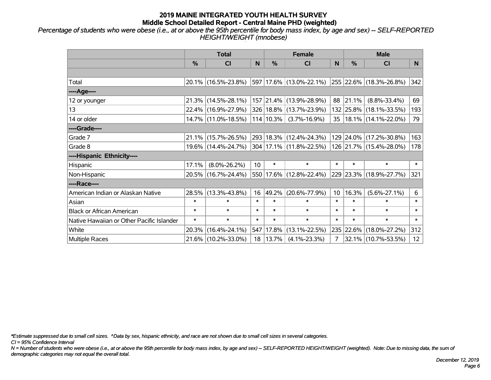*Percentage of students who were obese (i.e., at or above the 95th percentile for body mass index, by age and sex) -- SELF-REPORTED HEIGHT/WEIGHT (mnobese)*

|                                           |          | <b>Total</b>                                   |        |               | <b>Female</b>           |        | <b>Male</b> |                              |                 |  |
|-------------------------------------------|----------|------------------------------------------------|--------|---------------|-------------------------|--------|-------------|------------------------------|-----------------|--|
|                                           | %        | <b>CI</b>                                      | N      | $\frac{0}{0}$ | <b>CI</b>               | N      | %           | <b>CI</b>                    | N               |  |
|                                           |          |                                                |        |               |                         |        |             |                              |                 |  |
| Total                                     |          | 20.1% (16.5%-23.8%)                            |        |               | 597 17.6% (13.0%-22.1%) |        |             | $ 255 22.6\% $ (18.3%-26.8%) | 342             |  |
| ----Age----                               |          |                                                |        |               |                         |        |             |                              |                 |  |
| 12 or younger                             | 21.3%    | $(14.5\% - 28.1\%)$                            |        |               | 157 21.4% (13.9%-28.9%) | 88     | 21.1%       | $(8.8\% - 33.4\%)$           | 69              |  |
| 13                                        |          | 22.4% (16.9%-27.9%)                            |        |               | 326 18.8% (13.7%-23.9%) |        |             | 132 25.8% (18.1%-33.5%)      | 193             |  |
| 14 or older                               |          | 14.7% (11.0%-18.5%)                            |        | $114 10.3\% $ | $(3.7\% - 16.9\%)$      |        |             | 35   18.1%   (14.1%-22.0%)   | 79              |  |
| ----Grade----                             |          |                                                |        |               |                         |        |             |                              |                 |  |
| Grade 7                                   | $21.1\%$ | $(15.7\% - 26.5\%)$                            |        |               | 293 18.3% (12.4%-24.3%) |        | 129 24.0%   | $(17.2\% - 30.8\%)$          | 163             |  |
| Grade 8                                   |          | $19.6\%$ (14.4%-24.7%) 304 17.1% (11.8%-22.5%) |        |               |                         |        |             | 126 21.7% (15.4%-28.0%)      | 178             |  |
| ----Hispanic Ethnicity----                |          |                                                |        |               |                         |        |             |                              |                 |  |
| Hispanic                                  | 17.1%    | $(8.0\% - 26.2\%)$                             | 10     | $\ast$        | $\ast$                  | $\ast$ | $\ast$      | $\ast$                       | $\ast$          |  |
| Non-Hispanic                              |          | 20.5% (16.7%-24.4%)                            |        |               | 550 17.6% (12.8%-22.4%) |        |             | 229 23.3% (18.9%-27.7%)      | 321             |  |
| ----Race----                              |          |                                                |        |               |                         |        |             |                              |                 |  |
| American Indian or Alaskan Native         | 28.5%    | $(13.3\% - 43.8\%)$                            | 16     | 49.2%         | $(20.6\% - 77.9\%)$     | 10     | 16.3%       | $(5.6\% - 27.1\%)$           | 6               |  |
| Asian                                     | $\ast$   | $\ast$                                         | $\ast$ | $\ast$        | $\ast$                  | $\ast$ | $\ast$      | $\ast$                       | $\ast$          |  |
| <b>Black or African American</b>          | $\ast$   | $\ast$                                         | $\ast$ | $\ast$        | $\ast$                  | $\ast$ | $\ast$      | $\ast$                       | $\ast$          |  |
| Native Hawaiian or Other Pacific Islander | $\ast$   | $\ast$                                         | $\ast$ | $\ast$        | $\ast$                  | $\ast$ | $\ast$      | $\ast$                       | $\ast$          |  |
| White                                     | 20.3%    | $(16.4\% - 24.1\%)$                            | 547    | 17.8%         | $(13.1\% - 22.5\%)$     |        | 235 22.6%   | $(18.0\% - 27.2\%)$          | 312             |  |
| Multiple Races                            |          | 21.6% (10.2%-33.0%)                            |        | 18   13.7%    | $(4.1\% - 23.3\%)$      | 7      |             | 32.1% (10.7%-53.5%)          | 12 <sup>2</sup> |  |

*\*Estimate suppressed due to small cell sizes. ^Data by sex, hispanic ethnicity, and race are not shown due to small cell sizes in several categories.*

*CI = 95% Confidence Interval*

*N = Number of students who were obese (i.e., at or above the 95th percentile for body mass index, by age and sex) -- SELF-REPORTED HEIGHT/WEIGHT (weighted). Note: Due to missing data, the sum of demographic categories may not equal the overall total.*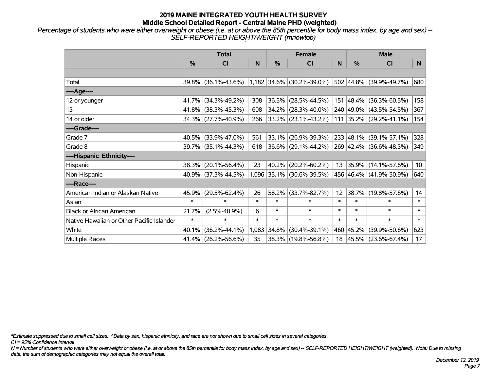*Percentage of students who were either overweight or obese (i.e. at or above the 85th percentile for body mass index, by age and sex) -- SELF-REPORTED HEIGHT/WEIGHT (mnowtob)*

|                                           |               | <b>Total</b>        |        |        | <b>Female</b>               |        | <b>Male</b>   |                         |                 |  |
|-------------------------------------------|---------------|---------------------|--------|--------|-----------------------------|--------|---------------|-------------------------|-----------------|--|
|                                           | $\frac{0}{0}$ | CI                  | N      | $\%$   | <b>CI</b>                   | N      | $\frac{0}{0}$ | <b>CI</b>               | N.              |  |
|                                           |               |                     |        |        |                             |        |               |                         |                 |  |
| Total                                     |               | 39.8% (36.1%-43.6%) |        |        | $1,182$ 34.6% (30.2%-39.0%) |        |               | 502 44.8% (39.9%-49.7%) | 680             |  |
| ----Age----                               |               |                     |        |        |                             |        |               |                         |                 |  |
| 12 or younger                             | 41.7%         | $(34.3\% - 49.2\%)$ | 308    | 36.5%  | $(28.5\% - 44.5\%)$         |        |               | 151 48.4% (36.3%-60.5%) | 158             |  |
| 13                                        | 41.8%         | $(38.3\% - 45.3\%)$ | 608    | 34.2%  | $(28.3\% - 40.0\%)$         |        |               | 240 49.0% (43.5%-54.5%) | 367             |  |
| 14 or older                               |               | 34.3% (27.7%-40.9%) | 266    |        | 33.2% (23.1%-43.2%)         |        |               | 111 35.2% (29.2%-41.1%) | 154             |  |
| ----Grade----                             |               |                     |        |        |                             |        |               |                         |                 |  |
| Grade 7                                   | 40.5%         | $(33.9\% - 47.0\%)$ | 561    | 33.1%  | $(26.9\% - 39.3\%)$         |        |               | 233 48.1% (39.1%-57.1%) | 328             |  |
| Grade 8                                   |               | 39.7% (35.1%-44.3%) | 618    |        | $ 36.6\% $ (29.1%-44.2%)    |        |               | 269 42.4% (36.6%-48.3%) | 349             |  |
| ----Hispanic Ethnicity----                |               |                     |        |        |                             |        |               |                         |                 |  |
| Hispanic                                  | 38.3%         | $(20.1\% - 56.4\%)$ | 23     | 40.2%  | $(20.2\% - 60.2\%)$         | 13     | $ 35.9\% $    | $(14.1\% - 57.6\%)$     | 10 <sup>°</sup> |  |
| Non-Hispanic                              |               | 40.9% (37.3%-44.5%) |        |        | 1,096 35.1% (30.6%-39.5%)   |        |               | 456 46.4% (41.9%-50.9%) | 640             |  |
| ----Race----                              |               |                     |        |        |                             |        |               |                         |                 |  |
| American Indian or Alaskan Native         | 45.9%         | $(29.5\% - 62.4\%)$ | 26     | 58.2%  | $(33.7\% - 82.7\%)$         | 12     |               | 38.7% (19.8%-57.6%)     | 14              |  |
| Asian                                     | $\ast$        | $\ast$              | $\ast$ | $\ast$ | $\ast$                      | $\ast$ | $\ast$        | $\ast$                  | $\ast$          |  |
| <b>Black or African American</b>          | 21.7%         | $(2.5\% - 40.9\%)$  | 6      | $\ast$ | $\ast$                      | $\ast$ | $\ast$        | $\ast$                  | $\ast$          |  |
| Native Hawaiian or Other Pacific Islander | $\ast$        | $\ast$              | $\ast$ | $\ast$ | $\ast$                      | $\ast$ | $\ast$        | $\ast$                  | $\ast$          |  |
| White                                     | 40.1%         | $(36.2\% - 44.1\%)$ | 1,083  | 34.8%  | $(30.4\% - 39.1\%)$         |        | 460 45.2%     | $(39.9\% - 50.6\%)$     | 623             |  |
| Multiple Races                            |               | 41.4% (26.2%-56.6%) | 35     |        | 38.3% (19.8%-56.8%)         |        |               | 18 45.5% (23.6%-67.4%)  | 17              |  |

*\*Estimate suppressed due to small cell sizes. ^Data by sex, hispanic ethnicity, and race are not shown due to small cell sizes in several categories.*

*CI = 95% Confidence Interval*

*N = Number of students who were either overweight or obese (i.e. at or above the 85th percentile for body mass index, by age and sex) -- SELF-REPORTED HEIGHT/WEIGHT (weighted). Note: Due to missing data, the sum of demographic categories may not equal the overall total.*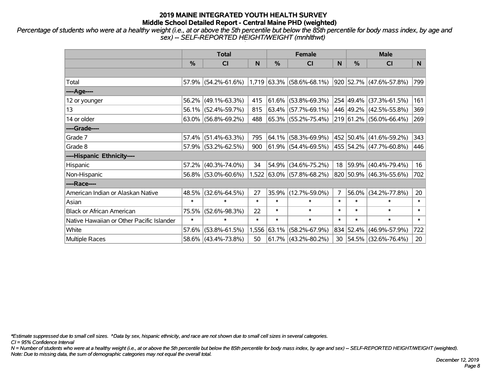*Percentage of students who were at a healthy weight (i.e., at or above the 5th percentile but below the 85th percentile for body mass index, by age and sex) -- SELF-REPORTED HEIGHT/WEIGHT (mnhlthwt)*

|                                           |        | <b>Total</b>                                                          |        |          | <b>Female</b>             |                | <b>Male</b> |                         |        |  |
|-------------------------------------------|--------|-----------------------------------------------------------------------|--------|----------|---------------------------|----------------|-------------|-------------------------|--------|--|
|                                           | %      | <b>CI</b>                                                             | N      | %        | <b>CI</b>                 | N              | %           | <b>CI</b>               | N.     |  |
|                                           |        |                                                                       |        |          |                           |                |             |                         |        |  |
| Total                                     |        | 57.9% (54.2%-61.6%) 1,719 63.3% (58.6%-68.1%) 920 52.7% (47.6%-57.8%) |        |          |                           |                |             |                         | 799    |  |
| ----Age----                               |        |                                                                       |        |          |                           |                |             |                         |        |  |
| 12 or younger                             | 56.2%  | $(49.1\% - 63.3\%)$                                                   | 415    | $61.6\%$ | $(53.8\% - 69.3\%)$       |                | 254 49.4%   | $(37.3\% - 61.5\%)$     | 161    |  |
| 13                                        |        | 56.1% (52.4%-59.7%)                                                   | 815    |          | $63.4\%$ (57.7%-69.1%)    |                |             | 446 49.2% (42.5%-55.8%) | 369    |  |
| 14 or older                               |        | $63.0\%$ (56.8%-69.2%)                                                | 488    |          | 65.3% (55.2%-75.4%)       |                |             | 219 61.2% (56.0%-66.4%) | 269    |  |
| ----Grade----                             |        |                                                                       |        |          |                           |                |             |                         |        |  |
| Grade 7                                   | 57.4%  | $(51.4\% - 63.3\%)$                                                   | 795    |          | $64.1\%$ (58.3%-69.9%)    |                | 452 50.4%   | $(41.6\% - 59.2\%)$     | 343    |  |
| Grade 8                                   |        | 57.9% (53.2%-62.5%)                                                   | 900    |          | $61.9\%$ (54.4%-69.5%)    |                |             | 455 54.2% (47.7%-60.8%) | 446    |  |
| ----Hispanic Ethnicity----                |        |                                                                       |        |          |                           |                |             |                         |        |  |
| Hispanic                                  | 57.2%  | $(40.3\% - 74.0\%)$                                                   | 34     | 54.9%    | $(34.6\% - 75.2\%)$       | 18             | 59.9%       | $(40.4\% - 79.4\%)$     | 16     |  |
| Non-Hispanic                              |        | 56.8% (53.0%-60.6%)                                                   |        |          | 1,522 63.0% (57.8%-68.2%) |                |             | 820 50.9% (46.3%-55.6%) | 702    |  |
| ----Race----                              |        |                                                                       |        |          |                           |                |             |                         |        |  |
| American Indian or Alaskan Native         | 48.5%  | $(32.6\% - 64.5\%)$                                                   | 27     | 35.9%    | $(12.7\% - 59.0\%)$       | $\overline{7}$ | 56.0%       | $(34.2\% - 77.8\%)$     | 20     |  |
| Asian                                     | $\ast$ | $\ast$                                                                | $\ast$ | $\ast$   | $\ast$                    | $\ast$         | $\ast$      | $\ast$                  | $\ast$ |  |
| <b>Black or African American</b>          | 75.5%  | $(52.6\% - 98.3\%)$                                                   | 22     | $\ast$   | $\ast$                    | $\ast$         | $\ast$      | $\ast$                  | $\ast$ |  |
| Native Hawaiian or Other Pacific Islander | $\ast$ | $\ast$                                                                | $\ast$ | $\ast$   | $\ast$                    | $\ast$         | $\ast$      | $\ast$                  | $\ast$ |  |
| White                                     | 57.6%  | $(53.8\% - 61.5\%)$                                                   | 1,556  | 63.1%    | $(58.2\% - 67.9\%)$       |                | 834 52.4%   | $(46.9\% - 57.9\%)$     | 722    |  |
| <b>Multiple Races</b>                     |        | 58.6% (43.4%-73.8%)                                                   | 50     |          | $61.7\%$ (43.2%-80.2%)    |                |             | 30 54.5% (32.6%-76.4%)  | 20     |  |

*\*Estimate suppressed due to small cell sizes. ^Data by sex, hispanic ethnicity, and race are not shown due to small cell sizes in several categories.*

*CI = 95% Confidence Interval*

*N = Number of students who were at a healthy weight (i.e., at or above the 5th percentile but below the 85th percentile for body mass index, by age and sex) -- SELF-REPORTED HEIGHT/WEIGHT (weighted). Note: Due to missing data, the sum of demographic categories may not equal the overall total.*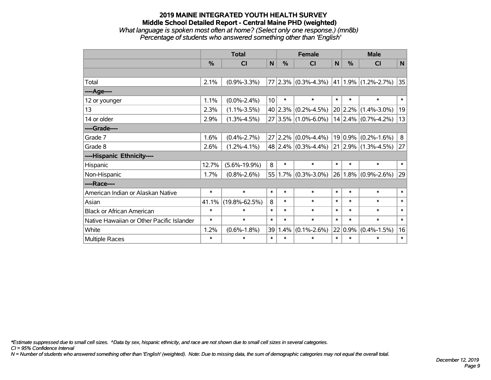#### **2019 MAINE INTEGRATED YOUTH HEALTH SURVEY Middle School Detailed Report - Central Maine PHD (weighted)** *What language is spoken most often at home? (Select only one response.) (mn8b) Percentage of students who answered something other than 'English'*

|                                           | <b>Total</b> |                     |             |        | <b>Female</b>                                       |        | <b>Male</b>  |                       |        |
|-------------------------------------------|--------------|---------------------|-------------|--------|-----------------------------------------------------|--------|--------------|-----------------------|--------|
|                                           | %            | <b>CI</b>           | $\mathbf N$ | %      | <b>CI</b>                                           | N      | %            | <b>CI</b>             | N      |
|                                           |              |                     |             |        |                                                     |        |              |                       |        |
| Total                                     | 2.1%         | $(0.9\% - 3.3\%)$   |             |        | 77 2.3% $(0.3\% - 4.3\%)$ 41 1.9% $(1.2\% - 2.7\%)$ |        |              |                       | 35     |
| ----Age----                               |              |                     |             |        |                                                     |        |              |                       |        |
| 12 or younger                             | 1.1%         | $(0.0\% - 2.4\%)$   | 10          | $\ast$ | $\ast$                                              | $\ast$ | $\ast$       | $\ast$                | $\ast$ |
| 13                                        | 2.3%         | $(1.1\% - 3.5\%)$   |             |        | 40 2.3% $(0.2\% - 4.5\%)$                           |        | 20 2.2%      | $(1.4\% - 3.0\%)$     | 19     |
| 14 or older                               | 2.9%         | $(1.3\% - 4.5\%)$   | 27          |        | $ 3.5\% $ (1.0%-6.0%)                               |        |              | $14$ 2.4% (0.7%-4.2%) | 13     |
| ----Grade----                             |              |                     |             |        |                                                     |        |              |                       |        |
| Grade 7                                   | 1.6%         | $(0.4\% - 2.7\%)$   | 27          |        | $2.2\%$ (0.0%-4.4%)                                 |        | $ 19 0.9\% $ | $(0.2\% - 1.6\%)$     | 8      |
| Grade 8                                   | 2.6%         | $(1.2\% - 4.1\%)$   |             |        | 48 2.4% $(0.3\% - 4.4\%)$ 21 2.9% $(1.3\% - 4.5\%)$ |        |              |                       | 27     |
| ----Hispanic Ethnicity----                |              |                     |             |        |                                                     |        |              |                       |        |
| Hispanic                                  | 12.7%        | $(5.6\% - 19.9\%)$  | 8           | $\ast$ | $\ast$                                              | $\ast$ | $\ast$       | $\ast$                | $\ast$ |
| Non-Hispanic                              | 1.7%         | $(0.8\% - 2.6\%)$   |             |        | $55 1.7\% $ (0.3%-3.0%)                             |        | $26 1.8\% $  | $(0.9\% - 2.6\%)$     | 29     |
| ----Race----                              |              |                     |             |        |                                                     |        |              |                       |        |
| American Indian or Alaskan Native         | $\ast$       | $\ast$              | $\ast$      | $\ast$ | $\ast$                                              | $\ast$ | $\ast$       | $\ast$                | $\ast$ |
| Asian                                     | 41.1%        | $(19.8\% - 62.5\%)$ | 8           | $\ast$ | $\ast$                                              | $\ast$ | $\ast$       | $\ast$                | $\ast$ |
| <b>Black or African American</b>          | $\ast$       | $\ast$              | $\ast$      | $\ast$ | $\ast$                                              | $\ast$ | $\ast$       | $\ast$                | $\ast$ |
| Native Hawaiian or Other Pacific Islander | $\ast$       | $\ast$              | $\ast$      | $\ast$ | $\ast$                                              | $\ast$ | $\ast$       | $\ast$                | $\ast$ |
| White                                     | 1.2%         | $(0.6\% - 1.8\%)$   | 39          | 1.4%   | $(0.1\% - 2.6\%)$                                   |        | 22 0.9%      | $(0.4\% - 1.5\%)$     | 16     |
| Multiple Races                            | $\ast$       | $\ast$              | $\ast$      | $\ast$ | $\ast$                                              | $\ast$ | $\ast$       | $\ast$                | $\ast$ |

*\*Estimate suppressed due to small cell sizes. ^Data by sex, hispanic ethnicity, and race are not shown due to small cell sizes in several categories.*

*CI = 95% Confidence Interval*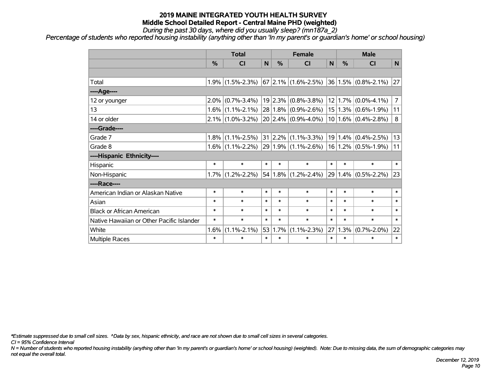*During the past 30 days, where did you usually sleep? (mn187a\_2)*

*Percentage of students who reported housing instability (anything other than 'In my parent's or guardian's home' or school housing)*

|                                           |         | <b>Total</b>      |        |        | <b>Female</b>                                     |                | <b>Male</b> |                         |                |
|-------------------------------------------|---------|-------------------|--------|--------|---------------------------------------------------|----------------|-------------|-------------------------|----------------|
|                                           | %       | CI                | N      | %      | <b>CI</b>                                         | N <sub>1</sub> | %           | <b>CI</b>               | N              |
|                                           |         |                   |        |        |                                                   |                |             |                         |                |
| Total                                     | 1.9%    | $(1.5\% - 2.3\%)$ |        |        | $67$ 2.1% (1.6%-2.5%)                             |                |             | $36 1.5\% $ (0.8%-2.1%) | 27             |
| ----Age----                               |         |                   |        |        |                                                   |                |             |                         |                |
| 12 or younger                             | 2.0%    | $(0.7\% - 3.4\%)$ | 19     |        | $ 2.3\% $ (0.8%-3.8%)                             |                | 12 1.7%     | $(0.0\% - 4.1\%)$       | $\overline{7}$ |
| 13                                        | $1.6\%$ | $(1.1\% - 2.1\%)$ |        |        | $28 1.8\% $ (0.9%-2.6%)                           |                | 15 1.3%     | $(0.6\% - 1.9\%)$       | 11             |
| 14 or older                               | $2.1\%$ | $(1.0\% - 3.2\%)$ |        |        | $20 2.4\% $ (0.9%-4.0%)                           |                |             | $10 1.6\% $ (0.4%-2.8%) | 8              |
| ----Grade----                             |         |                   |        |        |                                                   |                |             |                         |                |
| Grade 7                                   | 1.8%    | $(1.1\% - 2.5\%)$ |        |        | $31 2.2\% $ (1.1%-3.3%)                           |                | $19 1.4\%$  | $(0.4\% - 2.5\%)$       | 13             |
| Grade 8                                   | $1.6\%$ | $(1.1\% - 2.2\%)$ |        |        | $ 29 1.9\% $ (1.1%-2.6%) $ 16 1.2\% $ (0.5%-1.9%) |                |             |                         | 11             |
| ----Hispanic Ethnicity----                |         |                   |        |        |                                                   |                |             |                         |                |
| Hispanic                                  | $\ast$  | $\ast$            | $\ast$ | $\ast$ | $\ast$                                            | $\ast$         | $\ast$      | $\ast$                  | $\ast$         |
| Non-Hispanic                              | $1.7\%$ | $(1.2\% - 2.2\%)$ |        |        | $54 1.8\% $ (1.2%-2.4%)                           |                | 29 1.4%     | $(0.5\% - 2.2\%)$       | 23             |
| ----Race----                              |         |                   |        |        |                                                   |                |             |                         |                |
| American Indian or Alaskan Native         | $\ast$  | $\ast$            | $\ast$ | $\ast$ | $\ast$                                            | $\ast$         | $\ast$      | $\ast$                  | $\ast$         |
| Asian                                     | $\ast$  | $\ast$            | $\ast$ | $\ast$ | $\ast$                                            | $\ast$         | $\ast$      | $\ast$                  | $\ast$         |
| <b>Black or African American</b>          | $\ast$  | $\ast$            | $\ast$ | $\ast$ | $\ast$                                            | $\ast$         | $\ast$      | $\ast$                  | $\ast$         |
| Native Hawaiian or Other Pacific Islander | $\ast$  | $\ast$            | $\ast$ | $\ast$ | $\ast$                                            | $\ast$         | $\ast$      | $\ast$                  | $\ast$         |
| White                                     | 1.6%    | $(1.1\% - 2.1\%)$ | 53     | 1.7%   | $(1.1\% - 2.3\%)$                                 | 27             | 1.3%        | $(0.7\% - 2.0\%)$       | 22             |
| <b>Multiple Races</b>                     | $\ast$  | $\ast$            | $\ast$ | $\ast$ | $\ast$                                            | $\ast$         | $\ast$      | $\ast$                  | $\ast$         |

*\*Estimate suppressed due to small cell sizes. ^Data by sex, hispanic ethnicity, and race are not shown due to small cell sizes in several categories.*

*CI = 95% Confidence Interval*

*N = Number of students who reported housing instability (anything other than 'In my parent's or guardian's home' or school housing) (weighted). Note: Due to missing data, the sum of demographic categories may not equal the overall total.*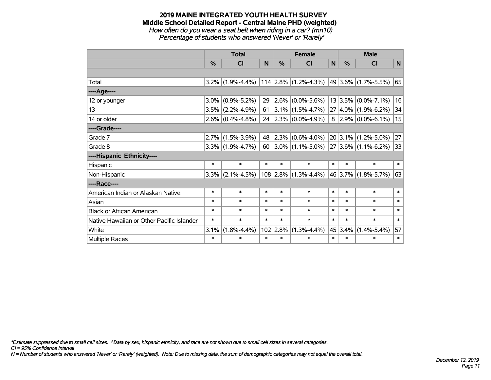*How often do you wear a seat belt when riding in a car? (mn10) Percentage of students who answered 'Never' or 'Rarely'*

|                                           |         | <b>Total</b>        |        |               | <b>Female</b>                                      |        |              | <b>Male</b>           |        |  |
|-------------------------------------------|---------|---------------------|--------|---------------|----------------------------------------------------|--------|--------------|-----------------------|--------|--|
|                                           | $\%$    | <b>CI</b>           | N      | $\frac{0}{0}$ | <b>CI</b>                                          | N      | $\%$         | <b>CI</b>             | N      |  |
|                                           |         |                     |        |               |                                                    |        |              |                       |        |  |
| Total                                     | $3.2\%$ | $(1.9\% - 4.4\%)$   |        |               | $ 114 2.8\% $ (1.2%-4.3%) $ 49 3.6\% $ (1.7%-5.5%) |        |              |                       | 65     |  |
| ----Age----                               |         |                     |        |               |                                                    |        |              |                       |        |  |
| 12 or younger                             | $3.0\%$ | $(0.9\% - 5.2\%)$   | 29     | $2.6\%$       | $(0.0\% - 5.6\%)$                                  |        | 13 3.5%      | $(0.0\% - 7.1\%)$     | 16     |  |
| 13                                        | 3.5%    | $(2.2\% - 4.9\%)$   | 61     |               | $ 3.1\% $ (1.5%-4.7%) $ $                          | 27     |              | $ 4.0\% $ (1.9%-6.2%) | 34     |  |
| 14 or older                               |         | $2.6\%$ (0.4%-4.8%) |        |               | 24 2.3% $(0.0\% - 4.9\%)$                          | 8      |              | $ 2.9\% $ (0.0%-6.1%) | 15     |  |
| ----Grade----                             |         |                     |        |               |                                                    |        |              |                       |        |  |
| Grade 7                                   | 2.7%    | $(1.5\% - 3.9\%)$   | 48     |               | $ 2.3\% $ (0.6%-4.0%)                              |        | $ 20 3.1\% $ | $(1.2\% - 5.0\%)$     | 27     |  |
| Grade 8                                   |         | $3.3\%$ (1.9%-4.7%) | 60     |               | $ 3.0\% $ (1.1%-5.0%) $ 27 3.6\% $ (1.1%-6.2%)     |        |              |                       | 33     |  |
| ----Hispanic Ethnicity----                |         |                     |        |               |                                                    |        |              |                       |        |  |
| Hispanic                                  | $\ast$  | $\ast$              | $\ast$ | $\ast$        | $\ast$                                             | $\ast$ | $\ast$       | $\ast$                | $\ast$ |  |
| Non-Hispanic                              | $3.3\%$ | $(2.1\% - 4.5\%)$   |        |               | $108$ 2.8% (1.3%-4.4%)                             |        | $ 46 3.7\% $ | $(1.8\% - 5.7\%)$     | 63     |  |
| ----Race----                              |         |                     |        |               |                                                    |        |              |                       |        |  |
| American Indian or Alaskan Native         | $\ast$  | $\ast$              | $\ast$ | $\ast$        | $\ast$                                             | $\ast$ | $\ast$       | $\ast$                | $\ast$ |  |
| Asian                                     | $\ast$  | $\ast$              | $\ast$ | $\ast$        | $\ast$                                             | $\ast$ | $\ast$       | $\ast$                | $\ast$ |  |
| <b>Black or African American</b>          | $\ast$  | $\ast$              | $\ast$ | $\ast$        | $\ast$                                             | $\ast$ | $\ast$       | $\ast$                | $\ast$ |  |
| Native Hawaiian or Other Pacific Islander | $\ast$  | $\ast$              | $\ast$ | $\ast$        | $\ast$                                             | $\ast$ | $\ast$       | $\ast$                | $\ast$ |  |
| White                                     | 3.1%    | $(1.8\% - 4.4\%)$   |        | $102$ 2.8%    | $(1.3\% - 4.4\%)$                                  |        | 45 3.4%      | $(1.4\% - 5.4\%)$     | 57     |  |
| Multiple Races                            | $\ast$  | $\ast$              | $\ast$ | $\ast$        | $\ast$                                             | $\ast$ | $\ast$       | $\ast$                | $\ast$ |  |

*\*Estimate suppressed due to small cell sizes. ^Data by sex, hispanic ethnicity, and race are not shown due to small cell sizes in several categories.*

*CI = 95% Confidence Interval*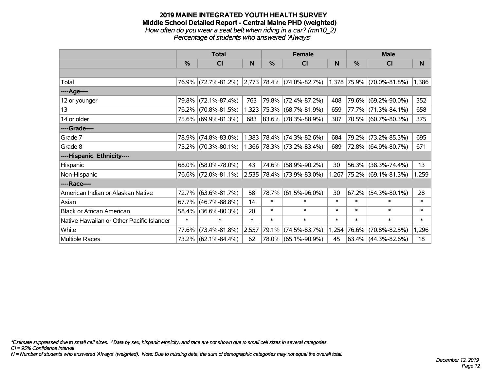#### **2019 MAINE INTEGRATED YOUTH HEALTH SURVEY Middle School Detailed Report - Central Maine PHD (weighted)** *How often do you wear a seat belt when riding in a car? (mn10\_2) Percentage of students who answered 'Always'*

|                                           |        | <b>Total</b>        |        |        | <b>Female</b>                      |        | <b>Male</b> |                           |        |  |
|-------------------------------------------|--------|---------------------|--------|--------|------------------------------------|--------|-------------|---------------------------|--------|--|
|                                           | $\%$   | <b>CI</b>           | N      | %      | <b>CI</b>                          | N      | %           | <b>CI</b>                 | N      |  |
|                                           |        |                     |        |        |                                    |        |             |                           |        |  |
| Total                                     |        | 76.9% (72.7%-81.2%) |        |        | $ 2,773 78.4\%  (74.0\% - 82.7\%)$ |        |             | 1,378 75.9% (70.0%-81.8%) | 1,386  |  |
| ----Age----                               |        |                     |        |        |                                    |        |             |                           |        |  |
| 12 or younger                             | 79.8%  | $(72.1\% - 87.4\%)$ | 763    |        | 79.8% (72.4%-87.2%)                | 408    | 79.6%       | $(69.2\% - 90.0\%)$       | 352    |  |
| 13                                        |        | 76.2% (70.8%-81.5%) | 1,323  |        | $ 75.3\% $ (68.7%-81.9%)           | 659    |             | 77.7% (71.3%-84.1%)       | 658    |  |
| 14 or older                               |        | 75.6% (69.9%-81.3%) | 683    |        | 83.6% (78.3%-88.9%)                | 307    |             | 70.5% (60.7%-80.3%)       | 375    |  |
| ----Grade----                             |        |                     |        |        |                                    |        |             |                           |        |  |
| Grade 7                                   | 78.9%  | $(74.8\% - 83.0\%)$ |        |        | 1,383 78.4% (74.3%-82.6%)          | 684    | 79.2%       | $(73.2\% - 85.3\%)$       | 695    |  |
| Grade 8                                   |        | 75.2% (70.3%-80.1%) |        |        | 1,366 78.3% (73.2%-83.4%)          | 689    |             | 72.8% (64.9%-80.7%)       | 671    |  |
| ----Hispanic Ethnicity----                |        |                     |        |        |                                    |        |             |                           |        |  |
| Hispanic                                  | 68.0%  | $(58.0\% - 78.0\%)$ | 43     | 74.6%  | $(58.9\% - 90.2\%)$                | 30     | 56.3%       | $(38.3\% - 74.4\%)$       | 13     |  |
| Non-Hispanic                              |        | 76.6% (72.0%-81.1%) |        |        | 2,535 78.4% (73.9%-83.0%)          | 1,267  |             | 75.2% (69.1%-81.3%)       | 1,259  |  |
| ----Race----                              |        |                     |        |        |                                    |        |             |                           |        |  |
| American Indian or Alaskan Native         | 72.7%  | $(63.6\% - 81.7\%)$ | 58     | 78.7%  | $(61.5\% - 96.0\%)$                | 30     | 67.2%       | $(54.3\% - 80.1\%)$       | 28     |  |
| Asian                                     | 67.7%  | $(46.7\% - 88.8\%)$ | 14     | $\ast$ | $\ast$                             | $\ast$ | $\ast$      | $\ast$                    | $\ast$ |  |
| <b>Black or African American</b>          | 58.4%  | $(36.6\% - 80.3\%)$ | 20     | $\ast$ | $\ast$                             | $\ast$ | $\ast$      | $\ast$                    | $\ast$ |  |
| Native Hawaiian or Other Pacific Islander | $\ast$ | $\ast$              | $\ast$ | $\ast$ | $\ast$                             | $\ast$ | $\ast$      | $\ast$                    | $\ast$ |  |
| White                                     | 77.6%  | $(73.4\% - 81.8\%)$ | 2,557  | 79.1%  | $(74.5\% - 83.7\%)$                | 1,254  | 76.6%       | $(70.8\% - 82.5\%)$       | 1,296  |  |
| Multiple Races                            |        | 73.2% (62.1%-84.4%) | 62     |        | 78.0% (65.1%-90.9%)                | 45     |             | 63.4% (44.3%-82.6%)       | 18     |  |

*\*Estimate suppressed due to small cell sizes. ^Data by sex, hispanic ethnicity, and race are not shown due to small cell sizes in several categories.*

*CI = 95% Confidence Interval*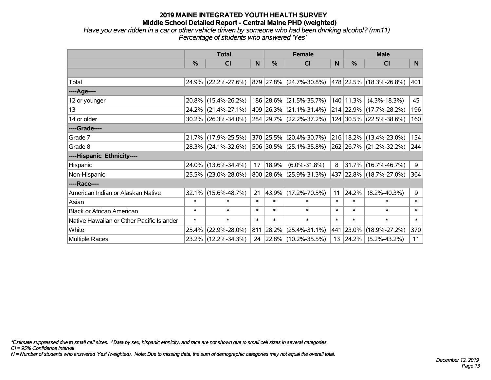*Have you ever ridden in a car or other vehicle driven by someone who had been drinking alcohol? (mn11) Percentage of students who answered 'Yes'*

|                                           |               | <b>Total</b>           |        |        | <b>Female</b>           |              | <b>Male</b> |                         |                |  |
|-------------------------------------------|---------------|------------------------|--------|--------|-------------------------|--------------|-------------|-------------------------|----------------|--|
|                                           | $\frac{0}{0}$ | <b>CI</b>              | N      | $\%$   | <b>CI</b>               | <sub>N</sub> | $\%$        | <b>CI</b>               | N <sub>1</sub> |  |
|                                           |               |                        |        |        |                         |              |             |                         |                |  |
| Total                                     |               | 24.9% (22.2%-27.6%)    |        |        | 879 27.8% (24.7%-30.8%) |              |             | 478 22.5% (18.3%-26.8%) | 401            |  |
| ----Age----                               |               |                        |        |        |                         |              |             |                         |                |  |
| 12 or younger                             |               | 20.8% (15.4%-26.2%)    |        |        | 186 28.6% (21.5%-35.7%) |              | 140 11.3%   | $(4.3\% - 18.3\%)$      | 45             |  |
| 13                                        |               | 24.2% (21.4%-27.1%)    |        |        | 409 26.3% (21.1%-31.4%) |              |             | 214 22.9% (17.7%-28.2%) | 196            |  |
| 14 or older                               |               | $30.2\%$ (26.3%-34.0%) |        |        | 284 29.7% (22.2%-37.2%) |              |             | 124 30.5% (22.5%-38.6%) | 160            |  |
| ----Grade----                             |               |                        |        |        |                         |              |             |                         |                |  |
| Grade 7                                   |               | 21.7% (17.9%-25.5%)    |        |        | 370 25.5% (20.4%-30.7%) | 216          | 18.2%       | $(13.4\% - 23.0\%)$     | 154            |  |
| Grade 8                                   |               | 28.3% (24.1%-32.6%)    |        |        | 506 30.5% (25.1%-35.8%) |              |             | 262 26.7% (21.2%-32.2%) | 244            |  |
| ----Hispanic Ethnicity----                |               |                        |        |        |                         |              |             |                         |                |  |
| Hispanic                                  |               | 24.0% (13.6%-34.4%)    | 17     | 18.9%  | $(6.0\% - 31.8\%)$      | 8            | 31.7%       | $(16.7\% - 46.7\%)$     | 9              |  |
| Non-Hispanic                              |               | 25.5% (23.0%-28.0%)    |        |        | 800 28.6% (25.9%-31.3%) |              |             | 437 22.8% (18.7%-27.0%) | 364            |  |
| ----Race----                              |               |                        |        |        |                         |              |             |                         |                |  |
| American Indian or Alaskan Native         |               | 32.1% (15.6%-48.7%)    | 21     |        | 43.9% (17.2%-70.5%)     | 11           | 24.2%       | $(8.2\% - 40.3\%)$      | 9              |  |
| Asian                                     | $\ast$        | $\ast$                 | $\ast$ | $\ast$ | $\ast$                  | $\ast$       | $\ast$      | $\ast$                  | $\ast$         |  |
| <b>Black or African American</b>          | $\ast$        | $\ast$                 | $\ast$ | $\ast$ | $\ast$                  | $\ast$       | $\ast$      | $\ast$                  | $\ast$         |  |
| Native Hawaiian or Other Pacific Islander | $\ast$        | $\ast$                 | $\ast$ | $\ast$ | $\ast$                  | $\ast$       | $\ast$      | $\ast$                  | $\ast$         |  |
| White                                     | 25.4%         | $(22.9\% - 28.0\%)$    | 811    | 28.2%  | $(25.4\% - 31.1\%)$     | 441          | 23.0%       | $(18.9\% - 27.2\%)$     | 370            |  |
| <b>Multiple Races</b>                     |               | 23.2% (12.2%-34.3%)    |        |        | 24 22.8% (10.2%-35.5%)  | 13           | 24.2%       | $(5.2\% - 43.2\%)$      | 11             |  |

*\*Estimate suppressed due to small cell sizes. ^Data by sex, hispanic ethnicity, and race are not shown due to small cell sizes in several categories.*

*CI = 95% Confidence Interval*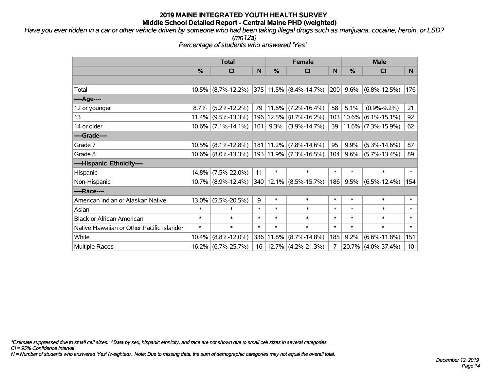*Have you ever ridden in a car or other vehicle driven by someone who had been taking illegal drugs such as marijuana, cocaine, heroin, or LSD?*

*(mn12a)*

*Percentage of students who answered 'Yes'*

|                                           | <b>Total</b> |                       |        |               | <b>Female</b>              |        | <b>Male</b>   |                       |                 |  |
|-------------------------------------------|--------------|-----------------------|--------|---------------|----------------------------|--------|---------------|-----------------------|-----------------|--|
|                                           | %            | C <sub>l</sub>        | N      | $\frac{0}{0}$ | <b>CI</b>                  | N      | $\frac{0}{0}$ | <b>CI</b>             | N.              |  |
|                                           |              |                       |        |               |                            |        |               |                       |                 |  |
| Total                                     |              | $10.5\%$ (8.7%-12.2%) |        |               | 375 11.5% (8.4%-14.7%)     | 200    | 9.6%          | $(6.8\% - 12.5\%)$    | 176             |  |
| ----Age----                               |              |                       |        |               |                            |        |               |                       |                 |  |
| 12 or younger                             | 8.7%         | $(5.2\% - 12.2\%)$    | 79     | 11.8%         | $(7.2\% - 16.4\%)$         | 58     | 5.1%          | $(0.9\% - 9.2\%)$     | 21              |  |
| 13                                        |              | $11.4\%$ (9.5%-13.3%) |        | 196   12.5%   | $(8.7\% - 16.2\%)$         | 103    |               | $10.6\%$ (6.1%-15.1%) | 92              |  |
| 14 or older                               |              | $10.6\%$ (7.1%-14.1%) | 101    | 9.3%          | $(3.9\% - 14.7\%)$         | 39     |               | $11.6\%$ (7.3%-15.9%) | 62              |  |
| ----Grade----                             |              |                       |        |               |                            |        |               |                       |                 |  |
| Grade 7                                   | $10.5\%$     | $(8.1\% - 12.8\%)$    |        | 181 11.2%     | $(7.8\% - 14.6\%)$         | 95     | 9.9%          | $(5.3\% - 14.6\%)$    | 87              |  |
| Grade 8                                   |              | $10.6\%$ (8.0%-13.3%) |        |               | 193 11.9% (7.3%-16.5%)     | 104    | 9.6%          | $(5.7\% - 13.4\%)$    | 89              |  |
| ----Hispanic Ethnicity----                |              |                       |        |               |                            |        |               |                       |                 |  |
| Hispanic                                  | $14.8\%$     | $(7.5\% - 22.0\%)$    | 11     | $\ast$        | $\ast$                     | $\ast$ | $\ast$        | $\ast$                | $\ast$          |  |
| Non-Hispanic                              |              | $10.7\%$ (8.9%-12.4%) |        |               | 340   12.1%   (8.5%-15.7%) | 186    | 9.5%          | $(6.5\% - 12.4\%)$    | 154             |  |
| ----Race----                              |              |                       |        |               |                            |        |               |                       |                 |  |
| American Indian or Alaskan Native         | 13.0%        | $(5.5\% - 20.5\%)$    | 9      | $\ast$        | $\ast$                     | $\ast$ | $\ast$        | $\ast$                | $\ast$          |  |
| Asian                                     | $\ast$       | $\ast$                | $\ast$ | $\ast$        | $\ast$                     | $\ast$ | $\ast$        | $\ast$                | $\ast$          |  |
| <b>Black or African American</b>          | $\ast$       | $\ast$                | $\ast$ | $\ast$        | $\ast$                     | $\ast$ | $\ast$        | $\ast$                | $\ast$          |  |
| Native Hawaiian or Other Pacific Islander | $\ast$       | $\ast$                | $\ast$ | $\ast$        | $\ast$                     | $\ast$ | $\ast$        | $\ast$                | $\ast$          |  |
| White                                     | 10.4%        | $(8.8\% - 12.0\%)$    |        | 336 11.8%     | $(8.7\% - 14.8\%)$         | 185    | 9.2%          | $(6.6\% - 11.8\%)$    | 151             |  |
| Multiple Races                            |              | 16.2% (6.7%-25.7%)    |        |               | 16   12.7%   (4.2%-21.3%)  | 7      |               | 20.7% (4.0%-37.4%)    | 10 <sup>°</sup> |  |

*\*Estimate suppressed due to small cell sizes. ^Data by sex, hispanic ethnicity, and race are not shown due to small cell sizes in several categories.*

*CI = 95% Confidence Interval*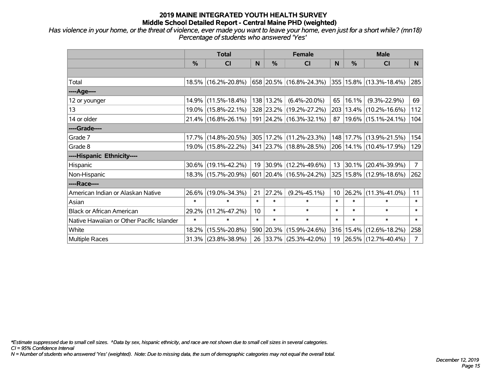*Has violence in your home, or the threat of violence, ever made you want to leave your home, even just for a short while? (mn18) Percentage of students who answered 'Yes'*

|                                           | <b>Total</b> |                        |        | <b>Female</b> | <b>Male</b>                 |                 |          |                             |                |
|-------------------------------------------|--------------|------------------------|--------|---------------|-----------------------------|-----------------|----------|-----------------------------|----------------|
|                                           | $\%$         | <b>CI</b>              | N      | %             | <b>CI</b>                   | <sub>N</sub>    | %        | <b>CI</b>                   | N.             |
|                                           |              |                        |        |               |                             |                 |          |                             |                |
| Total                                     |              | 18.5% (16.2%-20.8%)    |        |               | 658   20.5%   (16.8%-24.3%) |                 |          | 355 15.8% (13.3%-18.4%)     | 285            |
| ----Age----                               |              |                        |        |               |                             |                 |          |                             |                |
| 12 or younger                             |              | 14.9% (11.5%-18.4%)    |        | 138 13.2%     | $(6.4\% - 20.0\%)$          | 65              | 16.1%    | $(9.3\% - 22.9\%)$          | 69             |
| 13                                        |              | 19.0% (15.8%-22.1%)    |        |               | 328 23.2% (19.2%-27.2%)     | 203             |          | $13.4\%$ (10.2%-16.6%)      | 112            |
| 14 or older                               |              | $21.4\%$ (16.8%-26.1%) |        |               | 191 24.2% (16.3%-32.1%)     | 87 <sup>°</sup> |          | 19.6% (15.1%-24.1%)         | 104            |
| ----Grade----                             |              |                        |        |               |                             |                 |          |                             |                |
| Grade 7                                   |              | 17.7% (14.8%-20.5%)    |        |               | 305 17.2% (11.2%-23.3%)     | 148             |          | 17.7% (13.9%-21.5%)         | 154            |
| Grade 8                                   |              | 19.0% (15.8%-22.2%)    |        |               | 341 23.7% (18.8%-28.5%)     |                 |          | 206   14.1%   (10.4%-17.9%) | 129            |
| ----Hispanic Ethnicity----                |              |                        |        |               |                             |                 |          |                             |                |
| Hispanic                                  |              | $30.6\%$ (19.1%-42.2%) | 19     | $ 30.9\% $    | $(12.2\% - 49.6\%)$         |                 | 13 30.1% | $(20.4\% - 39.9\%)$         | 7 <sup>1</sup> |
| Non-Hispanic                              |              | 18.3% (15.7%-20.9%)    |        |               | 601 20.4% (16.5%-24.2%)     |                 |          | 325   15.8%   (12.9%-18.6%) | 262            |
| ----Race----                              |              |                        |        |               |                             |                 |          |                             |                |
| American Indian or Alaskan Native         |              | 26.6% (19.0%-34.3%)    | 21     | 27.2%         | $(9.2\% - 45.1\%)$          | 10 <sup>1</sup> | 26.2%    | $(11.3\% - 41.0\%)$         | 11             |
| Asian                                     | $\ast$       | $\ast$                 | $\ast$ | $\ast$        | $\ast$                      | $\ast$          | $\ast$   | $\ast$                      | $\ast$         |
| <b>Black or African American</b>          | 29.2%        | $(11.2\% - 47.2\%)$    | 10     | $\ast$        | $\ast$                      | $\ast$          | $\ast$   | $\ast$                      | $\ast$         |
| Native Hawaiian or Other Pacific Islander | $\ast$       | $\ast$                 | $\ast$ | $\ast$        | $\ast$                      | $\ast$          | $\ast$   | $\ast$                      | $\ast$         |
| White                                     | 18.2%        | $(15.5\% - 20.8\%)$    |        | 590 20.3%     | $(15.9\% - 24.6\%)$         | 316             | 15.4%    | $(12.6\% - 18.2\%)$         | 258            |
| <b>Multiple Races</b>                     |              | $31.3\%$ (23.8%-38.9%) |        |               | 26 33.7% (25.3%-42.0%)      |                 |          | 19 26.5% (12.7%-40.4%)      | 7 <sup>1</sup> |

*\*Estimate suppressed due to small cell sizes. ^Data by sex, hispanic ethnicity, and race are not shown due to small cell sizes in several categories.*

*CI = 95% Confidence Interval*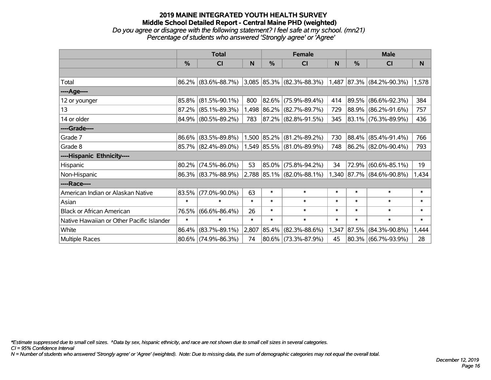#### **2019 MAINE INTEGRATED YOUTH HEALTH SURVEY Middle School Detailed Report - Central Maine PHD (weighted)** *Do you agree or disagree with the following statement? I feel safe at my school. (mn21) Percentage of students who answered 'Strongly agree' or 'Agree'*

|                                           | <b>Total</b> |                        |        |             | <b>Female</b>                   |        | <b>Male</b> |                           |        |  |
|-------------------------------------------|--------------|------------------------|--------|-------------|---------------------------------|--------|-------------|---------------------------|--------|--|
|                                           | %            | CI                     | N      | %           | CI                              | N      | %           | <b>CI</b>                 | N.     |  |
|                                           |              |                        |        |             |                                 |        |             |                           |        |  |
| Total                                     |              | 86.2% (83.6%-88.7%)    |        |             | 3,085 85.3% (82.3%-88.3%) 1,487 |        |             | $ 87.3\% $ (84.2%-90.3%)  | 1,578  |  |
| ----Age----                               |              |                        |        |             |                                 |        |             |                           |        |  |
| 12 or younger                             | 85.8%        | $(81.5\% - 90.1\%)$    | 800    | 82.6%       | $(75.9\% - 89.4\%)$             | 414    | $ 89.5\% $  | $(86.6\% - 92.3\%)$       | 384    |  |
| 13                                        |              | 87.2% (85.1%-89.3%)    |        | 1,498 86.2% | $(82.7\% - 89.7\%)$             | 729    |             | 88.9% (86.2%-91.6%)       | 757    |  |
| 14 or older                               |              | 84.9% (80.5%-89.2%)    | 783    |             | $ 87.2\% $ (82.8%-91.5%)        | 345    |             | 83.1% (76.3%-89.9%)       | 436    |  |
| ----Grade----                             |              |                        |        |             |                                 |        |             |                           |        |  |
| Grade 7                                   | $86.6\%$     | $(83.5\% - 89.8\%)$    |        | 1,500 85.2% | $(81.2\% - 89.2\%)$             | 730    |             | 88.4% (85.4%-91.4%)       | 766    |  |
| Grade 8                                   |              | $85.7\%$ (82.4%-89.0%) |        |             | $1,549$ 85.5% (81.0%-89.9%)     | 748    |             | 86.2% (82.0%-90.4%)       | 793    |  |
| ----Hispanic Ethnicity----                |              |                        |        |             |                                 |        |             |                           |        |  |
| Hispanic                                  | 80.2%        | $(74.5\% - 86.0\%)$    | 53     | 85.0%       | $(75.8\% - 94.2\%)$             | 34     | 72.9%       | $(60.6\% - 85.1\%)$       | 19     |  |
| Non-Hispanic                              |              | 86.3% (83.7%-88.9%)    |        |             | 2,788 85.1% (82.0%-88.1%)       |        |             | 1,340 87.7% (84.6%-90.8%) | 1,434  |  |
| ----Race----                              |              |                        |        |             |                                 |        |             |                           |        |  |
| American Indian or Alaskan Native         | 83.5%        | $(77.0\% - 90.0\%)$    | 63     | $\ast$      | $\ast$                          | $\ast$ | $\ast$      | $\ast$                    | $\ast$ |  |
| Asian                                     | $\ast$       | $\ast$                 | $\ast$ | $\ast$      | $\ast$                          | $\ast$ | $\ast$      | $\ast$                    | $\ast$ |  |
| <b>Black or African American</b>          | 76.5%        | $(66.6\% - 86.4\%)$    | 26     | $\ast$      | $\ast$                          | $\ast$ | $\ast$      | $\ast$                    | $\ast$ |  |
| Native Hawaiian or Other Pacific Islander | $\ast$       | $\ast$                 | $\ast$ | $\ast$      | $\ast$                          | $\ast$ | $\ast$      | $\ast$                    | $\ast$ |  |
| White                                     | 86.4%        | $(83.7\% - 89.1\%)$    | 2,807  | 85.4%       | $(82.3\% - 88.6\%)$             | 1,347  | $ 87.5\% $  | $(84.3\% - 90.8\%)$       | 1,444  |  |
| Multiple Races                            |              | $80.6\%$ (74.9%-86.3%) | 74     |             | 80.6% (73.3%-87.9%)             | 45     | $ 80.3\% $  | $(66.7\% - 93.9\%)$       | 28     |  |

*\*Estimate suppressed due to small cell sizes. ^Data by sex, hispanic ethnicity, and race are not shown due to small cell sizes in several categories.*

*CI = 95% Confidence Interval*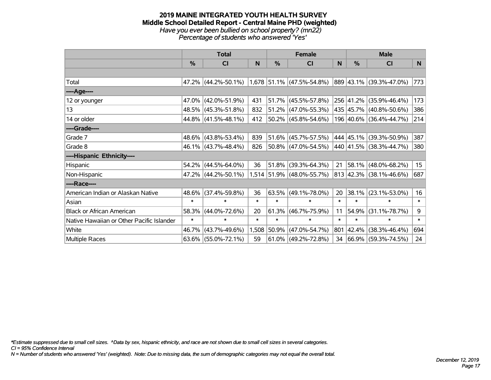#### **2019 MAINE INTEGRATED YOUTH HEALTH SURVEY Middle School Detailed Report - Central Maine PHD (weighted)** *Have you ever been bullied on school property? (mn22) Percentage of students who answered 'Yes'*

|                                           | <b>Total</b>  |                     |        |             | <b>Female</b>               |        | <b>Male</b> |                                    |        |  |
|-------------------------------------------|---------------|---------------------|--------|-------------|-----------------------------|--------|-------------|------------------------------------|--------|--|
|                                           | $\frac{0}{0}$ | <b>CI</b>           | N      | %           | <b>CI</b>                   | N      | %           | <b>CI</b>                          | N      |  |
|                                           |               |                     |        |             |                             |        |             |                                    |        |  |
| Total                                     |               | 47.2% (44.2%-50.1%) |        |             | $1,678$ 51.1% (47.5%-54.8%) |        |             | 889 43.1% (39.3%-47.0%)            | 773    |  |
| ----Age----                               |               |                     |        |             |                             |        |             |                                    |        |  |
| 12 or younger                             | 47.0%         | $(42.0\% - 51.9\%)$ | 431    | 51.7%       | $(45.5\% - 57.8\%)$         |        | 256 41.2%   | $(35.9\% - 46.4\%)$                | 173    |  |
| 13                                        |               | 48.5% (45.3%-51.8%) | 832    |             | $51.2\%$ (47.0%-55.3%)      |        |             | 435 45.7% (40.8%-50.6%)            | 386    |  |
| 14 or older                               |               | 44.8% (41.5%-48.1%) | 412    |             | $50.2\%$ (45.8%-54.6%)      |        |             | 196 40.6% (36.4%-44.7%)            | 214    |  |
| ----Grade----                             |               |                     |        |             |                             |        |             |                                    |        |  |
| Grade 7                                   |               | 48.6% (43.8%-53.4%) | 839    | $ 51.6\% $  | $(45.7\% - 57.5\%)$         |        | 444 45.1%   | $(39.3\% - 50.9\%)$                | 387    |  |
| Grade 8                                   |               | 46.1% (43.7%-48.4%) | 826    |             | $ 50.8\% $ (47.0%-54.5%)    |        |             | 440 41.5% (38.3%-44.7%)            | 380    |  |
| ----Hispanic Ethnicity----                |               |                     |        |             |                             |        |             |                                    |        |  |
| Hispanic                                  | 54.2%         | $(44.5\% - 64.0\%)$ | 36     | 51.8%       | $(39.3\% - 64.3\%)$         | 21     | 58.1%       | $(48.0\% - 68.2\%)$                | 15     |  |
| Non-Hispanic                              |               | 47.2% (44.2%-50.1%) |        |             | 1,514 51.9% (48.0%-55.7%)   |        |             | $813   42.3\%   (38.1\% - 46.6\%)$ | 687    |  |
| ----Race----                              |               |                     |        |             |                             |        |             |                                    |        |  |
| American Indian or Alaskan Native         | 48.6%         | $(37.4\% - 59.8\%)$ | 36     | 63.5%       | $(49.1\% - 78.0\%)$         | 20     | 38.1%       | $(23.1\% - 53.0\%)$                | 16     |  |
| Asian                                     | $\ast$        | $\ast$              | $\ast$ | $\ast$      | $\ast$                      | $\ast$ | $\ast$      | $\ast$                             | $\ast$ |  |
| <b>Black or African American</b>          | 58.3%         | $(44.0\% - 72.6\%)$ | 20     | 61.3%       | $(46.7\% - 75.9\%)$         | 11     | 54.9%       | $(31.1\% - 78.7\%)$                | 9      |  |
| Native Hawaiian or Other Pacific Islander | $\ast$        | $\ast$              | $\ast$ | $\ast$      | $\ast$                      | $\ast$ | $\ast$      | $\ast$                             | $\ast$ |  |
| White                                     | 46.7%         | $(43.7\% - 49.6\%)$ |        | 1,508 50.9% | $(47.0\% - 54.7\%)$         | 801    | 42.4%       | $(38.3\% - 46.4\%)$                | 694    |  |
| Multiple Races                            |               | 63.6% (55.0%-72.1%) | 59     |             | $61.0\%$ (49.2%-72.8%)      | 34     |             | $ 66.9\% $ (59.3%-74.5%)           | 24     |  |

*\*Estimate suppressed due to small cell sizes. ^Data by sex, hispanic ethnicity, and race are not shown due to small cell sizes in several categories.*

*CI = 95% Confidence Interval*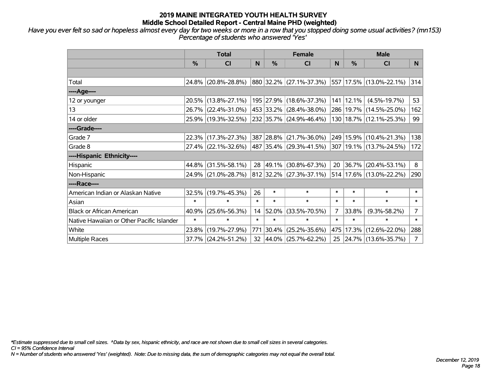*Have you ever felt so sad or hopeless almost every day for two weeks or more in a row that you stopped doing some usual activities? (mn153) Percentage of students who answered 'Yes'*

|                                           | <b>Total</b> |                     |        | <b>Female</b> | <b>Male</b>               |        |               |                             |                |
|-------------------------------------------|--------------|---------------------|--------|---------------|---------------------------|--------|---------------|-----------------------------|----------------|
|                                           | %            | <b>CI</b>           | N      | $\frac{0}{0}$ | <b>CI</b>                 | N      | $\frac{0}{0}$ | <b>CI</b>                   | N.             |
|                                           |              |                     |        |               |                           |        |               |                             |                |
| Total                                     |              | 24.8% (20.8%-28.8%) |        |               | 880 32.2% (27.1%-37.3%)   |        |               | 557 17.5% (13.0%-22.1%)     | 314            |
| ----Age----                               |              |                     |        |               |                           |        |               |                             |                |
| 12 or younger                             |              | 20.5% (13.8%-27.1%) |        |               | 195 27.9% (18.6%-37.3%)   |        | 141 12.1%     | $(4.5\% - 19.7\%)$          | 53             |
| 13                                        |              | 26.7% (22.4%-31.0%) |        |               | 453 33.2% (28.4%-38.0%)   |        |               | 286   19.7%   (14.5%-25.0%) | 162            |
| 14 or older                               |              | 25.9% (19.3%-32.5%) |        |               | 232 35.7% (24.9%-46.4%)   |        |               | 130   18.7%   (12.1%-25.3%) | 99             |
| ----Grade----                             |              |                     |        |               |                           |        |               |                             |                |
| Grade 7                                   |              | 22.3% (17.3%-27.3%) |        |               | 387 28.8% (21.7%-36.0%)   |        |               | 249 15.9% (10.4%-21.3%)     | 138            |
| Grade 8                                   |              | 27.4% (22.1%-32.6%) |        |               | 487 35.4% (29.3%-41.5%)   |        |               | 307   19.1%   (13.7%-24.5%) | 172            |
| ----Hispanic Ethnicity----                |              |                     |        |               |                           |        |               |                             |                |
| Hispanic                                  |              | 44.8% (31.5%-58.1%) |        | 28 49.1%      | $(30.8\% - 67.3\%)$       | 20     | 36.7%         | $(20.4\% - 53.1\%)$         | 8              |
| Non-Hispanic                              |              | 24.9% (21.0%-28.7%) |        |               | $812$ 32.2% (27.3%-37.1%) |        |               | 514 17.6% (13.0%-22.2%)     | 290            |
| ----Race----                              |              |                     |        |               |                           |        |               |                             |                |
| American Indian or Alaskan Native         |              | 32.5% (19.7%-45.3%) | 26     | $\ast$        | $\ast$                    | $\ast$ | $\ast$        | $\ast$                      | $\ast$         |
| Asian                                     | $\ast$       | $\ast$              | $\ast$ | $\ast$        | $\ast$                    | $\ast$ | $\ast$        | $\ast$                      | $\ast$         |
| <b>Black or African American</b>          | 40.9%        | $(25.6\% - 56.3\%)$ | 14     | 52.0%         | $(33.5\% - 70.5\%)$       | 7      | 33.8%         | $(9.3\% - 58.2\%)$          | $\overline{7}$ |
| Native Hawaiian or Other Pacific Islander | $\ast$       | $\ast$              | $\ast$ | $\ast$        | $\ast$                    | $\ast$ | $\ast$        | $\ast$                      | $\ast$         |
| White                                     |              | 23.8% (19.7%-27.9%) | 771    | 30.4%         | $(25.2\% - 35.6\%)$       | 475    | 17.3%         | $(12.6\% - 22.0\%)$         | 288            |
| <b>Multiple Races</b>                     |              | 37.7% (24.2%-51.2%) |        |               | 32 44.0% (25.7%-62.2%)    | 25     |               | $ 24.7\% $ (13.6%-35.7%)    | $\overline{7}$ |

*\*Estimate suppressed due to small cell sizes. ^Data by sex, hispanic ethnicity, and race are not shown due to small cell sizes in several categories.*

*CI = 95% Confidence Interval*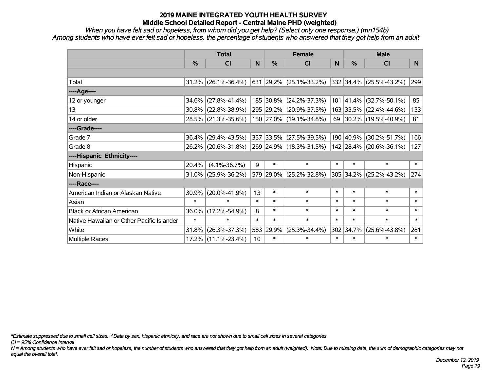*When you have felt sad or hopeless, from whom did you get help? (Select only one response.) (mn154b) Among students who have ever felt sad or hopeless, the percentage of students who answered that they got help from an adult*

|                                           | <b>Total</b> |                        |        | <b>Female</b> | <b>Male</b>             |        |           |                         |                |
|-------------------------------------------|--------------|------------------------|--------|---------------|-------------------------|--------|-----------|-------------------------|----------------|
|                                           | %            | <b>CI</b>              | N      | %             | <b>CI</b>               | N      | %         | <b>CI</b>               | N <sub>1</sub> |
|                                           |              |                        |        |               |                         |        |           |                         |                |
| Total                                     |              | $31.2\%$ (26.1%-36.4%) |        |               | 631 29.2% (25.1%-33.2%) |        |           | 332 34.4% (25.5%-43.2%) | 299            |
| ----Age----                               |              |                        |        |               |                         |        |           |                         |                |
| 12 or younger                             | 34.6%        | $(27.8\% - 41.4\%)$    |        | 185 30.8%     | $(24.2\% - 37.3\%)$     |        | 101 41.4% | $(32.7\% - 50.1\%)$     | 85             |
| 13                                        | 30.8%        | $(22.8\% - 38.9\%)$    |        |               | 295 29.2% (20.9%-37.5%) |        |           | 163 33.5% (22.4%-44.6%) | 133            |
| 14 or older                               |              | 28.5% (21.3%-35.6%)    |        |               | 150 27.0% (19.1%-34.8%) |        |           | 69 30.2% (19.5%-40.9%)  | 81             |
| ----Grade----                             |              |                        |        |               |                         |        |           |                         |                |
| Grade 7                                   | 36.4%        | $(29.4\% - 43.5\%)$    |        |               | 357 33.5% (27.5%-39.5%) |        | 190 40.9% | $(30.2\% - 51.7\%)$     | 166            |
| Grade 8                                   |              | 26.2% (20.6%-31.8%)    |        |               | 269 24.9% (18.3%-31.5%) |        |           | 142 28.4% (20.6%-36.1%) | 127            |
| ----Hispanic Ethnicity----                |              |                        |        |               |                         |        |           |                         |                |
| Hispanic                                  | 20.4%        | $(4.1\% - 36.7\%)$     | 9      | $\ast$        | $\ast$                  | $\ast$ | $\ast$    | $\ast$                  | $\ast$         |
| Non-Hispanic                              | 31.0%        | $(25.9\% - 36.2\%)$    |        | 579 29.0%     | $(25.2\% - 32.8\%)$     |        | 305 34.2% | $(25.2\% - 43.2\%)$     | 274            |
| ----Race----                              |              |                        |        |               |                         |        |           |                         |                |
| American Indian or Alaskan Native         | 30.9%        | $(20.0\% - 41.9\%)$    | 13     | $\ast$        | $\ast$                  | $\ast$ | $\ast$    | $\ast$                  | $\ast$         |
| Asian                                     | $\ast$       | $\ast$                 | $\ast$ | $\ast$        | $\ast$                  | $\ast$ | $\ast$    | $\ast$                  | $\ast$         |
| <b>Black or African American</b>          | 36.0%        | $(17.2\% - 54.9\%)$    | 8      | $\ast$        | $\ast$                  | $\ast$ | $\ast$    | $\ast$                  | $\ast$         |
| Native Hawaiian or Other Pacific Islander | $\ast$       | $\ast$                 | $\ast$ | $\ast$        | $\ast$                  | $\ast$ | $\ast$    | $\ast$                  | $\ast$         |
| White                                     | 31.8%        | $(26.3\% - 37.3\%)$    | 583    | 29.9%         | $(25.3\% - 34.4\%)$     | 302    | 34.7%     | $(25.6\% - 43.8\%)$     | 281            |
| Multiple Races                            |              | 17.2% (11.1%-23.4%)    | 10     | $\ast$        | $\ast$                  | $\ast$ | $\ast$    | *                       | $\ast$         |

*\*Estimate suppressed due to small cell sizes. ^Data by sex, hispanic ethnicity, and race are not shown due to small cell sizes in several categories.*

*CI = 95% Confidence Interval*

*N = Among students who have ever felt sad or hopeless, the number of students who answered that they got help from an adult (weighted). Note: Due to missing data, the sum of demographic categories may not equal the overall total.*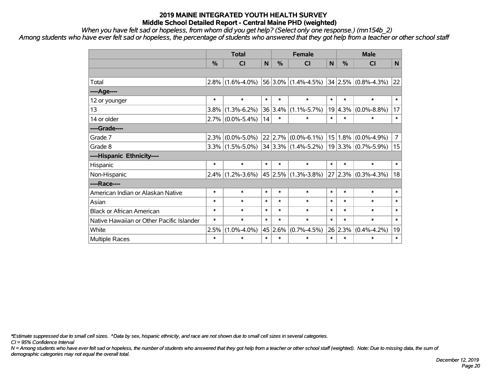*When you have felt sad or hopeless, from whom did you get help? (Select only one response.) (mn154b\_2)*

*Among students who have ever felt sad or hopeless, the percentage of students who answered that they got help from a teacher or other school staff*

|                                           | <b>Total</b>  |                                                             |        |               | <b>Female</b>                                                         | <b>Male</b> |               |                   |                |
|-------------------------------------------|---------------|-------------------------------------------------------------|--------|---------------|-----------------------------------------------------------------------|-------------|---------------|-------------------|----------------|
|                                           | $\frac{0}{0}$ | <b>CI</b>                                                   | N      | $\frac{0}{0}$ | <b>CI</b>                                                             | N           | $\frac{0}{0}$ | <b>CI</b>         | N              |
|                                           |               |                                                             |        |               |                                                                       |             |               |                   |                |
| Total                                     | $2.8\%$       |                                                             |        |               | $(1.6\% - 4.0\%)$ 56 3.0% $(1.4\% - 4.5\%)$ 34 2.5% $(0.8\% - 4.3\%)$ |             |               |                   | 22             |
| ----Age----                               |               |                                                             |        |               |                                                                       |             |               |                   |                |
| 12 or younger                             | $\ast$        | $\ast$                                                      | $\ast$ | $\ast$        | $\ast$                                                                | $\ast$      | $\ast$        | $\ast$            | $\ast$         |
| 13                                        | 3.8%          | $(1.3\% - 6.2\%)$                                           |        | 36 3.4%       | $(1.1\% - 5.7\%)$                                                     | 19          | 4.3%          | $(0.0\% - 8.8\%)$ | 17             |
| 14 or older                               |               | $2.7\%$ (0.0%-5.4%)                                         | 14     | $\ast$        | $\ast$                                                                | $\ast$      | $\ast$        | $\ast$            | $\ast$         |
| ----Grade----                             |               |                                                             |        |               |                                                                       |             |               |                   |                |
| Grade 7                                   | 2.3%          | $(0.0\% - 5.0\%)$                                           |        |               | $ 22 2.7\% $ (0.0%-6.1%)                                              |             | 15 1.8%       | $(0.0\% - 4.9\%)$ | $\overline{7}$ |
| Grade 8                                   |               | $3.3\%$ (1.5%-5.0%) 34 3.3% (1.4%-5.2%) 19 3.3% (0.7%-5.9%) |        |               |                                                                       |             |               |                   | 15             |
| ----Hispanic Ethnicity----                |               |                                                             |        |               |                                                                       |             |               |                   |                |
| Hispanic                                  | $\ast$        | $\ast$                                                      | $\ast$ | $\ast$        | $\ast$                                                                | $\ast$      | $\ast$        | $\ast$            | $\ast$         |
| Non-Hispanic                              | $2.4\%$       | $(1.2\% - 3.6\%)$                                           |        |               | $45 2.5\% $ (1.3%-3.8%)                                               |             | 27 2.3%       | $(0.3\% - 4.3\%)$ | 18             |
| ----Race----                              |               |                                                             |        |               |                                                                       |             |               |                   |                |
| American Indian or Alaskan Native         | $\ast$        | $\ast$                                                      | $\ast$ | $\ast$        | $\ast$                                                                | $\ast$      | $\ast$        | $\ast$            | $\ast$         |
| Asian                                     | $\ast$        | $\ast$                                                      | $\ast$ | $\ast$        | $\ast$                                                                | $\ast$      | $\ast$        | $\ast$            | $\ast$         |
| <b>Black or African American</b>          | $\ast$        | $\ast$                                                      | $\ast$ | $\ast$        | $\ast$                                                                | $\ast$      | $\ast$        | $\ast$            | $\ast$         |
| Native Hawaiian or Other Pacific Islander | $\ast$        | $\ast$                                                      | $\ast$ | $\ast$        | $\ast$                                                                | $\ast$      | $\ast$        | $\ast$            | $\ast$         |
| White                                     | 2.5%          | $(1.0\% - 4.0\%)$                                           |        | 45 2.6%       | $(0.7\% - 4.5\%)$                                                     |             | 26 2.3%       | $(0.4\% - 4.2\%)$ | 19             |
| Multiple Races                            | $\ast$        | $\ast$                                                      | $\ast$ | $\ast$        | $\ast$                                                                | $\ast$      | $\ast$        | $\ast$            | $\ast$         |

*\*Estimate suppressed due to small cell sizes. ^Data by sex, hispanic ethnicity, and race are not shown due to small cell sizes in several categories.*

*CI = 95% Confidence Interval*

*N = Among students who have ever felt sad or hopeless, the number of students who answered that they got help from a teacher or other school staff (weighted). Note: Due to missing data, the sum of demographic categories may not equal the overall total.*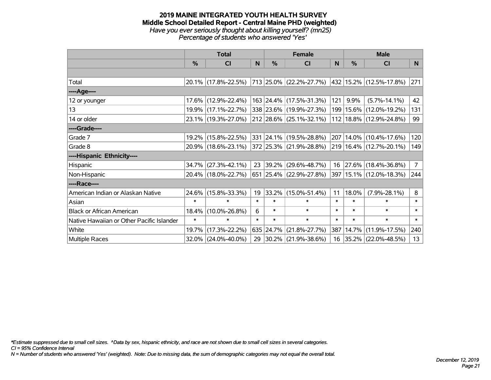#### **2019 MAINE INTEGRATED YOUTH HEALTH SURVEY Middle School Detailed Report - Central Maine PHD (weighted)** *Have you ever seriously thought about killing yourself? (mn25) Percentage of students who answered 'Yes'*

|                                           | <b>Total</b>  |                     |        |           | <b>Female</b>            |              | <b>Male</b> |                             |             |  |
|-------------------------------------------|---------------|---------------------|--------|-----------|--------------------------|--------------|-------------|-----------------------------|-------------|--|
|                                           | $\frac{0}{0}$ | CI                  | N      | %         | <b>CI</b>                | <sub>N</sub> | %           | <b>CI</b>                   | N           |  |
|                                           |               |                     |        |           |                          |              |             |                             |             |  |
| Total                                     |               | 20.1% (17.8%-22.5%) |        |           | 713 25.0% (22.2%-27.7%)  |              |             | 432 15.2% (12.5%-17.8%)     | 271         |  |
| ----Age----                               |               |                     |        |           |                          |              |             |                             |             |  |
| 12 or younger                             |               | 17.6% (12.9%-22.4%) |        |           | 163 24.4% (17.5%-31.3%)  | 121          | 9.9%        | $(5.7\% - 14.1\%)$          | 42          |  |
| 13                                        |               | 19.9% (17.1%-22.7%) |        |           | 338 23.6% (19.9%-27.3%)  |              |             | 199   15.6%   (12.0%-19.2%) | 131         |  |
| 14 or older                               |               | 23.1% (19.3%-27.0%) |        |           | 212 28.6% (25.1%-32.1%)  |              |             | 112 18.8% (12.9%-24.8%)     | 99          |  |
| ----Grade----                             |               |                     |        |           |                          |              |             |                             |             |  |
| Grade 7                                   |               | 19.2% (15.8%-22.5%) |        |           | 331 24.1% (19.5%-28.8%)  | 207          |             | $14.0\%$ (10.4%-17.6%)      | 120         |  |
| Grade 8                                   |               | 20.9% (18.6%-23.1%) |        |           | 372 25.3% (21.9%-28.8%)  |              |             | 219 16.4% (12.7%-20.1%)     | 149         |  |
| ----Hispanic Ethnicity----                |               |                     |        |           |                          |              |             |                             |             |  |
| Hispanic                                  | 34.7%         | $(27.3\% - 42.1\%)$ | 23     | 39.2%     | $(29.6\% - 48.7\%)$      |              | 16 27.6%    | $(18.4\% - 36.8\%)$         | $7^{\circ}$ |  |
| Non-Hispanic                              |               | 20.4% (18.0%-22.7%) |        |           | 651 25.4% (22.9%-27.8%)  |              |             | 397 15.1% (12.0%-18.3%)     | 244         |  |
| ----Race----                              |               |                     |        |           |                          |              |             |                             |             |  |
| American Indian or Alaskan Native         |               | 24.6% (15.8%-33.3%) | 19     |           | 33.2% (15.0%-51.4%)      | 11           | 18.0%       | $(7.9\% - 28.1\%)$          | 8           |  |
| Asian                                     | $\ast$        | $\ast$              | $\ast$ | $\ast$    | $\ast$                   | $\ast$       | $\ast$      | $\ast$                      | $\ast$      |  |
| <b>Black or African American</b>          | 18.4%         | $(10.0\% - 26.8\%)$ | 6      | $\ast$    | $\ast$                   | $\ast$       | $\ast$      | $\ast$                      | $\ast$      |  |
| Native Hawaiian or Other Pacific Islander | $\ast$        | $\ast$              | $\ast$ | $\ast$    | $\ast$                   | $\ast$       | $\ast$      | $\ast$                      | $\ast$      |  |
| White                                     | 19.7%         | $(17.3\% - 22.2\%)$ |        | 635 24.7% | $(21.8\% - 27.7\%)$      | 387          | 14.7%       | $(11.9\% - 17.5\%)$         | 240         |  |
| <b>Multiple Races</b>                     |               | 32.0% (24.0%-40.0%) | 29     |           | $ 30.2\% $ (21.9%-38.6%) |              |             | 16 35.2% (22.0%-48.5%)      | 13          |  |

*\*Estimate suppressed due to small cell sizes. ^Data by sex, hispanic ethnicity, and race are not shown due to small cell sizes in several categories.*

*CI = 95% Confidence Interval*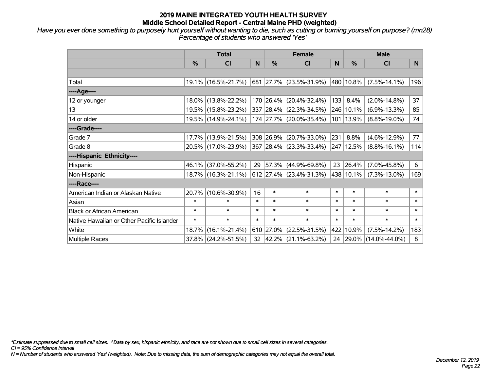*Have you ever done something to purposely hurt yourself without wanting to die, such as cutting or burning yourself on purpose? (mn28) Percentage of students who answered 'Yes'*

|                                           | <b>Total</b> |                     |        |           | <b>Female</b>                                | <b>Male</b> |               |                        |        |
|-------------------------------------------|--------------|---------------------|--------|-----------|----------------------------------------------|-------------|---------------|------------------------|--------|
|                                           | %            | CI                  | N      | %         | <b>CI</b>                                    | N           | $\frac{0}{0}$ | <b>CI</b>              | N      |
|                                           |              |                     |        |           |                                              |             |               |                        |        |
| Total                                     |              | 19.1% (16.5%-21.7%) |        |           | 681 27.7% (23.5%-31.9%)                      |             | 480 10.8%     | $(7.5\% - 14.1\%)$     | 196    |
| ----Age----                               |              |                     |        |           |                                              |             |               |                        |        |
| 12 or younger                             | $18.0\%$     | $(13.8\% - 22.2\%)$ |        | 170 26.4% | $(20.4\% - 32.4\%)$                          | 133         | 8.4%          | $(2.0\% - 14.8\%)$     | 37     |
| 13                                        |              | 19.5% (15.8%-23.2%) |        |           | 337 28.4% (22.3%-34.5%)                      | 246         | 10.1%         | $(6.9\% - 13.3\%)$     | 85     |
| 14 or older                               |              | 19.5% (14.9%-24.1%) |        |           | 174 27.7% (20.0%-35.4%)                      | 101         | 13.9%         | $(8.8\% - 19.0\%)$     | 74     |
| ----Grade----                             |              |                     |        |           |                                              |             |               |                        |        |
| Grade 7                                   |              | 17.7% (13.9%-21.5%) |        | 308 26.9% | $(20.7\% - 33.0\%)$                          | 231         | 8.8%          | $(4.6\% - 12.9\%)$     | 77     |
| Grade 8                                   |              | 20.5% (17.0%-23.9%) |        |           | 367 28.4% (23.3%-33.4%)                      |             | 247 12.5%     | $(8.8\% - 16.1\%)$     | 114    |
| ----Hispanic Ethnicity----                |              |                     |        |           |                                              |             |               |                        |        |
| Hispanic                                  | 46.1%        | $(37.0\% - 55.2\%)$ | 29     | 57.3%     | $(44.9\% - 69.8\%)$                          | 23          | 26.4%         | $(7.0\% - 45.8\%)$     | 6      |
| Non-Hispanic                              |              | 18.7% (16.3%-21.1%) |        |           | $612$ 27.4% (23.4%-31.3%)                    |             | 438 10.1%     | $(7.3\% - 13.0\%)$     | 169    |
| ----Race----                              |              |                     |        |           |                                              |             |               |                        |        |
| American Indian or Alaskan Native         | 20.7%        | $(10.6\% - 30.9\%)$ | 16     | $\ast$    | $\ast$                                       | $\ast$      | $\ast$        | $\ast$                 | $\ast$ |
| Asian                                     | $\ast$       | $\ast$              | $\ast$ | $\ast$    | $\ast$                                       | $\ast$      | $\ast$        | $\ast$                 | $\ast$ |
| <b>Black or African American</b>          | $\ast$       | $\ast$              | $\ast$ | $\ast$    | $\ast$                                       | $\ast$      | $\ast$        | $\ast$                 | $\ast$ |
| Native Hawaiian or Other Pacific Islander | $\ast$       | $\ast$              | $\ast$ | $\ast$    | $\ast$                                       | $\ast$      | $\ast$        | $\ast$                 | $\ast$ |
| White                                     | 18.7%        | $(16.1\% - 21.4\%)$ |        | 610 27.0% | $(22.5\% - 31.5\%)$                          | 422         | 10.9%         | $(7.5\% - 14.2\%)$     | 183    |
| Multiple Races                            |              | 37.8% (24.2%-51.5%) |        |           | $32 \left  42.2\% \right  (21.1\% - 63.2\%)$ |             |               | 24 29.0% (14.0%-44.0%) | 8      |

*\*Estimate suppressed due to small cell sizes. ^Data by sex, hispanic ethnicity, and race are not shown due to small cell sizes in several categories.*

*CI = 95% Confidence Interval*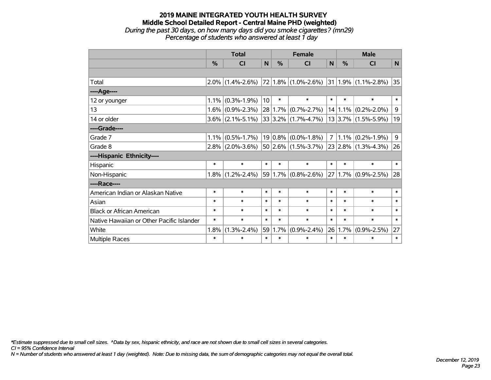#### **2019 MAINE INTEGRATED YOUTH HEALTH SURVEY Middle School Detailed Report - Central Maine PHD (weighted)** *During the past 30 days, on how many days did you smoke cigarettes? (mn29) Percentage of students who answered at least 1 day*

|                                           | <b>Total</b> |                   |        |            | <b>Female</b>           | <b>Male</b>    |               |                              |             |
|-------------------------------------------|--------------|-------------------|--------|------------|-------------------------|----------------|---------------|------------------------------|-------------|
|                                           | $\%$         | <b>CI</b>         | N      | $\%$       | <b>CI</b>               | N              | $\frac{0}{0}$ | <b>CI</b>                    | N           |
|                                           |              |                   |        |            |                         |                |               |                              |             |
| Total                                     | 2.0%         | $(1.4\% - 2.6\%)$ |        |            | 72 1.8% (1.0%-2.6%)     |                |               | $ 31 1.9\%  (1.1\% - 2.8\%)$ | 35          |
| ----Age----                               |              |                   |        |            |                         |                |               |                              |             |
| 12 or younger                             | 1.1%         | $(0.3\% - 1.9\%)$ | 10     | $\ast$     | $\ast$                  | $\ast$         | $\ast$        | $\ast$                       | $\ast$      |
| 13                                        | 1.6%         | $(0.9\% - 2.3\%)$ |        | 28 1.7%    | $(0.7\% - 2.7\%)$       |                | 14 1.1%       | $(0.2\% - 2.0\%)$            | $\mathsf 9$ |
| 14 or older                               | $3.6\%$      | $(2.1\% - 5.1\%)$ |        |            | $33 3.2\% $ (1.7%-4.7%) |                |               | $13 3.7\% $ (1.5%-5.9%)      | 19          |
| ----Grade----                             |              |                   |        |            |                         |                |               |                              |             |
| Grade 7                                   | 1.1%         | $(0.5\% - 1.7\%)$ |        | $19 0.8\%$ | $(0.0\% - 1.8\%)$       | $\overline{7}$ | 1.1%          | $(0.2\% - 1.9\%)$            | 9           |
| Grade 8                                   | 2.8%         | $(2.0\% - 3.6\%)$ |        |            | $50 2.6\% $ (1.5%-3.7%) |                |               | $23 2.8\% $ (1.3%-4.3%)      | 26          |
| ----Hispanic Ethnicity----                |              |                   |        |            |                         |                |               |                              |             |
| Hispanic                                  | $\ast$       | $\ast$            | $\ast$ | $\ast$     | $\ast$                  | $\ast$         | $\ast$        | $\ast$                       | $\ast$      |
| Non-Hispanic                              | 1.8%         | $(1.2\% - 2.4\%)$ |        |            | $59 1.7\% $ (0.8%-2.6%) |                |               | $27 1.7\% $ (0.9%-2.5%)      | 28          |
| ----Race----                              |              |                   |        |            |                         |                |               |                              |             |
| American Indian or Alaskan Native         | $\ast$       | $\ast$            | $\ast$ | $\ast$     | $\ast$                  | $\ast$         | $\ast$        | $\ast$                       | $\ast$      |
| Asian                                     | $\ast$       | $\ast$            | $\ast$ | $\ast$     | $\ast$                  | $\ast$         | $\ast$        | $\ast$                       | $\ast$      |
| <b>Black or African American</b>          | $\ast$       | $\ast$            | $\ast$ | $\ast$     | $\ast$                  | $\ast$         | $\ast$        | $\ast$                       | $\ast$      |
| Native Hawaiian or Other Pacific Islander | $\ast$       | $\ast$            | $\ast$ | $\ast$     | $\ast$                  | $\ast$         | $\ast$        | $\ast$                       | $\ast$      |
| White                                     | 1.8%         | $(1.3\% - 2.4\%)$ | 59     | 1.7%       | $(0.9\% - 2.4\%)$       | 26             | 1.7%          | $(0.9\% - 2.5\%)$            | 27          |
| Multiple Races                            | $\ast$       | $\ast$            | $\ast$ | $\ast$     | $\ast$                  | $\ast$         | $\ast$        | $\ast$                       | $\ast$      |

*\*Estimate suppressed due to small cell sizes. ^Data by sex, hispanic ethnicity, and race are not shown due to small cell sizes in several categories.*

*CI = 95% Confidence Interval*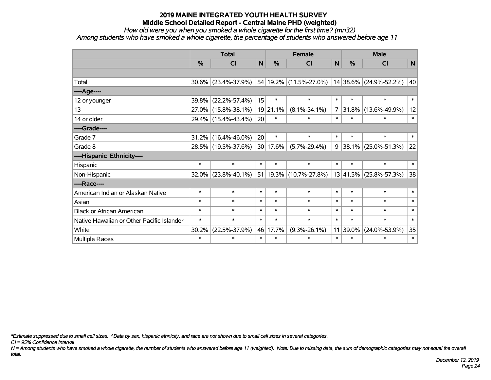*How old were you when you smoked a whole cigarette for the first time? (mn32)*

*Among students who have smoked a whole cigarette, the percentage of students who answered before age 11*

|                                           | <b>Total</b>  |                     |        |               | <b>Female</b>          | <b>Male</b>  |               |                            |        |
|-------------------------------------------|---------------|---------------------|--------|---------------|------------------------|--------------|---------------|----------------------------|--------|
|                                           | $\frac{0}{0}$ | <b>CI</b>           | N      | %             | <b>CI</b>              | $\mathsf{N}$ | $\frac{0}{0}$ | CI                         | N      |
|                                           |               |                     |        |               |                        |              |               |                            |        |
| Total                                     |               | 30.6% (23.4%-37.9%) |        |               | 54 19.2% (11.5%-27.0%) |              |               | 14 38.6% (24.9%-52.2%)     | 40     |
| ----Age----                               |               |                     |        |               |                        |              |               |                            |        |
| 12 or younger                             | 39.8%         | $(22.2\% - 57.4\%)$ | 15     | $\ast$        | $\ast$                 | $\ast$       | $\ast$        | $\ast$                     | $\ast$ |
| 13                                        |               | 27.0% (15.8%-38.1%) |        | 19 21.1%      | $(8.1\% - 34.1\%)$     | 7            | 31.8%         | $(13.6\% - 49.9\%)$        | 12     |
| 14 or older                               |               | 29.4% (15.4%-43.4%) | 20     | $\ast$        | $\ast$                 | $\ast$       | $\ast$        | $\ast$                     | $\ast$ |
| ----Grade----                             |               |                     |        |               |                        |              |               |                            |        |
| Grade 7                                   | 31.2%         | $(16.4\% - 46.0\%)$ | 20     | $\ast$        | $\ast$                 | $\ast$       | $\ast$        | $\ast$                     | $\ast$ |
| Grade 8                                   |               | 28.5% (19.5%-37.6%) |        | $ 30 17.6\% $ | $(5.7\% - 29.4\%)$     | 9            |               | 38.1% (25.0%-51.3%)        | 22     |
| ----Hispanic Ethnicity----                |               |                     |        |               |                        |              |               |                            |        |
| Hispanic                                  | $\ast$        | $\ast$              | $\ast$ | $\ast$        | $\ast$                 | $\ast$       | $\ast$        | $\ast$                     | $\ast$ |
| Non-Hispanic                              |               | 32.0% (23.8%-40.1%) |        |               | 51 19.3% (10.7%-27.8%) |              |               | $13 41.5\% $ (25.8%-57.3%) | 38     |
| ----Race----                              |               |                     |        |               |                        |              |               |                            |        |
| American Indian or Alaskan Native         | $\ast$        | $\ast$              | $\ast$ | $\ast$        | $\ast$                 | $\ast$       | $\ast$        | $\ast$                     | $\ast$ |
| Asian                                     | $\ast$        | $\ast$              | $\ast$ | $\ast$        | $\ast$                 | $\ast$       | $\ast$        | $\ast$                     | $\ast$ |
| <b>Black or African American</b>          | $\ast$        | $\ast$              | $\ast$ | $\ast$        | $\ast$                 | $\ast$       | $\ast$        | $\ast$                     | $\ast$ |
| Native Hawaiian or Other Pacific Islander | $\ast$        | $\ast$              | $\ast$ | $\ast$        | $\ast$                 | $\ast$       | $\ast$        | $\ast$                     | $\ast$ |
| White                                     | 30.2%         | $(22.5\% - 37.9\%)$ |        | 46 17.7%      | $(9.3\% - 26.1\%)$     | 11           | 39.0%         | $(24.0\% - 53.9\%)$        | 35     |
| Multiple Races                            | $\ast$        | $\ast$              | $\ast$ | $\ast$        | $\ast$                 | $\ast$       | $\ast$        | $\ast$                     | $\ast$ |

*\*Estimate suppressed due to small cell sizes. ^Data by sex, hispanic ethnicity, and race are not shown due to small cell sizes in several categories.*

*CI = 95% Confidence Interval*

*N = Among students who have smoked a whole cigarette, the number of students who answered before age 11 (weighted). Note: Due to missing data, the sum of demographic categories may not equal the overall total.*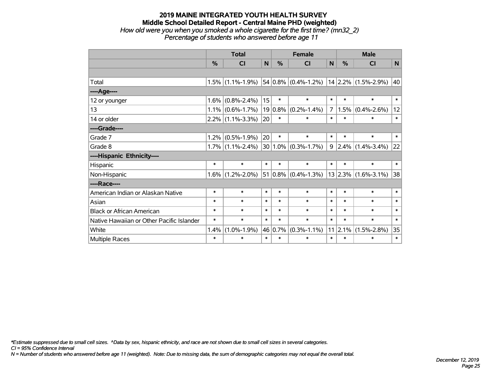#### **2019 MAINE INTEGRATED YOUTH HEALTH SURVEY Middle School Detailed Report - Central Maine PHD (weighted)** *How old were you when you smoked a whole cigarette for the first time? (mn32\_2) Percentage of students who answered before age 11*

|                                           | <b>Total</b> |                     |             | <b>Female</b> |                                     |                | <b>Male</b> |                          |        |
|-------------------------------------------|--------------|---------------------|-------------|---------------|-------------------------------------|----------------|-------------|--------------------------|--------|
|                                           | $\%$         | <b>CI</b>           | $\mathbf N$ | $\frac{0}{0}$ | <b>CI</b>                           | N              | %           | CI                       | N      |
|                                           |              |                     |             |               |                                     |                |             |                          |        |
| Total                                     |              | $1.5\%$ (1.1%-1.9%) |             |               | $54 0.8\% $ (0.4%-1.2%)             |                |             | $ 14 2.2\% $ (1.5%-2.9%) | 40     |
| ----Age----                               |              |                     |             |               |                                     |                |             |                          |        |
| 12 or younger                             | 1.6%         | $(0.8\% - 2.4\%)$   | 15          | $\ast$        | $\ast$                              | $\ast$         | $\ast$      | $\ast$                   | $\ast$ |
| 13                                        |              | $1.1\%$ (0.6%-1.7%) | 19          | 0.8%          | $(0.2\% - 1.4\%)$                   | $\overline{7}$ | 1.5%        | $(0.4\% - 2.6\%)$        | 12     |
| 14 or older                               |              | $2.2\%$ (1.1%-3.3%) | 20          | $\ast$        | $\ast$                              | $\ast$         | $\ast$      | $\ast$                   | $\ast$ |
| ----Grade----                             |              |                     |             |               |                                     |                |             |                          |        |
| Grade 7                                   | 1.2%         | $(0.5\% - 1.9\%)$   | 20          | $\ast$        | $\ast$                              | $\ast$         | $\ast$      | $\ast$                   | $\ast$ |
| Grade 8                                   |              | $1.7\%$ (1.1%-2.4%) |             |               | $30 1.0\% $ (0.3%-1.7%)             | 9              | 2.4%        | $(1.4\% - 3.4\%)$        | 22     |
| ----Hispanic Ethnicity----                |              |                     |             |               |                                     |                |             |                          |        |
| Hispanic                                  | $\ast$       | $\ast$              | $\ast$      | $\ast$        | $\ast$                              | $\ast$         | $\ast$      | $\ast$                   | $\ast$ |
| Non-Hispanic                              | $1.6\%$      | $(1.2\% - 2.0\%)$   |             |               | 51 0.8% $(0.4\text{%}-1.3\text{%)}$ |                |             | $13$ 2.3% (1.6%-3.1%)    | 38     |
| ----Race----                              |              |                     |             |               |                                     |                |             |                          |        |
| American Indian or Alaskan Native         | $\ast$       | $\ast$              | $\ast$      | $\ast$        | $\ast$                              | $\ast$         | $\ast$      | $\ast$                   | $\ast$ |
| Asian                                     | $\ast$       | $\ast$              | $\ast$      | $\ast$        | $\ast$                              | $\ast$         | $\ast$      | $\ast$                   | $\ast$ |
| <b>Black or African American</b>          | $\ast$       | $\ast$              | $\ast$      | $\ast$        | $\ast$                              | $\ast$         | $\ast$      | $\ast$                   | $\ast$ |
| Native Hawaiian or Other Pacific Islander | $\ast$       | $\ast$              | $\ast$      | $\ast$        | $\ast$                              | $\ast$         | $\ast$      | $\ast$                   | $\ast$ |
| White                                     | 1.4%         | $(1.0\% - 1.9\%)$   | 46          | 0.7%          | $(0.3\% - 1.1\%)$                   | 11             | 2.1%        | $(1.5\% - 2.8\%)$        | 35     |
| Multiple Races                            | $\ast$       | $\ast$              | $\ast$      | $\ast$        | $\ast$                              | $\ast$         | $\ast$      | $\ast$                   | $\ast$ |

*\*Estimate suppressed due to small cell sizes. ^Data by sex, hispanic ethnicity, and race are not shown due to small cell sizes in several categories.*

*CI = 95% Confidence Interval*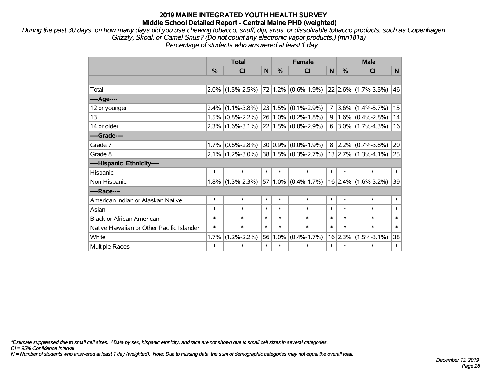*During the past 30 days, on how many days did you use chewing tobacco, snuff, dip, snus, or dissolvable tobacco products, such as Copenhagen, Grizzly, Skoal, or Camel Snus? (Do not count any electronic vapor products.) (mn181a)*

*Percentage of students who answered at least 1 day*

|                                           | <b>Total</b> |                                               |             |         | <b>Female</b>           |        |            | <b>Male</b>               |              |  |  |
|-------------------------------------------|--------------|-----------------------------------------------|-------------|---------|-------------------------|--------|------------|---------------------------|--------------|--|--|
|                                           | %            | <b>CI</b>                                     | $\mathbf N$ | %       | <b>CI</b>               | N      | $\%$       | <b>CI</b>                 | $\mathsf{N}$ |  |  |
|                                           |              |                                               |             |         |                         |        |            |                           |              |  |  |
| Total                                     |              | $2.0\%$ (1.5%-2.5%)   72   1.2%   (0.6%-1.9%) |             |         |                         |        |            | $ 22 2.6\% $ (1.7%-3.5%)  | 46           |  |  |
| ----Age----                               |              |                                               |             |         |                         |        |            |                           |              |  |  |
| 12 or younger                             | 2.4%         | $(1.1\% - 3.8\%)$                             |             | 23 1.5% | $(0.1\% - 2.9\%)$       |        |            | $7 3.6\% (1.4\% - 5.7\%)$ | 15           |  |  |
| 13                                        | 1.5%         | $(0.8\% - 2.2\%)$                             |             |         | $26 1.0\% $ (0.2%-1.8%) | 9      |            | $1.6\%$ (0.4%-2.8%)       | 14           |  |  |
| 14 or older                               |              | $2.3\%$ (1.6%-3.1%)                           |             |         | $22 1.5\% $ (0.0%-2.9%) |        |            | $6$   3.0%   (1.7%-4.3%)  | 16           |  |  |
| ----Grade----                             |              |                                               |             |         |                         |        |            |                           |              |  |  |
| Grade 7                                   | 1.7%         | $(0.6\% - 2.8\%)$                             |             | 30 0.9% | $(0.0\% - 1.9\%)$       |        | $8 2.2\% $ | $(0.7\% - 3.8\%)$         | 20           |  |  |
| Grade 8                                   |              | $2.1\%$ (1.2%-3.0%)                           |             |         | $38 1.5\% $ (0.3%-2.7%) |        |            | $13$   2.7%   (1.3%-4.1%) | 25           |  |  |
| ----Hispanic Ethnicity----                |              |                                               |             |         |                         |        |            |                           |              |  |  |
| Hispanic                                  | $\ast$       | $\ast$                                        | $\ast$      | $\ast$  | $\ast$                  | $\ast$ | $\ast$     | $\ast$                    | $\ast$       |  |  |
| Non-Hispanic                              | $1.8\%$      | $(1.3\% - 2.3\%)$                             |             |         | $57 1.0\% $ (0.4%-1.7%) |        | 16 2.4%    | $(1.6\% - 3.2\%)$         | 39           |  |  |
| ----Race----                              |              |                                               |             |         |                         |        |            |                           |              |  |  |
| American Indian or Alaskan Native         | $\ast$       | $\ast$                                        | $\ast$      | $\ast$  | $\ast$                  | $\ast$ | $\ast$     | $\ast$                    | $\ast$       |  |  |
| Asian                                     | $\ast$       | $\ast$                                        | $\ast$      | $\ast$  | $\ast$                  | $\ast$ | $\ast$     | $\ast$                    | $\ast$       |  |  |
| <b>Black or African American</b>          | $\ast$       | $\ast$                                        | $\ast$      | $\ast$  | $\ast$                  | $\ast$ | $\ast$     | $\ast$                    | $\ast$       |  |  |
| Native Hawaiian or Other Pacific Islander | $\ast$       | $\ast$                                        | $\ast$      | $\ast$  | $\ast$                  | $\ast$ | $\ast$     | $\ast$                    | $\ast$       |  |  |
| White                                     | 1.7%         | $(1.2\% - 2.2\%)$                             | 56          | 1.0%    | $(0.4\% - 1.7\%)$       |        | 16 2.3%    | $(1.5\% - 3.1\%)$         | 38           |  |  |
| <b>Multiple Races</b>                     | $\ast$       | $\ast$                                        | $\ast$      | $\ast$  | $\ast$                  | $\ast$ | *          | $\ast$                    | $\ast$       |  |  |

*\*Estimate suppressed due to small cell sizes. ^Data by sex, hispanic ethnicity, and race are not shown due to small cell sizes in several categories.*

*CI = 95% Confidence Interval*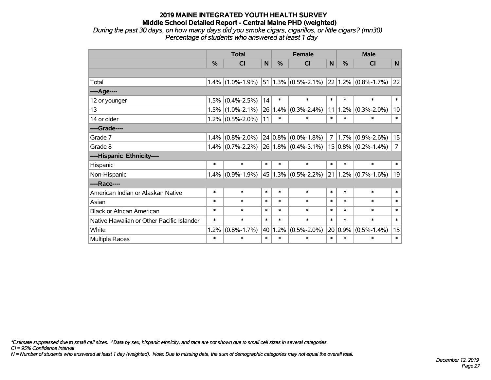*During the past 30 days, on how many days did you smoke cigars, cigarillos, or little cigars? (mn30) Percentage of students who answered at least 1 day*

|                                           |        | <b>Total</b>        | <b>Female</b> |            |                         | <b>Male</b>    |             |                   |                |
|-------------------------------------------|--------|---------------------|---------------|------------|-------------------------|----------------|-------------|-------------------|----------------|
|                                           | %      | <b>CI</b>           | N             | %          | <b>CI</b>               | N              | $\%$        | <b>CI</b>         | N              |
|                                           |        |                     |               |            |                         |                |             |                   |                |
| Total                                     | 1.4%   | $(1.0\% - 1.9\%)$   |               |            | $51 1.3\% $ (0.5%-2.1%) |                | 22 1.2%     | $(0.8\% - 1.7\%)$ | 22             |
| ----Age----                               |        |                     |               |            |                         |                |             |                   |                |
| 12 or younger                             | 1.5%   | $(0.4\% - 2.5\%)$   | 14            | $\ast$     | $\ast$                  | $\ast$         | $\ast$      | $\ast$            | $\ast$         |
| 13                                        | 1.5%   | $(1.0\% - 2.1\%)$   | 26            | 1.4%       | $(0.3\% - 2.4\%)$       | 11             | 1.2%        | $(0.3\% - 2.0\%)$ | 10             |
| 14 or older                               |        | $1.2\%$ (0.5%-2.0%) | 11            | $\ast$     | *                       | $\ast$         | $\ast$      | ∗                 | $\ast$         |
| ----Grade----                             |        |                     |               |            |                         |                |             |                   |                |
| Grade 7                                   | 1.4%   | $(0.8\% - 2.0\%)$   |               | $24 0.8\%$ | $(0.0\% - 1.8\%)$       | 7 <sup>1</sup> | 1.7%        | $(0.9\% - 2.6\%)$ | 15             |
| Grade 8                                   | 1.4%   | $(0.7\% - 2.2\%)$   |               |            | $26 1.8\% $ (0.4%-3.1%) |                | $15 0.8\% $ | $(0.2\% - 1.4\%)$ | $\overline{7}$ |
| ----Hispanic Ethnicity----                |        |                     |               |            |                         |                |             |                   |                |
| Hispanic                                  | $\ast$ | $\ast$              | $\ast$        | *          | $\ast$                  | $\ast$         | $\ast$      | $\ast$            | $\ast$         |
| Non-Hispanic                              | 1.4%   | $(0.9\% - 1.9\%)$   |               |            | $45 1.3\% $ (0.5%-2.2%) | 21             | 1.2%        | $(0.7\% - 1.6\%)$ | 19             |
| ----Race----                              |        |                     |               |            |                         |                |             |                   |                |
| American Indian or Alaskan Native         | $\ast$ | $\ast$              | $\ast$        | $\ast$     | $\ast$                  | $\ast$         | $\ast$      | $\ast$            | $\ast$         |
| Asian                                     | $\ast$ | $\ast$              | $\ast$        | $\ast$     | $\ast$                  | $\ast$         | $\ast$      | $\ast$            | $\ast$         |
| <b>Black or African American</b>          | $\ast$ | $\ast$              | $\ast$        | $\ast$     | $\ast$                  | $\ast$         | $\ast$      | $\ast$            | $\ast$         |
| Native Hawaiian or Other Pacific Islander | $\ast$ | $\ast$              | $\ast$        | $\ast$     | $\ast$                  | $\ast$         | $\ast$      | $\ast$            | $\ast$         |
| White                                     | 1.2%   | $(0.8\% - 1.7\%)$   | 40            | 1.2%       | $(0.5\% - 2.0\%)$       |                | $20 0.9\%$  | $(0.5\% - 1.4\%)$ | 15             |
| Multiple Races                            | $\ast$ | $\ast$              | $\ast$        | $\ast$     | $\ast$                  | $\ast$         | $\ast$      | $\ast$            | $\ast$         |

*\*Estimate suppressed due to small cell sizes. ^Data by sex, hispanic ethnicity, and race are not shown due to small cell sizes in several categories.*

*CI = 95% Confidence Interval*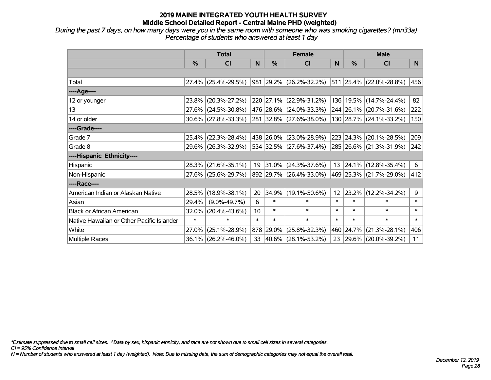*During the past 7 days, on how many days were you in the same room with someone who was smoking cigarettes? (mn33a) Percentage of students who answered at least 1 day*

|                                           | <b>Total</b> |                        |        |               | <b>Female</b>            |              | <b>Male</b>      |                         |        |  |
|-------------------------------------------|--------------|------------------------|--------|---------------|--------------------------|--------------|------------------|-------------------------|--------|--|
|                                           | %            | CI                     | N      | $\frac{0}{0}$ | <b>CI</b>                | <sub>N</sub> | %                | <b>CI</b>               | N.     |  |
|                                           |              |                        |        |               |                          |              |                  |                         |        |  |
| Total                                     |              | $27.4\%$ (25.4%-29.5%) |        |               | 981 29.2% (26.2%-32.2%)  |              |                  | 511 25.4% (22.0%-28.8%) | 456    |  |
| ----Age----                               |              |                        |        |               |                          |              |                  |                         |        |  |
| 12 or younger                             | 23.8%        | $(20.3\% - 27.2\%)$    |        |               | 220 27.1% (22.9%-31.2%)  | 136          | 19.5%            | $(14.7\% - 24.4\%)$     | 82     |  |
| 13                                        |              | 27.6% (24.5%-30.8%)    |        |               | 476 28.6% (24.0%-33.3%)  |              |                  | 244 26.1% (20.7%-31.6%) | 222    |  |
| 14 or older                               |              | $30.6\%$ (27.8%-33.3%) |        |               | 281 32.8% (27.6%-38.0%)  |              |                  | 130 28.7% (24.1%-33.2%) | 150    |  |
| ----Grade----                             |              |                        |        |               |                          |              |                  |                         |        |  |
| Grade 7                                   | 25.4%        | $(22.3\% - 28.4\%)$    |        |               | 438 26.0% (23.0%-28.9%)  |              | 223 24.3%        | $(20.1\% - 28.5\%)$     | 209    |  |
| Grade 8                                   |              | 29.6% (26.3%-32.9%)    |        |               | 534 32.5% (27.6%-37.4%)  |              |                  | 285 26.6% (21.3%-31.9%) | 242    |  |
| ----Hispanic Ethnicity----                |              |                        |        |               |                          |              |                  |                         |        |  |
| Hispanic                                  | 28.3%        | $(21.6\% - 35.1\%)$    | 19     | $ 31.0\% $    | $(24.3\% - 37.6\%)$      |              | $13 \mid 24.1\%$ | $(12.8\% - 35.4\%)$     | 6      |  |
| Non-Hispanic                              |              | 27.6% (25.6%-29.7%)    |        |               | 892 29.7% (26.4%-33.0%)  |              |                  | 469 25.3% (21.7%-29.0%) | 412    |  |
| ----Race----                              |              |                        |        |               |                          |              |                  |                         |        |  |
| American Indian or Alaskan Native         | 28.5%        | $(18.9\% - 38.1\%)$    | 20     | 34.9%         | $(19.1\% - 50.6\%)$      | 12           | 23.2%            | $(12.2\% - 34.2\%)$     | 9      |  |
| Asian                                     | 29.4%        | $(9.0\% - 49.7\%)$     | 6      | $\ast$        | $\ast$                   | $\ast$       | $\ast$           | $\ast$                  | $\ast$ |  |
| <b>Black or African American</b>          | 32.0%        | $(20.4\% - 43.6\%)$    | 10     | $\ast$        | $\ast$                   | $\ast$       | $\ast$           | $\ast$                  | $\ast$ |  |
| Native Hawaiian or Other Pacific Islander | $\ast$       | $\ast$                 | $\ast$ | $\ast$        | $\ast$                   | $\ast$       | $\ast$           | $\ast$                  | $\ast$ |  |
| White                                     | 27.0%        | $(25.1\% - 28.9\%)$    |        | 878 29.0%     | $(25.8\% - 32.3\%)$      | 460          | 24.7%            | $(21.3\% - 28.1\%)$     | 406    |  |
| Multiple Races                            |              | $36.1\%$ (26.2%-46.0%) | 33     |               | $ 40.6\% $ (28.1%-53.2%) | 23           |                  | 29.6% (20.0%-39.2%)     | 11     |  |

*\*Estimate suppressed due to small cell sizes. ^Data by sex, hispanic ethnicity, and race are not shown due to small cell sizes in several categories.*

*CI = 95% Confidence Interval*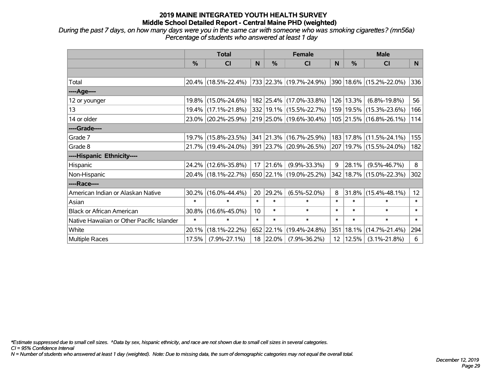*During the past 7 days, on how many days were you in the same car with someone who was smoking cigarettes? (mn56a) Percentage of students who answered at least 1 day*

|                                           | <b>Total</b> |                     |        |           | <b>Female</b>           |                 | <b>Male</b> |                             |        |  |
|-------------------------------------------|--------------|---------------------|--------|-----------|-------------------------|-----------------|-------------|-----------------------------|--------|--|
|                                           | %            | <b>CI</b>           | N      | %         | <b>CI</b>               | N               | %           | <b>CI</b>                   | N      |  |
|                                           |              |                     |        |           |                         |                 |             |                             |        |  |
| Total                                     |              | 20.4% (18.5%-22.4%) |        |           | 733 22.3% (19.7%-24.9%) |                 |             | 390 18.6% (15.2%-22.0%)     | 336    |  |
| ----Age----                               |              |                     |        |           |                         |                 |             |                             |        |  |
| 12 or younger                             |              | 19.8% (15.0%-24.6%) |        |           | 182 25.4% (17.0%-33.8%) | 126             | 13.3%       | $(6.8\% - 19.8\%)$          | 56     |  |
| 13                                        |              | 19.4% (17.1%-21.8%) |        |           | 332 19.1% (15.5%-22.7%) |                 |             | 159   19.5%   (15.3%-23.6%) | 166    |  |
| 14 or older                               |              | 23.0% (20.2%-25.9%) |        |           | 219 25.0% (19.6%-30.4%) |                 |             | 105 21.5% (16.8%-26.1%)     | 114    |  |
| ----Grade----                             |              |                     |        |           |                         |                 |             |                             |        |  |
| Grade 7                                   |              | 19.7% (15.8%-23.5%) |        |           | 341 21.3% (16.7%-25.9%) | 183             | 17.8%       | $(11.5\% - 24.1\%)$         | 155    |  |
| Grade 8                                   |              | 21.7% (19.4%-24.0%) |        |           | 391 23.7% (20.9%-26.5%) |                 |             | 207   19.7%   (15.5%-24.0%) | 182    |  |
| ----Hispanic Ethnicity----                |              |                     |        |           |                         |                 |             |                             |        |  |
| Hispanic                                  |              | 24.2% (12.6%-35.8%) | 17     | 21.6%     | $(9.9\% - 33.3\%)$      | 9               | 28.1%       | $(9.5\% - 46.7\%)$          | 8      |  |
| Non-Hispanic                              |              | 20.4% (18.1%-22.7%) |        |           | 650 22.1% (19.0%-25.2%) | 342             |             | $18.7\%$ (15.0%-22.3%)      | 302    |  |
| ----Race----                              |              |                     |        |           |                         |                 |             |                             |        |  |
| American Indian or Alaskan Native         | 30.2%        | $(16.0\% - 44.4\%)$ | 20     | 29.2%     | $(6.5\% - 52.0\%)$      | 8               | 31.8%       | $(15.4\% - 48.1\%)$         | 12     |  |
| Asian                                     | $\ast$       | $\ast$              | $\ast$ | $\ast$    | $\ast$                  | $\ast$          | $\ast$      | $\ast$                      | $\ast$ |  |
| <b>Black or African American</b>          | 30.8%        | $(16.6\% - 45.0\%)$ | 10     | $\ast$    | $\ast$                  | $\ast$          | $\ast$      | $\ast$                      | $\ast$ |  |
| Native Hawaiian or Other Pacific Islander | $\ast$       | $\ast$              | $\ast$ | $\ast$    | $\ast$                  | $\ast$          | $\ast$      | $\ast$                      | $\ast$ |  |
| White                                     | 20.1%        | $(18.1\% - 22.2\%)$ |        | 652 22.1% | $(19.4\% - 24.8\%)$     | 351             | 18.1%       | $(14.7\% - 21.4\%)$         | 294    |  |
| Multiple Races                            | 17.5%        | $(7.9\% - 27.1\%)$  |        | 18 22.0%  | $(7.9\% - 36.2\%)$      | 12 <sup>2</sup> | 12.5%       | $(3.1\% - 21.8\%)$          | 6      |  |

*\*Estimate suppressed due to small cell sizes. ^Data by sex, hispanic ethnicity, and race are not shown due to small cell sizes in several categories.*

*CI = 95% Confidence Interval*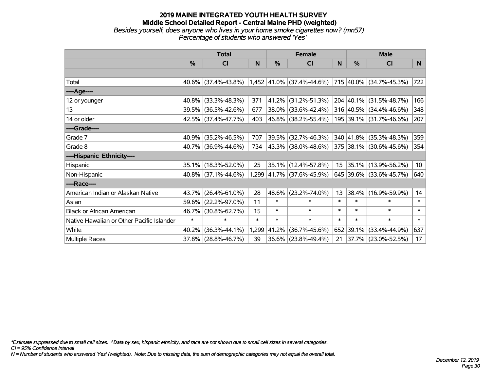#### **2019 MAINE INTEGRATED YOUTH HEALTH SURVEY Middle School Detailed Report - Central Maine PHD (weighted)** *Besides yourself, does anyone who lives in your home smoke cigarettes now? (mn57) Percentage of students who answered 'Yes'*

|                                           | <b>Total</b>  |                                                                          |        |        | <b>Female</b>             |                  | <b>Male</b>   |                          |                 |  |
|-------------------------------------------|---------------|--------------------------------------------------------------------------|--------|--------|---------------------------|------------------|---------------|--------------------------|-----------------|--|
|                                           | $\frac{0}{0}$ | CI                                                                       | N      | %      | CI                        | N                | $\frac{0}{0}$ | <b>CI</b>                | N.              |  |
|                                           |               |                                                                          |        |        |                           |                  |               |                          |                 |  |
| Total                                     |               | $40.6\%$ (37.4%-43.8%) 1,452 41.0% (37.4%-44.6%) 715 40.0% (34.7%-45.3%) |        |        |                           |                  |               |                          | 722             |  |
| ----Age----                               |               |                                                                          |        |        |                           |                  |               |                          |                 |  |
| 12 or younger                             | 40.8%         | $(33.3\% - 48.3\%)$                                                      | 371    | 41.2%  | $(31.2\% - 51.3\%)$       |                  |               | 204 40.1% (31.5%-48.7%)  | 166             |  |
| 13                                        |               | 39.5% (36.5%-42.6%)                                                      | 677    |        | 38.0% (33.6%-42.4%)       |                  |               | 316 40.5% (34.4%-46.6%)  | 348             |  |
| 14 or older                               |               | 42.5% (37.4%-47.7%)                                                      | 403    |        | 46.8% (38.2%-55.4%)       |                  |               | 195 39.1% (31.7%-46.6%)  | 207             |  |
| ----Grade----                             |               |                                                                          |        |        |                           |                  |               |                          |                 |  |
| Grade 7                                   | 40.9%         | $(35.2\% - 46.5\%)$                                                      | 707    | 39.5%  | $(32.7\% - 46.3\%)$       |                  | 340 41.8%     | $(35.3\% - 48.3\%)$      | 359             |  |
| Grade 8                                   |               | 40.7% (36.9%-44.6%)                                                      | 734    |        | 43.3% (38.0%-48.6%)       |                  |               | 375 38.1% (30.6%-45.6%)  | 354             |  |
| ----Hispanic Ethnicity----                |               |                                                                          |        |        |                           |                  |               |                          |                 |  |
| Hispanic                                  |               | 35.1% (18.3%-52.0%)                                                      | 25     |        | 35.1% (12.4%-57.8%)       | 15 <sub>15</sub> |               | $ 35.1\% $ (13.9%-56.2%) | 10 <sup>°</sup> |  |
| Non-Hispanic                              |               | 40.8% (37.1%-44.6%)                                                      |        |        | 1,299 41.7% (37.6%-45.9%) |                  |               | 645 39.6% (33.6%-45.7%)  | 640             |  |
| ----Race----                              |               |                                                                          |        |        |                           |                  |               |                          |                 |  |
| American Indian or Alaskan Native         | 43.7%         | $(26.4\% - 61.0\%)$                                                      | 28     | 48.6%  | $(23.2\% - 74.0\%)$       | 13               | 38.4%         | $(16.9\% - 59.9\%)$      | 14              |  |
| Asian                                     | 59.6%         | $(22.2\% - 97.0\%)$                                                      | 11     | $\ast$ | $\ast$                    | $\ast$           | $\ast$        | $\ast$                   | $\ast$          |  |
| <b>Black or African American</b>          | 46.7%         | $(30.8\% - 62.7\%)$                                                      | 15     | $\ast$ | $\ast$                    | $\ast$           | $\ast$        | $\ast$                   | $\ast$          |  |
| Native Hawaiian or Other Pacific Islander | $\ast$        | $\ast$                                                                   | $\ast$ | $\ast$ | $\ast$                    | $\ast$           | $\ast$        | $\ast$                   | $\ast$          |  |
| White                                     | 40.2%         | $(36.3\% - 44.1\%)$                                                      | 1,299  | 41.2%  | $(36.7\% - 45.6\%)$       |                  | 652 39.1%     | $(33.4\% - 44.9\%)$      | 637             |  |
| <b>Multiple Races</b>                     | 37.8%         | $(28.8\% - 46.7\%)$                                                      | 39     | 36.6%  | $(23.8\% - 49.4\%)$       | 21               |               | 37.7% (23.0%-52.5%)      | 17 <sub>2</sub> |  |

*\*Estimate suppressed due to small cell sizes. ^Data by sex, hispanic ethnicity, and race are not shown due to small cell sizes in several categories.*

*CI = 95% Confidence Interval*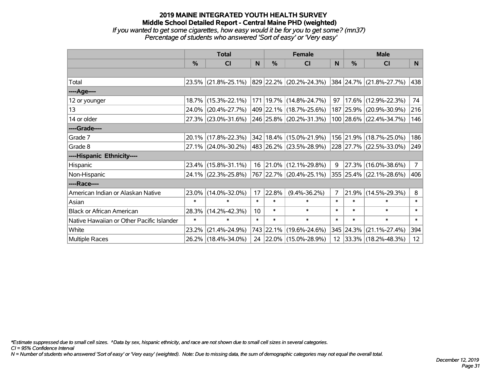#### **2019 MAINE INTEGRATED YOUTH HEALTH SURVEY Middle School Detailed Report - Central Maine PHD (weighted)** *If you wanted to get some cigarettes, how easy would it be for you to get some? (mn37) Percentage of students who answered 'Sort of easy' or 'Very easy'*

|                                           | <b>Total</b>  |                        |        |           | <b>Female</b>               |                | <b>Male</b> |                         |                 |  |
|-------------------------------------------|---------------|------------------------|--------|-----------|-----------------------------|----------------|-------------|-------------------------|-----------------|--|
|                                           | $\frac{0}{0}$ | CI                     | N      | %         | <b>CI</b>                   | <sub>N</sub>   | %           | <b>CI</b>               | N               |  |
|                                           |               |                        |        |           |                             |                |             |                         |                 |  |
| Total                                     |               | $23.5\%$ (21.8%-25.1%) |        |           | 829 22.2% (20.2%-24.3%)     |                |             | 384 24.7% (21.8%-27.7%) | 438             |  |
| ----Age----                               |               |                        |        |           |                             |                |             |                         |                 |  |
| 12 or younger                             |               | 18.7% (15.3%-22.1%)    |        |           | 171   19.7%   (14.8%-24.7%) | 97             | 17.6%       | $(12.9\% - 22.3\%)$     | 74              |  |
| 13                                        |               | 24.0% (20.4%-27.7%)    |        |           | 409 22.1% (18.7%-25.6%)     |                |             | 187 25.9% (20.9%-30.9%) | 216             |  |
| 14 or older                               |               | 27.3% (23.0%-31.6%)    |        |           | 246 25.8% (20.2%-31.3%)     |                |             | 100 28.6% (22.4%-34.7%) | 146             |  |
| ----Grade----                             |               |                        |        |           |                             |                |             |                         |                 |  |
| Grade 7                                   |               | 20.1% (17.8%-22.3%)    |        |           | 342 18.4% (15.0%-21.9%)     |                | 156 21.9%   | $(18.7\% - 25.0\%)$     | 186             |  |
| Grade 8                                   |               | 27.1% (24.0%-30.2%)    |        |           | 483 26.2% (23.5%-28.9%)     |                |             | 228 27.7% (22.5%-33.0%) | 249             |  |
| ----Hispanic Ethnicity----                |               |                        |        |           |                             |                |             |                         |                 |  |
| Hispanic                                  |               | 23.4% (15.8%-31.1%)    | 16     |           | $ 21.0\% $ (12.1%-29.8%)    | 9              | 27.3%       | $(16.0\% - 38.6\%)$     | $7\overline{ }$ |  |
| Non-Hispanic                              |               | 24.1% (22.3%-25.8%)    |        |           | 767 22.7% (20.4%-25.1%)     |                |             | 355 25.4% (22.1%-28.6%) | 406             |  |
| ----Race----                              |               |                        |        |           |                             |                |             |                         |                 |  |
| American Indian or Alaskan Native         | $23.0\%$      | $(14.0\% - 32.0\%)$    | 17     | 22.8%     | $(9.4\% - 36.2\%)$          | $\overline{7}$ | 21.9%       | $(14.5\% - 29.3\%)$     | 8               |  |
| Asian                                     | $\ast$        | $\ast$                 | $\ast$ | $\ast$    | $\ast$                      | $\ast$         | $\ast$      | $\ast$                  | $\ast$          |  |
| <b>Black or African American</b>          | 28.3%         | $(14.2\% - 42.3\%)$    | 10     | $\ast$    | $\ast$                      | $\ast$         | $\ast$      | $\ast$                  | $\ast$          |  |
| Native Hawaiian or Other Pacific Islander | $\ast$        | $\ast$                 | $\ast$ | $\ast$    | $\ast$                      | $\ast$         | $\ast$      | $\ast$                  | $\ast$          |  |
| White                                     | 23.2%         | $(21.4\% - 24.9\%)$    |        | 743 22.1% | $(19.6\% - 24.6\%)$         |                | 345 24.3%   | $(21.1\% - 27.4\%)$     | 394             |  |
| <b>Multiple Races</b>                     |               | 26.2% (18.4%-34.0%)    |        |           | 24 22.0% (15.0%-28.9%)      |                |             | 12 33.3% (18.2%-48.3%)  | 12              |  |

*\*Estimate suppressed due to small cell sizes. ^Data by sex, hispanic ethnicity, and race are not shown due to small cell sizes in several categories.*

*CI = 95% Confidence Interval*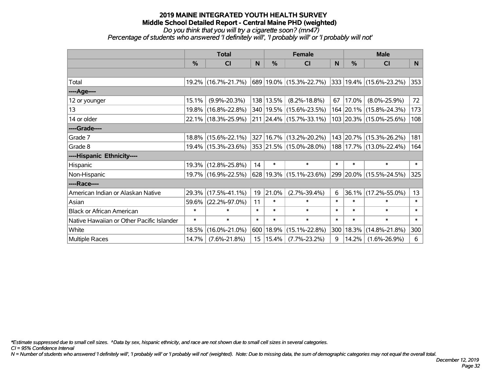*Do you think that you will try a cigarette soon? (mn47)*

*Percentage of students who answered 'I definitely will', 'I probably will' or 'I probably will not'*

|                                           | <b>Total</b>  |                     |        |           | <b>Female</b>                 |        | <b>Male</b> |                              |        |  |
|-------------------------------------------|---------------|---------------------|--------|-----------|-------------------------------|--------|-------------|------------------------------|--------|--|
|                                           | $\frac{0}{0}$ | <b>CI</b>           | N      | $\%$      | <b>CI</b>                     | N      | $\%$        | <b>CI</b>                    | N.     |  |
|                                           |               |                     |        |           |                               |        |             |                              |        |  |
| Total                                     |               | 19.2% (16.7%-21.7%) |        |           | 689   19.0%   (15.3%-22.7%)   |        |             | $ 333 19.4\% $ (15.6%-23.2%) | 353    |  |
| ---- Age----                              |               |                     |        |           |                               |        |             |                              |        |  |
| 12 or younger                             | 15.1%         | $(9.9\% - 20.3\%)$  |        | 138 13.5% | $(8.2\% - 18.8\%)$            | 67     | 17.0%       | $(8.0\% - 25.9\%)$           | 72     |  |
| 13                                        |               | 19.8% (16.8%-22.8%) |        |           | 340   19.5%   (15.6%-23.5%)   |        |             | 164 20.1% (15.8%-24.3%)      | 173    |  |
| 14 or older                               |               | 22.1% (18.3%-25.9%) |        |           | 211 24.4% (15.7%-33.1%)       |        |             | 103 20.3% (15.0%-25.6%)      | 108    |  |
| ----Grade----                             |               |                     |        |           |                               |        |             |                              |        |  |
| Grade 7                                   |               | 18.8% (15.6%-22.1%) |        |           | 327 16.7% (13.2%-20.2%)       |        |             | 143 20.7% (15.3%-26.2%)      | 181    |  |
| Grade 8                                   |               | 19.4% (15.3%-23.6%) |        |           | 353 21.5% (15.0%-28.0%)       |        |             | 188 17.7% (13.0%-22.4%)      | 164    |  |
| ----Hispanic Ethnicity----                |               |                     |        |           |                               |        |             |                              |        |  |
| Hispanic                                  |               | 19.3% (12.8%-25.8%) | 14     | $\ast$    | $\ast$                        | $\ast$ | $\ast$      | $\ast$                       | $\ast$ |  |
| Non-Hispanic                              |               | 19.7% (16.9%-22.5%) |        |           | $628$   19.3%   (15.1%-23.6%) |        |             | 299 20.0% (15.5%-24.5%)      | 325    |  |
| ----Race----                              |               |                     |        |           |                               |        |             |                              |        |  |
| American Indian or Alaskan Native         |               | 29.3% (17.5%-41.1%) | 19     | 21.0%     | $(2.7\% - 39.4\%)$            | 6      | 36.1%       | $(17.2\% - 55.0\%)$          | 13     |  |
| Asian                                     | 59.6%         | $(22.2\% - 97.0\%)$ | 11     | $\ast$    | $\ast$                        | $\ast$ | $\ast$      | $\ast$                       | $\ast$ |  |
| <b>Black or African American</b>          | $\ast$        | $\ast$              | $\ast$ | $\ast$    | $\ast$                        | $\ast$ | $\ast$      | $\ast$                       | $\ast$ |  |
| Native Hawaiian or Other Pacific Islander | $\ast$        | $\ast$              | $\ast$ | $\ast$    | $\ast$                        | $\ast$ | $\ast$      | $\ast$                       | $\ast$ |  |
| White                                     | 18.5%         | $(16.0\% - 21.0\%)$ | 600    | 18.9%     | $(15.1\% - 22.8\%)$           | 300    | 18.3%       | $(14.8\% - 21.8\%)$          | 300    |  |
| Multiple Races                            | 14.7%         | $(7.6\% - 21.8\%)$  | 15     | 15.4%     | $(7.7\% - 23.2\%)$            | 9      | 14.2%       | $(1.6\% - 26.9\%)$           | 6      |  |

*\*Estimate suppressed due to small cell sizes. ^Data by sex, hispanic ethnicity, and race are not shown due to small cell sizes in several categories.*

*CI = 95% Confidence Interval*

*N = Number of students who answered 'I definitely will', 'I probably will' or 'I probably will not' (weighted). Note: Due to missing data, the sum of demographic categories may not equal the overall total.*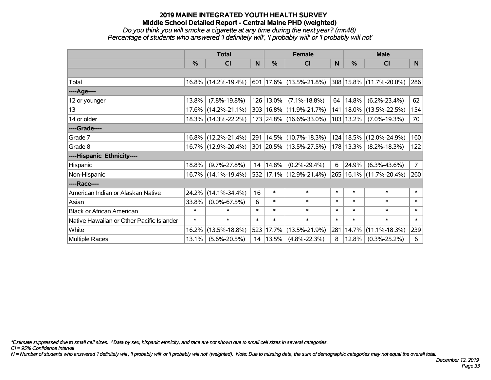#### *Do you think you will smoke a cigarette at any time during the next year? (mn48) Percentage of students who answered 'I definitely will', 'I probably will' or 'I probably will not'*

|                                           | <b>Total</b> |                     |        |               | <b>Female</b>               |        | <b>Male</b>   |                            |                |  |
|-------------------------------------------|--------------|---------------------|--------|---------------|-----------------------------|--------|---------------|----------------------------|----------------|--|
|                                           | %            | <b>CI</b>           | N      | $\frac{9}{6}$ | <b>CI</b>                   | N      | $\frac{0}{0}$ | <b>CI</b>                  | N.             |  |
|                                           |              |                     |        |               |                             |        |               |                            |                |  |
| Total                                     |              | 16.8% (14.2%-19.4%) |        |               | $601 17.6\% $ (13.5%-21.8%) |        |               | 308 15.8% (11.7%-20.0%)    | 286            |  |
| ----Age----                               |              |                     |        |               |                             |        |               |                            |                |  |
| 12 or younger                             | 13.8%        | $(7.8\% - 19.8\%)$  |        | 126 13.0%     | $(7.1\% - 18.8\%)$          | 64     | 14.8%         | $(6.2\% - 23.4\%)$         | 62             |  |
| 13                                        |              | 17.6% (14.2%-21.1%) |        |               | 303   16.8%   (11.9%-21.7%) | 141    | $18.0\%$      | $(13.5\% - 22.5\%)$        | 154            |  |
| 14 or older                               |              | 18.3% (14.3%-22.2%) |        |               | 173 24.8% (16.6%-33.0%)     |        | 103 13.2%     | $(7.0\% - 19.3\%)$         | 70             |  |
| ----Grade----                             |              |                     |        |               |                             |        |               |                            |                |  |
| Grade 7                                   |              | 16.8% (12.2%-21.4%) |        |               | 291   14.5%   (10.7%-18.3%) | 124    | 18.5%         | $(12.0\% - 24.9\%)$        | 160            |  |
| Grade 8                                   |              | 16.7% (12.9%-20.4%) |        |               | 301 20.5% (13.5%-27.5%)     |        |               | $178 13.3\% $ (8.2%-18.3%) | 122            |  |
| ----Hispanic Ethnicity----                |              |                     |        |               |                             |        |               |                            |                |  |
| Hispanic                                  | 18.8%        | $(9.7\% - 27.8\%)$  | 14     | 14.8%         | $(0.2\% - 29.4\%)$          | 6      | 24.9%         | $(6.3\% - 43.6\%)$         | 7 <sup>7</sup> |  |
| Non-Hispanic                              |              | 16.7% (14.1%-19.4%) |        |               | 532 17.1% (12.9%-21.4%)     | 265    |               | 16.1% (11.7%-20.4%)        | 260            |  |
| ----Race----                              |              |                     |        |               |                             |        |               |                            |                |  |
| American Indian or Alaskan Native         | $24.2\%$     | $(14.1\% - 34.4\%)$ | 16     | $\ast$        | $\ast$                      | $\ast$ | $\ast$        | $\ast$                     | $\ast$         |  |
| Asian                                     | 33.8%        | $(0.0\% - 67.5\%)$  | 6      | $\ast$        | $\ast$                      | $\ast$ | $\ast$        | $\ast$                     | $\ast$         |  |
| <b>Black or African American</b>          | $\ast$       | $\ast$              | $\ast$ | $\ast$        | $\ast$                      | $\ast$ | $\ast$        | $\ast$                     | $\ast$         |  |
| Native Hawaiian or Other Pacific Islander | $\ast$       | $\ast$              | $\ast$ | $\ast$        | $\ast$                      | $\ast$ | $\ast$        | $\ast$                     | $\ast$         |  |
| White                                     | 16.2%        | $(13.5\% - 18.8\%)$ | 523    | 17.7%         | $(13.5\% - 21.9\%)$         | 281    | 14.7%         | $(11.1\% - 18.3\%)$        | 239            |  |
| <b>Multiple Races</b>                     | 13.1%        | $(5.6\% - 20.5\%)$  |        | 14 13.5%      | $(4.8\% - 22.3\%)$          | 8      | 12.8%         | $(0.3\% - 25.2\%)$         | 6              |  |

*\*Estimate suppressed due to small cell sizes. ^Data by sex, hispanic ethnicity, and race are not shown due to small cell sizes in several categories.*

*CI = 95% Confidence Interval*

*N = Number of students who answered 'I definitely will', 'I probably will' or 'I probably will not' (weighted). Note: Due to missing data, the sum of demographic categories may not equal the overall total.*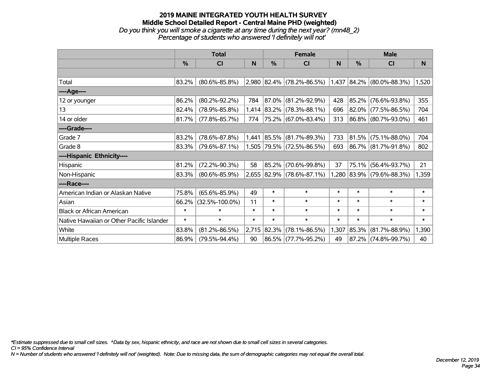#### **2019 MAINE INTEGRATED YOUTH HEALTH SURVEY Middle School Detailed Report - Central Maine PHD (weighted)** *Do you think you will smoke a cigarette at any time during the next year? (mn48\_2) Percentage of students who answered 'I definitely will not'*

|                                           |               | <b>Total</b>         |        | <b>Female</b> |                             | <b>Male</b> |        |                                  |        |
|-------------------------------------------|---------------|----------------------|--------|---------------|-----------------------------|-------------|--------|----------------------------------|--------|
|                                           | $\frac{9}{6}$ | CI                   | N      | %             | CI                          | N           | %      | CI                               | N      |
|                                           |               |                      |        |               |                             |             |        |                                  |        |
| Total                                     | 83.2%         | $(80.6\% - 85.8\%)$  |        |               | 2,980 82.4% (78.2%-86.5%)   |             |        | $(1,437 84.2\% 80.0\% - 88.3\%)$ | 1,520  |
| ----Age----                               |               |                      |        |               |                             |             |        |                                  |        |
| 12 or younger                             | 86.2%         | $(80.2\% - 92.2\%)$  | 784    | 87.0%         | $(81.2\% - 92.9\%)$         | 428         |        | 85.2% (76.6%-93.8%)              | 355    |
| 13                                        | 82.4%         | $(78.9\% - 85.8\%)$  |        | 1,414 83.2%   | $(78.3\% - 88.1\%)$         | 696         |        | 82.0% (77.5%-86.5%)              | 704    |
| 14 or older                               | 81.7%         | $(77.8\% - 85.7\%)$  | 774    |               | 75.2% (67.0%-83.4%)         | 313         |        | 86.8% (80.7%-93.0%)              | 461    |
| ----Grade----                             |               |                      |        |               |                             |             |        |                                  |        |
| Grade 7                                   | 83.2%         | $(78.6\% - 87.8\%)$  |        |               | $1,441$ 85.5% (81.7%-89.3%) | 733         |        | 81.5% (75.1%-88.0%)              | 704    |
| Grade 8                                   | 83.3%         | $(79.6\% - 87.1\%)$  |        |               | 1,505 79.5% (72.5%-86.5%)   | 693         |        | 86.7% (81.7%-91.8%)              | 802    |
| ----Hispanic Ethnicity----                |               |                      |        |               |                             |             |        |                                  |        |
| Hispanic                                  | 81.2%         | $(72.2\% - 90.3\%)$  | 58     | 85.2%         | $(70.6\% - 99.8\%)$         | 37          |        | 75.1% (56.4%-93.7%)              | 21     |
| Non-Hispanic                              | 83.3%         | $(80.6\% - 85.9\%)$  |        |               | 2,655 82.9% (78.6%-87.1%)   |             |        | 1,280 83.9% (79.6%-88.3%)        | 1,359  |
| ----Race----                              |               |                      |        |               |                             |             |        |                                  |        |
| American Indian or Alaskan Native         | 75.8%         | $(65.6\% - 85.9\%)$  | 49     | $\ast$        | $\ast$                      | $\ast$      | $\ast$ | $\ast$                           | $\ast$ |
| Asian                                     | 66.2%         | $(32.5\% - 100.0\%)$ | 11     | $\ast$        | $\ast$                      | $\ast$      | $\ast$ | $\ast$                           | $\ast$ |
| <b>Black or African American</b>          | $\ast$        | $\ast$               | $\ast$ | $\ast$        | $\ast$                      | $\ast$      | $\ast$ | $\ast$                           | $\ast$ |
| Native Hawaiian or Other Pacific Islander | $\ast$        | $\ast$               | $\ast$ | $\ast$        | $\ast$                      | $\ast$      | $\ast$ | $\ast$                           | $\ast$ |
| White                                     | 83.8%         | $(81.2\% - 86.5\%)$  | 2,715  | 82.3%         | $(78.1\% - 86.5\%)$         | 1,307       | 85.3%  | $(81.7\% - 88.9\%)$              | 1,390  |
| Multiple Races                            | 86.9%         | $(79.5\% - 94.4\%)$  | 90     |               | 86.5% (77.7%-95.2%)         | 49          |        | 87.2% (74.8%-99.7%)              | 40     |

*\*Estimate suppressed due to small cell sizes. ^Data by sex, hispanic ethnicity, and race are not shown due to small cell sizes in several categories.*

*CI = 95% Confidence Interval*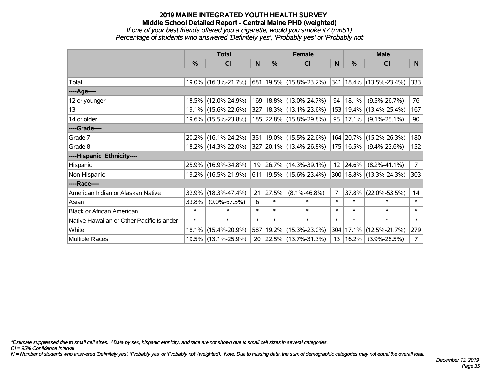#### **2019 MAINE INTEGRATED YOUTH HEALTH SURVEY Middle School Detailed Report - Central Maine PHD (weighted)** *If one of your best friends offered you a cigarette, would you smoke it? (mn51) Percentage of students who answered 'Definitely yes', 'Probably yes' or 'Probably not'*

|                                           | <b>Total</b> |                     |        |           | <b>Female</b>                      |                | <b>Male</b> |                                  |                |  |
|-------------------------------------------|--------------|---------------------|--------|-----------|------------------------------------|----------------|-------------|----------------------------------|----------------|--|
|                                           | $\%$         | <b>CI</b>           | N      | $\%$      | <b>CI</b>                          | <sub>N</sub>   | $\%$        | <b>CI</b>                        | N              |  |
|                                           |              |                     |        |           |                                    |                |             |                                  |                |  |
| Total                                     |              | 19.0% (16.3%-21.7%) |        |           | $ 681 19.5\%  (15.8\% - 23.2\%)$   |                |             | $ 341 18.4\%  (13.5\% - 23.4\%)$ | 333            |  |
| ----Age----                               |              |                     |        |           |                                    |                |             |                                  |                |  |
| 12 or younger                             |              | 18.5% (12.0%-24.9%) |        |           | 169   18.8%   (13.0%-24.7%)        | 94             | 18.1%       | $(9.5\% - 26.7\%)$               | 76             |  |
| 13                                        |              | 19.1% (15.6%-22.6%) |        |           | 327 18.3% (13.1%-23.6%)            | 153            |             | 19.4% (13.4%-25.4%)              | 167            |  |
| 14 or older                               |              | 19.6% (15.5%-23.8%) |        |           | 185 22.8% (15.8%-29.8%)            | $95 \mid$      | 17.1%       | $(9.1\% - 25.1\%)$               | 90             |  |
| ----Grade----                             |              |                     |        |           |                                    |                |             |                                  |                |  |
| Grade 7                                   | $20.2\%$     | $(16.1\% - 24.2\%)$ |        |           | 351 19.0% (15.5%-22.6%)            |                | 164 20.7%   | $(15.2\% - 26.3\%)$              | 180            |  |
| Grade 8                                   |              | 18.2% (14.3%-22.0%) |        |           | 327 20.1% (13.4%-26.8%)            |                | 175   16.5% | $(9.4\% - 23.6\%)$               | 152            |  |
| ----Hispanic Ethnicity----                |              |                     |        |           |                                    |                |             |                                  |                |  |
| Hispanic                                  | $25.9\%$     | $(16.9\% - 34.8\%)$ | 19     |           | $ 26.7\% $ (14.3%-39.1%)           |                | 12 24.6%    | $(8.2\% - 41.1\%)$               | 7 <sup>1</sup> |  |
| Non-Hispanic                              |              | 19.2% (16.5%-21.9%) |        |           | $611   19.5\%   (15.6\% - 23.4\%)$ |                |             | 300   18.8%   (13.3%-24.3%)      | 303            |  |
| ----Race----                              |              |                     |        |           |                                    |                |             |                                  |                |  |
| American Indian or Alaskan Native         | 32.9%        | $(18.3\% - 47.4\%)$ | 21     | 27.5%     | $(8.1\% - 46.8\%)$                 | $\overline{7}$ | 37.8%       | $(22.0\% - 53.5\%)$              | 14             |  |
| Asian                                     | 33.8%        | $(0.0\% - 67.5\%)$  | 6      | $\ast$    | $\ast$                             | $\ast$         | $\ast$      | $\ast$                           | $\ast$         |  |
| <b>Black or African American</b>          | $\ast$       | $\ast$              | $\ast$ | $\ast$    | $\ast$                             | $\ast$         | $\ast$      | $\ast$                           | $\ast$         |  |
| Native Hawaiian or Other Pacific Islander | $\ast$       | $\ast$              | $\ast$ | $\ast$    | $\ast$                             | $\ast$         | $\ast$      | $\ast$                           | $\ast$         |  |
| White                                     | 18.1%        | $(15.4\% - 20.9\%)$ |        | 587 19.2% | $(15.3\% - 23.0\%)$                | 304            | 17.1%       | $(12.5\% - 21.7\%)$              | 279            |  |
| <b>Multiple Races</b>                     |              | 19.5% (13.1%-25.9%) | 20     |           | $ 22.5\% $ (13.7%-31.3%)           | 13             | 16.2%       | $(3.9\% - 28.5\%)$               | $7^{\circ}$    |  |

*\*Estimate suppressed due to small cell sizes. ^Data by sex, hispanic ethnicity, and race are not shown due to small cell sizes in several categories.*

*CI = 95% Confidence Interval*

*N = Number of students who answered 'Definitely yes', 'Probably yes' or 'Probably not' (weighted). Note: Due to missing data, the sum of demographic categories may not equal the overall total.*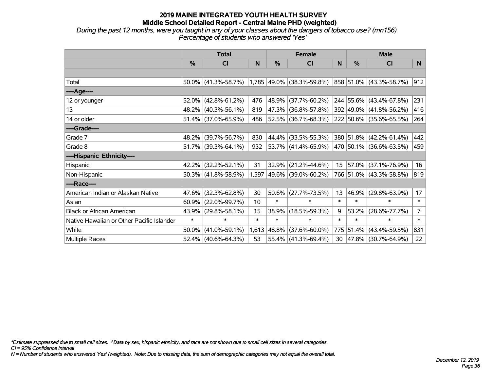*During the past 12 months, were you taught in any of your classes about the dangers of tobacco use? (mn156) Percentage of students who answered 'Yes'*

|                                           | <b>Total</b>  |                        |        |               | <b>Female</b>               |                  | <b>Male</b> |                          |                 |  |
|-------------------------------------------|---------------|------------------------|--------|---------------|-----------------------------|------------------|-------------|--------------------------|-----------------|--|
|                                           | $\frac{0}{0}$ | CI                     | N      | $\frac{0}{0}$ | <b>CI</b>                   | N                | %           | <b>CI</b>                | N               |  |
|                                           |               |                        |        |               |                             |                  |             |                          |                 |  |
| Total                                     |               | $50.0\%$ (41.3%-58.7%) |        |               | $1,785$ 49.0% (38.3%-59.8%) |                  |             | 858 51.0% (43.3%-58.7%)  | 912             |  |
| ----Age----                               |               |                        |        |               |                             |                  |             |                          |                 |  |
| 12 or younger                             | 52.0%         | $(42.8\% - 61.2\%)$    | 476    | 48.9%         | $(37.7\% - 60.2\%)$         |                  |             | 244 55.6% (43.4%-67.8%)  | 231             |  |
| 13                                        |               | 48.2% (40.3%-56.1%)    | 819    | 47.3%         | $(36.8\% - 57.8\%)$         |                  |             | 392 49.0% (41.8%-56.2%)  | 416             |  |
| 14 or older                               |               | 51.4% (37.0%-65.9%)    | 486    |               | 52.5% (36.7%-68.3%)         |                  |             | 222 50.6% (35.6%-65.5%)  | 264             |  |
| ----Grade----                             |               |                        |        |               |                             |                  |             |                          |                 |  |
| Grade 7                                   | 48.2%         | $(39.7\% - 56.7\%)$    | 830    | 44.4%         | $(33.5\% - 55.3\%)$         |                  |             | 380 51.8% (42.2%-61.4%)  | 442             |  |
| Grade 8                                   |               | $51.7\%$ (39.3%-64.1%) | 932    |               | $ 53.7\% $ (41.4%-65.9%)    |                  |             | 470 50.1% (36.6%-63.5%)  | 459             |  |
| ----Hispanic Ethnicity----                |               |                        |        |               |                             |                  |             |                          |                 |  |
| Hispanic                                  | 42.2%         | $(32.2\% - 52.1\%)$    | 31     | 32.9%         | $(21.2\% - 44.6\%)$         | 15 <sub>15</sub> |             | $ 57.0\% $ (37.1%-76.9%) | 16              |  |
| Non-Hispanic                              |               | 50.3% (41.8%-58.9%)    |        |               | 1,597 49.6% (39.0%-60.2%)   |                  |             | 766 51.0% (43.3%-58.8%)  | 819             |  |
| ----Race----                              |               |                        |        |               |                             |                  |             |                          |                 |  |
| American Indian or Alaskan Native         | 47.6%         | $(32.3\% - 62.8\%)$    | 30     | 50.6%         | $(27.7\% - 73.5\%)$         | 13               | 46.9%       | $(29.8\% - 63.9\%)$      | 17 <sub>2</sub> |  |
| Asian                                     | 60.9%         | $(22.0\% - 99.7\%)$    | 10     | $\ast$        | $\ast$                      | $\ast$           | $\ast$      | $\ast$                   | $\ast$          |  |
| <b>Black or African American</b>          | 43.9%         | $(29.8\% - 58.1\%)$    | 15     | 38.9%         | $(18.5\% - 59.3\%)$         | 9                | 53.2%       | $(28.6\% - 77.7\%)$      | 7 <sup>1</sup>  |  |
| Native Hawaiian or Other Pacific Islander | $\ast$        | $\ast$                 | $\ast$ | $\ast$        | $\ast$                      | $\ast$           | $\ast$      | $\ast$                   | $\ast$          |  |
| White                                     | 50.0%         | $(41.0\% - 59.1\%)$    | 1,613  | 48.8%         | $(37.6\% - 60.0\%)$         | 775              |             | $51.4\%$ (43.4%-59.5%)   | 831             |  |
| Multiple Races                            |               | 52.4% (40.6%-64.3%)    | 53     |               | 55.4% (41.3%-69.4%)         | 30               |             | $ 47.8\% $ (30.7%-64.9%) | 22              |  |

*\*Estimate suppressed due to small cell sizes. ^Data by sex, hispanic ethnicity, and race are not shown due to small cell sizes in several categories.*

*CI = 95% Confidence Interval*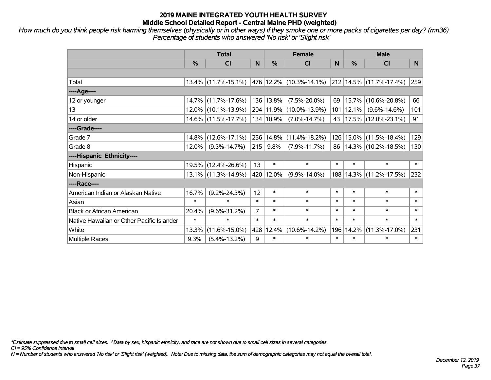*How much do you think people risk harming themselves (physically or in other ways) if they smoke one or more packs of cigarettes per day? (mn36) Percentage of students who answered 'No risk' or 'Slight risk'*

|                                           | <b>Total</b> |                        |                | <b>Female</b> | <b>Male</b>                                                            |        |               |                            |        |
|-------------------------------------------|--------------|------------------------|----------------|---------------|------------------------------------------------------------------------|--------|---------------|----------------------------|--------|
|                                           | %            | <b>CI</b>              | N              | $\%$          | <b>CI</b>                                                              | N      | $\frac{0}{0}$ | <b>CI</b>                  | N.     |
|                                           |              |                        |                |               |                                                                        |        |               |                            |        |
| Total                                     |              |                        |                |               | $13.4\%$ (11.7%-15.1%) 476 12.2% (10.3%-14.1%) 212 14.5% (11.7%-17.4%) |        |               |                            | 259    |
| ----Age----                               |              |                        |                |               |                                                                        |        |               |                            |        |
| 12 or younger                             | 14.7%        | $(11.7\% - 17.6\%)$    |                | 136 13.8%     | $(7.5\% - 20.0\%)$                                                     | 69     | 15.7%         | $(10.6\% - 20.8\%)$        | 66     |
| 13                                        |              | $12.0\%$ (10.1%-13.9%) |                | 204 11.9%     | $(10.0\% - 13.9\%)$                                                    |        | 101 12.1%     | $(9.6\% - 14.6\%)$         | 101    |
| 14 or older                               |              | 14.6% (11.5%-17.7%)    |                | 134 10.9%     | $(7.0\% - 14.7\%)$                                                     | 43     |               | $ 17.5\% $ (12.0%-23.1%)   | 91     |
| ----Grade----                             |              |                        |                |               |                                                                        |        |               |                            |        |
| Grade 7                                   | 14.8%        | $(12.6\% - 17.1\%)$    | 256            | 14.8%         | $(11.4\% - 18.2\%)$                                                    |        | 126 15.0%     | $(11.5\% - 18.4\%)$        | 129    |
| Grade 8                                   | 12.0%        | $(9.3\% - 14.7\%)$     | 215            | 9.8%          | $(7.9\% - 11.7\%)$                                                     |        |               | 86   14.3%   (10.2%-18.5%) | 130    |
| ----Hispanic Ethnicity----                |              |                        |                |               |                                                                        |        |               |                            |        |
| Hispanic                                  | 19.5%        | $(12.4\% - 26.6\%)$    | 13             | $\ast$        | $\ast$                                                                 | $\ast$ | $\ast$        | $\ast$                     | $\ast$ |
| Non-Hispanic                              |              | $13.1\%$ (11.3%-14.9%) |                | 420 12.0%     | $(9.9\% - 14.0\%)$                                                     |        | 188 14.3%     | $(11.2\% - 17.5\%)$        | 232    |
| ----Race----                              |              |                        |                |               |                                                                        |        |               |                            |        |
| American Indian or Alaskan Native         | 16.7%        | $(9.2\% - 24.3\%)$     | 12             | $\ast$        | $\ast$                                                                 | $\ast$ | $\ast$        | $\ast$                     | $\ast$ |
| Asian                                     | $\ast$       | $\ast$                 | $\ast$         | $\ast$        | $\ast$                                                                 | $\ast$ | $\ast$        | $\ast$                     | $\ast$ |
| <b>Black or African American</b>          | 20.4%        | $(9.6\% - 31.2\%)$     | $\overline{7}$ | $\ast$        | $\ast$                                                                 | $\ast$ | $\ast$        | $\ast$                     | $\ast$ |
| Native Hawaiian or Other Pacific Islander | $\ast$       | $\ast$                 | $\ast$         | $\ast$        | $\ast$                                                                 | $\ast$ | $\ast$        | $\ast$                     | $\ast$ |
| White                                     | 13.3%        | $(11.6\% - 15.0\%)$    | 428            | 12.4%         | $(10.6\% - 14.2\%)$                                                    | 196    | 14.2%         | $(11.3\% - 17.0\%)$        | 231    |
| <b>Multiple Races</b>                     | 9.3%         | $(5.4\% - 13.2\%)$     | 9              | $\ast$        | $\ast$                                                                 | $\ast$ | $\ast$        | $\ast$                     | $\ast$ |

*\*Estimate suppressed due to small cell sizes. ^Data by sex, hispanic ethnicity, and race are not shown due to small cell sizes in several categories.*

*CI = 95% Confidence Interval*

*N = Number of students who answered 'No risk' or 'Slight risk' (weighted). Note: Due to missing data, the sum of demographic categories may not equal the overall total.*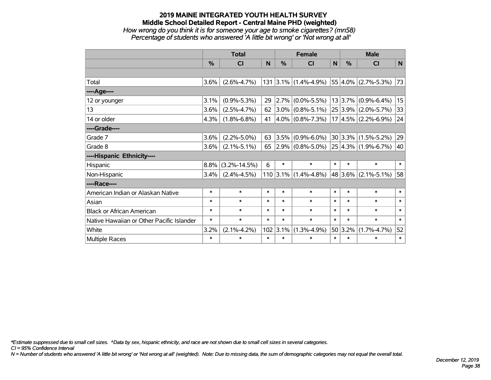#### **2019 MAINE INTEGRATED YOUTH HEALTH SURVEY Middle School Detailed Report - Central Maine PHD (weighted)** *How wrong do you think it is for someone your age to smoke cigarettes? (mn58) Percentage of students who answered 'A little bit wrong' or 'Not wrong at all'*

|                                           | <b>Total</b>  |                    |        | <b>Female</b> |                       |        | <b>Male</b> |                              |        |
|-------------------------------------------|---------------|--------------------|--------|---------------|-----------------------|--------|-------------|------------------------------|--------|
|                                           | $\frac{0}{0}$ | CI                 | N      | $\%$          | <b>CI</b>             | N      | %           | <b>CI</b>                    | N      |
|                                           |               |                    |        |               |                       |        |             |                              |        |
| Total                                     | 3.6%          | $(2.6\% - 4.7\%)$  |        |               | 131 3.1% (1.4%-4.9%)  |        |             | $ 55 4.0\% $ (2.7%-5.3%)     | 73     |
| ----Age----                               |               |                    |        |               |                       |        |             |                              |        |
| 12 or younger                             | 3.1%          | $(0.9\% - 5.3\%)$  | 29     | 2.7%          | $(0.0\% - 5.5\%)$     |        | 13 3.7%     | $(0.9\% - 6.4\%)$            | 15     |
| 13                                        | 3.6%          | $(2.5\% - 4.7\%)$  | 62     |               | $3.0\%$ (0.8%-5.1%)   |        | 25 3.9%     | $(2.0\% - 5.7\%)$            | 33     |
| 14 or older                               | 4.3%          | $(1.8\% - 6.8\%)$  | 41     |               | $4.0\%$ (0.8%-7.3%)   |        |             | $17 4.5\% $ (2.2%-6.9%)      | 24     |
| ----Grade----                             |               |                    |        |               |                       |        |             |                              |        |
| Grade 7                                   | 3.6%          | $(2.2\% - 5.0\%)$  | 63     | 3.5%          | $(0.9\% - 6.0\%)$     |        | 30 3.3%     | $(1.5\% - 5.2\%)$            | 29     |
| Grade 8                                   | 3.6%          | $(2.1\% - 5.1\%)$  | 65     |               | $ 2.9\% $ (0.8%-5.0%) |        |             | $ 25 4.3\%  (1.9\% - 6.7\%)$ | 40     |
| ----Hispanic Ethnicity----                |               |                    |        |               |                       |        |             |                              |        |
| Hispanic                                  | 8.8%          | $(3.2\% - 14.5\%)$ | 6      | $\ast$        | $\ast$                | $\ast$ | $\ast$      | $\ast$                       | $\ast$ |
| Non-Hispanic                              | 3.4%          | $(2.4\% - 4.5\%)$  |        | $110$ 3.1%    | $(1.4\% - 4.8\%)$     |        | 48 3.6%     | $(2.1\% - 5.1\%)$            | 58     |
| ----Race----                              |               |                    |        |               |                       |        |             |                              |        |
| American Indian or Alaskan Native         | $\ast$        | $\ast$             | $\ast$ | $\ast$        | $\ast$                | $\ast$ | $\ast$      | $\ast$                       | $\ast$ |
| Asian                                     | $\ast$        | $\ast$             | $\ast$ | $\ast$        | $\ast$                | $\ast$ | $\ast$      | $\ast$                       | $\ast$ |
| <b>Black or African American</b>          | $\ast$        | $\ast$             | $\ast$ | $\ast$        | $\ast$                | $\ast$ | $\ast$      | $\ast$                       | $\ast$ |
| Native Hawaiian or Other Pacific Islander | $\ast$        | $\ast$             | $\ast$ | $\ast$        | $\ast$                | $\ast$ | $\ast$      | $\ast$                       | $\ast$ |
| White                                     | 3.2%          | $(2.1\% - 4.2\%)$  | 102    | 3.1%          | $(1.3\% - 4.9\%)$     |        | 50 3.2%     | $(1.7\% - 4.7\%)$            | 52     |
| Multiple Races                            | $\ast$        | $\ast$             | $\ast$ | $\ast$        | $\ast$                | $\ast$ | $\ast$      | $\ast$                       | $\ast$ |

*\*Estimate suppressed due to small cell sizes. ^Data by sex, hispanic ethnicity, and race are not shown due to small cell sizes in several categories.*

*CI = 95% Confidence Interval*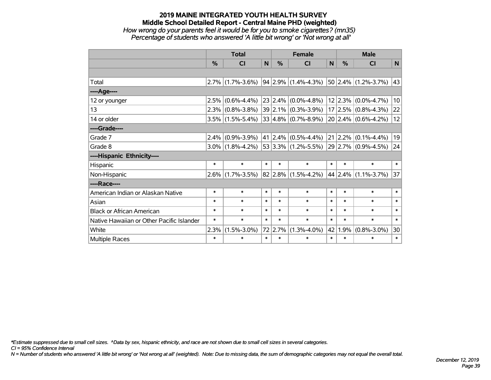#### **2019 MAINE INTEGRATED YOUTH HEALTH SURVEY Middle School Detailed Report - Central Maine PHD (weighted)** *How wrong do your parents feel it would be for you to smoke cigarettes? (mn35) Percentage of students who answered 'A little bit wrong' or 'Not wrong at all'*

|                                           | <b>Total</b> |                     |        |         | <b>Female</b>                 | <b>Male</b>  |         |                         |             |
|-------------------------------------------|--------------|---------------------|--------|---------|-------------------------------|--------------|---------|-------------------------|-------------|
|                                           | %            | <b>CI</b>           | N      | %       | CI                            | $\mathsf{N}$ | %       | <b>CI</b>               | $\mathbf N$ |
|                                           |              |                     |        |         |                               |              |         |                         |             |
| Total                                     |              | $2.7\%$ (1.7%-3.6%) |        |         | $94 2.9\% (1.4\% - 4.3\%)$    |              |         | $50$ 2.4% (1.2%-3.7%)   | 43          |
| ----Age----                               |              |                     |        |         |                               |              |         |                         |             |
| 12 or younger                             | 2.5%         | $(0.6\% - 4.4\%)$   |        |         | $23$ 2.4% (0.0%-4.8%)         |              | 12 2.3% | $(0.0\% - 4.7\%)$       | 10          |
| 13                                        |              | $2.3\%$ (0.8%-3.8%) |        |         | $39 2.1\% $ (0.3%-3.9%)       |              | 17 2.5% | $(0.8\% - 4.3\%)$       | 22          |
| 14 or older                               |              | $3.5\%$ (1.5%-5.4%) |        |         | $33 4.8\% $ (0.7%-8.9%)       |              |         | $20 2.4\% $ (0.6%-4.2%) | 12          |
| ----Grade----                             |              |                     |        |         |                               |              |         |                         |             |
| Grade 7                                   | 2.4%         | $(0.9\% - 3.9\%)$   |        |         | $41$   2.4% $(0.5\% - 4.4\%)$ |              | 21 2.2% | $(0.1\% - 4.4\%)$       | 19          |
| Grade 8                                   |              | $3.0\%$ (1.8%-4.2%) |        |         | $53 3.3\% $ (1.2%-5.5%)       |              |         | $29 2.7\% $ (0.9%-4.5%) | 24          |
| ----Hispanic Ethnicity----                |              |                     |        |         |                               |              |         |                         |             |
| Hispanic                                  | $\ast$       | $\ast$              | $\ast$ | $\ast$  | $\ast$                        | $\ast$       | $\ast$  | $\ast$                  | $\ast$      |
| Non-Hispanic                              |              | $2.6\%$ (1.7%-3.5%) |        |         | $82 2.8\% $ (1.5%-4.2%)       |              | 44 2.4% | $(1.1\% - 3.7\%)$       | 37          |
| ----Race----                              |              |                     |        |         |                               |              |         |                         |             |
| American Indian or Alaskan Native         | $\ast$       | $\ast$              | $\ast$ | $\ast$  | $\ast$                        | $\ast$       | $\ast$  | $\ast$                  | $\ast$      |
| Asian                                     | $\ast$       | $\ast$              | $\ast$ | $\ast$  | $\ast$                        | $\ast$       | $\ast$  | $\ast$                  | $\ast$      |
| <b>Black or African American</b>          | $\ast$       | $\ast$              | $\ast$ | $\ast$  | $\ast$                        | $\ast$       | $\ast$  | $\ast$                  | $\ast$      |
| Native Hawaiian or Other Pacific Islander | $\ast$       | $\ast$              | $\ast$ | $\ast$  | $\ast$                        | $\ast$       | $\ast$  | $\ast$                  | $\ast$      |
| White                                     | 2.3%         | $(1.5\% - 3.0\%)$   |        | 72 2.7% | $(1.3\% - 4.0\%)$             |              | 42 1.9% | $(0.8\% - 3.0\%)$       | 30          |
| Multiple Races                            | $\ast$       | $\ast$              | $\ast$ | $\ast$  | $\ast$                        | $\ast$       | $\ast$  | $\ast$                  | $\ast$      |

*\*Estimate suppressed due to small cell sizes. ^Data by sex, hispanic ethnicity, and race are not shown due to small cell sizes in several categories.*

*CI = 95% Confidence Interval*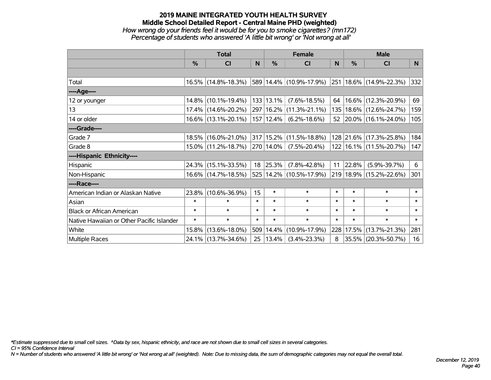#### **2019 MAINE INTEGRATED YOUTH HEALTH SURVEY Middle School Detailed Report - Central Maine PHD (weighted)** *How wrong do your friends feel it would be for you to smoke cigarettes? (mn172) Percentage of students who answered 'A little bit wrong' or 'Not wrong at all'*

|                                           | <b>Total</b>  |                        |        | <b>Female</b> | <b>Male</b>                     |          |           |                             |        |
|-------------------------------------------|---------------|------------------------|--------|---------------|---------------------------------|----------|-----------|-----------------------------|--------|
|                                           | $\frac{0}{0}$ | <b>CI</b>              | N.     | $\frac{0}{0}$ | <b>CI</b>                       | <b>N</b> | %         | <b>CI</b>                   | N      |
|                                           |               |                        |        |               |                                 |          |           |                             |        |
| Total                                     |               | $16.5\%$ (14.8%-18.3%) |        |               | 589 14.4% (10.9%-17.9%)         |          |           | 251 18.6% (14.9%-22.3%)     | 332    |
| ----Age----                               |               |                        |        |               |                                 |          |           |                             |        |
| 12 or younger                             |               | 14.8% (10.1%-19.4%)    |        | 133 13.1%     | $(7.6\% - 18.5\%)$              | 64       |           | 16.6% (12.3%-20.9%)         | 69     |
| 13                                        |               | 17.4% (14.6%-20.2%)    |        |               | 297   16.2%   (11.3%-21.1%)     | 135      |           | 18.6% (12.6%-24.7%)         | 159    |
| 14 or older                               |               | $16.6\%$ (13.1%-20.1%) |        | 157 12.4%     | $(6.2\% - 18.6\%)$              |          |           | 52 20.0% (16.1%-24.0%)      | 105    |
| ----Grade----                             |               |                        |        |               |                                 |          |           |                             |        |
| Grade 7                                   |               | 18.5% (16.0%-21.0%)    |        |               | $317 15.2\%  (11.5\% - 18.8\%)$ |          | 128 21.6% | $(17.3\% - 25.8\%)$         | 184    |
| Grade 8                                   |               | 15.0% (11.2%-18.7%)    |        | 270 14.0%     | $(7.5\% - 20.4\%)$              |          |           | 122   16.1%   (11.5%-20.7%) | 147    |
| ----Hispanic Ethnicity----                |               |                        |        |               |                                 |          |           |                             |        |
| Hispanic                                  |               | 24.3% (15.1%-33.5%)    | 18     | 25.3%         | $(7.8\% - 42.8\%)$              | 11       | 22.8%     | $(5.9\% - 39.7\%)$          | 6      |
| Non-Hispanic                              |               | 16.6% (14.7%-18.5%)    |        |               | 525 14.2% (10.5%-17.9%)         | 219      |           | $18.9\%$ (15.2%-22.6%)      | 301    |
| ----Race----                              |               |                        |        |               |                                 |          |           |                             |        |
| American Indian or Alaskan Native         |               | 23.8% (10.6%-36.9%)    | 15     | $\ast$        | $\ast$                          | $\ast$   | $\ast$    | $\ast$                      | $\ast$ |
| Asian                                     | $\ast$        | $\ast$                 | $\ast$ | $\ast$        | $\ast$                          | $\ast$   | $\ast$    | $\ast$                      | $\ast$ |
| <b>Black or African American</b>          | $\ast$        | $\ast$                 | $\ast$ | $\ast$        | $\ast$                          | $\ast$   | $\ast$    | $\ast$                      | $\ast$ |
| Native Hawaiian or Other Pacific Islander | $\ast$        | $\ast$                 | $\ast$ | $\ast$        | $\ast$                          | $\ast$   | $\ast$    | $\ast$                      | $\ast$ |
| White                                     | 15.8%         | $(13.6\% - 18.0\%)$    |        | 509 14.4%     | $(10.9\% - 17.9\%)$             | 228      | 17.5%     | $(13.7\% - 21.3\%)$         | 281    |
| Multiple Races                            |               | 24.1% (13.7%-34.6%)    | 25     | $ 13.4\% $    | $(3.4\% - 23.3\%)$              | 8        |           | 35.5% (20.3%-50.7%)         | 16     |

*\*Estimate suppressed due to small cell sizes. ^Data by sex, hispanic ethnicity, and race are not shown due to small cell sizes in several categories.*

*CI = 95% Confidence Interval*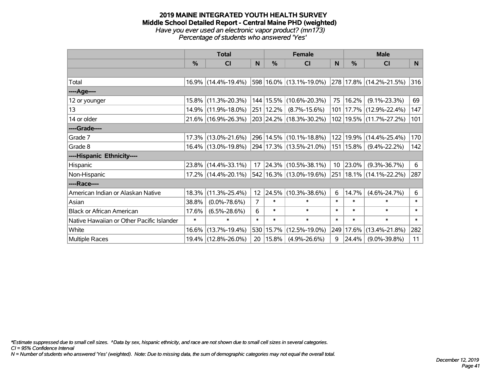#### **2019 MAINE INTEGRATED YOUTH HEALTH SURVEY Middle School Detailed Report - Central Maine PHD (weighted)** *Have you ever used an electronic vapor product? (mn173) Percentage of students who answered 'Yes'*

|                                           |               | <b>Total</b>        |                |             | <b>Female</b>                                             |          |             | <b>Male</b>                 |        |
|-------------------------------------------|---------------|---------------------|----------------|-------------|-----------------------------------------------------------|----------|-------------|-----------------------------|--------|
|                                           | $\frac{0}{0}$ | CI                  | N              | $\%$        | <b>CI</b>                                                 | <b>N</b> | %           | <b>CI</b>                   | N      |
|                                           |               |                     |                |             |                                                           |          |             |                             |        |
| Total                                     |               | 16.9% (14.4%-19.4%) |                |             | 598   16.0%   (13.1%-19.0%)   278   17.8%   (14.2%-21.5%) |          |             |                             | 316    |
| ----Age----                               |               |                     |                |             |                                                           |          |             |                             |        |
| 12 or younger                             | 15.8%         | $(11.3\% - 20.3\%)$ |                | 144   15.5% | $(10.6\% - 20.3\%)$                                       | 75       | 16.2%       | $(9.1\% - 23.3\%)$          | 69     |
| 13                                        | 14.9%         | $(11.9\% - 18.0\%)$ |                | 251   12.2% | $(8.7\% - 15.6\%)$                                        | 101      |             | $ 17.7\% $ (12.9%-22.4%)    | 147    |
| 14 or older                               |               | 21.6% (16.9%-26.3%) |                |             | 203 24.2% (18.3%-30.2%)                                   |          |             | 102   19.5%   (11.7%-27.2%) | 101    |
| ----Grade----                             |               |                     |                |             |                                                           |          |             |                             |        |
| Grade 7                                   | 17.3%         | $(13.0\% - 21.6\%)$ |                |             | 296 14.5% (10.1%-18.8%)                                   | 122      |             | 19.9% (14.4%-25.4%)         | 170    |
| Grade 8                                   |               | 16.4% (13.0%-19.8%) |                |             | 294 17.3% (13.5%-21.0%)                                   |          | 151   15.8% | $(9.4\% - 22.2\%)$          | 142    |
| ----Hispanic Ethnicity----                |               |                     |                |             |                                                           |          |             |                             |        |
| Hispanic                                  |               | 23.8% (14.4%-33.1%) | 17             |             | 24.3% (10.5%-38.1%)                                       | 10       | 23.0%       | $(9.3\% - 36.7\%)$          | 6      |
| Non-Hispanic                              |               | 17.2% (14.4%-20.1%) |                |             | 542   16.3%   (13.0%-19.6%)                               | 251      |             | 18.1% (14.1%-22.2%)         | 287    |
| ----Race----                              |               |                     |                |             |                                                           |          |             |                             |        |
| American Indian or Alaskan Native         | 18.3%         | $(11.3\% - 25.4\%)$ | 12             | 24.5%       | $(10.3\% - 38.6\%)$                                       | 6        | 14.7%       | $(4.6\% - 24.7\%)$          | 6      |
| Asian                                     | 38.8%         | $(0.0\% - 78.6\%)$  | $\overline{7}$ | $\ast$      | $\ast$                                                    | $\ast$   | $\ast$      | $\ast$                      | $\ast$ |
| <b>Black or African American</b>          | 17.6%         | $(6.5\% - 28.6\%)$  | 6              | $\ast$      | $\ast$                                                    | $\ast$   | $\ast$      | $\ast$                      | $\ast$ |
| Native Hawaiian or Other Pacific Islander | $\ast$        | $\ast$              | $\ast$         | $\ast$      | $\ast$                                                    | $\ast$   | $\ast$      | $\ast$                      | $\ast$ |
| White                                     | 16.6%         | $(13.7\% - 19.4\%)$ | 530            | 15.7%       | $(12.5\% - 19.0\%)$                                       | 249      | 17.6%       | $(13.4\% - 21.8\%)$         | 282    |
| <b>Multiple Races</b>                     |               | 19.4% (12.8%-26.0%) | 20             | $15.8\%$    | $(4.9\% - 26.6\%)$                                        | 9        | 24.4%       | $(9.0\% - 39.8\%)$          | 11     |

*\*Estimate suppressed due to small cell sizes. ^Data by sex, hispanic ethnicity, and race are not shown due to small cell sizes in several categories.*

*CI = 95% Confidence Interval*

*N = Number of students who answered 'Yes' (weighted). Note: Due to missing data, the sum of demographic categories may not equal the overall total.*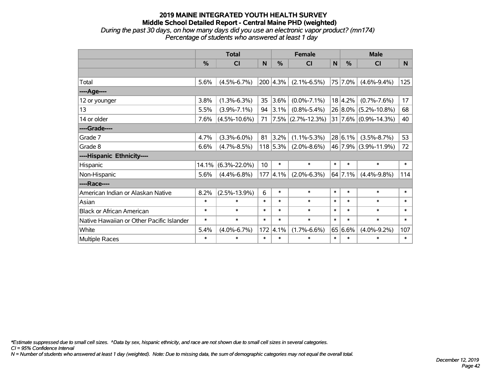## **2019 MAINE INTEGRATED YOUTH HEALTH SURVEY Middle School Detailed Report - Central Maine PHD (weighted)** *During the past 30 days, on how many days did you use an electronic vapor product? (mn174)*

*Percentage of students who answered at least 1 day*

|                                           | <b>Total</b> |                    |        |                  | <b>Female</b>     |        | <b>Male</b> |                      |        |  |
|-------------------------------------------|--------------|--------------------|--------|------------------|-------------------|--------|-------------|----------------------|--------|--|
|                                           | %            | CI                 | N      | $\%$             | <b>CI</b>         | N      | %           | <b>CI</b>            | N.     |  |
|                                           |              |                    |        |                  |                   |        |             |                      |        |  |
| Total                                     | 5.6%         | $(4.5\% - 6.7\%)$  |        | $200 \,   4.3\%$ | $(2.1\% - 6.5\%)$ |        | 75 7.0%     | $(4.6\% - 9.4\%)$    | 125    |  |
| ----Age----                               |              |                    |        |                  |                   |        |             |                      |        |  |
| 12 or younger                             | 3.8%         | $(1.3\% - 6.3\%)$  | 35     | 3.6%             | $(0.0\% - 7.1\%)$ |        | 18 4.2%     | $(0.7\% - 7.6\%)$    | 17     |  |
| 13                                        | 5.5%         | $(3.9\% - 7.1\%)$  | 94     | 3.1%             | $(0.8\% - 5.4\%)$ |        | $26 8.0\% $ | $(5.2\% - 10.8\%)$   | 68     |  |
| 14 or older                               | 7.6%         | $(4.5\% - 10.6\%)$ | 71     |                  | 7.5% (2.7%-12.3%) |        |             | 31 7.6% (0.9%-14.3%) | 40     |  |
| ----Grade----                             |              |                    |        |                  |                   |        |             |                      |        |  |
| Grade 7                                   | 4.7%         | $(3.3\% - 6.0\%)$  | 81     | 3.2%             | $(1.1\% - 5.3\%)$ |        | 28 6.1%     | $(3.5\% - 8.7\%)$    | 53     |  |
| Grade 8                                   | 6.6%         | $(4.7\% - 8.5\%)$  |        | $118$ 5.3%       | $(2.0\% - 8.6\%)$ |        |             | 46 7.9% (3.9%-11.9%) | 72     |  |
| ----Hispanic Ethnicity----                |              |                    |        |                  |                   |        |             |                      |        |  |
| Hispanic                                  | 14.1%        | $(6.3\% - 22.0\%)$ | 10     | $\ast$           | $\ast$            | $\ast$ | $\ast$      | $\ast$               | $\ast$ |  |
| Non-Hispanic                              | 5.6%         | $(4.4\% - 6.8\%)$  | 177    | $ 4.1\%$         | $(2.0\% - 6.3\%)$ |        | $64$ 7.1%   | $(4.4\% - 9.8\%)$    | 114    |  |
| ----Race----                              |              |                    |        |                  |                   |        |             |                      |        |  |
| American Indian or Alaskan Native         | 8.2%         | $(2.5\% - 13.9\%)$ | 6      | $\ast$           | $\ast$            | $\ast$ | $\ast$      | $\ast$               | $\ast$ |  |
| Asian                                     | $\ast$       | $\ast$             | $\ast$ | $\ast$           | $\ast$            | $\ast$ | $\ast$      | $\ast$               | $\ast$ |  |
| <b>Black or African American</b>          | $\ast$       | $\ast$             | $\ast$ | $\ast$           | $\ast$            | $\ast$ | $\ast$      | $\ast$               | $\ast$ |  |
| Native Hawaiian or Other Pacific Islander | $\ast$       | $\ast$             | $\ast$ | $\ast$           | $\ast$            | $\ast$ | $\ast$      | $\ast$               | $\ast$ |  |
| White                                     | 5.4%         | $(4.0\% - 6.7\%)$  | 172    | 4.1%             | $(1.7\% - 6.6\%)$ | 65     | 6.6%        | $(4.0\% - 9.2\%)$    | 107    |  |
| <b>Multiple Races</b>                     | $\ast$       | $\ast$             | $\ast$ | $\ast$           | $\ast$            | $\ast$ | $\ast$      | $\ast$               | $\ast$ |  |

*\*Estimate suppressed due to small cell sizes. ^Data by sex, hispanic ethnicity, and race are not shown due to small cell sizes in several categories.*

*CI = 95% Confidence Interval*

*N = Number of students who answered at least 1 day (weighted). Note: Due to missing data, the sum of demographic categories may not equal the overall total.*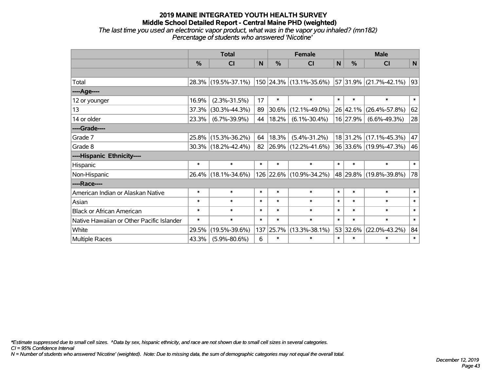*The last time you used an electronic vapor product, what was in the vapor you inhaled? (mn182) Percentage of students who answered 'Nicotine'*

|                                           | <b>Total</b> |                                                   |        |               | <b>Female</b>           | <b>Male</b> |          |                        |        |
|-------------------------------------------|--------------|---------------------------------------------------|--------|---------------|-------------------------|-------------|----------|------------------------|--------|
|                                           | $\%$         | <b>CI</b>                                         | N      | $\frac{0}{0}$ | <b>CI</b>               | N           | $\%$     | <b>CI</b>              | N      |
|                                           |              |                                                   |        |               |                         |             |          |                        |        |
| Total                                     |              | 28.3% (19.5%-37.1%)   150   24.3%   (13.1%-35.6%) |        |               |                         |             |          | 57 31.9% (21.7%-42.1%) | 93     |
| ----Age----                               |              |                                                   |        |               |                         |             |          |                        |        |
| 12 or younger                             | 16.9%        | $(2.3\% - 31.5\%)$                                | 17     | $\ast$        | $\ast$                  | $\ast$      | $\ast$   | $\ast$                 | $\ast$ |
| 13                                        | 37.3%        | $(30.3\% - 44.3\%)$                               | 89     | 30.6%         | $(12.1\% - 49.0\%)$     |             | 26 42.1% | $(26.4\% - 57.8\%)$    | 62     |
| 14 or older                               | 23.3%        | $(6.7\% - 39.9\%)$                                | 44     | 18.2%         | $(6.1\% - 30.4\%)$      |             | 16 27.9% | $(6.6\% - 49.3\%)$     | 28     |
| ----Grade----                             |              |                                                   |        |               |                         |             |          |                        |        |
| Grade 7                                   | 25.8%        | $(15.3\% - 36.2\%)$                               | 64     | 18.3%         | $(5.4\% - 31.2\%)$      |             |          | 18 31.2% (17.1%-45.3%) | 47     |
| Grade 8                                   |              | $30.3\%$ (18.2%-42.4%)                            | 82     |               | 26.9% (12.2%-41.6%)     |             |          | 36 33.6% (19.9%-47.3%) | 46     |
| ----Hispanic Ethnicity----                |              |                                                   |        |               |                         |             |          |                        |        |
| Hispanic                                  | $\ast$       | $\ast$                                            | $\ast$ | $\ast$        | $\ast$                  | $\ast$      | $\ast$   | $\ast$                 | $\ast$ |
| Non-Hispanic                              |              | 26.4% (18.1%-34.6%)                               |        |               | 126 22.6% (10.9%-34.2%) |             |          | 48 29.8% (19.8%-39.8%) | 78     |
| ----Race----                              |              |                                                   |        |               |                         |             |          |                        |        |
| American Indian or Alaskan Native         | $\ast$       | $\ast$                                            | $\ast$ | $\ast$        | $\ast$                  | $\ast$      | $\ast$   | $\ast$                 | $\ast$ |
| Asian                                     | $\ast$       | $\ast$                                            | $\ast$ | $\ast$        | $\ast$                  | $\ast$      | $\ast$   | $\ast$                 | $\ast$ |
| <b>Black or African American</b>          | $\ast$       | $\ast$                                            | $\ast$ | $\ast$        | $\ast$                  | $\ast$      | $\ast$   | $\ast$                 | $\ast$ |
| Native Hawaiian or Other Pacific Islander | $\ast$       | $\ast$                                            | $\ast$ | $\ast$        | $\ast$                  | $\ast$      | $\ast$   | $\ast$                 | $\ast$ |
| White                                     | 29.5%        | $(19.5\% - 39.6\%)$                               | 137    | 25.7%         | $(13.3\% - 38.1\%)$     |             | 53 32.6% | $(22.0\% - 43.2\%)$    | 84     |
| Multiple Races                            | 43.3%        | $(5.9\% - 80.6\%)$                                | 6      | $\ast$        | $\ast$                  | $\ast$      | $\ast$   | $\ast$                 | $\ast$ |

*\*Estimate suppressed due to small cell sizes. ^Data by sex, hispanic ethnicity, and race are not shown due to small cell sizes in several categories.*

*CI = 95% Confidence Interval*

*N = Number of students who answered 'Nicotine' (weighted). Note: Due to missing data, the sum of demographic categories may not equal the overall total.*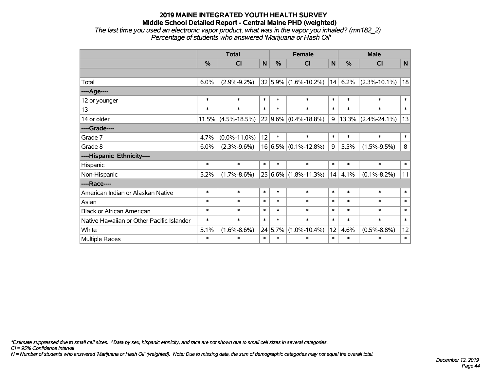#### **2019 MAINE INTEGRATED YOUTH HEALTH SURVEY Middle School Detailed Report - Central Maine PHD (weighted)** *The last time you used an electronic vapor product, what was in the vapor you inhaled? (mn182\_2)*

*Percentage of students who answered 'Marijuana or Hash Oil'*

|                                           | <b>Total</b>  |                       |        |         | <b>Female</b>                |        | <b>Male</b> |                         |        |  |
|-------------------------------------------|---------------|-----------------------|--------|---------|------------------------------|--------|-------------|-------------------------|--------|--|
|                                           | $\frac{0}{0}$ | <b>CI</b>             | N      | $\%$    | <b>CI</b>                    | N      | %           | C <sub>l</sub>          | N      |  |
|                                           |               |                       |        |         |                              |        |             |                         |        |  |
| Total                                     | 6.0%          | $(2.9\% - 9.2\%)$     |        |         | $32 5.9\% $ (1.6%-10.2%)     | 14     | 6.2%        | $(2.3\% - 10.1\%)$      | 18     |  |
| ----Age----                               |               |                       |        |         |                              |        |             |                         |        |  |
| 12 or younger                             | $\ast$        | $\ast$                | $\ast$ | $\ast$  | $\ast$                       | $\ast$ | $\ast$      | $\ast$                  | $\ast$ |  |
| 13                                        | $\ast$        | $\ast$                | $\ast$ | $\ast$  | $\ast$                       | $\ast$ | $\ast$      | $\ast$                  | $\ast$ |  |
| 14 or older                               |               | $11.5\%$ (4.5%-18.5%) |        |         | 22 9.6% (0.4%-18.8%)         | 9      |             | $ 13.3\% $ (2.4%-24.1%) | 13     |  |
| ----Grade----                             |               |                       |        |         |                              |        |             |                         |        |  |
| Grade 7                                   | 4.7%          | $(0.0\% - 11.0\%)$    | 12     | $\ast$  | $\ast$                       | $\ast$ | $\ast$      | $\ast$                  | $\ast$ |  |
| Grade 8                                   | 6.0%          | $(2.3\% - 9.6\%)$     |        |         | $16 6.5\%  (0.1\% - 12.8\%)$ | 9      | 5.5%        | $(1.5\% - 9.5\%)$       | 8      |  |
| ----Hispanic Ethnicity----                |               |                       |        |         |                              |        |             |                         |        |  |
| Hispanic                                  | $\ast$        | $\ast$                | $\ast$ | $\ast$  | $\ast$                       | $\ast$ | $\ast$      | $\ast$                  | $\ast$ |  |
| Non-Hispanic                              | 5.2%          | $(1.7\% - 8.6\%)$     |        |         | 25 6.6% (1.8%-11.3%)         | 14     | 4.1%        | $(0.1\% - 8.2\%)$       | 11     |  |
| ----Race----                              |               |                       |        |         |                              |        |             |                         |        |  |
| American Indian or Alaskan Native         | $\ast$        | $\ast$                | $\ast$ | $\ast$  | $\ast$                       | $\ast$ | $\ast$      | $\ast$                  | $\ast$ |  |
| Asian                                     | $\ast$        | $\ast$                | $\ast$ | $\ast$  | $\ast$                       | $\ast$ | $\ast$      | $\ast$                  | $\ast$ |  |
| <b>Black or African American</b>          | $\ast$        | $\ast$                | $\ast$ | $\ast$  | $\ast$                       | $\ast$ | $\ast$      | $\ast$                  | $\ast$ |  |
| Native Hawaiian or Other Pacific Islander | $\ast$        | $\ast$                | $\ast$ | $\ast$  | $\ast$                       | $\ast$ | $\ast$      | $\ast$                  | $\ast$ |  |
| White                                     | 5.1%          | $(1.6\% - 8.6\%)$     |        | 24 5.7% | $(1.0\% - 10.4\%)$           | 12     | 4.6%        | $(0.5\% - 8.8\%)$       | 12     |  |
| Multiple Races                            | $\ast$        | $\ast$                | $\ast$ | $\ast$  | $\ast$                       | $\ast$ | $\ast$      | $\ast$                  | $\ast$ |  |

*\*Estimate suppressed due to small cell sizes. ^Data by sex, hispanic ethnicity, and race are not shown due to small cell sizes in several categories.*

*CI = 95% Confidence Interval*

*N = Number of students who answered 'Marijuana or Hash Oil' (weighted). Note: Due to missing data, the sum of demographic categories may not equal the overall total.*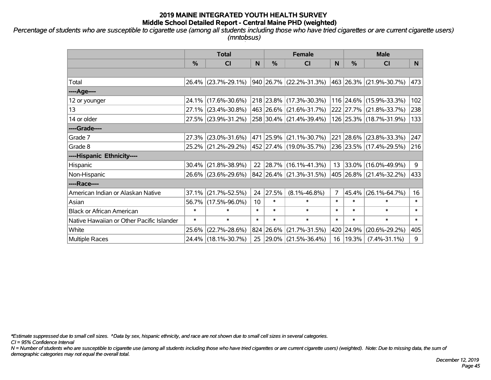*Percentage of students who are susceptible to cigarette use (among all students including those who have tried cigarettes or are current cigarette users) (mntobsus)*

|                                           | <b>Total</b>  |                        |                 | <b>Female</b> | <b>Male</b>                 |        |            |                         |        |
|-------------------------------------------|---------------|------------------------|-----------------|---------------|-----------------------------|--------|------------|-------------------------|--------|
|                                           | $\frac{0}{0}$ | CI                     | N               | %             | <b>CI</b>                   | N      | %          | <b>CI</b>               | N.     |
|                                           |               |                        |                 |               |                             |        |            |                         |        |
| Total                                     |               | 26.4% (23.7%-29.1%)    |                 |               | 940 26.7% (22.2%-31.3%)     |        |            | 463 26.3% (21.9%-30.7%) | 473    |
| ----Age----                               |               |                        |                 |               |                             |        |            |                         |        |
| 12 or younger                             |               | 24.1% (17.6%-30.6%)    |                 |               | 218 23.8% (17.3%-30.3%)     |        |            | 116 24.6% (15.9%-33.3%) | 102    |
| 13                                        |               | 27.1% (23.4%-30.8%)    |                 |               | 463 26.6% (21.6%-31.7%)     |        |            | 222 27.7% (21.8%-33.7%) | 238    |
| 14 or older                               |               | 27.5% (23.9%-31.2%)    |                 |               | 258 30.4% (21.4%-39.4%)     |        |            | 126 25.3% (18.7%-31.9%) | 133    |
| ----Grade----                             |               |                        |                 |               |                             |        |            |                         |        |
| Grade 7                                   |               | 27.3% (23.0%-31.6%)    |                 |               | 471 25.9% (21.1%-30.7%)     |        | 221 28.6%  | $(23.8\% - 33.3\%)$     | 247    |
| Grade 8                                   |               | 25.2% (21.2%-29.2%)    |                 |               | 452   27.4%   (19.0%-35.7%) |        |            | 236 23.5% (17.4%-29.5%) | 216    |
| ----Hispanic Ethnicity----                |               |                        |                 |               |                             |        |            |                         |        |
| Hispanic                                  |               | $30.4\%$ (21.8%-38.9%) | 22              |               | $ 28.7\% $ (16.1%-41.3%)    | 13     | 33.0%      | $(16.0\% - 49.9\%)$     | 9      |
| Non-Hispanic                              |               | 26.6% (23.6%-29.6%)    |                 |               | 842 26.4% (21.3%-31.5%)     |        |            | 405 26.8% (21.4%-32.2%) | 433    |
| ----Race----                              |               |                        |                 |               |                             |        |            |                         |        |
| American Indian or Alaskan Native         |               | $37.1\%$ (21.7%-52.5%) | 24              | 27.5%         | $(8.1\% - 46.8\%)$          | 7      | 45.4%      | $(26.1\% - 64.7\%)$     | 16     |
| Asian                                     |               | 56.7% (17.5%-96.0%)    | 10 <sup>1</sup> | $\ast$        | $\ast$                      | $\ast$ | $\ast$     | $\ast$                  | $\ast$ |
| <b>Black or African American</b>          | $\ast$        | $\ast$                 | $\ast$          | $\ast$        | $\ast$                      | $\ast$ | $\ast$     | $\ast$                  | $\ast$ |
| Native Hawaiian or Other Pacific Islander | $\ast$        | $\ast$                 | $\ast$          | $\ast$        | $\ast$                      | $\ast$ | $\ast$     | $\ast$                  | $\ast$ |
| White                                     |               | 25.6% (22.7%-28.6%)    |                 | 824 26.6%     | $(21.7\% - 31.5\%)$         |        | 420 24.9%  | $(20.6\% - 29.2\%)$     | 405    |
| <b>Multiple Races</b>                     |               | 24.4% (18.1%-30.7%)    | 25              |               | $ 29.0\% $ (21.5%-36.4%)    |        | 16   19.3% | $(7.4\% - 31.1\%)$      | 9      |

*\*Estimate suppressed due to small cell sizes. ^Data by sex, hispanic ethnicity, and race are not shown due to small cell sizes in several categories.*

*CI = 95% Confidence Interval*

*N = Number of students who are susceptible to cigarette use (among all students including those who have tried cigarettes or are current cigarette users) (weighted). Note: Due to missing data, the sum of demographic categories may not equal the overall total.*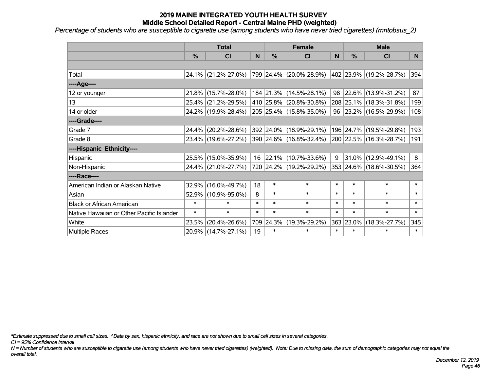*Percentage of students who are susceptible to cigarette use (among students who have never tried cigarettes) (mntobsus\_2)*

|                                           |        | <b>Total</b>        |        |           | <b>Female</b>            |        | <b>Male</b> |                         |        |  |
|-------------------------------------------|--------|---------------------|--------|-----------|--------------------------|--------|-------------|-------------------------|--------|--|
|                                           | $\%$   | C <sub>l</sub>      | N      | %         | <b>CI</b>                | N      | %           | <b>CI</b>               | N      |  |
|                                           |        |                     |        |           |                          |        |             |                         |        |  |
| Total                                     |        | 24.1% (21.2%-27.0%) |        |           | 799 24.4% (20.0%-28.9%)  |        |             | 402 23.9% (19.2%-28.7%) | 394    |  |
| ----Age----                               |        |                     |        |           |                          |        |             |                         |        |  |
| 12 or younger                             |        | 21.8% (15.7%-28.0%) |        |           | 184 21.3% (14.5%-28.1%)  | 98     | 22.6%       | $(13.9\% - 31.2\%)$     | 87     |  |
| 13                                        | 25.4%  | $(21.2\% - 29.5\%)$ |        |           | 410 25.8% (20.8%-30.8%)  |        |             | 208 25.1% (18.3%-31.8%) | 199    |  |
| 14 or older                               |        | 24.2% (19.9%-28.4%) |        |           | 205 25.4% (15.8%-35.0%)  |        |             | 96 23.2% (16.5%-29.9%)  | 108    |  |
| ----Grade----                             |        |                     |        |           |                          |        |             |                         |        |  |
| Grade 7                                   | 24.4%  | $(20.2\% - 28.6\%)$ |        | 392 24.0% | $(18.9\% - 29.1\%)$      |        | 196 24.7%   | $(19.5\% - 29.8\%)$     | 193    |  |
| Grade 8                                   |        | 23.4% (19.6%-27.2%) |        |           | 390 24.6% (16.8%-32.4%)  |        |             | 200 22.5% (16.3%-28.7%) | 191    |  |
| ----Hispanic Ethnicity----                |        |                     |        |           |                          |        |             |                         |        |  |
| Hispanic                                  |        | 25.5% (15.0%-35.9%) | 16     |           | $ 22.1\% $ (10.7%-33.6%) | q      | 31.0%       | $(12.9\% - 49.1\%)$     | 8      |  |
| Non-Hispanic                              |        | 24.4% (21.0%-27.7%) |        |           | 720 24.2% (19.2%-29.2%)  |        |             | 353 24.6% (18.6%-30.5%) | 364    |  |
| ----Race----                              |        |                     |        |           |                          |        |             |                         |        |  |
| American Indian or Alaskan Native         | 32.9%  | $(16.0\% - 49.7\%)$ | 18     | $\ast$    | $\ast$                   | $\ast$ | $\ast$      | $\ast$                  | $\ast$ |  |
| Asian                                     |        | 52.9% (10.9%-95.0%) | 8      | $\ast$    | $\ast$                   | $\ast$ | $\ast$      | $\ast$                  | $\ast$ |  |
| <b>Black or African American</b>          | $\ast$ | $\ast$              | $\ast$ | $\ast$    | $\ast$                   | $\ast$ | $\ast$      | $\ast$                  | $\ast$ |  |
| Native Hawaiian or Other Pacific Islander | $\ast$ | $\ast$              | $\ast$ | $\ast$    | $\ast$                   | $\ast$ | $\ast$      | $\ast$                  | $\ast$ |  |
| White                                     | 23.5%  | $(20.4\% - 26.6\%)$ |        | 709 24.3% | $(19.3\% - 29.2\%)$      | 363    | 23.0%       | $(18.3\% - 27.7\%)$     | 345    |  |
| <b>Multiple Races</b>                     |        | 20.9% (14.7%-27.1%) | 19     | $\ast$    | $\ast$                   | $\ast$ | $\ast$      | $\ast$                  | $\ast$ |  |

*\*Estimate suppressed due to small cell sizes. ^Data by sex, hispanic ethnicity, and race are not shown due to small cell sizes in several categories.*

*CI = 95% Confidence Interval*

*N = Number of students who are susceptible to cigarette use (among students who have never tried cigarettes) (weighted). Note: Due to missing data, the sum of demographic categories may not equal the overall total.*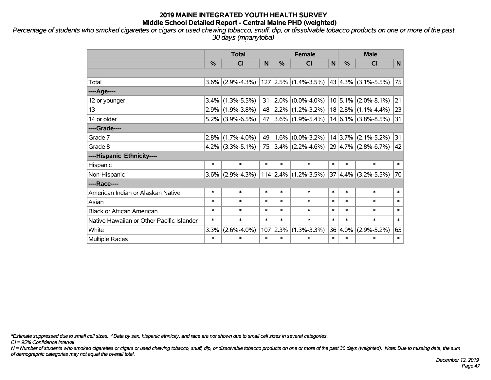*Percentage of students who smoked cigarettes or cigars or used chewing tobacco, snuff, dip, or dissolvable tobacco products on one or more of the past 30 days (mnanytoba)*

|                                           | <b>Total</b>  |                     |        | <b>Female</b> |                                                |        | <b>Male</b>   |                         |        |  |
|-------------------------------------------|---------------|---------------------|--------|---------------|------------------------------------------------|--------|---------------|-------------------------|--------|--|
|                                           | $\frac{9}{6}$ | <b>CI</b>           | N      | %             | <b>CI</b>                                      | N      | $\frac{0}{0}$ | <b>CI</b>               | N      |  |
|                                           |               |                     |        |               |                                                |        |               |                         |        |  |
| Total                                     |               | $3.6\%$ (2.9%-4.3%) |        |               | $127$ 2.5% (1.4%-3.5%) 43 4.3% (3.1%-5.5%)     |        |               |                         | 75     |  |
| ---- Age----                              |               |                     |        |               |                                                |        |               |                         |        |  |
| 12 or younger                             | $3.4\%$       | $(1.3\% - 5.5\%)$   | 31     | $2.0\%$       | $(0.0\% - 4.0\%)$                              |        | $10 5.1\% $   | $(2.0\% - 8.1\%)$       | 21     |  |
| 13                                        |               | $2.9\%$ (1.9%-3.8%) | 48     |               | $ 2.2\% $ (1.2%-3.2%)                          |        | $18 2.8\% $   | $(1.1\% - 4.4\%)$       | 23     |  |
| 14 or older                               |               | $5.2\%$ (3.9%-6.5%) | 47     |               | $ 3.6\% $ (1.9%-5.4%) $ $                      |        |               | $14 6.1\% $ (3.8%-8.5%) | 31     |  |
| ----Grade----                             |               |                     |        |               |                                                |        |               |                         |        |  |
| Grade 7                                   | $2.8\%$       | $(1.7\% - 4.0\%)$   | 49     | $1.6\%$       | $(0.0\% - 3.2\%)$                              |        | 14 3.7%       | $(2.1\% - 5.2\%)$       | 31     |  |
| Grade 8                                   |               | $4.2\%$ (3.3%-5.1%) | 75     |               | $ 3.4\% $ (2.2%-4.6%) $ 29 4.7\% $ (2.8%-6.7%) |        |               |                         | 42     |  |
| ----Hispanic Ethnicity----                |               |                     |        |               |                                                |        |               |                         |        |  |
| Hispanic                                  | $\ast$        | $\ast$              | $\ast$ | $\ast$        | $\ast$                                         | $\ast$ | $\ast$        | $\ast$                  | $\ast$ |  |
| Non-Hispanic                              | $3.6\%$       | $(2.9\% - 4.3\%)$   |        |               | 114  2.4%  (1.2%-3.5%)                         |        | 37 4.4%       | $(3.2\% - 5.5\%)$       | 70     |  |
| ----Race----                              |               |                     |        |               |                                                |        |               |                         |        |  |
| American Indian or Alaskan Native         | $\ast$        | $\ast$              | $\ast$ | $\ast$        | $\ast$                                         | $\ast$ | $\ast$        | $\ast$                  | $\ast$ |  |
| Asian                                     | $\ast$        | $\ast$              | $\ast$ | $\ast$        | $\ast$                                         | $\ast$ | $\ast$        | $\ast$                  | $\ast$ |  |
| <b>Black or African American</b>          | $\ast$        | $\ast$              | $\ast$ | $\ast$        | $\ast$                                         | $\ast$ | $\ast$        | $\ast$                  | $\ast$ |  |
| Native Hawaiian or Other Pacific Islander | $\ast$        | $\ast$              | $\ast$ | $\ast$        | $\ast$                                         | $\ast$ | $\ast$        | $\ast$                  | $\ast$ |  |
| White                                     | 3.3%          | $(2.6\% - 4.0\%)$   | 107    | 2.3%          | $(1.3\% - 3.3\%)$                              |        | 36 4.0%       | $(2.9\% - 5.2\%)$       | 65     |  |
| <b>Multiple Races</b>                     | $\ast$        | $\ast$              | $\ast$ | $\ast$        | $\ast$                                         | $\ast$ | $\ast$        | $\ast$                  | $\ast$ |  |

*\*Estimate suppressed due to small cell sizes. ^Data by sex, hispanic ethnicity, and race are not shown due to small cell sizes in several categories.*

*CI = 95% Confidence Interval*

*N = Number of students who smoked cigarettes or cigars or used chewing tobacco, snuff, dip, or dissolvable tobacco products on one or more of the past 30 days (weighted). Note: Due to missing data, the sum of demographic categories may not equal the overall total.*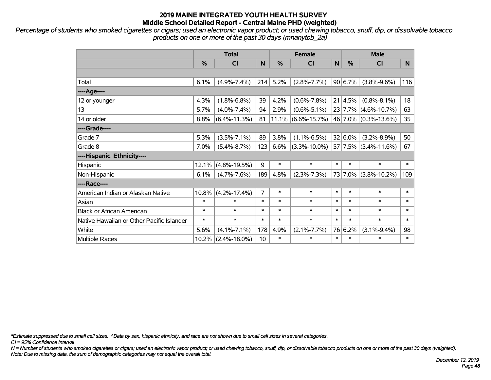*Percentage of students who smoked cigarettes or cigars; used an electronic vapor product; or used chewing tobacco, snuff, dip, or dissolvable tobacco products on one or more of the past 30 days (mnanytob\_2a)*

|                                           | <b>Total</b> |                    |                |        | <b>Female</b>      |        | <b>Male</b> |                        |        |  |
|-------------------------------------------|--------------|--------------------|----------------|--------|--------------------|--------|-------------|------------------------|--------|--|
|                                           | %            | <b>CI</b>          | N              | %      | <b>CI</b>          | N      | %           | <b>CI</b>              | N.     |  |
|                                           |              |                    |                |        |                    |        |             |                        |        |  |
| Total                                     | 6.1%         | $(4.9\% - 7.4\%)$  | 214            | 5.2%   | $(2.8\% - 7.7\%)$  |        | 90 6.7%     | $(3.8\% - 9.6\%)$      | 116    |  |
| ---- Age----                              |              |                    |                |        |                    |        |             |                        |        |  |
| 12 or younger                             | 4.3%         | $(1.8\% - 6.8\%)$  | 39             | 4.2%   | $(0.6\% - 7.8\%)$  | 21     | 4.5%        | $(0.8\% - 8.1\%)$      | 18     |  |
| 13                                        | 5.7%         | $(4.0\% - 7.4\%)$  | 94             | 2.9%   | $(0.6\% - 5.1\%)$  |        |             | 23 7.7% (4.6%-10.7%)   | 63     |  |
| 14 or older                               | 8.8%         | $(6.4\% - 11.3\%)$ | 81             | 11.1%  | $(6.6\% - 15.7\%)$ |        |             | 46 7.0% (0.3%-13.6%)   | 35     |  |
| ----Grade----                             |              |                    |                |        |                    |        |             |                        |        |  |
| Grade 7                                   | 5.3%         | $(3.5\% - 7.1\%)$  | 89             | 3.8%   | $(1.1\% - 6.5\%)$  |        | $32 6.0\%$  | $(3.2\% - 8.9\%)$      | 50     |  |
| Grade 8                                   | 7.0%         | $(5.4\% - 8.7\%)$  | 123            | 6.6%   | $(3.3\% - 10.0\%)$ |        |             | $57$ 7.5% (3.4%-11.6%) | 67     |  |
| ----Hispanic Ethnicity----                |              |                    |                |        |                    |        |             |                        |        |  |
| Hispanic                                  | 12.1%        | $(4.8\% - 19.5\%)$ | 9              | $\ast$ | $\ast$             | $\ast$ | $\ast$      | $\ast$                 | $\ast$ |  |
| Non-Hispanic                              | 6.1%         | $(4.7\% - 7.6\%)$  | 189            | 4.8%   | $(2.3\% - 7.3\%)$  |        |             | 73 7.0% (3.8%-10.2%)   | 109    |  |
| ----Race----                              |              |                    |                |        |                    |        |             |                        |        |  |
| American Indian or Alaskan Native         | 10.8%        | $(4.2\% - 17.4\%)$ | $\overline{7}$ | $\ast$ | $\ast$             | $\ast$ | $\ast$      | $\ast$                 | $\ast$ |  |
| Asian                                     | $\ast$       | $\ast$             | $\ast$         | $\ast$ | $\ast$             | $\ast$ | $\ast$      | $\ast$                 | $\ast$ |  |
| <b>Black or African American</b>          | $\ast$       | $\ast$             | $\ast$         | $\ast$ | $\ast$             | $\ast$ | $\ast$      | $\ast$                 | $\ast$ |  |
| Native Hawaiian or Other Pacific Islander | $\ast$       | $\ast$             | $\ast$         | $\ast$ | $\ast$             | $\ast$ | $\ast$      | $\ast$                 | $\ast$ |  |
| White                                     | 5.6%         | $(4.1\% - 7.1\%)$  | 178            | 4.9%   | $(2.1\% - 7.7\%)$  |        | 76 6.2%     | $(3.1\% - 9.4\%)$      | 98     |  |
| Multiple Races                            | 10.2%        | $(2.4\% - 18.0\%)$ | 10             | $\ast$ | $\ast$             | $\ast$ | $\ast$      | $\ast$                 | $\ast$ |  |

*\*Estimate suppressed due to small cell sizes. ^Data by sex, hispanic ethnicity, and race are not shown due to small cell sizes in several categories.*

*CI = 95% Confidence Interval*

*N = Number of students who smoked cigarettes or cigars; used an electronic vapor product; or used chewing tobacco, snuff, dip, or dissolvable tobacco products on one or more of the past 30 days (weighted). Note: Due to missing data, the sum of demographic categories may not equal the overall total.*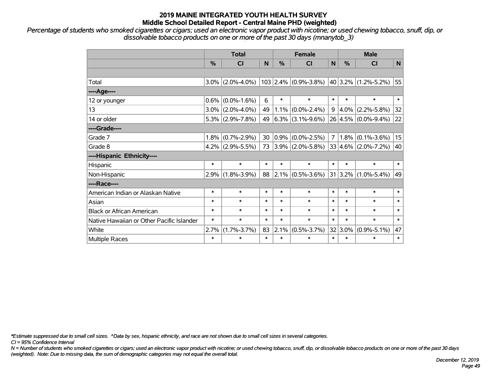*Percentage of students who smoked cigarettes or cigars; used an electronic vapor product with nicotine; or used chewing tobacco, snuff, dip, or dissolvable tobacco products on one or more of the past 30 days (mnanytob\_3)*

|                                           | <b>Total</b> |                     |        | <b>Female</b> |                                                          |                | <b>Male</b> |                     |              |  |
|-------------------------------------------|--------------|---------------------|--------|---------------|----------------------------------------------------------|----------------|-------------|---------------------|--------------|--|
|                                           | %            | <b>CI</b>           | N      | %             | <b>CI</b>                                                | N              | $\%$        | <b>CI</b>           | $\mathsf{N}$ |  |
|                                           |              |                     |        |               |                                                          |                |             |                     |              |  |
| Total                                     |              | $3.0\%$ (2.0%-4.0%) |        |               | 103 2.4% $ (0.9\% - 3.8\%) $ 40 3.2% $ (1.2\% - 5.2\%) $ |                |             |                     | 55           |  |
| ----Age----                               |              |                     |        |               |                                                          |                |             |                     |              |  |
| 12 or younger                             | $0.6\%$      | $(0.0\% - 1.6\%)$   | 6      | $\ast$        | $\ast$                                                   | $\ast$         | $\ast$      | $\ast$              | $\ast$       |  |
| 13                                        |              | $3.0\%$ (2.0%-4.0%) | 49     | $1.1\%$       | $(0.0\% - 2.4\%)$                                        | 9              | 4.0%        | $(2.2\% - 5.8\%)$   | 32           |  |
| 14 or older                               |              | $5.3\%$ (2.9%-7.8%) | 49     |               | $6.3\%$ (3.1%-9.6%)                                      |                |             | 26 4.5% (0.0%-9.4%) | 22           |  |
| ----Grade----                             |              |                     |        |               |                                                          |                |             |                     |              |  |
| Grade 7                                   |              | $1.8\%$ (0.7%-2.9%) | 30     | $ 0.9\% $     | $(0.0\% - 2.5\%)$                                        | $\overline{7}$ | 1.8%        | $(0.1\% - 3.6\%)$   | 15           |  |
| Grade 8                                   |              | $4.2\%$ (2.9%-5.5%) | 73     |               | $ 3.9\% $ (2.0%-5.8%) $ 33 4.6\% $ (2.0%-7.2%)           |                |             |                     | 40           |  |
| ----Hispanic Ethnicity----                |              |                     |        |               |                                                          |                |             |                     |              |  |
| Hispanic                                  | $\ast$       | $\ast$              | $\ast$ | $\ast$        | $\ast$                                                   | $\ast$         | $\ast$      | $\ast$              | $\ast$       |  |
| Non-Hispanic                              | 2.9%         | $(1.8\% - 3.9\%)$   | 88     |               | $2.1\%$ (0.5%-3.6%)                                      | 31             | $ 3.2\% $   | $(1.0\% - 5.4\%)$   | 49           |  |
| ----Race----                              |              |                     |        |               |                                                          |                |             |                     |              |  |
| American Indian or Alaskan Native         | $\ast$       | $\ast$              | $\ast$ | $\ast$        | $\ast$                                                   | $\ast$         | $\ast$      | $\ast$              | $\ast$       |  |
| Asian                                     | $\ast$       | $\ast$              | $\ast$ | $\ast$        | $\ast$                                                   | $\ast$         | $\ast$      | $\ast$              | $\ast$       |  |
| <b>Black or African American</b>          | $\ast$       | $\ast$              | $\ast$ | $\ast$        | $\ast$                                                   | $\ast$         | $\ast$      | $\ast$              | $\ast$       |  |
| Native Hawaiian or Other Pacific Islander | $\ast$       | $\ast$              | $\ast$ | $\ast$        | $\ast$                                                   | $\ast$         | $\ast$      | $\ast$              | $\ast$       |  |
| White                                     | 2.7%         | $(1.7\% - 3.7\%)$   | 83     | 2.1%          | $(0.5\% - 3.7\%)$                                        |                | 32 3.0%     | $(0.9\% - 5.1\%)$   | 47           |  |
| <b>Multiple Races</b>                     | $\ast$       | *                   | $\ast$ | $\ast$        | $\ast$                                                   | $\ast$         | $\ast$      | $\ast$              | $\ast$       |  |

*\*Estimate suppressed due to small cell sizes. ^Data by sex, hispanic ethnicity, and race are not shown due to small cell sizes in several categories.*

*CI = 95% Confidence Interval*

*N = Number of students who smoked cigarettes or cigars; used an electronic vapor product with nicotine; or used chewing tobacco, snuff, dip, or dissolvable tobacco products on one or more of the past 30 days (weighted). Note: Due to missing data, the sum of demographic categories may not equal the overall total.*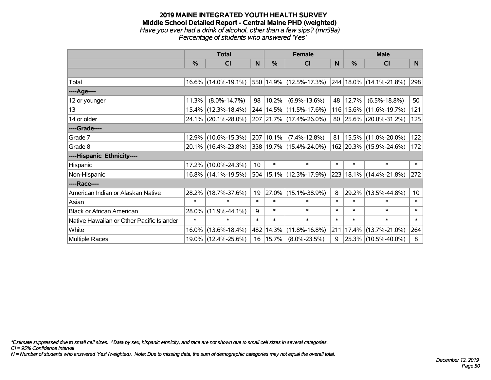#### **2019 MAINE INTEGRATED YOUTH HEALTH SURVEY Middle School Detailed Report - Central Maine PHD (weighted)** *Have you ever had a drink of alcohol, other than a few sips? (mn59a) Percentage of students who answered 'Yes'*

|                                           |               | <b>Total</b>           |        | <b>Female</b> |                                                      | <b>Male</b> |               |                             |                 |
|-------------------------------------------|---------------|------------------------|--------|---------------|------------------------------------------------------|-------------|---------------|-----------------------------|-----------------|
|                                           | $\frac{0}{0}$ | CI                     | N      | $\%$          | <b>CI</b>                                            | N           | $\frac{0}{0}$ | <b>CI</b>                   | N.              |
|                                           |               |                        |        |               |                                                      |             |               |                             |                 |
| Total                                     |               | $16.6\%$ (14.0%-19.1%) |        |               | $ 550 14.9\% $ (12.5%-17.3%) 244 18.0% (14.1%-21.8%) |             |               |                             | 298             |
| ----Age----                               |               |                        |        |               |                                                      |             |               |                             |                 |
| 12 or younger                             | 11.3%         | $(8.0\% - 14.7\%)$     | 98     | $ 10.2\% $    | $(6.9\% - 13.6\%)$                                   | 48          | 12.7%         | $(6.5\% - 18.8\%)$          | 50              |
| 13                                        |               | 15.4% (12.3%-18.4%)    |        |               | 244   14.5%   (11.5%-17.6%)                          |             |               | 116   15.6%   (11.6%-19.7%) | 121             |
| 14 or older                               |               | 24.1% (20.1%-28.0%)    |        |               | 207 21.7% (17.4%-26.0%)                              |             |               | 80 25.6% (20.0%-31.2%)      | 125             |
| ----Grade----                             |               |                        |        |               |                                                      |             |               |                             |                 |
| Grade 7                                   | 12.9%         | $(10.6\% - 15.3\%)$    |        | 207 10.1%     | $(7.4\% - 12.8\%)$                                   | 81          |               | 15.5% (11.0%-20.0%)         | 122             |
| Grade 8                                   |               | 20.1% (16.4%-23.8%)    |        |               | 338 19.7% (15.4%-24.0%)                              |             |               | 162 20.3% (15.9%-24.6%)     | 172             |
| ----Hispanic Ethnicity----                |               |                        |        |               |                                                      |             |               |                             |                 |
| Hispanic                                  |               | 17.2% (10.0%-24.3%)    | 10     | $\ast$        | $\ast$                                               | $\ast$      | $\ast$        | $\ast$                      | $\ast$          |
| Non-Hispanic                              |               | 16.8% (14.1%-19.5%)    |        |               | 504 15.1% (12.3%-17.9%)                              |             |               | 223 18.1% (14.4%-21.8%)     | 272             |
| ----Race----                              |               |                        |        |               |                                                      |             |               |                             |                 |
| American Indian or Alaskan Native         |               | 28.2% (18.7%-37.6%)    | 19     | $ 27.0\% $    | $(15.1\% - 38.9\%)$                                  | 8           | 29.2%         | $(13.5\% - 44.8\%)$         | 10 <sup>°</sup> |
| Asian                                     | $\ast$        | $\ast$                 | $\ast$ | $\ast$        | $\ast$                                               | $\ast$      | $\ast$        | $\ast$                      | $\ast$          |
| <b>Black or African American</b>          | 28.0%         | $(11.9\% - 44.1\%)$    | 9      | $\ast$        | $\ast$                                               | $\ast$      | $\ast$        | $\ast$                      | $\ast$          |
| Native Hawaiian or Other Pacific Islander | $\ast$        | $\ast$                 | $\ast$ | $\ast$        | $\ast$                                               | $\ast$      | $\ast$        | $\ast$                      | $\ast$          |
| White                                     | 16.0%         | $(13.6\% - 18.4\%)$    | 482    | 14.3%         | $(11.8\% - 16.8\%)$                                  | 211         |               | 17.4% (13.7%-21.0%)         | 264             |
| <b>Multiple Races</b>                     |               | 19.0% (12.4%-25.6%)    |        | 16   15.7%    | $(8.0\% - 23.5\%)$                                   | 9           |               | 25.3% (10.5%-40.0%)         | 8               |

*\*Estimate suppressed due to small cell sizes. ^Data by sex, hispanic ethnicity, and race are not shown due to small cell sizes in several categories.*

*CI = 95% Confidence Interval*

*N = Number of students who answered 'Yes' (weighted). Note: Due to missing data, the sum of demographic categories may not equal the overall total.*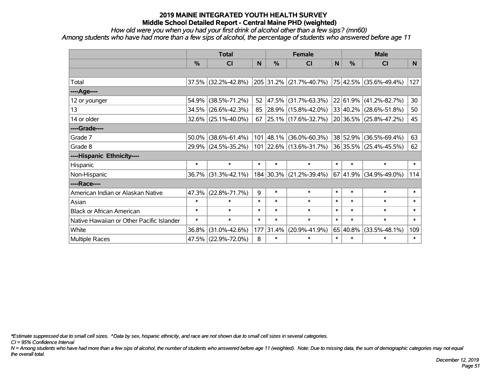*How old were you when you had your first drink of alcohol other than a few sips? (mn60)*

*Among students who have had more than a few sips of alcohol, the percentage of students who answered before age 11*

|                                           |        | <b>Total</b>           |        | <b>Female</b> |                          | <b>Male</b>    |          |                               |                 |
|-------------------------------------------|--------|------------------------|--------|---------------|--------------------------|----------------|----------|-------------------------------|-----------------|
|                                           | %      | <b>CI</b>              | N      | $\frac{0}{0}$ | <b>CI</b>                | N <sub>1</sub> | %        | <b>CI</b>                     | N.              |
|                                           |        |                        |        |               |                          |                |          |                               |                 |
| Total                                     |        | $37.5\%$ (32.2%-42.8%) |        |               | 205 31.2% (21.7%-40.7%)  |                |          | $ 75 42.5\% $ (35.6%-49.4%)   | 127             |
| ----Age----                               |        |                        |        |               |                          |                |          |                               |                 |
| 12 or younger                             | 54.9%  | $(38.5\% - 71.2\%)$    | 52     | 47.5%         | $(31.7\% - 63.3\%)$      |                | 22 61.9% | $(41.2\% - 82.7\%)$           | 30 <sub>o</sub> |
| 13                                        | 34.5%  | $(26.6\% - 42.3\%)$    | 85     |               | $ 28.9\% $ (15.8%-42.0%) |                |          | 33 40.2% (28.6%-51.8%)        | 50              |
| 14 or older                               |        | $32.6\%$ (25.1%-40.0%) | 67     |               | $ 25.1\% $ (17.6%-32.7%) |                |          | $20 36.5\% (25.8\% - 47.2\%)$ | 45              |
| ----Grade----                             |        |                        |        |               |                          |                |          |                               |                 |
| Grade 7                                   | 50.0%  | $(38.6\% - 61.4\%)$    |        | 101 48.1%     | $(36.0\% - 60.3\%)$      |                | 38 52.9% | $(36.5\% - 69.4\%)$           | 63              |
| Grade 8                                   |        | 29.9% (24.5%-35.2%)    |        |               | 101 22.6% (13.6%-31.7%)  |                |          | $ 36 35.5\% $ (25.4%-45.5%)   | 62              |
| ----Hispanic Ethnicity----                |        |                        |        |               |                          |                |          |                               |                 |
| Hispanic                                  | $\ast$ | $\ast$                 | $\ast$ | $\ast$        | $\ast$                   | $\ast$         | $\ast$   | $\ast$                        | $\ast$          |
| Non-Hispanic                              | 36.7%  | $(31.3\% - 42.1\%)$    |        | 184 30.3%     | $(21.2\% - 39.4\%)$      |                | 67 41.9% | $(34.9\% - 49.0\%)$           | 114             |
| ----Race----                              |        |                        |        |               |                          |                |          |                               |                 |
| American Indian or Alaskan Native         | 47.3%  | $(22.8\% - 71.7\%)$    | 9      | $\ast$        | $\ast$                   | $\ast$         | $\ast$   | $\ast$                        | $\ast$          |
| Asian                                     | $\ast$ | $\ast$                 | $\ast$ | $\ast$        | $\ast$                   | $\ast$         | $\ast$   | $\ast$                        | $\ast$          |
| <b>Black or African American</b>          | $\ast$ | $\ast$                 | $\ast$ | $\ast$        | $\ast$                   | $\ast$         | $\ast$   | $\ast$                        | $\ast$          |
| Native Hawaiian or Other Pacific Islander | $\ast$ | $\ast$                 | $\ast$ | $\ast$        | $\ast$                   | $\ast$         | $\ast$   | $\ast$                        | $\ast$          |
| White                                     | 36.8%  | $(31.0\% - 42.6\%)$    | 177    | 31.4%         | $(20.9\% - 41.9\%)$      |                | 65 40.8% | $(33.5\% - 48.1\%)$           | 109             |
| Multiple Races                            |        | 47.5% (22.9%-72.0%)    | 8      | $\ast$        | $\ast$                   | $\ast$         | $\ast$   | $\ast$                        | $\ast$          |

*\*Estimate suppressed due to small cell sizes. ^Data by sex, hispanic ethnicity, and race are not shown due to small cell sizes in several categories.*

*CI = 95% Confidence Interval*

*N = Among students who have had more than a few sips of alcohol, the number of students who answered before age 11 (weighted). Note: Due to missing data, the sum of demographic categories may not equal the overall total.*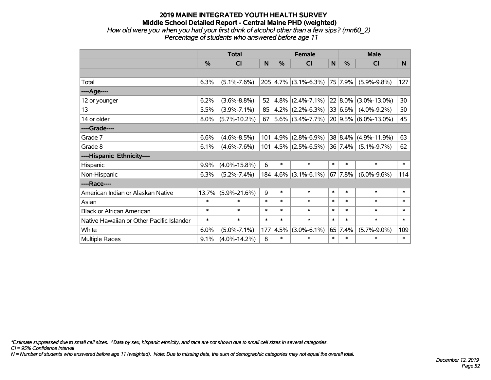## **2019 MAINE INTEGRATED YOUTH HEALTH SURVEY Middle School Detailed Report - Central Maine PHD (weighted)** *How old were you when you had your first drink of alcohol other than a few sips? (mn60\_2)*

| nd were you when you had your mot annil or alcohol outer than a lew sips. This |                                                   |  |
|--------------------------------------------------------------------------------|---------------------------------------------------|--|
|                                                                                | Percentage of students who answered before age 11 |  |

|                                           | <b>Total</b> |                    |        |               | <b>Female</b>                         |        | <b>Male</b>  |                           |        |  |
|-------------------------------------------|--------------|--------------------|--------|---------------|---------------------------------------|--------|--------------|---------------------------|--------|--|
|                                           | %            | CI                 | N      | $\frac{0}{0}$ | <b>CI</b>                             | N      | $\%$         | <b>CI</b>                 | N.     |  |
|                                           |              |                    |        |               |                                       |        |              |                           |        |  |
| Total                                     | 6.3%         | $(5.1\% - 7.6\%)$  |        |               | $205 \mid 4.7\% \mid (3.1\% - 6.3\%)$ |        | 75 7.9%      | $(5.9\% - 9.8\%)$         | 127    |  |
| ----Age----                               |              |                    |        |               |                                       |        |              |                           |        |  |
| 12 or younger                             | 6.2%         | $(3.6\% - 8.8\%)$  | 52     | 4.8%          | $(2.4\% - 7.1\%)$                     |        | 22 8.0%      | $(3.0\% - 13.0\%)$        | 30     |  |
| 13                                        | 5.5%         | $(3.9\% - 7.1\%)$  | 85     |               | $ 4.2\% $ (2.2%-6.3%)                 |        | 33 6.6%      | $(4.0\% - 9.2\%)$         | 50     |  |
| 14 or older                               | 8.0%         | $(5.7\% - 10.2\%)$ | 67     |               | $5.6\%$ (3.4%-7.7%)                   |        |              | $ 20 9.5\% $ (6.0%-13.0%) | 45     |  |
| ----Grade----                             |              |                    |        |               |                                       |        |              |                           |        |  |
| Grade 7                                   | 6.6%         | $(4.6\% - 8.5\%)$  | 101    | 4.9%          | $(2.8\% - 6.9\%)$                     |        | 38 8.4%      | $(4.9\% - 11.9\%)$        | 63     |  |
| Grade 8                                   | 6.1%         | $(4.6\% - 7.6\%)$  |        |               | $101   4.5\%   (2.5\% - 6.5\%)$       |        | $ 36 7.4\% $ | $(5.1\% - 9.7\%)$         | 62     |  |
| ----Hispanic Ethnicity----                |              |                    |        |               |                                       |        |              |                           |        |  |
| Hispanic                                  | 9.9%         | $(4.0\% - 15.8\%)$ | 6      | $\ast$        | $\ast$                                | $\ast$ | $\ast$       | $\ast$                    | $\ast$ |  |
| Non-Hispanic                              | 6.3%         | $(5.2\% - 7.4\%)$  |        |               | $184 \mid 4.6\% \mid (3.1\% - 6.1\%)$ |        | 67 7.8%      | $(6.0\% - 9.6\%)$         | 114    |  |
| ----Race----                              |              |                    |        |               |                                       |        |              |                           |        |  |
| American Indian or Alaskan Native         | 13.7%        | $(5.9\% - 21.6\%)$ | 9      | $\ast$        | $\ast$                                | $\ast$ | $\ast$       | $\ast$                    | $\ast$ |  |
| Asian                                     | $\ast$       | $\ast$             | $\ast$ | $\ast$        | $\ast$                                | $\ast$ | $\ast$       | $\ast$                    | $\ast$ |  |
| <b>Black or African American</b>          | $\ast$       | $\ast$             | $\ast$ | $\ast$        | $\ast$                                | $\ast$ | $\ast$       | $\ast$                    | $\ast$ |  |
| Native Hawaiian or Other Pacific Islander | $\ast$       | $\ast$             | $\ast$ | $\ast$        | $\ast$                                | $\ast$ | $\ast$       | $\ast$                    | $\ast$ |  |
| White                                     | 6.0%         | $(5.0\% - 7.1\%)$  | 177    | 4.5%          | $(3.0\% - 6.1\%)$                     |        | 65 7.4%      | $(5.7\% - 9.0\%)$         | 109    |  |
| Multiple Races                            | 9.1%         | $(4.0\% - 14.2\%)$ | 8      | $\ast$        | *                                     | $\ast$ | $\ast$       | $\ast$                    | $\ast$ |  |

*\*Estimate suppressed due to small cell sizes. ^Data by sex, hispanic ethnicity, and race are not shown due to small cell sizes in several categories.*

*CI = 95% Confidence Interval*

*N = Number of students who answered before age 11 (weighted). Note: Due to missing data, the sum of demographic categories may not equal the overall total.*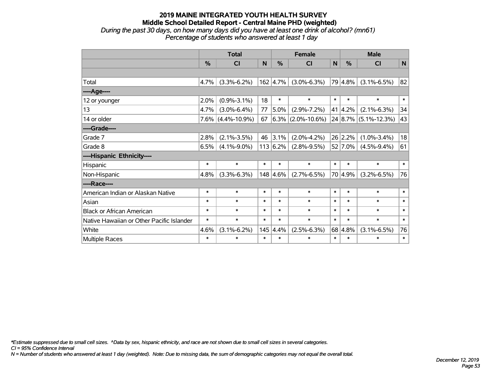## **2019 MAINE INTEGRATED YOUTH HEALTH SURVEY Middle School Detailed Report - Central Maine PHD (weighted)** *During the past 30 days, on how many days did you have at least one drink of alcohol? (mn61)*

|                                           | <b>Total</b> |                    |        |                  | <b>Female</b>           | <b>Male</b>  |                 |                      |             |
|-------------------------------------------|--------------|--------------------|--------|------------------|-------------------------|--------------|-----------------|----------------------|-------------|
|                                           | %            | CI                 | N      | %                | $\overline{\mathsf{C}}$ | $\mathsf{N}$ | %               | <b>CI</b>            | $\mathbf N$ |
|                                           |              |                    |        |                  |                         |              |                 |                      |             |
| Total                                     | 4.7%         | $(3.3\% - 6.2\%)$  |        | $162 \mid 4.7\%$ | $(3.0\% - 6.3\%)$       |              | 79 4.8%         | $(3.1\% - 6.5\%)$    | 82          |
| ----Age----                               |              |                    |        |                  |                         |              |                 |                      |             |
| 12 or younger                             | 2.0%         | $(0.9\% - 3.1\%)$  | 18     | $\ast$           | $\ast$                  | $\ast$       | $\ast$          | $\ast$               | $\ast$      |
| 13                                        | 4.7%         | $(3.0\% - 6.4\%)$  | 77     | 5.0%             | $(2.9\% - 7.2\%)$       |              | $41 \mid 4.2\%$ | $(2.1\% - 6.3\%)$    | 34          |
| 14 or older                               | $7.6\%$      | $(4.4\% - 10.9\%)$ | 67     |                  | $6.3\%$ (2.0%-10.6%)    |              |                 | 24 8.7% (5.1%-12.3%) | 43          |
| ----Grade----                             |              |                    |        |                  |                         |              |                 |                      |             |
| Grade 7                                   | 2.8%         | $(2.1\% - 3.5\%)$  | 46     | 3.1%             | $(2.0\% - 4.2\%)$       |              | 26 2.2%         | $(1.0\% - 3.4\%)$    | 18          |
| Grade 8                                   | 6.5%         | $(4.1\% - 9.0\%)$  |        | 113 6.2%         | $(2.8\% - 9.5\%)$       |              | 52 7.0%         | $(4.5\% - 9.4\%)$    | 61          |
| ----Hispanic Ethnicity----                |              |                    |        |                  |                         |              |                 |                      |             |
| Hispanic                                  | $\ast$       | $\ast$             | $\ast$ | $\ast$           | $\ast$                  | $\ast$       | $\ast$          | $\ast$               | $\ast$      |
| Non-Hispanic                              | 4.8%         | $(3.3\% - 6.3\%)$  |        | 148 4.6%         | $(2.7\% - 6.5\%)$       |              | 70 4.9%         | $(3.2\% - 6.5\%)$    | 76          |
| ----Race----                              |              |                    |        |                  |                         |              |                 |                      |             |
| American Indian or Alaskan Native         | $\ast$       | $\ast$             | $\ast$ | $\ast$           | $\ast$                  | $\ast$       | $\ast$          | $\ast$               | $\ast$      |
| Asian                                     | $\ast$       | $\ast$             | $\ast$ | $\ast$           | $\ast$                  | $\ast$       | $\ast$          | $\ast$               | $\ast$      |
| <b>Black or African American</b>          | $\ast$       | $\ast$             | $\ast$ | $\ast$           | $\ast$                  | $\ast$       | $\ast$          | $\ast$               | $\ast$      |
| Native Hawaiian or Other Pacific Islander | $\ast$       | $\ast$             | $\ast$ | $\ast$           | $\ast$                  | $\ast$       | $\ast$          | $\ast$               | $\ast$      |
| White                                     | 4.6%         | $(3.1\% - 6.2\%)$  | 145    | 4.4%             | $(2.5\% - 6.3\%)$       |              | 68 4.8%         | $(3.1\% - 6.5\%)$    | 76          |
| Multiple Races                            | $\ast$       | $\ast$             | $\ast$ | $\ast$           | $\ast$                  | $\ast$       | $\ast$          | $\ast$               | $\ast$      |

*Percentage of students who answered at least 1 day*

*\*Estimate suppressed due to small cell sizes. ^Data by sex, hispanic ethnicity, and race are not shown due to small cell sizes in several categories.*

*CI = 95% Confidence Interval*

*N = Number of students who answered at least 1 day (weighted). Note: Due to missing data, the sum of demographic categories may not equal the overall total.*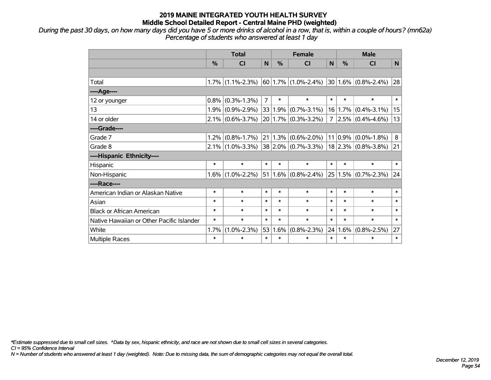*During the past 30 days, on how many days did you have 5 or more drinks of alcohol in a row, that is, within a couple of hours? (mn62a) Percentage of students who answered at least 1 day*

|                                           | <b>Total</b>  |                     |                | <b>Female</b> |                                      |        | <b>Male</b> |                          |        |  |
|-------------------------------------------|---------------|---------------------|----------------|---------------|--------------------------------------|--------|-------------|--------------------------|--------|--|
|                                           | $\frac{0}{0}$ | <b>CI</b>           | N              | $\frac{0}{0}$ | <b>CI</b>                            | N      | $\%$        | <b>CI</b>                | N      |  |
|                                           |               |                     |                |               |                                      |        |             |                          |        |  |
| Total                                     |               | $1.7\%$ (1.1%-2.3%) |                |               | $ 60 1.7\% $ (1.0%-2.4%)             |        |             | $ 30 1.6\% $ (0.8%-2.4%) | 28     |  |
| ----Age----                               |               |                     |                |               |                                      |        |             |                          |        |  |
| 12 or younger                             | 0.8%          | $(0.3\% - 1.3\%)$   | $\overline{7}$ | $\ast$        | $\ast$                               | $\ast$ | $\ast$      | $\ast$                   | $\ast$ |  |
| 13                                        |               | $1.9\%$ (0.9%-2.9%) | 33             |               | $1.9\%$ (0.7%-3.1%)                  | 16     | 1.7%        | $(0.4\% - 3.1\%)$        | 15     |  |
| 14 or older                               |               | $2.1\%$ (0.6%-3.7%) |                |               | $20 1.7\% $ (0.3%-3.2%)              |        |             | $7 2.5\% $ (0.4%-4.6%)   | 13     |  |
| ----Grade----                             |               |                     |                |               |                                      |        |             |                          |        |  |
| Grade 7                                   | 1.2%          | $(0.8\% - 1.7\%)$   |                |               | $21 \mid 1.3\% \mid (0.6\% - 2.0\%)$ |        |             | $11 0.9\% $ (0.0%-1.8%)  | 8      |  |
| Grade 8                                   |               | $2.1\%$ (1.0%-3.3%) |                |               | $ 38 2.0\% $ (0.7%-3.3%)             |        |             | $ 18 2.3\% $ (0.8%-3.8%) | 21     |  |
| ----Hispanic Ethnicity----                |               |                     |                |               |                                      |        |             |                          |        |  |
| Hispanic                                  | $\ast$        | $\ast$              | $\ast$         | $\ast$        | $\ast$                               | $\ast$ | $\ast$      | $\ast$                   | $\ast$ |  |
| Non-Hispanic                              | $1.6\%$       | $(1.0\% - 2.2\%)$   | 51             |               | $1.6\%$ (0.8%-2.4%)                  |        |             | $25 1.5\% $ (0.7%-2.3%)  | 24     |  |
| ----Race----                              |               |                     |                |               |                                      |        |             |                          |        |  |
| American Indian or Alaskan Native         | $\ast$        | $\ast$              | $\ast$         | $\ast$        | $\ast$                               | $\ast$ | $\ast$      | $\ast$                   | $\ast$ |  |
| Asian                                     | $\ast$        | $\ast$              | $\ast$         | $\ast$        | $\ast$                               | $\ast$ | $\ast$      | $\ast$                   | $\ast$ |  |
| <b>Black or African American</b>          | $\ast$        | $\ast$              | $\ast$         | $\ast$        | $\ast$                               | $\ast$ | $\ast$      | $\ast$                   | $\ast$ |  |
| Native Hawaiian or Other Pacific Islander | $\ast$        | $\ast$              | $\ast$         | $\ast$        | $\ast$                               | $\ast$ | $\ast$      | $\ast$                   | $\ast$ |  |
| White                                     | 1.7%          | $(1.0\% - 2.3\%)$   | 53             | 1.6%          | $(0.8\% - 2.3\%)$                    | 24     | 1.6%        | $(0.8\% - 2.5\%)$        | 27     |  |
| Multiple Races                            | $\ast$        | $\ast$              | $\ast$         | $\ast$        | $\ast$                               | $\ast$ | $\ast$      | $\ast$                   | $\ast$ |  |

*\*Estimate suppressed due to small cell sizes. ^Data by sex, hispanic ethnicity, and race are not shown due to small cell sizes in several categories.*

*CI = 95% Confidence Interval*

*N = Number of students who answered at least 1 day (weighted). Note: Due to missing data, the sum of demographic categories may not equal the overall total.*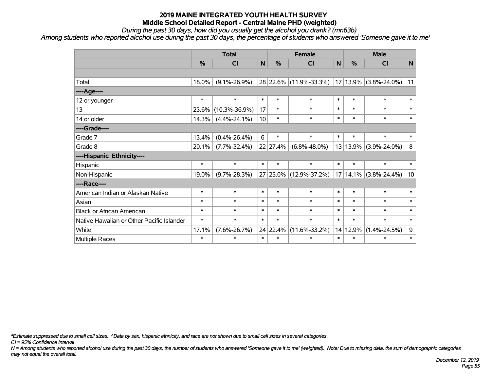*During the past 30 days, how did you usually get the alcohol you drank? (mn63b)*

*Among students who reported alcohol use during the past 30 days, the percentage of students who answered 'Someone gave it to me'*

|                                           |               | <b>Total</b>        |              | <b>Female</b> | <b>Male</b>            |        |          |                       |        |
|-------------------------------------------|---------------|---------------------|--------------|---------------|------------------------|--------|----------|-----------------------|--------|
|                                           | $\frac{0}{0}$ | <b>CI</b>           | $\mathsf{N}$ | $\frac{0}{0}$ | <b>CI</b>              | N      | %        | <b>CI</b>             | N      |
|                                           |               |                     |              |               |                        |        |          |                       |        |
| Total                                     | 18.0%         | $(9.1\% - 26.9\%)$  |              |               | 28 22.6% (11.9%-33.3%) |        |          | 17 13.9% (3.8%-24.0%) | 11     |
| ----Age----                               |               |                     |              |               |                        |        |          |                       |        |
| 12 or younger                             | $\ast$        | $\ast$              | $\ast$       | $\ast$        | $\ast$                 | $\ast$ | $\ast$   | $\ast$                | $\ast$ |
| 13                                        | 23.6%         | $(10.3\% - 36.9\%)$ | 17           | $\ast$        | $\ast$                 | $\ast$ | $\ast$   | $\ast$                | $\ast$ |
| 14 or older                               | 14.3%         | $(4.4\% - 24.1\%)$  | 10           | $\ast$        | $\ast$                 | $\ast$ | $\ast$   | $\ast$                | $\ast$ |
| ----Grade----                             |               |                     |              |               |                        |        |          |                       |        |
| Grade 7                                   | 13.4%         | $(0.4\% - 26.4\%)$  | 6            | $\ast$        | $\ast$                 | $\ast$ | $\ast$   | $\ast$                | $\ast$ |
| Grade 8                                   | 20.1%         | $(7.7\% - 32.4\%)$  |              | 22 27.4%      | $(6.8\% - 48.0\%)$     |        |          | 13 13.9% (3.9%-24.0%) | 8      |
| ----Hispanic Ethnicity----                |               |                     |              |               |                        |        |          |                       |        |
| Hispanic                                  | $\ast$        | $\ast$              | $\ast$       | $\ast$        | $\ast$                 | $\ast$ | $\ast$   | $\ast$                | $\ast$ |
| Non-Hispanic                              | 19.0%         | $(9.7\% - 28.3\%)$  |              |               | 27 25.0% (12.9%-37.2%) |        | 17 14.1% | $(3.8\% - 24.4\%)$    | 10     |
| ----Race----                              |               |                     |              |               |                        |        |          |                       |        |
| American Indian or Alaskan Native         | $\ast$        | $\ast$              | $\ast$       | $\ast$        | $\ast$                 | $\ast$ | $\ast$   | $\ast$                | $\ast$ |
| Asian                                     | $\ast$        | $\ast$              | $\ast$       | $\ast$        | $\ast$                 | $\ast$ | $\ast$   | $\ast$                | $\ast$ |
| <b>Black or African American</b>          | *             | $\ast$              | $\ast$       | $\ast$        | $\ast$                 | $\ast$ | $\ast$   | $\ast$                | $\ast$ |
| Native Hawaiian or Other Pacific Islander | $\ast$        | $\ast$              | $\ast$       | $\ast$        | $\ast$                 | $\ast$ | $\ast$   | $\ast$                | $\ast$ |
| White                                     | 17.1%         | $(7.6\% - 26.7\%)$  |              | 24 22.4%      | $(11.6\% - 33.2\%)$    |        | 14 12.9% | $(1.4\% - 24.5\%)$    | 9      |
| Multiple Races                            | $\ast$        | $\ast$              | $\ast$       | $\ast$        | $\ast$                 | $\ast$ | $\ast$   | $\ast$                | $\ast$ |

*\*Estimate suppressed due to small cell sizes. ^Data by sex, hispanic ethnicity, and race are not shown due to small cell sizes in several categories.*

*CI = 95% Confidence Interval*

*N = Among students who reported alcohol use during the past 30 days, the number of students who answered 'Someone gave it to me' (weighted). Note: Due to missing data, the sum of demographic categories may not equal the overall total.*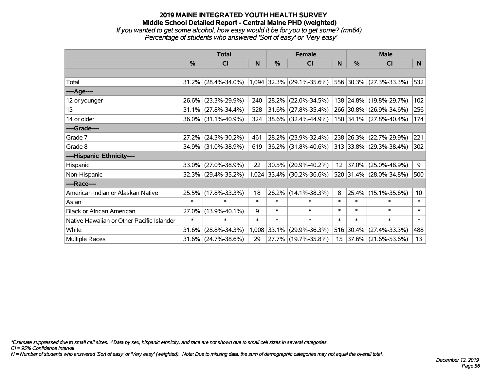#### **2019 MAINE INTEGRATED YOUTH HEALTH SURVEY Middle School Detailed Report - Central Maine PHD (weighted)** *If you wanted to get some alcohol, how easy would it be for you to get some? (mn64) Percentage of students who answered 'Sort of easy' or 'Very easy'*

|                                           |               | <b>Total</b>        |        | <b>Female</b> |                             | <b>Male</b>     |        |                              |        |
|-------------------------------------------|---------------|---------------------|--------|---------------|-----------------------------|-----------------|--------|------------------------------|--------|
|                                           | $\frac{0}{0}$ | CI                  | N      | $\%$          | <b>CI</b>                   | N               | $\%$   | <b>CI</b>                    | N      |
|                                           |               |                     |        |               |                             |                 |        |                              |        |
| Total                                     |               | 31.2% (28.4%-34.0%) |        |               | $1,094$ 32.3% (29.1%-35.6%) |                 |        | $ 556 30.3\% $ (27.3%-33.3%) | 532    |
| ----Age----                               |               |                     |        |               |                             |                 |        |                              |        |
| 12 or younger                             | 26.6%         | $(23.3\% - 29.9\%)$ | 240    | 28.2%         | $(22.0\% - 34.5\%)$         |                 |        | 138 24.8% (19.8%-29.7%)      | 102    |
| 13                                        |               | 31.1% (27.8%-34.4%) | 528    | 31.6%         | $(27.8\% - 35.4\%)$         |                 |        | 266 30.8% (26.9%-34.6%)      | 256    |
| 14 or older                               |               | 36.0% (31.1%-40.9%) | 324    |               | $ 38.6\% $ (32.4%-44.9%)    |                 |        | 150 34.1% (27.8%-40.4%)      | 174    |
| ----Grade----                             |               |                     |        |               |                             |                 |        |                              |        |
| Grade 7                                   | 27.2%         | $(24.3\% - 30.2\%)$ | 461    | 28.2%         | $(23.9\% - 32.4\%)$         |                 |        | 238 26.3% (22.7%-29.9%)      | 221    |
| Grade 8                                   |               | 34.9% (31.0%-38.9%) | 619    |               | $ 36.2\% $ (31.8%-40.6%)    |                 |        | 313 33.8% (29.3%-38.4%)      | 302    |
| ----Hispanic Ethnicity----                |               |                     |        |               |                             |                 |        |                              |        |
| Hispanic                                  | 33.0%         | $(27.0\% - 38.9\%)$ | 22     | 30.5%         | $(20.9\% - 40.2\%)$         | 12 <sup>2</sup> |        | $ 37.0\% $ (25.0%-48.9%)     | 9      |
| Non-Hispanic                              |               | 32.3% (29.4%-35.2%) |        |               | 1,024 33.4% (30.2%-36.6%)   |                 |        | 520 31.4% (28.0%-34.8%)      | 500    |
| ----Race----                              |               |                     |        |               |                             |                 |        |                              |        |
| American Indian or Alaskan Native         |               | 25.5% (17.8%-33.3%) | 18     | 26.2%         | $(14.1\% - 38.3\%)$         | 8               |        | 25.4% (15.1%-35.6%)          | 10     |
| Asian                                     | $\ast$        | $\ast$              | $\ast$ | $\ast$        | $\ast$                      | $\ast$          | $\ast$ | $\ast$                       | $\ast$ |
| <b>Black or African American</b>          | 27.0%         | $(13.9\% - 40.1\%)$ | 9      | $\ast$        | $\ast$                      | $\ast$          | $\ast$ | $\ast$                       | $\ast$ |
| Native Hawaiian or Other Pacific Islander | $\ast$        | $\ast$              | $\ast$ | $\ast$        | $\ast$                      | $\ast$          | $\ast$ | $\ast$                       | $\ast$ |
| White                                     | 31.6%         | $(28.8\% - 34.3\%)$ | 1,008  | 33.1%         | $(29.9\% - 36.3\%)$         |                 |        | 516 30.4% (27.4%-33.3%)      | 488    |
| Multiple Races                            |               | 31.6% (24.7%-38.6%) | 29     |               | 27.7% (19.7%-35.8%)         | 15              |        | $ 37.6\% $ (21.6%-53.6%)     | 13     |

*\*Estimate suppressed due to small cell sizes. ^Data by sex, hispanic ethnicity, and race are not shown due to small cell sizes in several categories.*

*CI = 95% Confidence Interval*

*N = Number of students who answered 'Sort of easy' or 'Very easy' (weighted). Note: Due to missing data, the sum of demographic categories may not equal the overall total.*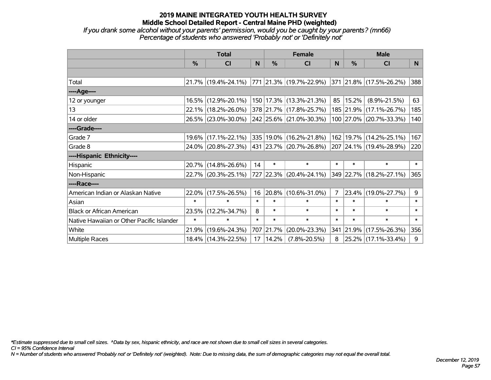*If you drank some alcohol without your parents' permission, would you be caught by your parents? (mn66) Percentage of students who answered 'Probably not' or 'Definitely not'*

|                                           | <b>Total</b>  |                                                |        |           | <b>Female</b>                    |                | <b>Male</b> |                                 |          |  |
|-------------------------------------------|---------------|------------------------------------------------|--------|-----------|----------------------------------|----------------|-------------|---------------------------------|----------|--|
|                                           | $\frac{0}{0}$ | <b>CI</b>                                      | N      | $\%$      | <b>CI</b>                        | N              | $\%$        | <b>CI</b>                       | <b>N</b> |  |
|                                           |               |                                                |        |           |                                  |                |             |                                 |          |  |
| Total                                     |               | $21.7\%$ (19.4%-24.1%) 771 21.3% (19.7%-22.9%) |        |           |                                  |                |             | $ 371 21.8\% (17.5\% - 26.2\%)$ | 388      |  |
| ----Age----                               |               |                                                |        |           |                                  |                |             |                                 |          |  |
| 12 or younger                             |               | 16.5% (12.9%-20.1%)                            |        |           | 150 17.3% (13.3%-21.3%)          | 85             | 15.2%       | $(8.9\% - 21.5\%)$              | 63       |  |
| 13                                        |               | 22.1% (18.2%-26.0%)                            |        |           | 378 21.7% (17.8%-25.7%)          |                |             | 185 21.9% (17.1%-26.7%)         | 185      |  |
| 14 or older                               |               | 26.5% (23.0%-30.0%)                            |        |           | 242 25.6% (21.0%-30.3%)          |                |             | 100 27.0% (20.7%-33.3%)         | 140      |  |
| ----Grade----                             |               |                                                |        |           |                                  |                |             |                                 |          |  |
| Grade 7                                   |               | 19.6% (17.1%-22.1%)                            |        |           | 335 19.0% (16.2%-21.8%)          | 162            |             | 19.7% (14.2%-25.1%)             | 167      |  |
| Grade 8                                   |               | 24.0% (20.8%-27.3%)                            |        |           | $ 431 23.7\%  (20.7\% - 26.8\%)$ |                |             | 207 24.1% (19.4%-28.9%)         | 220      |  |
| ----Hispanic Ethnicity----                |               |                                                |        |           |                                  |                |             |                                 |          |  |
| Hispanic                                  |               | 20.7% (14.8%-26.6%)                            | 14     | $\ast$    | $\ast$                           | $\ast$         | $\ast$      | $\ast$                          | $\ast$   |  |
| Non-Hispanic                              |               | 22.7% (20.3%-25.1%)                            |        |           | 727 22.3% (20.4%-24.1%)          |                |             | 349 22.7% (18.2%-27.1%)         | 365      |  |
| ----Race----                              |               |                                                |        |           |                                  |                |             |                                 |          |  |
| American Indian or Alaskan Native         | $22.0\%$      | $(17.5\% - 26.5\%)$                            | 16     |           | 20.8% (10.6%-31.0%)              | $\overline{7}$ | 23.4%       | $(19.0\% - 27.7\%)$             | 9        |  |
| Asian                                     | $\ast$        | $\ast$                                         | $\ast$ | $\ast$    | $\ast$                           | $\ast$         | $\ast$      | $\ast$                          | $\ast$   |  |
| <b>Black or African American</b>          | 23.5%         | $(12.2\% - 34.7\%)$                            | 8      | $\ast$    | $\ast$                           | $\ast$         | $\ast$      | $\ast$                          | $\ast$   |  |
| Native Hawaiian or Other Pacific Islander | $\ast$        | $\ast$                                         | $\ast$ | $\ast$    | $\ast$                           | $\ast$         | $\ast$      | $\ast$                          | $\ast$   |  |
| White                                     | 21.9%         | $(19.6\% - 24.3\%)$                            |        | 707 21.7% | $(20.0\% - 23.3\%)$              |                | 341 21.9%   | $(17.5\% - 26.3\%)$             | 356      |  |
| Multiple Races                            |               | 18.4% (14.3%-22.5%)                            | 17     | 14.2%     | $(7.8\% - 20.5\%)$               | 8              |             | 25.2% (17.1%-33.4%)             | 9        |  |

*\*Estimate suppressed due to small cell sizes. ^Data by sex, hispanic ethnicity, and race are not shown due to small cell sizes in several categories.*

*CI = 95% Confidence Interval*

*N = Number of students who answered 'Probably not' or 'Definitely not' (weighted). Note: Due to missing data, the sum of demographic categories may not equal the overall total.*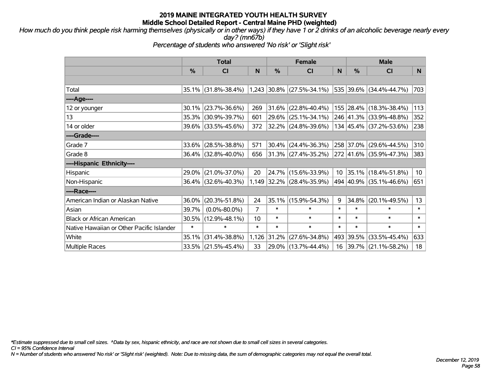*How much do you think people risk harming themselves (physically or in other ways) if they have 1 or 2 drinks of an alcoholic beverage nearly every day? (mn67b)*

*Percentage of students who answered 'No risk' or 'Slight risk'*

|                                           |        | <b>Total</b>        |        | <b>Female</b> |                             | <b>Male</b> |               |                          |                 |
|-------------------------------------------|--------|---------------------|--------|---------------|-----------------------------|-------------|---------------|--------------------------|-----------------|
|                                           | %      | CI                  | N      | %             | <b>CI</b>                   | N           | $\frac{0}{0}$ | <b>CI</b>                | N               |
|                                           |        |                     |        |               |                             |             |               |                          |                 |
| Total                                     |        | 35.1% (31.8%-38.4%) |        |               | $1,243$ 30.8% (27.5%-34.1%) |             |               | 535 39.6% (34.4%-44.7%)  | 703             |
| ----Age----                               |        |                     |        |               |                             |             |               |                          |                 |
| 12 or younger                             | 30.1%  | $(23.7\% - 36.6\%)$ | 269    | 31.6%         | $(22.8\% - 40.4\%)$         |             |               | 155 28.4% (18.3%-38.4%)  | 113             |
| 13                                        | 35.3%  | $(30.9\% - 39.7\%)$ | 601    | 29.6%         | $(25.1\% - 34.1\%)$         |             |               | 246 41.3% (33.9%-48.8%)  | 352             |
| 14 or older                               |        | 39.6% (33.5%-45.6%) | 372    |               | 32.2% (24.8%-39.6%)         |             |               | 134 45.4% (37.2%-53.6%)  | 238             |
| ----Grade----                             |        |                     |        |               |                             |             |               |                          |                 |
| Grade 7                                   | 33.6%  | $(28.5\% - 38.8\%)$ | 571    | 30.4%         | $(24.4\% - 36.3\%)$         |             |               | 258 37.0% (29.6%-44.5%)  | 310             |
| Grade 8                                   |        | 36.4% (32.8%-40.0%) | 656    |               | $31.3\%$ (27.4%-35.2%)      |             |               | 272 41.6% (35.9%-47.3%)  | 383             |
| ----Hispanic Ethnicity----                |        |                     |        |               |                             |             |               |                          |                 |
| Hispanic                                  | 29.0%  | $(21.0\% - 37.0\%)$ | 20     | 24.7%         | $(15.6\% - 33.9\%)$         | 10          |               | 35.1% (18.4%-51.8%)      | 10 <sup>°</sup> |
| Non-Hispanic                              |        | 36.4% (32.6%-40.3%) |        |               | 1,149 32.2% (28.4%-35.9%)   |             |               | 494 40.9% (35.1%-46.6%)  | 651             |
| ----Race----                              |        |                     |        |               |                             |             |               |                          |                 |
| American Indian or Alaskan Native         | 36.0%  | $(20.3\% - 51.8\%)$ | 24     | 35.1%         | $(15.9\% - 54.3\%)$         | 9           | 34.8%         | $(20.1\% - 49.5\%)$      | 13              |
| Asian                                     | 39.7%  | $(0.0\% - 80.0\%)$  | 7      | $\ast$        | $\ast$                      | $\ast$      | $\ast$        | $\ast$                   | $\ast$          |
| <b>Black or African American</b>          | 30.5%  | $(12.9\% - 48.1\%)$ | 10     | $\ast$        | $\ast$                      | $\ast$      | $\ast$        | $\ast$                   | $\ast$          |
| Native Hawaiian or Other Pacific Islander | $\ast$ | $\ast$              | $\ast$ | $\ast$        | $\ast$                      | $\ast$      | $\ast$        | $\ast$                   | $\ast$          |
| White                                     | 35.1%  | $(31.4\% - 38.8\%)$ | 1,126  | 31.2%         | $(27.6\% - 34.8\%)$         | 493         | 39.5%         | $(33.5\% - 45.4\%)$      | 633             |
| <b>Multiple Races</b>                     |        | 33.5% (21.5%-45.4%) | 33     | 29.0%         | $(13.7\% - 44.4\%)$         | 16          |               | $ 39.7\% $ (21.1%-58.2%) | 18              |

*\*Estimate suppressed due to small cell sizes. ^Data by sex, hispanic ethnicity, and race are not shown due to small cell sizes in several categories.*

*CI = 95% Confidence Interval*

*N = Number of students who answered 'No risk' or 'Slight risk' (weighted). Note: Due to missing data, the sum of demographic categories may not equal the overall total.*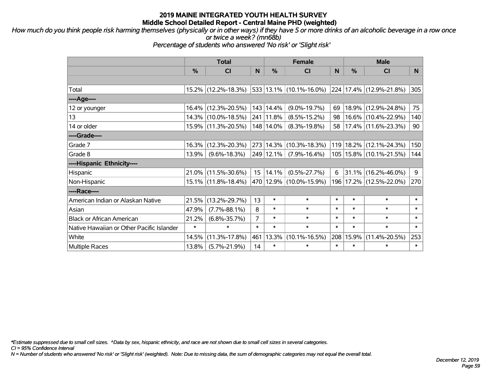*How much do you think people risk harming themselves (physically or in other ways) if they have 5 or more drinks of an alcoholic beverage in a row once or twice a week? (mn68b)*

*Percentage of students who answered 'No risk' or 'Slight risk'*

|                                           | <b>Total</b>  |                        |        |               | <b>Female</b>                      |        | <b>Male</b>   |                              |        |  |
|-------------------------------------------|---------------|------------------------|--------|---------------|------------------------------------|--------|---------------|------------------------------|--------|--|
|                                           | $\frac{0}{0}$ | C <sub>l</sub>         | N      | $\frac{0}{0}$ | <b>CI</b>                          | N      | $\frac{0}{0}$ | <b>CI</b>                    | N      |  |
|                                           |               |                        |        |               |                                    |        |               |                              |        |  |
| Total                                     |               | 15.2% (12.2%-18.3%)    |        |               | $533   13.1\%   (10.1\% - 16.0\%)$ |        |               | $ 224 17.4\% $ (12.9%-21.8%) | 305    |  |
| ----Age----                               |               |                        |        |               |                                    |        |               |                              |        |  |
| 12 or younger                             |               | 16.4% (12.3%-20.5%)    |        | 143 14.4%     | $(9.0\% - 19.7\%)$                 | 69     |               | 18.9% (12.9%-24.8%)          | 75     |  |
| 13                                        |               | 14.3% (10.0%-18.5%)    |        | 241 11.8%     | $(8.5\% - 15.2\%)$                 | 98     |               | 16.6% (10.4%-22.9%)          | 140    |  |
| 14 or older                               |               | 15.9% (11.3%-20.5%)    |        | 148   14.0%   | $(8.3\% - 19.8\%)$                 | 58     |               | $ 17.4\% $ (11.6%-23.3%)     | 90     |  |
| ----Grade----                             |               |                        |        |               |                                    |        |               |                              |        |  |
| Grade 7                                   | 16.3%         | $(12.3\% - 20.3\%)$    |        | 273 14.3%     | $(10.3\% - 18.3\%)$                |        |               | 119 18.2% (12.1%-24.3%)      | 150    |  |
| Grade 8                                   | 13.9%         | $(9.6\% - 18.3\%)$     |        | 249 12.1%     | $(7.9\% - 16.4\%)$                 |        |               | 105   15.8%   (10.1%-21.5%)  | 144    |  |
| ----Hispanic Ethnicity----                |               |                        |        |               |                                    |        |               |                              |        |  |
| Hispanic                                  |               | $21.0\%$ (11.5%-30.6%) | 15     | 14.1%         | $(0.5\% - 27.7\%)$                 | 6      |               | 31.1% (16.2%-46.0%)          | 9      |  |
| Non-Hispanic                              |               | 15.1% (11.8%-18.4%)    |        |               | 470   12.9%   (10.0%-15.9%)        |        |               | 196   17.2%   (12.5%-22.0%)  | 270    |  |
| ----Race----                              |               |                        |        |               |                                    |        |               |                              |        |  |
| American Indian or Alaskan Native         | 21.5%         | $(13.2\% - 29.7\%)$    | 13     | $\ast$        | $\ast$                             | $\ast$ | $\ast$        | $\ast$                       | $\ast$ |  |
| Asian                                     | 47.9%         | $(7.7\% - 88.1\%)$     | 8      | $\ast$        | $\ast$                             | $\ast$ | $\ast$        | $\ast$                       | $\ast$ |  |
| <b>Black or African American</b>          | 21.2%         | $(6.8\% - 35.7\%)$     | 7      | $\ast$        | $\ast$                             | $\ast$ | $\ast$        | $\ast$                       | $\ast$ |  |
| Native Hawaiian or Other Pacific Islander | $\ast$        | $\ast$                 | $\ast$ | $\ast$        | $\ast$                             | $\ast$ | $\ast$        | $\ast$                       | $\ast$ |  |
| White                                     | 14.5%         | $(11.3\% - 17.8\%)$    | 461    | 13.3%         | $(10.1\% - 16.5\%)$                | 208    | 15.9%         | $(11.4\% - 20.5\%)$          | 253    |  |
| <b>Multiple Races</b>                     | 13.8%         | $(5.7\% - 21.9\%)$     | 14     | $\ast$        | $\ast$                             | $\ast$ | $\ast$        | $\ast$                       | $\ast$ |  |

*\*Estimate suppressed due to small cell sizes. ^Data by sex, hispanic ethnicity, and race are not shown due to small cell sizes in several categories.*

*CI = 95% Confidence Interval*

*N = Number of students who answered 'No risk' or 'Slight risk' (weighted). Note: Due to missing data, the sum of demographic categories may not equal the overall total.*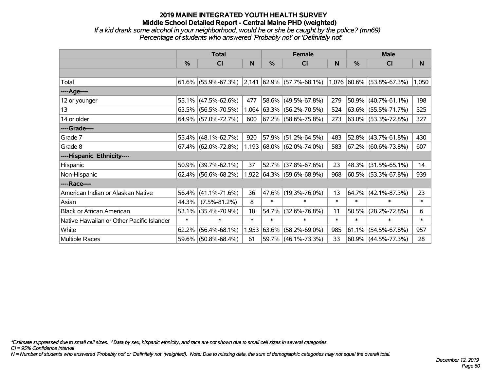*If a kid drank some alcohol in your neighborhood, would he or she be caught by the police? (mn69) Percentage of students who answered 'Probably not' or 'Definitely not'*

|                                           | <b>Total</b> |                        |        |        | <b>Female</b>                                      |        | <b>Male</b> |                     |        |  |
|-------------------------------------------|--------------|------------------------|--------|--------|----------------------------------------------------|--------|-------------|---------------------|--------|--|
|                                           | $\%$         | CI                     | N      | %      | <b>CI</b>                                          | N      | %           | <b>CI</b>           | N.     |  |
|                                           |              |                        |        |        |                                                    |        |             |                     |        |  |
| Total                                     |              | $61.6\%$ (55.9%-67.3%) | 2,141  |        | $ 62.9\% $ (57.7%-68.1%) 1,076 60.6% (53.8%-67.3%) |        |             |                     | 1,050  |  |
| ----Age----                               |              |                        |        |        |                                                    |        |             |                     |        |  |
| 12 or younger                             | 55.1%        | $(47.5\% - 62.6\%)$    | 477    | 58.6%  | $(49.5\% - 67.8\%)$                                | 279    | 50.9%       | $(40.7\% - 61.1\%)$ | 198    |  |
| 13                                        | 63.5%        | $(56.5\% - 70.5\%)$    | 1,064  |        | $ 63.3\%  (56.2\% - 70.5\%)$                       | 524    |             | 63.6% (55.5%-71.7%) | 525    |  |
| 14 or older                               |              | 64.9% (57.0%-72.7%)    | 600    |        | $ 67.2\% $ (58.6%-75.8%)                           | 273    |             | 63.0% (53.3%-72.8%) | 327    |  |
| ----Grade----                             |              |                        |        |        |                                                    |        |             |                     |        |  |
| Grade 7                                   | 55.4%        | $(48.1\% - 62.7\%)$    | 920    | 57.9%  | $(51.2\% - 64.5\%)$                                | 483    | $52.8\%$    | $(43.7\% - 61.8\%)$ | 430    |  |
| Grade 8                                   |              | $67.4\%$ (62.0%-72.8%) |        |        | $1,193$ 68.0% (62.0%-74.0%)                        | 583    |             | 67.2% (60.6%-73.8%) | 607    |  |
| ----Hispanic Ethnicity----                |              |                        |        |        |                                                    |        |             |                     |        |  |
| Hispanic                                  | 50.9%        | $(39.7\% - 62.1\%)$    | 37     | 52.7%  | $(37.8\% - 67.6\%)$                                | 23     | 48.3%       | $(31.5\% - 65.1\%)$ | 14     |  |
| Non-Hispanic                              |              | 62.4% (56.6%-68.2%)    |        |        | 1,922 64.3% (59.6%-68.9%)                          | 968    |             | 60.5% (53.3%-67.8%) | 939    |  |
| ----Race----                              |              |                        |        |        |                                                    |        |             |                     |        |  |
| American Indian or Alaskan Native         | 56.4%        | $(41.1\% - 71.6\%)$    | 36     |        | 47.6% (19.3%-76.0%)                                | 13     | 64.7%       | $(42.1\% - 87.3\%)$ | 23     |  |
| Asian                                     | 44.3%        | $(7.5\% - 81.2\%)$     | 8      | $\ast$ | $\ast$                                             | $\ast$ | $\ast$      | $\ast$              | $\ast$ |  |
| <b>Black or African American</b>          | 53.1%        | $(35.4\% - 70.9\%)$    | 18     | 54.7%  | $(32.6\% - 76.8\%)$                                | 11     | 50.5%       | $(28.2\% - 72.8\%)$ | 6      |  |
| Native Hawaiian or Other Pacific Islander | $\ast$       | $\ast$                 | $\ast$ | $\ast$ | $\ast$                                             | $\ast$ | $\ast$      | $\ast$              | $\ast$ |  |
| White                                     | 62.2%        | $(56.4\% - 68.1\%)$    | 1,953  | 63.6%  | $(58.2\% - 69.0\%)$                                | 985    | 61.1%       | $(54.5\% - 67.8\%)$ | 957    |  |
| Multiple Races                            | 59.6%        | $(50.8\% - 68.4\%)$    | 61     |        | $59.7\%$ (46.1%-73.3%)                             | 33     | $ 60.9\% $  | $(44.5\% - 77.3\%)$ | 28     |  |

*\*Estimate suppressed due to small cell sizes. ^Data by sex, hispanic ethnicity, and race are not shown due to small cell sizes in several categories.*

*CI = 95% Confidence Interval*

*N = Number of students who answered 'Probably not' or 'Definitely not' (weighted). Note: Due to missing data, the sum of demographic categories may not equal the overall total.*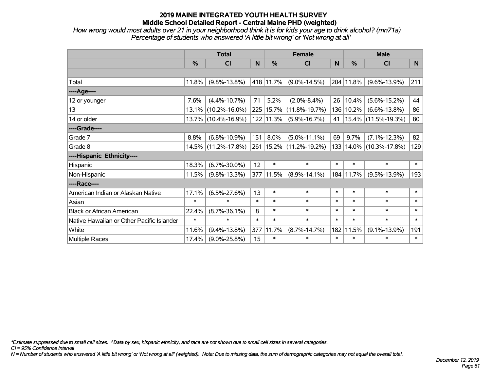*How wrong would most adults over 21 in your neighborhood think it is for kids your age to drink alcohol? (mn71a) Percentage of students who answered 'A little bit wrong' or 'Not wrong at all'*

|                                           | <b>Total</b>  |                     |        |               | <b>Female</b>               | <b>Male</b> |           |                     |        |
|-------------------------------------------|---------------|---------------------|--------|---------------|-----------------------------|-------------|-----------|---------------------|--------|
|                                           | $\frac{0}{0}$ | CI                  | N      | $\frac{9}{6}$ | C <sub>l</sub>              | N           | %         | <b>CI</b>           | N      |
|                                           |               |                     |        |               |                             |             |           |                     |        |
| Total                                     | 11.8%         | $(9.8\% - 13.8\%)$  |        | 418 11.7%     | $(9.0\% - 14.5\%)$          |             | 204 11.8% | $(9.6\% - 13.9\%)$  | 211    |
| ----Age----                               |               |                     |        |               |                             |             |           |                     |        |
| 12 or younger                             | 7.6%          | $(4.4\% - 10.7\%)$  | 71     | 5.2%          | $(2.0\% - 8.4\%)$           | 26          | 10.4%     | $(5.6\% - 15.2\%)$  | 44     |
| 13                                        | 13.1%         | $(10.2\% - 16.0\%)$ |        | 225 15.7%     | $(11.8\% - 19.7\%)$         | 136         | 10.2%     | $(6.6\% - 13.8\%)$  | 86     |
| 14 or older                               |               | 13.7% (10.4%-16.9%) |        | 122 11.3%     | $(5.9\% - 16.7\%)$          | 41          |           | 15.4% (11.5%-19.3%) | 80     |
| ----Grade----                             |               |                     |        |               |                             |             |           |                     |        |
| Grade 7                                   | 8.8%          | $(6.8\% - 10.9\%)$  | 151    | 8.0%          | $(5.0\% - 11.1\%)$          | 69          | 9.7%      | $(7.1\% - 12.3\%)$  | 82     |
| Grade 8                                   | 14.5%         | $(11.2\% - 17.8\%)$ |        |               | 261   15.2%   (11.2%-19.2%) | 133         |           | 14.0% (10.3%-17.8%) | 129    |
| ----Hispanic Ethnicity----                |               |                     |        |               |                             |             |           |                     |        |
| Hispanic                                  | 18.3%         | $(6.7\% - 30.0\%)$  | 12     | $\ast$        | $\ast$                      | $\ast$      | $\ast$    | $\ast$              | $\ast$ |
| Non-Hispanic                              | 11.5%         | $(9.8\% - 13.3\%)$  |        | 377 11.5%     | $(8.9\% - 14.1\%)$          | 184         | 11.7%     | $(9.5\% - 13.9\%)$  | 193    |
| ----Race----                              |               |                     |        |               |                             |             |           |                     |        |
| American Indian or Alaskan Native         | 17.1%         | $(6.5\% - 27.6\%)$  | 13     | $\ast$        | $\ast$                      | $\ast$      | $\ast$    | $\ast$              | $\ast$ |
| Asian                                     | $\ast$        | $\ast$              | $\ast$ | $\ast$        | $\ast$                      | $\ast$      | $\ast$    | $\ast$              | $\ast$ |
| <b>Black or African American</b>          | 22.4%         | $(8.7\% - 36.1\%)$  | 8      | $\ast$        | $\ast$                      | $\ast$      | $\ast$    | $\ast$              | $\ast$ |
| Native Hawaiian or Other Pacific Islander | $\ast$        | $\ast$              | $\ast$ | $\ast$        | $\ast$                      | $\ast$      | $\ast$    | $\ast$              | $\ast$ |
| White                                     | 11.6%         | $(9.4\% - 13.8\%)$  | 377    | 11.7%         | $(8.7\% - 14.7\%)$          | 182         | 11.5%     | $(9.1\% - 13.9\%)$  | 191    |
| <b>Multiple Races</b>                     | 17.4%         | $(9.0\% - 25.8\%)$  | 15     | $\ast$        | $\ast$                      | $\ast$      | $\ast$    | $\ast$              | $\ast$ |

*\*Estimate suppressed due to small cell sizes. ^Data by sex, hispanic ethnicity, and race are not shown due to small cell sizes in several categories.*

*CI = 95% Confidence Interval*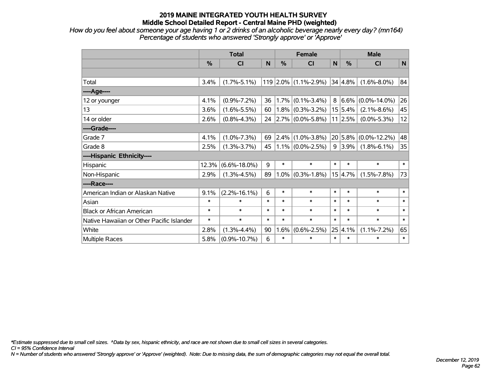*How do you feel about someone your age having 1 or 2 drinks of an alcoholic beverage nearly every day? (mn164) Percentage of students who answered 'Strongly approve' or 'Approve'*

|                                           | <b>Total</b> |                    |        |         | <b>Female</b>        |              | <b>Male</b> |                          |              |  |
|-------------------------------------------|--------------|--------------------|--------|---------|----------------------|--------------|-------------|--------------------------|--------------|--|
|                                           | %            | <b>CI</b>          | N      | %       | <b>CI</b>            | $\mathsf{N}$ | %           | <b>CI</b>                | $\mathsf{N}$ |  |
|                                           |              |                    |        |         |                      |              |             |                          |              |  |
| Total                                     | 3.4%         | $(1.7\% - 5.1\%)$  |        |         | 119 2.0% (1.1%-2.9%) |              | 34 4.8%     | $(1.6\% - 8.0\%)$        | 84           |  |
| ---- Age----                              |              |                    |        |         |                      |              |             |                          |              |  |
| 12 or younger                             | 4.1%         | $(0.9\% - 7.2\%)$  | 36     | 1.7%    | $(0.1\% - 3.4\%)$    |              | $8 6.6\% $  | $(0.0\% - 14.0\%)$       | 26           |  |
| 13                                        | 3.6%         | $(1.6\% - 5.5\%)$  | 60     |         | $1.8\%$ (0.3%-3.2%)  |              | 15 5.4%     | $(2.1\% - 8.6\%)$        | 45           |  |
| 14 or older                               | 2.6%         | $(0.8\% - 4.3\%)$  | 24     |         | $2.7\%$ (0.0%-5.8%)  |              | 11 2.5%     | $(0.0\% - 5.3\%)$        | 12           |  |
| ----Grade----                             |              |                    |        |         |                      |              |             |                          |              |  |
| Grade 7                                   | 4.1%         | $(1.0\% - 7.3\%)$  | 69     |         | $2.4\%$ (1.0%-3.8%)  |              |             | $20 5.8\% $ (0.0%-12.2%) | 48           |  |
| Grade 8                                   | 2.5%         | $(1.3\% - 3.7\%)$  | 45     |         | $1.1\%$ (0.0%-2.5%)  |              | $9 3.9\% $  | $(1.8\% - 6.1\%)$        | 35           |  |
| ----Hispanic Ethnicity----                |              |                    |        |         |                      |              |             |                          |              |  |
| Hispanic                                  | 12.3%        | $(6.6\% - 18.0\%)$ | 9      | $\ast$  | $\ast$               | $\ast$       | $\ast$      | $\ast$                   | $\ast$       |  |
| Non-Hispanic                              | 2.9%         | $(1.3\% - 4.5\%)$  | 89     | $1.0\%$ | $(0.3\% - 1.8\%)$    |              | 15 4.7%     | $(1.5\% - 7.8\%)$        | 73           |  |
| ----Race----                              |              |                    |        |         |                      |              |             |                          |              |  |
| American Indian or Alaskan Native         | 9.1%         | $(2.2\% - 16.1\%)$ | 6      | $\ast$  | $\ast$               | $\ast$       | $\ast$      | $\ast$                   | $\ast$       |  |
| Asian                                     | $\ast$       | $\ast$             | $\ast$ | $\ast$  | $\ast$               | $\ast$       | $\ast$      | $\ast$                   | $\ast$       |  |
| <b>Black or African American</b>          | $\ast$       | $\ast$             | $\ast$ | $\ast$  | $\ast$               | $\ast$       | $\ast$      | $\ast$                   | $\ast$       |  |
| Native Hawaiian or Other Pacific Islander | $\ast$       | $\ast$             | $\ast$ | $\ast$  | $\ast$               | $\ast$       | $\ast$      | $\ast$                   | $\ast$       |  |
| White                                     | 2.8%         | $(1.3\% - 4.4\%)$  | 90     | 1.6%    | $(0.6\% - 2.5\%)$    |              | 25 4.1%     | $(1.1\% - 7.2\%)$        | 65           |  |
| Multiple Races                            | 5.8%         | $(0.9\% - 10.7\%)$ | 6      | $\ast$  | $\ast$               | $\ast$       | $\ast$      | $\ast$                   | $\ast$       |  |

*\*Estimate suppressed due to small cell sizes. ^Data by sex, hispanic ethnicity, and race are not shown due to small cell sizes in several categories.*

*CI = 95% Confidence Interval*

*N = Number of students who answered 'Strongly approve' or 'Approve' (weighted). Note: Due to missing data, the sum of demographic categories may not equal the overall total.*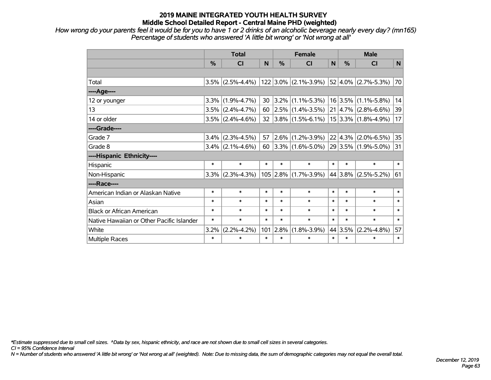*How wrong do your parents feel it would be for you to have 1 or 2 drinks of an alcoholic beverage nearly every day? (mn165) Percentage of students who answered 'A little bit wrong' or 'Not wrong at all'*

|                                           | <b>Total</b>  |                     |              | <b>Female</b> |                                          |        | <b>Male</b>     |                         |        |  |
|-------------------------------------------|---------------|---------------------|--------------|---------------|------------------------------------------|--------|-----------------|-------------------------|--------|--|
|                                           | $\frac{9}{6}$ | <b>CI</b>           | $\mathsf{N}$ | %             | <b>CI</b>                                | N      | $\frac{0}{2}$   | <b>CI</b>               | N      |  |
|                                           |               |                     |              |               |                                          |        |                 |                         |        |  |
| Total                                     |               |                     |              |               | $3.5\%$ (2.5%-4.4%) 122 3.0% (2.1%-3.9%) |        |                 | $52 4.0\% $ (2.7%-5.3%) | 70     |  |
| ----Age----                               |               |                     |              |               |                                          |        |                 |                         |        |  |
| 12 or younger                             | 3.3%          | $(1.9\% - 4.7\%)$   | 30           |               | $ 3.2\% $ (1.1%-5.3%)                    |        | 16 3.5%         | $(1.1\% - 5.8\%)$       | 14     |  |
| 13                                        |               | $3.5\%$ (2.4%-4.7%) | 60           |               | $ 2.5\% $ (1.4%-3.5%)                    |        | $21   4.7\%  $  | $(2.8\% - 6.6\%)$       | 39     |  |
| 14 or older                               |               | $3.5\%$ (2.4%-4.6%) | 32           |               | $ 3.8\% $ (1.5%-6.1%)                    |        |                 | $15 3.3\% $ (1.8%-4.9%) | 17     |  |
| ----Grade----                             |               |                     |              |               |                                          |        |                 |                         |        |  |
| Grade 7                                   | 3.4%          | $(2.3\% - 4.5\%)$   | 57           | $2.6\%$       | $(1.2\% - 3.9\%)$                        |        | $22 \mid 4.3\%$ | $(2.0\% - 6.5\%)$       | 35     |  |
| Grade 8                                   |               | $3.4\%$ (2.1%-4.6%) | 60           |               | $3.3\%$ (1.6%-5.0%)                      |        |                 | 29 3.5% (1.9%-5.0%)     | 31     |  |
| ----Hispanic Ethnicity----                |               |                     |              |               |                                          |        |                 |                         |        |  |
| Hispanic                                  | $\ast$        | $\ast$              | $\ast$       | $\ast$        | $\ast$                                   | $\ast$ | $\ast$          | $\ast$                  | $\ast$ |  |
| Non-Hispanic                              | 3.3%          | $(2.3\% - 4.3\%)$   |              | $105$ 2.8%    | $(1.7\% - 3.9\%)$                        |        | 44 3.8%         | $(2.5\% - 5.2\%)$       | 61     |  |
| ----Race----                              |               |                     |              |               |                                          |        |                 |                         |        |  |
| American Indian or Alaskan Native         | $\ast$        | $\ast$              | $\ast$       | $\ast$        | $\ast$                                   | $\ast$ | $\ast$          | $\ast$                  | $\ast$ |  |
| Asian                                     | $\ast$        | $\ast$              | $\ast$       | $\ast$        | $\ast$                                   | $\ast$ | $\ast$          | $\ast$                  | $\ast$ |  |
| <b>Black or African American</b>          | *             | $\ast$              | $\ast$       | $\ast$        | $\ast$                                   | $\ast$ | $\ast$          | $\ast$                  | $\ast$ |  |
| Native Hawaiian or Other Pacific Islander | $\ast$        | $\ast$              | $\ast$       | $\ast$        | $\ast$                                   | $\ast$ | $\ast$          | $\ast$                  | $\ast$ |  |
| White                                     | 3.2%          | $(2.2\% - 4.2\%)$   | 101          | 2.8%          | $(1.8\% - 3.9\%)$                        |        | 44 3.5%         | $(2.2\% - 4.8\%)$       | 57     |  |
| Multiple Races                            | $\ast$        | $\ast$              | $\ast$       | $\ast$        | $\ast$                                   | $\ast$ | $\ast$          | $\ast$                  | $\ast$ |  |

*\*Estimate suppressed due to small cell sizes. ^Data by sex, hispanic ethnicity, and race are not shown due to small cell sizes in several categories.*

*CI = 95% Confidence Interval*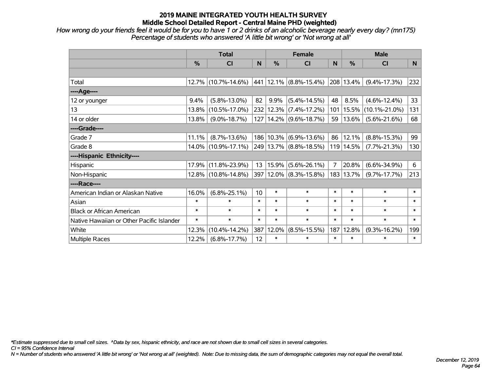*How wrong do your friends feel it would be for you to have 1 or 2 drinks of an alcoholic beverage nearly every day? (mn175) Percentage of students who answered 'A little bit wrong' or 'Not wrong at all'*

|                                           | <b>Total</b> |                     |        |           | <b>Female</b>              |        | <b>Male</b> |                     |        |  |
|-------------------------------------------|--------------|---------------------|--------|-----------|----------------------------|--------|-------------|---------------------|--------|--|
|                                           | %            | CI                  | N      | %         | <b>CI</b>                  | N      | %           | <b>CI</b>           | N      |  |
|                                           |              |                     |        |           |                            |        |             |                     |        |  |
| Total                                     |              | 12.7% (10.7%-14.6%) |        |           | 441 12.1% (8.8%-15.4%)     |        | 208 13.4%   | $(9.4\% - 17.3\%)$  | 232    |  |
| ----Age----                               |              |                     |        |           |                            |        |             |                     |        |  |
| 12 or younger                             | 9.4%         | $(5.8\% - 13.0\%)$  | 82     | 9.9%      | $(5.4\% - 14.5\%)$         | 48     | 8.5%        | $(4.6\% - 12.4\%)$  | 33     |  |
| 13                                        | 13.8%        | $(10.5\% - 17.0\%)$ |        |           | 232 12.3% (7.4%-17.2%)     | 101    | 15.5%       | $(10.1\% - 21.0\%)$ | 131    |  |
| 14 or older                               | 13.8%        | $(9.0\% - 18.7\%)$  |        |           | 127   14.2%   (9.6%-18.7%) | 59     | 13.6%       | $(5.6\% - 21.6\%)$  | 68     |  |
| ----Grade----                             |              |                     |        |           |                            |        |             |                     |        |  |
| Grade 7                                   | 11.1%        | $(8.7\% - 13.6\%)$  |        | 186 10.3% | $(6.9\% - 13.6\%)$         | 86     | 12.1%       | $(8.8\% - 15.3\%)$  | 99     |  |
| Grade 8                                   |              | 14.0% (10.9%-17.1%) |        |           | 249 13.7% (8.8%-18.5%)     |        | 119 14.5%   | $(7.7\% - 21.3\%)$  | 130    |  |
| ----Hispanic Ethnicity----                |              |                     |        |           |                            |        |             |                     |        |  |
| Hispanic                                  | 17.9%        | $(11.8\% - 23.9\%)$ | 13     | 15.9%     | $(5.6\% - 26.1\%)$         | 7      | 20.8%       | $(6.6\% - 34.9\%)$  | 6      |  |
| Non-Hispanic                              |              | 12.8% (10.8%-14.8%) |        |           | 397 12.0% (8.3%-15.8%)     |        | 183   13.7% | $(9.7\% - 17.7\%)$  | 213    |  |
| ----Race----                              |              |                     |        |           |                            |        |             |                     |        |  |
| American Indian or Alaskan Native         | 16.0%        | $(6.8\% - 25.1\%)$  | 10     | $\ast$    | $\ast$                     | $\ast$ | $\ast$      | $\ast$              | $\ast$ |  |
| Asian                                     | $\ast$       | $\ast$              | $\ast$ | $\ast$    | $\ast$                     | $\ast$ | $\ast$      | $\ast$              | $\ast$ |  |
| <b>Black or African American</b>          | $\ast$       | $\ast$              | $\ast$ | $\ast$    | $\ast$                     | $\ast$ | $\ast$      | $\ast$              | $\ast$ |  |
| Native Hawaiian or Other Pacific Islander | $\ast$       | $\ast$              | $\ast$ | $\ast$    | $\ast$                     | $\ast$ | $\ast$      | $\ast$              | $\ast$ |  |
| White                                     | 12.3%        | $(10.4\% - 14.2\%)$ | 387    | 12.0%     | $(8.5\% - 15.5\%)$         | 187    | 12.8%       | $(9.3\% - 16.2\%)$  | 199    |  |
| Multiple Races                            | 12.2%        | $(6.8\% - 17.7\%)$  | 12     | $\ast$    | $\ast$                     | $\ast$ | $\ast$      | $\ast$              | $\ast$ |  |

*\*Estimate suppressed due to small cell sizes. ^Data by sex, hispanic ethnicity, and race are not shown due to small cell sizes in several categories.*

*CI = 95% Confidence Interval*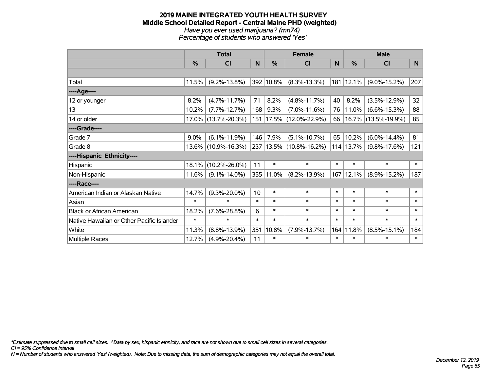#### **2019 MAINE INTEGRATED YOUTH HEALTH SURVEY Middle School Detailed Report - Central Maine PHD (weighted)** *Have you ever used marijuana? (mn74) Percentage of students who answered 'Yes'*

|                                           | <b>Total</b> |                        |                 |           | <b>Female</b>               |        | <b>Male</b> |                     |                 |  |
|-------------------------------------------|--------------|------------------------|-----------------|-----------|-----------------------------|--------|-------------|---------------------|-----------------|--|
|                                           | %            | CI                     | N               | %         | <b>CI</b>                   | N      | %           | <b>CI</b>           | N               |  |
|                                           |              |                        |                 |           |                             |        |             |                     |                 |  |
| Total                                     | 11.5%        | $(9.2\% - 13.8\%)$     |                 | 392 10.8% | $(8.3\% - 13.3\%)$          | 181    | 12.1%       | $(9.0\% - 15.2\%)$  | 207             |  |
| ----Age----                               |              |                        |                 |           |                             |        |             |                     |                 |  |
| 12 or younger                             | 8.2%         | $(4.7\% - 11.7\%)$     | 71              | 8.2%      | $(4.8\% - 11.7\%)$          | 40     | 8.2%        | $(3.5\% - 12.9\%)$  | 32 <sub>2</sub> |  |
| 13                                        | 10.2%        | $(7.7\% - 12.7\%)$     | 168             | 9.3%      | $(7.0\% - 11.6\%)$          | 76     | 11.0%       | $(6.6\% - 15.3\%)$  | 88              |  |
| 14 or older                               |              | 17.0% (13.7%-20.3%)    |                 |           | 151   17.5%   (12.0%-22.9%) | 66     |             | 16.7% (13.5%-19.9%) | 85              |  |
| ----Grade----                             |              |                        |                 |           |                             |        |             |                     |                 |  |
| Grade 7                                   | $9.0\%$      | $(6.1\% - 11.9\%)$     | 146             | 7.9%      | $(5.1\% - 10.7\%)$          | 65     | 10.2%       | $(6.0\% - 14.4\%)$  | 81              |  |
| Grade 8                                   |              | $13.6\%$ (10.9%-16.3%) |                 |           | 237 13.5% (10.8%-16.2%)     |        | 114 13.7%   | $(9.8\% - 17.6\%)$  | 121             |  |
| ----Hispanic Ethnicity----                |              |                        |                 |           |                             |        |             |                     |                 |  |
| Hispanic                                  | 18.1%        | $(10.2\% - 26.0\%)$    | 11              | $\ast$    | $\ast$                      | $\ast$ | $\ast$      | $\ast$              | $\ast$          |  |
| Non-Hispanic                              | 11.6%        | $(9.1\% - 14.0\%)$     |                 | 355 11.0% | $(8.2\% - 13.9\%)$          | 167    | 12.1%       | $(8.9\% - 15.2\%)$  | 187             |  |
| ----Race----                              |              |                        |                 |           |                             |        |             |                     |                 |  |
| American Indian or Alaskan Native         | 14.7%        | $(9.3\% - 20.0\%)$     | 10 <sup>1</sup> | $\ast$    | $\ast$                      | $\ast$ | $\ast$      | $\ast$              | $\ast$          |  |
| Asian                                     | $\ast$       | $\ast$                 | $\ast$          | $\ast$    | $\ast$                      | $\ast$ | $\ast$      | $\ast$              | $\ast$          |  |
| <b>Black or African American</b>          | 18.2%        | $(7.6\% - 28.8\%)$     | 6               | $\ast$    | $\ast$                      | $\ast$ | $\ast$      | $\ast$              | $\ast$          |  |
| Native Hawaiian or Other Pacific Islander | $\ast$       | $\ast$                 | $\ast$          | $\ast$    | $\ast$                      | $\ast$ | $\ast$      | $\ast$              | $\ast$          |  |
| White                                     | 11.3%        | $(8.8\% - 13.9\%)$     | 351             | 10.8%     | $(7.9\% - 13.7\%)$          | 164    | 11.8%       | $(8.5\% - 15.1\%)$  | 184             |  |
| Multiple Races                            | 12.7%        | $(4.9\% - 20.4\%)$     | 11              | $\ast$    | $\ast$                      | $\ast$ | $\ast$      | $\ast$              | $\ast$          |  |

*\*Estimate suppressed due to small cell sizes. ^Data by sex, hispanic ethnicity, and race are not shown due to small cell sizes in several categories.*

*CI = 95% Confidence Interval*

*N = Number of students who answered 'Yes' (weighted). Note: Due to missing data, the sum of demographic categories may not equal the overall total.*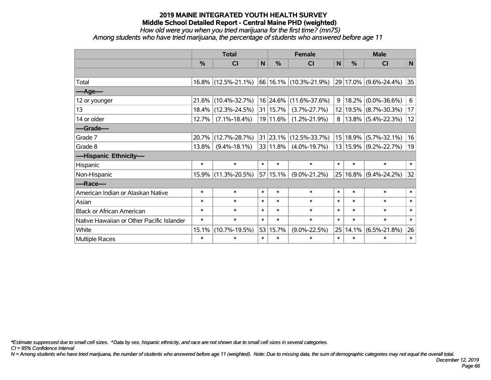*How old were you when you tried marijuana for the first time? (mn75)*

*Among students who have tried marijuana, the percentage of students who answered before age 11*

|                                           | <b>Total</b> |                        |              | <b>Female</b> |                            |        | <b>Male</b>   |                          |              |
|-------------------------------------------|--------------|------------------------|--------------|---------------|----------------------------|--------|---------------|--------------------------|--------------|
|                                           | %            | <b>CI</b>              | $\mathsf{N}$ | $\frac{0}{0}$ | <b>CI</b>                  | N      | $\frac{0}{0}$ | <b>CI</b>                | $\mathsf{N}$ |
|                                           |              |                        |              |               |                            |        |               |                          |              |
| Total                                     |              | $16.8\%$ (12.5%-21.1%) |              |               | 66   16.1%   (10.3%-21.9%) |        |               | 29 17.0% (9.6%-24.4%)    | 35           |
| ----Age----                               |              |                        |              |               |                            |        |               |                          |              |
| 12 or younger                             | 21.6%        | $(10.4\% - 32.7\%)$    |              | $16 24.6\% $  | $(11.6\% - 37.6\%)$        | 9      | $ 18.2\% $    | $(0.0\% - 36.6\%)$       | 6            |
| 13                                        | 18.4%        | $(12.3\% - 24.5\%)$    |              | 31   15.7%    | $(3.7\% - 27.7\%)$         |        | 12 19.5%      | $(8.7\% - 30.3\%)$       | 17           |
| 14 or older                               | 12.7%        | $(7.1\% - 18.4\%)$     |              | 19 11.6%      | $(1.2\% - 21.9\%)$         |        |               | $8 13.8\% $ (5.4%-22.3%) | 12           |
| ----Grade----                             |              |                        |              |               |                            |        |               |                          |              |
| Grade 7                                   | 20.7%        | $(12.7\% - 28.7\%)$    |              | 31 23.1%      | $(12.5\% - 33.7\%)$        |        | 15 18.9%      | $(5.7\% - 32.1\%)$       | 16           |
| Grade 8                                   | 13.8%        | $(9.4\% - 18.1\%)$     |              | $33 11.8\% $  | $(4.0\% - 19.7\%)$         |        | 13 15.9%      | $(9.2\% - 22.7\%)$       | 19           |
| ----Hispanic Ethnicity----                |              |                        |              |               |                            |        |               |                          |              |
| Hispanic                                  | $\ast$       | $\ast$                 | $\ast$       | $\ast$        | $\ast$                     | $\ast$ | $\ast$        | $\ast$                   | $\ast$       |
| Non-Hispanic                              | 15.9%        | $(11.3\% - 20.5\%)$    |              | 57 15.1%      | $(9.0\% - 21.2\%)$         |        | 25 16.8%      | $(9.4\% - 24.2\%)$       | 32           |
| ----Race----                              |              |                        |              |               |                            |        |               |                          |              |
| American Indian or Alaskan Native         | $\ast$       | $\ast$                 | $\ast$       | $\ast$        | $\ast$                     | $\ast$ | $\ast$        | $\ast$                   | $\ast$       |
| Asian                                     | $\ast$       | $\ast$                 | $\ast$       | $\ast$        | $\ast$                     | $\ast$ | $\ast$        | $\ast$                   | $\ast$       |
| <b>Black or African American</b>          | $\ast$       | $\ast$                 | $\ast$       | $\ast$        | $\ast$                     | $\ast$ | $\ast$        | $\ast$                   | $\ast$       |
| Native Hawaiian or Other Pacific Islander | $\ast$       | $\ast$                 | $\ast$       | $\ast$        | $\ast$                     | $\ast$ | $\ast$        | $\ast$                   | $\ast$       |
| White                                     | 15.1%        | $(10.7\% - 19.5\%)$    |              | 53 15.7%      | $(9.0\% - 22.5\%)$         | 25     | 14.1%         | $(6.5\% - 21.8\%)$       | 26           |
| Multiple Races                            | $\ast$       | $\ast$                 | $\ast$       | $\ast$        | $\ast$                     | $\ast$ | $\ast$        | *                        | $\ast$       |

*\*Estimate suppressed due to small cell sizes. ^Data by sex, hispanic ethnicity, and race are not shown due to small cell sizes in several categories.*

*CI = 95% Confidence Interval*

*N = Among students who have tried marijuana, the number of students who answered before age 11 (weighted). Note: Due to missing data, the sum of demographic categories may not equal the overall total.*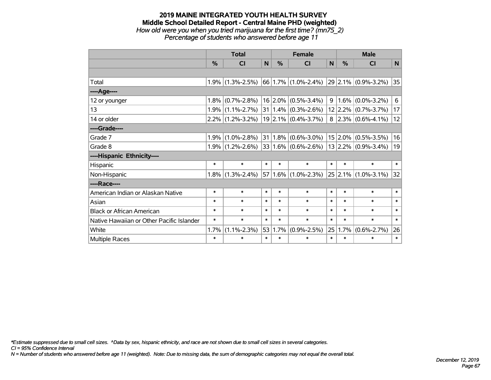#### **2019 MAINE INTEGRATED YOUTH HEALTH SURVEY Middle School Detailed Report - Central Maine PHD (weighted)** *How old were you when you tried marijuana for the first time? (mn75\_2)*

*Percentage of students who answered before age 11*

|                                           | <b>Total</b> |                     |        | <b>Female</b> |                             |                | <b>Male</b> |                             |        |  |
|-------------------------------------------|--------------|---------------------|--------|---------------|-----------------------------|----------------|-------------|-----------------------------|--------|--|
|                                           | $\%$         | <b>CI</b>           | N      | $\%$          | <b>CI</b>                   | N              | $\%$        | <b>CI</b>                   | N      |  |
|                                           |              |                     |        |               |                             |                |             |                             |        |  |
| Total                                     | 1.9%         | $(1.3\% - 2.5\%)$   |        |               | $66 1.7\% $ (1.0%-2.4%)     |                |             | $29$ 2.1% $(0.9\% - 3.2\%)$ | 35     |  |
| ----Age----                               |              |                     |        |               |                             |                |             |                             |        |  |
| 12 or younger                             | 1.8%         | $(0.7\% - 2.8\%)$   |        |               | $16$ 2.0% (0.5%-3.4%)       | 9 <sup>1</sup> |             | $1.6\%$ (0.0%-3.2%)         | 6      |  |
| 13                                        | 1.9%         | $(1.1\% - 2.7\%)$   |        |               | $31 1.4\%  (0.3\% - 2.6\%)$ |                |             | $12$ 2.2% (0.7%-3.7%)       | 17     |  |
| 14 or older                               |              | $2.2\%$ (1.2%-3.2%) |        |               | $19$ 2.1% (0.4%-3.7%)       |                |             | $8$   2.3%   (0.6%-4.1%)    | 12     |  |
| ----Grade----                             |              |                     |        |               |                             |                |             |                             |        |  |
| Grade 7                                   | 1.9%         | $(1.0\% - 2.8\%)$   | 31     |               | $1.8\%$ (0.6%-3.0%)         |                | $15$ 2.0%   | $(0.5\% - 3.5\%)$           | 16     |  |
| Grade 8                                   |              | $1.9\%$ (1.2%-2.6%) |        |               | $33 1.6\% $ (0.6%-2.6%)     |                |             | $ 13 2.2\% $ (0.9%-3.4%)    | 19     |  |
| ----Hispanic Ethnicity----                |              |                     |        |               |                             |                |             |                             |        |  |
| Hispanic                                  | $\ast$       | $\ast$              | $\ast$ | $\ast$        | $\ast$                      | $\ast$         | $\ast$      | $\ast$                      | $\ast$ |  |
| Non-Hispanic                              | 1.8%         | $(1.3\% - 2.4\%)$   |        |               | 57 1.6% (1.0%-2.3%)         |                |             | $25$ 2.1% (1.0%-3.1%)       | 32     |  |
| ----Race----                              |              |                     |        |               |                             |                |             |                             |        |  |
| American Indian or Alaskan Native         | $\ast$       | $\ast$              | $\ast$ | $\ast$        | $\ast$                      | $\ast$         | $\ast$      | $\ast$                      | $\ast$ |  |
| Asian                                     | $\ast$       | $\ast$              | $\ast$ | $\ast$        | $\ast$                      | $\ast$         | $\ast$      | $\ast$                      | $\ast$ |  |
| <b>Black or African American</b>          | $\ast$       | $\ast$              | $\ast$ | $\ast$        | $\ast$                      | $\ast$         | $\ast$      | $\ast$                      | $\ast$ |  |
| Native Hawaiian or Other Pacific Islander | $\ast$       | $\ast$              | $\ast$ | $\ast$        | $\ast$                      | $\ast$         | $\ast$      | $\ast$                      | $\ast$ |  |
| White                                     | 1.7%         | $(1.1\% - 2.3\%)$   | 53     | 1.7%          | $(0.9\% - 2.5\%)$           | 25             | 1.7%        | $(0.6\% - 2.7\%)$           | 26     |  |
| Multiple Races                            | $\ast$       | $\ast$              | $\ast$ | $\ast$        | $\ast$                      | $\ast$         | $\ast$      | $\ast$                      | $\ast$ |  |

*\*Estimate suppressed due to small cell sizes. ^Data by sex, hispanic ethnicity, and race are not shown due to small cell sizes in several categories.*

*CI = 95% Confidence Interval*

*N = Number of students who answered before age 11 (weighted). Note: Due to missing data, the sum of demographic categories may not equal the overall total.*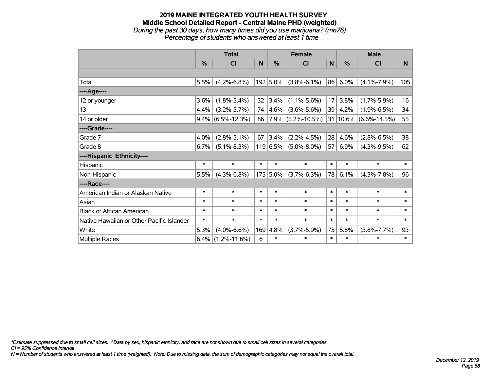## **2019 MAINE INTEGRATED YOUTH HEALTH SURVEY Middle School Detailed Report - Central Maine PHD (weighted)** *During the past 30 days, how many times did you use marijuana? (mn76)*

*Percentage of students who answered at least 1 time*

|                                           | <b>Total</b> |                      |        | <b>Female</b> |                      |        | <b>Male</b> |                           |        |
|-------------------------------------------|--------------|----------------------|--------|---------------|----------------------|--------|-------------|---------------------------|--------|
|                                           | %            | <b>CI</b>            | N      | $\frac{0}{0}$ | <b>CI</b>            | N      | %           | <b>CI</b>                 | N      |
|                                           |              |                      |        |               |                      |        |             |                           |        |
| Total                                     | 5.5%         | $(4.2\% - 6.8\%)$    |        | 192 5.0%      | $(3.8\% - 6.1\%)$    | 86     | 6.0%        | $(4.1\% - 7.9\%)$         | 105    |
| ---- Age----                              |              |                      |        |               |                      |        |             |                           |        |
| 12 or younger                             | 3.6%         | $(1.8\% - 5.4\%)$    | 32     | 3.4%          | $(1.1\% - 5.6\%)$    | 17     | 3.8%        | $(1.7\% - 5.9\%)$         | 16     |
| 13                                        | 4.4%         | $(3.2\% - 5.7\%)$    | 74     | $ 4.6\% $     | $(3.6\% - 5.6\%)$    | 39     | 4.2%        | $(1.9\% - 6.5\%)$         | 34     |
| 14 or older                               |              | $9.4\%$ (6.5%-12.3%) |        |               | 86 7.9% (5.2%-10.5%) |        |             | $31 10.6\% $ (6.6%-14.5%) | 55     |
| ----Grade----                             |              |                      |        |               |                      |        |             |                           |        |
| Grade 7                                   | 4.0%         | $(2.8\% - 5.1\%)$    | 67     | 3.4%          | $(2.2\% - 4.5\%)$    | 28     | 4.6%        | $(2.8\% - 6.5\%)$         | 38     |
| Grade 8                                   | 6.7%         | $(5.1\% - 8.3\%)$    |        | 119 6.5%      | $(5.0\% - 8.0\%)$    | 57     | 6.9%        | $(4.3\% - 9.5\%)$         | 62     |
| ----Hispanic Ethnicity----                |              |                      |        |               |                      |        |             |                           |        |
| Hispanic                                  | $\ast$       | $\ast$               | $\ast$ | $\ast$        | $\ast$               | $\ast$ | $\ast$      | $\ast$                    | $\ast$ |
| Non-Hispanic                              | 5.5%         | $(4.3\% - 6.8\%)$    |        | 175 5.0%      | $(3.7\% - 6.3\%)$    | 78     | 6.1%        | $(4.3\% - 7.8\%)$         | 96     |
| ----Race----                              |              |                      |        |               |                      |        |             |                           |        |
| American Indian or Alaskan Native         | $\ast$       | $\ast$               | $\ast$ | $\ast$        | $\ast$               | $\ast$ | $\ast$      | $\ast$                    | $\ast$ |
| Asian                                     | $\ast$       | $\ast$               | $\ast$ | $\ast$        | $\ast$               | $\ast$ | $\ast$      | $\ast$                    | $\ast$ |
| <b>Black or African American</b>          | $\ast$       | $\ast$               | $\ast$ | $\ast$        | $\ast$               | $\ast$ | $\ast$      | $\ast$                    | $\ast$ |
| Native Hawaiian or Other Pacific Islander | $\ast$       | $\ast$               | $\ast$ | $\ast$        | $\ast$               | $\ast$ | $\ast$      | $\ast$                    | $\ast$ |
| White                                     | 5.3%         | $(4.0\% - 6.6\%)$    | 169    | 4.8%          | $(3.7\% - 5.9\%)$    | 75     | 5.8%        | $(3.8\% - 7.7\%)$         | 93     |
| Multiple Races                            | 6.4%         | $(1.2\% - 11.6\%)$   | 6      | $\ast$        | $\ast$               | $\ast$ | $\ast$      | $\ast$                    | $\ast$ |

*\*Estimate suppressed due to small cell sizes. ^Data by sex, hispanic ethnicity, and race are not shown due to small cell sizes in several categories.*

*CI = 95% Confidence Interval*

*N = Number of students who answered at least 1 time (weighted). Note: Due to missing data, the sum of demographic categories may not equal the overall total.*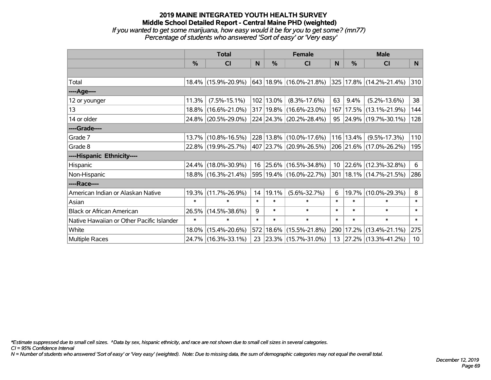*If you wanted to get some marijuana, how easy would it be for you to get some? (mn77) Percentage of students who answered 'Sort of easy' or 'Very easy'*

|                                           | <b>Total</b> |                     |        |           | <b>Female</b>                 | <b>Male</b> |               |                             |                 |
|-------------------------------------------|--------------|---------------------|--------|-----------|-------------------------------|-------------|---------------|-----------------------------|-----------------|
|                                           | %            | <b>CI</b>           | N      | $\%$      | <b>CI</b>                     | N           | $\frac{0}{0}$ | <b>CI</b>                   | N.              |
|                                           |              |                     |        |           |                               |             |               |                             |                 |
| Total                                     |              | 18.4% (15.9%-20.9%) |        |           | $ 643 18.9\% (16.0\%$ -21.8%) |             |               | 325 17.8% (14.2%-21.4%)     | 310             |
| ----Age----                               |              |                     |        |           |                               |             |               |                             |                 |
| 12 or younger                             | 11.3%        | $(7.5\% - 15.1\%)$  |        | 102 13.0% | $(8.3\% - 17.6\%)$            | 63          | 9.4%          | $(5.2\% - 13.6\%)$          | 38              |
| 13                                        | $18.8\%$     | $(16.6\% - 21.0\%)$ |        |           | 317 19.8% (16.6%-23.0%)       | 167         | 17.5%         | $(13.1\% - 21.9\%)$         | 144             |
| 14 or older                               |              | 24.8% (20.5%-29.0%) |        |           | 224 24.3% (20.2%-28.4%)       |             |               | 95 24.9% (19.7%-30.1%)      | 128             |
| ----Grade----                             |              |                     |        |           |                               |             |               |                             |                 |
| Grade 7                                   | $13.7\%$     | $(10.8\% - 16.5\%)$ |        |           | 228 13.8% (10.0%-17.6%)       |             | 116 13.4%     | $(9.5\% - 17.3\%)$          | 110             |
| Grade 8                                   |              | 22.8% (19.9%-25.7%) |        |           | 407 23.7% (20.9%-26.5%)       |             |               | 206 21.6% (17.0%-26.2%)     | 195             |
| ----Hispanic Ethnicity----                |              |                     |        |           |                               |             |               |                             |                 |
| Hispanic                                  | 24.4%        | $(18.0\% - 30.9\%)$ | 16     |           | $ 25.6\% $ (16.5%-34.8%)      | 10          | 22.6%         | $(12.3\% - 32.8\%)$         | 6               |
| Non-Hispanic                              |              | 18.8% (16.3%-21.4%) |        |           | 595 19.4% (16.0%-22.7%)       |             |               | 301   18.1%   (14.7%-21.5%) | 286             |
| ----Race----                              |              |                     |        |           |                               |             |               |                             |                 |
| American Indian or Alaskan Native         | 19.3%        | $(11.7\% - 26.9\%)$ | 14     | 19.1%     | $(5.6\% - 32.7\%)$            | 6           | 19.7%         | $(10.0\% - 29.3\%)$         | 8               |
| Asian                                     | $\ast$       | $\ast$              | $\ast$ | $\ast$    | $\ast$                        | $\ast$      | $\ast$        | $\ast$                      | $\ast$          |
| <b>Black or African American</b>          | 26.5%        | $(14.5\% - 38.6\%)$ | 9      | $\ast$    | $\ast$                        | $\ast$      | $\ast$        | $\ast$                      | $\ast$          |
| Native Hawaiian or Other Pacific Islander | $\ast$       | $\ast$              | $\ast$ | $\ast$    | $\ast$                        | $\ast$      | $\ast$        | $\ast$                      | $\ast$          |
| White                                     | 18.0%        | $(15.4\% - 20.6\%)$ |        |           | 572 18.6% (15.5%-21.8%)       | 290         | 17.2%         | $(13.4\% - 21.1\%)$         | 275             |
| Multiple Races                            |              | 24.7% (16.3%-33.1%) | 23     |           | $ 23.3\% $ (15.7%-31.0%)      | 13          |               | $ 27.2\% $ (13.3%-41.2%)    | 10 <sup>1</sup> |

*\*Estimate suppressed due to small cell sizes. ^Data by sex, hispanic ethnicity, and race are not shown due to small cell sizes in several categories.*

*CI = 95% Confidence Interval*

*N = Number of students who answered 'Sort of easy' or 'Very easy' (weighted). Note: Due to missing data, the sum of demographic categories may not equal the overall total.*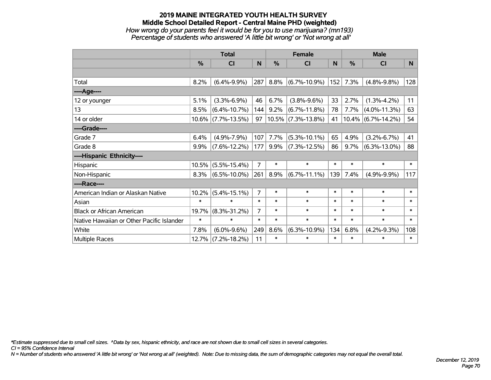#### **2019 MAINE INTEGRATED YOUTH HEALTH SURVEY Middle School Detailed Report - Central Maine PHD (weighted)** *How wrong do your parents feel it would be for you to use marijuana? (mn193) Percentage of students who answered 'A little bit wrong' or 'Not wrong at all'*

|                                           | <b>Total</b>  |                    |                |               | <b>Female</b>         |        | <b>Male</b> |                       |        |  |
|-------------------------------------------|---------------|--------------------|----------------|---------------|-----------------------|--------|-------------|-----------------------|--------|--|
|                                           | $\frac{0}{0}$ | CI                 | N              | $\frac{0}{0}$ | CI                    | N      | %           | <b>CI</b>             | N      |  |
|                                           |               |                    |                |               |                       |        |             |                       |        |  |
| Total                                     | 8.2%          | $(6.4\% - 9.9\%)$  | 287            | 8.8%          | $(6.7\% - 10.9\%)$    | 152    | 7.3%        | $(4.8\% - 9.8\%)$     | 128    |  |
| ----Age----                               |               |                    |                |               |                       |        |             |                       |        |  |
| 12 or younger                             | 5.1%          | $(3.3\% - 6.9\%)$  | 46             | 6.7%          | $(3.8\% - 9.6\%)$     | 33     | 2.7%        | $(1.3\% - 4.2\%)$     | 11     |  |
| 13                                        | 8.5%          | $(6.4\% - 10.7\%)$ | 144            | 9.2%          | $(6.7\% - 11.8\%)$    | 78     | 7.7%        | $(4.0\% - 11.3\%)$    | 63     |  |
| 14 or older                               | $10.6\%$      | $(7.7\% - 13.5\%)$ | 97             |               | $10.5\%$ (7.3%-13.8%) | 41     |             | $10.4\%$ (6.7%-14.2%) | 54     |  |
| ----Grade----                             |               |                    |                |               |                       |        |             |                       |        |  |
| Grade 7                                   | 6.4%          | $(4.9\% - 7.9\%)$  | 107            | 7.7%          | $(5.3\% - 10.1\%)$    | 65     | 4.9%        | $(3.2\% - 6.7\%)$     | 41     |  |
| Grade 8                                   | 9.9%          | $(7.6\% - 12.2\%)$ | 177            | 9.9%          | $(7.3\% - 12.5\%)$    | 86     | 9.7%        | $(6.3\% - 13.0\%)$    | 88     |  |
| ----Hispanic Ethnicity----                |               |                    |                |               |                       |        |             |                       |        |  |
| Hispanic                                  | 10.5%         | $(5.5\% - 15.4\%)$ | $\overline{7}$ | $\ast$        | $\ast$                | $\ast$ | $\ast$      | $\ast$                | $\ast$ |  |
| Non-Hispanic                              | 8.3%          | $(6.5\% - 10.0\%)$ | 261            | 8.9%          | $(6.7\% - 11.1\%)$    | 139    | 7.4%        | $(4.9\% - 9.9\%)$     | 117    |  |
| ----Race----                              |               |                    |                |               |                       |        |             |                       |        |  |
| American Indian or Alaskan Native         | 10.2%         | $(5.4\% - 15.1\%)$ | 7              | $\ast$        | $\ast$                | $\ast$ | $\ast$      | $\ast$                | $\ast$ |  |
| Asian                                     | $\ast$        | $\ast$             | $\ast$         | $\ast$        | $\ast$                | $\ast$ | $\ast$      | $\ast$                | $\ast$ |  |
| <b>Black or African American</b>          | 19.7%         | $(8.3\% - 31.2\%)$ | 7              | $\ast$        | $\ast$                | $\ast$ | $\ast$      | $\ast$                | $\ast$ |  |
| Native Hawaiian or Other Pacific Islander | $\ast$        | $\ast$             | $\ast$         | $\ast$        | $\ast$                | $\ast$ | $\ast$      | $\ast$                | $\ast$ |  |
| White                                     | 7.8%          | $(6.0\% - 9.6\%)$  | 249            | 8.6%          | $(6.3\% - 10.9\%)$    | 134    | 6.8%        | $(4.2\% - 9.3\%)$     | 108    |  |
| <b>Multiple Races</b>                     | 12.7%         | $(7.2\% - 18.2\%)$ | 11             | $\ast$        | $\ast$                | $\ast$ | $\ast$      | $\ast$                | $\ast$ |  |

*\*Estimate suppressed due to small cell sizes. ^Data by sex, hispanic ethnicity, and race are not shown due to small cell sizes in several categories.*

*CI = 95% Confidence Interval*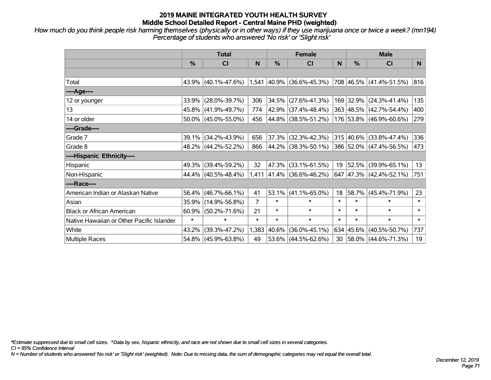*How much do you think people risk harming themselves (physically or in other ways) if they use marijuana once or twice a week? (mn194) Percentage of students who answered 'No risk' or 'Slight risk'*

|                                           | <b>Total</b>  |                        |                |        | <b>Female</b>               |        | <b>Male</b> |                          |        |  |
|-------------------------------------------|---------------|------------------------|----------------|--------|-----------------------------|--------|-------------|--------------------------|--------|--|
|                                           | $\frac{0}{0}$ | <b>CI</b>              | N              | %      | <b>CI</b>                   | N      | $\%$        | <b>CI</b>                | N.     |  |
|                                           |               |                        |                |        |                             |        |             |                          |        |  |
| Total                                     |               | $43.9\%$ (40.1%-47.6%) |                |        | $1,541$ 40.9% (36.6%-45.3%) |        |             | 708 46.5% (41.4%-51.5%)  | 816    |  |
| ----Age----                               |               |                        |                |        |                             |        |             |                          |        |  |
| 12 or younger                             | 33.9%         | $(28.0\% - 39.7\%)$    | 306            | 34.5%  | $(27.6\% - 41.3\%)$         |        |             | 169 32.9% (24.3%-41.4%)  | 135    |  |
| 13                                        |               | 45.8% (41.9%-49.7%)    | 774            |        | 42.9% (37.4%-48.4%)         |        |             | 363 48.5% (42.7%-54.4%)  | 400    |  |
| 14 or older                               |               | $50.0\%$ (45.0%-55.0%) | 456            |        | 44.8% (38.5%-51.2%)         |        |             | 176 53.8% (46.9%-60.6%)  | 279    |  |
| ----Grade----                             |               |                        |                |        |                             |        |             |                          |        |  |
| Grade 7                                   | 39.1%         | $(34.2\% - 43.9\%)$    | 656            | 37.3%  | $(32.3\% - 42.3\%)$         |        |             | 315 40.6% (33.8%-47.4%)  | 336    |  |
| Grade 8                                   |               | 48.2% (44.2%-52.2%)    | 866            |        | 44.2% (38.3%-50.1%)         |        |             | 386 52.0% (47.4%-56.5%)  | 473    |  |
| ----Hispanic Ethnicity----                |               |                        |                |        |                             |        |             |                          |        |  |
| Hispanic                                  | 49.3%         | $(39.4\% - 59.2\%)$    | 32             | 47.3%  | $(33.1\% - 61.5\%)$         | 19     | 52.5%       | $(39.9\% - 65.1\%)$      | 13     |  |
| Non-Hispanic                              |               | 44.4% (40.5%-48.4%)    |                |        | $1,411$ 41.4% (36.6%-46.2%) | 647    |             | $ 47.3\% $ (42.4%-52.1%) | 751    |  |
| ----Race----                              |               |                        |                |        |                             |        |             |                          |        |  |
| American Indian or Alaskan Native         |               | 56.4% (46.7%-66.1%)    | 41             | 53.1%  | $(41.1\% - 65.0\%)$         | 18     | 58.7%       | $(45.4\% - 71.9\%)$      | 23     |  |
| Asian                                     | 35.9%         | $(14.9\% - 56.8\%)$    | $\overline{7}$ | $\ast$ | $\ast$                      | $\ast$ | $\ast$      | $\ast$                   | $\ast$ |  |
| <b>Black or African American</b>          | 60.9%         | $(50.2\% - 71.6\%)$    | 21             | $\ast$ | $\ast$                      | $\ast$ | $\ast$      | $\ast$                   | $\ast$ |  |
| Native Hawaiian or Other Pacific Islander | $\ast$        | $\ast$                 | $\ast$         | $\ast$ | $\ast$                      | $\ast$ | $\ast$      | $\ast$                   | $\ast$ |  |
| White                                     | 43.2%         | $(39.3\% - 47.2\%)$    | 1,383          | 40.6%  | $(36.0\% - 45.1\%)$         |        |             | 634 45.6% (40.5%-50.7%)  | 737    |  |
| Multiple Races                            |               | 54.8% (45.9%-63.8%)    | 49             | 53.6%  | $(44.5\% - 62.6\%)$         | 30     |             | 58.0% (44.6%-71.3%)      | 19     |  |

*\*Estimate suppressed due to small cell sizes. ^Data by sex, hispanic ethnicity, and race are not shown due to small cell sizes in several categories.*

*CI = 95% Confidence Interval*

*N = Number of students who answered 'No risk' or 'Slight risk' (weighted). Note: Due to missing data, the sum of demographic categories may not equal the overall total.*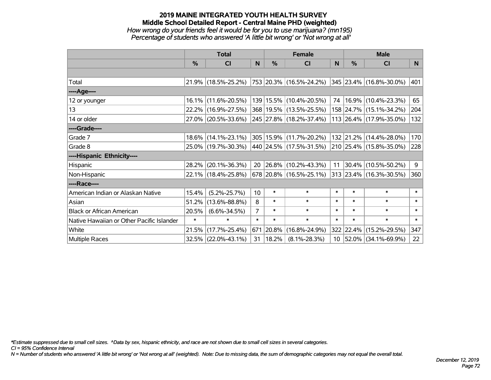#### **2019 MAINE INTEGRATED YOUTH HEALTH SURVEY Middle School Detailed Report - Central Maine PHD (weighted)** *How wrong do your friends feel it would be for you to use marijuana? (mn195) Percentage of students who answered 'A little bit wrong' or 'Not wrong at all'*

|                                           | <b>Total</b> |                        |                 | <b>Female</b> |                           |                 | <b>Male</b> |                              |                |
|-------------------------------------------|--------------|------------------------|-----------------|---------------|---------------------------|-----------------|-------------|------------------------------|----------------|
|                                           | %            | <b>CI</b>              | N.              | $\frac{0}{0}$ | <b>CI</b>                 | <sub>N</sub>    | %           | <b>CI</b>                    | N <sub>1</sub> |
|                                           |              |                        |                 |               |                           |                 |             |                              |                |
| Total                                     |              | 21.9% (18.5%-25.2%)    |                 |               | 753  20.3%  (16.5%-24.2%) |                 |             | $ 345 23.4\% $ (16.8%-30.0%) | 401            |
| ----Age----                               |              |                        |                 |               |                           |                 |             |                              |                |
| 12 or younger                             |              | 16.1% (11.6%-20.5%)    |                 |               | 139 15.5% (10.4%-20.5%)   | 74              |             | $16.9\%$ (10.4%-23.3%)       | 65             |
| 13                                        |              | 22.2% (16.9%-27.5%)    |                 |               | 368 19.5% (13.5%-25.5%)   |                 |             | 158 24.7% (15.1%-34.2%)      | 204            |
| 14 or older                               |              | 27.0% (20.5%-33.6%)    |                 |               | 245 27.8% (18.2%-37.4%)   |                 |             | 113 26.4% (17.9%-35.0%)      | 132            |
| ----Grade----                             |              |                        |                 |               |                           |                 |             |                              |                |
| Grade 7                                   |              | $18.6\%$ (14.1%-23.1%) |                 |               | 305 15.9% (11.7%-20.2%)   |                 | 132 21.2%   | $(14.4\% - 28.0\%)$          | 170            |
| Grade 8                                   |              | 25.0% (19.7%-30.3%)    |                 |               | 440 24.5% (17.5%-31.5%)   |                 |             | 210 25.4% (15.8%-35.0%)      | 228            |
| ----Hispanic Ethnicity----                |              |                        |                 |               |                           |                 |             |                              |                |
| Hispanic                                  | 28.2%        | $(20.1\% - 36.3\%)$    | 20              |               | $ 26.8\% $ (10.2%-43.3%)  | 11              | 30.4%       | $(10.5\% - 50.2\%)$          | 9              |
| Non-Hispanic                              |              | 22.1% (18.4%-25.8%)    |                 |               | $678$ 20.8% (16.5%-25.1%) |                 |             | 313 23.4% (16.3%-30.5%)      | 360            |
| ----Race----                              |              |                        |                 |               |                           |                 |             |                              |                |
| American Indian or Alaskan Native         | 15.4%        | $(5.2\% - 25.7\%)$     | 10 <sup>1</sup> | $\ast$        | $\ast$                    | $\ast$          | $\ast$      | $\ast$                       | $\ast$         |
| Asian                                     | 51.2%        | $(13.6\% - 88.8\%)$    | 8               | $\ast$        | $\ast$                    | $\ast$          | $\ast$      | $\ast$                       | $\ast$         |
| <b>Black or African American</b>          | 20.5%        | $(6.6\% - 34.5\%)$     | $\overline{7}$  | $\ast$        | $\ast$                    | $\ast$          | $\ast$      | $\ast$                       | $\ast$         |
| Native Hawaiian or Other Pacific Islander | $\ast$       | $\ast$                 | $\ast$          | $\ast$        | $\ast$                    | $\ast$          | $\ast$      | $\ast$                       | $\ast$         |
| White                                     | 21.5%        | $(17.7\% - 25.4\%)$    | 671             | 20.8%         | $(16.8\% - 24.9\%)$       |                 | 322 22.4%   | $(15.2\% - 29.5\%)$          | 347            |
| Multiple Races                            |              | $32.5\%$ (22.0%-43.1%) | 31              | $ 18.2\% $    | $(8.1\% - 28.3\%)$        | 10 <sup>1</sup> |             | 52.0% (34.1%-69.9%)          | 22             |

*\*Estimate suppressed due to small cell sizes. ^Data by sex, hispanic ethnicity, and race are not shown due to small cell sizes in several categories.*

*CI = 95% Confidence Interval*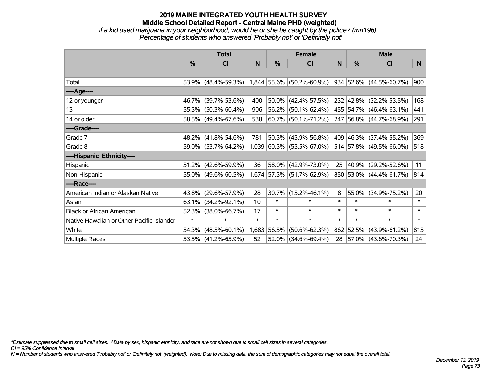### **2019 MAINE INTEGRATED YOUTH HEALTH SURVEY Middle School Detailed Report - Central Maine PHD (weighted)** *If a kid used marijuana in your neighborhood, would he or she be caught by the police? (mn196) Percentage of students who answered 'Probably not' or 'Definitely not'*

|                                           | <b>Total</b>  |                     |        |        | <b>Female</b>               |        | <b>Male</b>   |                          |        |  |
|-------------------------------------------|---------------|---------------------|--------|--------|-----------------------------|--------|---------------|--------------------------|--------|--|
|                                           | $\frac{0}{0}$ | <b>CI</b>           | N      | %      | <b>CI</b>                   | N      | $\frac{0}{0}$ | <b>CI</b>                | N.     |  |
|                                           |               |                     |        |        |                             |        |               |                          |        |  |
| Total                                     |               | 53.9% (48.4%-59.3%) |        |        | $1,844$ 55.6% (50.2%-60.9%) |        |               | 934 52.6% (44.5%-60.7%)  | 900    |  |
| ----Age----                               |               |                     |        |        |                             |        |               |                          |        |  |
| 12 or younger                             | 46.7%         | $(39.7\% - 53.6\%)$ | 400    | 50.0%  | $(42.4\% - 57.5\%)$         |        |               | 232 42.8% (32.2%-53.5%)  | 168    |  |
| 13                                        |               | 55.3% (50.3%-60.4%) | 906    | 56.2%  | $(50.1\% - 62.4\%)$         |        |               | 455 54.7% (46.4%-63.1%)  | 441    |  |
| 14 or older                               |               | 58.5% (49.4%-67.6%) | 538    |        | 60.7% (50.1%-71.2%)         |        |               | 247 56.8% (44.7%-68.9%)  | 291    |  |
| ----Grade----                             |               |                     |        |        |                             |        |               |                          |        |  |
| Grade 7                                   | 48.2%         | $(41.8\% - 54.6\%)$ | 781    | 50.3%  | $(43.9\% - 56.8\%)$         |        |               | 409 46.3% (37.4%-55.2%)  | 369    |  |
| Grade 8                                   |               | 59.0% (53.7%-64.2%) |        |        | $1,039$ 60.3% (53.5%-67.0%) |        |               | 514 57.8% (49.5%-66.0%)  | 518    |  |
| ----Hispanic Ethnicity----                |               |                     |        |        |                             |        |               |                          |        |  |
| Hispanic                                  |               | 51.2% (42.6%-59.9%) | 36     | 58.0%  | $(42.9\% - 73.0\%)$         | 25     | $ 40.9\% $    | $(29.2\% - 52.6\%)$      | 11     |  |
| Non-Hispanic                              |               | 55.0% (49.6%-60.5%) |        |        | $1,674$ 57.3% (51.7%-62.9%) |        |               | 850 53.0% (44.4%-61.7%)  | 814    |  |
| ----Race----                              |               |                     |        |        |                             |        |               |                          |        |  |
| American Indian or Alaskan Native         | 43.8%         | $(29.6\% - 57.9\%)$ | 28     | 30.7%  | $(15.2\% - 46.1\%)$         | 8      | 55.0%         | $(34.9\% - 75.2\%)$      | 20     |  |
| Asian                                     | 63.1%         | $(34.2\% - 92.1\%)$ | 10     | $\ast$ | $\ast$                      | $\ast$ | $\ast$        | $\ast$                   | $\ast$ |  |
| <b>Black or African American</b>          | 52.3%         | $(38.0\% - 66.7\%)$ | 17     | $\ast$ | $\ast$                      | $\ast$ | $\ast$        | $\ast$                   | $\ast$ |  |
| Native Hawaiian or Other Pacific Islander | $\ast$        | $\ast$              | $\ast$ | $\ast$ | $\ast$                      | $\ast$ | $\ast$        | $\ast$                   | $\ast$ |  |
| White                                     | 54.3%         | $(48.5\% - 60.1\%)$ | 1,683  | 56.5%  | $(50.6\% - 62.3\%)$         |        |               | 862 52.5% (43.9%-61.2%)  | 815    |  |
| <b>Multiple Races</b>                     |               | 53.5% (41.2%-65.9%) | 52     | 52.0%  | $(34.6\% - 69.4\%)$         | 28     |               | $ 57.0\% $ (43.6%-70.3%) | 24     |  |

*\*Estimate suppressed due to small cell sizes. ^Data by sex, hispanic ethnicity, and race are not shown due to small cell sizes in several categories.*

*CI = 95% Confidence Interval*

*N = Number of students who answered 'Probably not' or 'Definitely not' (weighted). Note: Due to missing data, the sum of demographic categories may not equal the overall total.*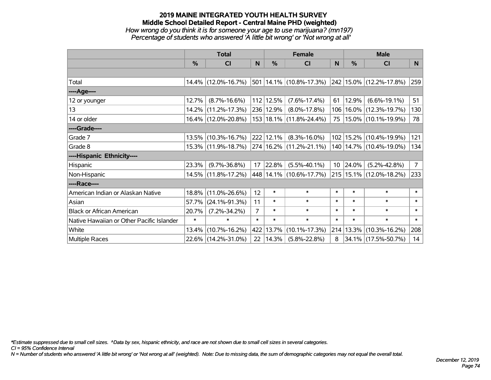# **2019 MAINE INTEGRATED YOUTH HEALTH SURVEY Middle School Detailed Report - Central Maine PHD (weighted)** *How wrong do you think it is for someone your age to use marijuana? (mn197)*

| Percentage of students who answered 'A little bit wrong' or 'Not wrong at all' |  |  |
|--------------------------------------------------------------------------------|--|--|

|                                           | <b>Total</b>  |                                             |                |                       | <b>Female</b>                   |        | <b>Male</b>     |                              |          |  |
|-------------------------------------------|---------------|---------------------------------------------|----------------|-----------------------|---------------------------------|--------|-----------------|------------------------------|----------|--|
|                                           | $\frac{0}{0}$ | CI                                          | N              | $\frac{9}{6}$         | CI                              | N      | %               | <b>CI</b>                    | <b>N</b> |  |
|                                           |               |                                             |                |                       |                                 |        |                 |                              |          |  |
| Total                                     |               | 14.4% (12.0%-16.7%)                         |                |                       | $ 501 14.1\% (10.8\% - 17.3\%)$ |        |                 | $ 242 15.0\% $ (12.2%-17.8%) | 259      |  |
| ----Age----                               |               |                                             |                |                       |                                 |        |                 |                              |          |  |
| 12 or younger                             | 12.7%         | $(8.7\% - 16.6\%)$                          |                | 112 12.5%             | $(7.6\% - 17.4\%)$              | 61     | 12.9%           | $(6.6\% - 19.1\%)$           | 51       |  |
| 13                                        |               | 14.2% (11.2%-17.3%)                         |                | 236 12.9%             | $(8.0\% - 17.8\%)$              | 106    |                 | $16.0\%$ (12.3%-19.7%)       | 130      |  |
| 14 or older                               |               | 16.4% (12.0%-20.8%)                         |                |                       | 153   18.1%   (11.8%-24.4%)     | 75     |                 | 15.0% (10.1%-19.9%)          | 78       |  |
| ----Grade----                             |               |                                             |                |                       |                                 |        |                 |                              |          |  |
| Grade 7                                   |               | 13.5% (10.3%-16.7%)                         |                | 222 12.1%             | $(8.3\% - 16.0\%)$              | 102    | 15.2%           | $(10.4\% - 19.9\%)$          | 121      |  |
| Grade 8                                   |               | 15.3% (11.9%-18.7%) 274 16.2% (11.2%-21.1%) |                |                       |                                 |        |                 | 140   14.7%   (10.4%-19.0%)  | 134      |  |
| ----Hispanic Ethnicity----                |               |                                             |                |                       |                                 |        |                 |                              |          |  |
| Hispanic                                  | 23.3%         | $(9.7\% - 36.8\%)$                          | 17             | 22.8%                 | $(5.5\% - 40.1\%)$              |        | $10 \ \ 24.0\%$ | $(5.2\% - 42.8\%)$           | 7        |  |
| Non-Hispanic                              |               | 14.5% (11.8%-17.2%)                         |                |                       | 448 14.1% (10.6%-17.7%)         |        |                 | 215   15.1%   (12.0%-18.2%)  | 233      |  |
| ----Race----                              |               |                                             |                |                       |                                 |        |                 |                              |          |  |
| American Indian or Alaskan Native         | 18.8%         | $(11.0\% - 26.6\%)$                         | 12             | $\ast$                | $\ast$                          | $\ast$ | $\ast$          | $\ast$                       | $\ast$   |  |
| Asian                                     | 57.7%         | $(24.1\% - 91.3\%)$                         | 11             | $\ast$                | $\ast$                          | $\ast$ | $\ast$          | $\ast$                       | $\ast$   |  |
| <b>Black or African American</b>          | 20.7%         | $(7.2\% - 34.2\%)$                          | $\overline{7}$ | $\ast$                | $\ast$                          | $\ast$ | $\ast$          | $\ast$                       | $\ast$   |  |
| Native Hawaiian or Other Pacific Islander | $\ast$        | $\ast$                                      | $\ast$         | $\ast$                | $\ast$                          | $\ast$ | $\ast$          | $\ast$                       | $\ast$   |  |
| White                                     | $13.4\%$      | $(10.7\% - 16.2\%)$                         |                | 422 13.7%             | $(10.1\% - 17.3\%)$             | 214    | 13.3%           | $(10.3\% - 16.2\%)$          | 208      |  |
| Multiple Races                            |               | 22.6% (14.2%-31.0%)                         |                | $22 \mid 14.3\% \mid$ | $(5.8\% - 22.8\%)$              | 8      |                 | 34.1% (17.5%-50.7%)          | 14       |  |

*\*Estimate suppressed due to small cell sizes. ^Data by sex, hispanic ethnicity, and race are not shown due to small cell sizes in several categories.*

*CI = 95% Confidence Interval*

*N = Number of students who answered 'A little bit wrong' or 'Not wrong at all' (weighted). Note: Due to missing data, the sum of demographic categories may not equal the overall total.*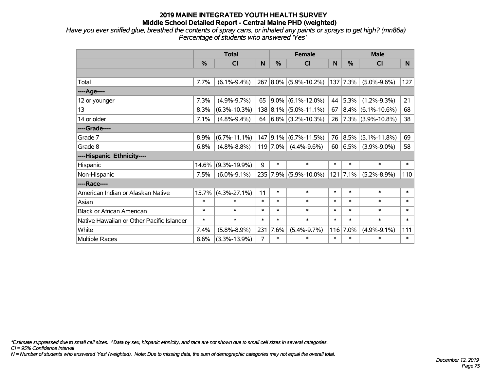*Have you ever sniffed glue, breathed the contents of spray cans, or inhaled any paints or sprays to get high? (mn86a) Percentage of students who answered 'Yes'*

|                                           | <b>Total</b> |                    |        | <b>Female</b> |                           |        | <b>Male</b> |                        |        |
|-------------------------------------------|--------------|--------------------|--------|---------------|---------------------------|--------|-------------|------------------------|--------|
|                                           | %            | <b>CI</b>          | N      | %             | <b>CI</b>                 | N      | %           | <b>CI</b>              | N.     |
|                                           |              |                    |        |               |                           |        |             |                        |        |
| Total                                     | 7.7%         | $(6.1\% - 9.4\%)$  |        |               | 267 8.0% (5.9%-10.2%)     | 137    | 7.3%        | $(5.0\% - 9.6\%)$      | 127    |
| ---- Age----                              |              |                    |        |               |                           |        |             |                        |        |
| 12 or younger                             | 7.3%         | $(4.9\% - 9.7\%)$  | 65     |               | $9.0\%$ (6.1%-12.0%)      | 44     | 5.3%        | $(1.2\% - 9.3\%)$      | 21     |
| 13                                        | 8.3%         | $(6.3\% - 10.3\%)$ |        |               | 138 8.1% (5.0%-11.1%)     | 67     |             | $ 8.4\% $ (6.1%-10.6%) | 68     |
| 14 or older                               | 7.1%         | $(4.8\% - 9.4\%)$  |        |               | 64 $ 6.8\% $ (3.2%-10.3%) | 26     |             | $ 7.3\% $ (3.9%-10.8%) | 38     |
| ----Grade----                             |              |                    |        |               |                           |        |             |                        |        |
| Grade 7                                   | 8.9%         | $(6.7\% - 11.1\%)$ |        |               | $147$ 9.1% (6.7%-11.5%)   | 76     | 8.5%        | $(5.1\% - 11.8\%)$     | 69     |
| Grade 8                                   | 6.8%         | $(4.8\% - 8.8\%)$  |        | $119$ 7.0%    | $(4.4\% - 9.6\%)$         | 60     | $ 6.5\% $   | $(3.9\% - 9.0\%)$      | 58     |
| ----Hispanic Ethnicity----                |              |                    |        |               |                           |        |             |                        |        |
| Hispanic                                  | 14.6%        | $(9.3\% - 19.9\%)$ | 9      | $\ast$        | $\ast$                    | $\ast$ | $\ast$      | $\ast$                 | $\ast$ |
| Non-Hispanic                              | 7.5%         | $(6.0\% - 9.1\%)$  |        |               | 235 7.9% (5.9%-10.0%)     | 121    | 7.1%        | $(5.2\% - 8.9\%)$      | 110    |
| ----Race----                              |              |                    |        |               |                           |        |             |                        |        |
| American Indian or Alaskan Native         | 15.7%        | $(4.3\% - 27.1\%)$ | 11     | $\ast$        | $\ast$                    | $\ast$ | $\ast$      | $\ast$                 | $\ast$ |
| Asian                                     | $\ast$       | $\ast$             | $\ast$ | $\ast$        | $\ast$                    | $\ast$ | $\ast$      | $\ast$                 | $\ast$ |
| <b>Black or African American</b>          | $\ast$       | $\ast$             | $\ast$ | $\ast$        | $\ast$                    | $\ast$ | $\ast$      | $\ast$                 | $\ast$ |
| Native Hawaiian or Other Pacific Islander | $\ast$       | $\ast$             | $\ast$ | $\ast$        | $\ast$                    | $\ast$ | $\ast$      | $\ast$                 | $\ast$ |
| White                                     | 7.4%         | $(5.8\% - 8.9\%)$  | 231    | 7.6%          | $(5.4\% - 9.7\%)$         | 116    | 7.0%        | $(4.9\% - 9.1\%)$      | 111    |
| Multiple Races                            | 8.6%         | $(3.3\% - 13.9\%)$ | 7      | $\ast$        | $\ast$                    | $\ast$ | $\ast$      | $\ast$                 | $\ast$ |

*\*Estimate suppressed due to small cell sizes. ^Data by sex, hispanic ethnicity, and race are not shown due to small cell sizes in several categories.*

*CI = 95% Confidence Interval*

*N = Number of students who answered 'Yes' (weighted). Note: Due to missing data, the sum of demographic categories may not equal the overall total.*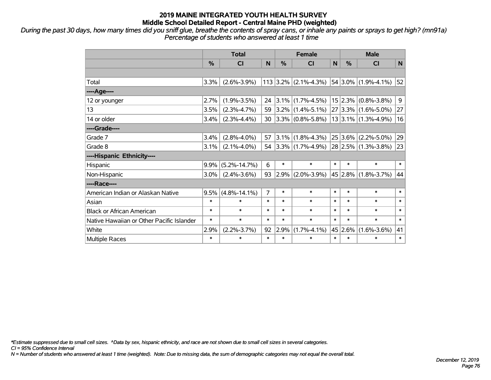*During the past 30 days, how many times did you sniff glue, breathe the contents of spray cans, or inhale any paints or sprays to get high? (mn91a) Percentage of students who answered at least 1 time*

|                                           | <b>Total</b> |                    |                | <b>Female</b> |                           |        | <b>Male</b>   |                          |        |  |
|-------------------------------------------|--------------|--------------------|----------------|---------------|---------------------------|--------|---------------|--------------------------|--------|--|
|                                           | %            | <b>CI</b>          | N              | %             | <b>CI</b>                 | N      | $\frac{0}{0}$ | <b>CI</b>                | N      |  |
|                                           |              |                    |                |               |                           |        |               |                          |        |  |
| Total                                     | 3.3%         | $(2.6\% - 3.9\%)$  |                |               | $113$ 3.2% (2.1%-4.3%)    |        |               | 54 3.0% (1.9%-4.1%)      | 52     |  |
| ----Age----                               |              |                    |                |               |                           |        |               |                          |        |  |
| 12 or younger                             | 2.7%         | $(1.9\% - 3.5\%)$  | 24             |               | $3.1\%$ (1.7%-4.5%)       |        |               | $15$ 2.3% (0.8%-3.8%)    | 9      |  |
| 13                                        | 3.5%         | $(2.3\% - 4.7\%)$  | 59             |               | $3.2\%$ (1.4%-5.1%)       |        |               | $27 3.3\% $ (1.6%-5.0%)  | 27     |  |
| 14 or older                               | 3.4%         | $(2.3\% - 4.4\%)$  | 30             |               | $3.3\%$ (0.8%-5.8%)       |        |               | $13 3.1\% $ (1.3%-4.9%)  | 16     |  |
| ----Grade----                             |              |                    |                |               |                           |        |               |                          |        |  |
| Grade 7                                   | 3.4%         | $(2.8\% - 4.0\%)$  | 57             |               | $3.1\%$ (1.8%-4.3%)       |        |               | $25 3.6\% $ (2.2%-5.0%)  | 29     |  |
| Grade 8                                   | 3.1%         | $(2.1\% - 4.0\%)$  |                |               | 54 3.3% $(1.7\% - 4.9\%)$ |        |               | $ 28 2.5\% $ (1.3%-3.8%) | 23     |  |
| ----Hispanic Ethnicity----                |              |                    |                |               |                           |        |               |                          |        |  |
| Hispanic                                  | 9.9%         | $(5.2\% - 14.7\%)$ | 6              | $\ast$        | $\ast$                    | $\ast$ | $\ast$        | $\ast$                   | $\ast$ |  |
| Non-Hispanic                              | 3.0%         | $(2.4\% - 3.6\%)$  | 93             | $ 2.9\% $     | $(2.0\% - 3.9\%)$         |        | 45 2.8%       | $(1.8\% - 3.7\%)$        | 44     |  |
| ----Race----                              |              |                    |                |               |                           |        |               |                          |        |  |
| American Indian or Alaskan Native         | 9.5%         | $(4.8\% - 14.1\%)$ | $\overline{7}$ | $\ast$        | $\ast$                    | $\ast$ | $\ast$        | $\ast$                   | $\ast$ |  |
| Asian                                     | $\ast$       | $\ast$             | $\ast$         | $\ast$        | $\ast$                    | $\ast$ | $\ast$        | $\ast$                   | $\ast$ |  |
| <b>Black or African American</b>          | $\ast$       | $\ast$             | $\ast$         | $\ast$        | $\ast$                    | $\ast$ | $\ast$        | $\ast$                   | $\ast$ |  |
| Native Hawaiian or Other Pacific Islander | $\ast$       | $\ast$             | $\ast$         | $\ast$        | $\ast$                    | $\ast$ | $\ast$        | $\ast$                   | $\ast$ |  |
| White                                     | 2.9%         | $(2.2\% - 3.7\%)$  | 92             | 2.9%          | $(1.7\% - 4.1\%)$         |        | 45 2.6%       | $(1.6\% - 3.6\%)$        | 41     |  |
| Multiple Races                            | $\ast$       | $\ast$             | $\ast$         | $\ast$        | $\ast$                    | $\ast$ | $\ast$        | $\ast$                   | $\ast$ |  |

*\*Estimate suppressed due to small cell sizes. ^Data by sex, hispanic ethnicity, and race are not shown due to small cell sizes in several categories.*

*CI = 95% Confidence Interval*

*N = Number of students who answered at least 1 time (weighted). Note: Due to missing data, the sum of demographic categories may not equal the overall total.*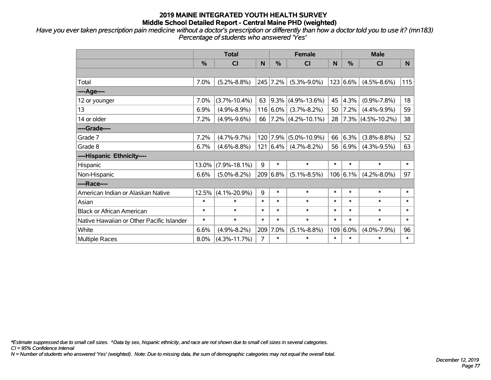*Have you ever taken prescription pain medicine without a doctor's prescription or differently than how a doctor told you to use it? (mn183) Percentage of students who answered 'Yes'*

|                                           | <b>Total</b> |                    |        | <b>Female</b> |                        |        | <b>Male</b>   |                        |        |
|-------------------------------------------|--------------|--------------------|--------|---------------|------------------------|--------|---------------|------------------------|--------|
|                                           | $\%$         | CI                 | N      | $\%$          | <b>CI</b>              | N      | $\frac{0}{0}$ | <b>CI</b>              | N      |
|                                           |              |                    |        |               |                        |        |               |                        |        |
| Total                                     | 7.0%         | $(5.2\% - 8.8\%)$  |        | 245 7.2%      | $(5.3\% - 9.0\%)$      |        | 123 6.6%      | $(4.5\% - 8.6\%)$      | 115    |
| ----Age----                               |              |                    |        |               |                        |        |               |                        |        |
| 12 or younger                             | 7.0%         | $(3.7\% - 10.4\%)$ | 63     | $ 9.3\% $     | $(4.9\% - 13.6\%)$     | 45     | 4.3%          | $(0.9\% - 7.8\%)$      | 18     |
| 13                                        | 6.9%         | $(4.9\% - 8.9\%)$  |        | $116 6.0\%$   | $(3.7\% - 8.2\%)$      | 50     | 7.2%          | $(4.4\% - 9.9\%)$      | 59     |
| 14 or older                               | 7.2%         | $(4.9\% - 9.6\%)$  | 66     |               | $ 7.2\% $ (4.2%-10.1%) | 28     |               | $ 7.3\% $ (4.5%-10.2%) | 38     |
| ----Grade----                             |              |                    |        |               |                        |        |               |                        |        |
| Grade 7                                   | 7.2%         | $(4.7\% - 9.7\%)$  |        | 120 7.9%      | $(5.0\% - 10.9\%)$     | 66     | 6.3%          | $(3.8\% - 8.8\%)$      | 52     |
| Grade 8                                   | 6.7%         | $(4.6\% - 8.8\%)$  |        | 121   6.4%    | $(4.7\% - 8.2\%)$      | 56     | $6.9\%$       | $(4.3\% - 9.5\%)$      | 63     |
| ----Hispanic Ethnicity----                |              |                    |        |               |                        |        |               |                        |        |
| Hispanic                                  | 13.0%        | $(7.9\% - 18.1\%)$ | 9      | $\ast$        | $\ast$                 | $\ast$ | $\ast$        | $\ast$                 | $\ast$ |
| Non-Hispanic                              | 6.6%         | $(5.0\% - 8.2\%)$  |        | 209 6.8%      | $(5.1\% - 8.5\%)$      |        | $106$ 6.1%    | $(4.2\% - 8.0\%)$      | 97     |
| ----Race----                              |              |                    |        |               |                        |        |               |                        |        |
| American Indian or Alaskan Native         | 12.5%        | $(4.1\% - 20.9\%)$ | 9      | $\ast$        | $\ast$                 | $\ast$ | $\ast$        | $\ast$                 | $\ast$ |
| Asian                                     | $\ast$       | $\ast$             | $\ast$ | $\ast$        | $\ast$                 | $\ast$ | $\ast$        | $\ast$                 | $\ast$ |
| <b>Black or African American</b>          | $\ast$       | $\ast$             | $\ast$ | $\ast$        | $\ast$                 | $\ast$ | $\ast$        | $\ast$                 | $\ast$ |
| Native Hawaiian or Other Pacific Islander | $\ast$       | $\ast$             | $\ast$ | $\ast$        | $\ast$                 | $\ast$ | $\ast$        | $\ast$                 | $\ast$ |
| White                                     | 6.6%         | $(4.9\% - 8.2\%)$  | 209    | 7.0%          | $(5.1\% - 8.8\%)$      | 109    | 6.0%          | $(4.0\% - 7.9\%)$      | 96     |
| Multiple Races                            | 8.0%         | $(4.3\% - 11.7\%)$ | 7      | $\ast$        | $\ast$                 | $\ast$ | $\ast$        | $\ast$                 | $\ast$ |

*\*Estimate suppressed due to small cell sizes. ^Data by sex, hispanic ethnicity, and race are not shown due to small cell sizes in several categories.*

*CI = 95% Confidence Interval*

*N = Number of students who answered 'Yes' (weighted). Note: Due to missing data, the sum of demographic categories may not equal the overall total.*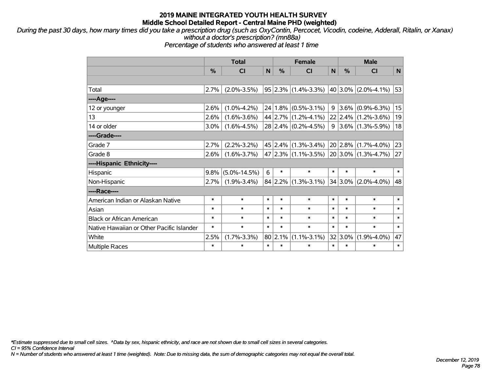*During the past 30 days, how many times did you take a prescription drug (such as OxyContin, Percocet, Vicodin, codeine, Adderall, Ritalin, or Xanax) without a doctor's prescription? (mn88a)*

*Percentage of students who answered at least 1 time*

|                                           | <b>Total</b> |                    |        | <b>Female</b> |                                             |        | <b>Male</b> |                          |        |  |
|-------------------------------------------|--------------|--------------------|--------|---------------|---------------------------------------------|--------|-------------|--------------------------|--------|--|
|                                           | %            | <b>CI</b>          | N      | %             | <b>CI</b>                                   | N      | %           | <b>CI</b>                | N      |  |
|                                           |              |                    |        |               |                                             |        |             |                          |        |  |
| Total                                     | 2.7%         | $(2.0\% - 3.5\%)$  |        |               | $95 2.3\% $ (1.4%-3.3%)                     |        |             | $ 40 3.0\% $ (2.0%-4.1%) | 53     |  |
| ----Age----                               |              |                    |        |               |                                             |        |             |                          |        |  |
| 12 or younger                             | 2.6%         | $(1.0\% - 4.2\%)$  |        |               | $24 1.8\% $ (0.5%-3.1%)                     | 9      | $3.6\%$     | $(0.9\% - 6.3\%)$        | 15     |  |
| 13                                        | 2.6%         | $(1.6\% - 3.6\%)$  |        |               | 44 2.7% (1.2%-4.1%)                         |        | $22$ 2.4%   | $(1.2\% - 3.6\%)$        | 19     |  |
| 14 or older                               | $3.0\%$      | $(1.6\% - 4.5\%)$  |        |               | $28$ 2.4% (0.2%-4.5%)                       | 9      |             | $3.6\%$ (1.3%-5.9%)      | 18     |  |
| ----Grade----                             |              |                    |        |               |                                             |        |             |                          |        |  |
| Grade 7                                   | 2.7%         | $(2.2\% - 3.2\%)$  |        |               | $45 2.4\% $ (1.3%-3.4%)                     |        | 20 2.8%     | $(1.7\% - 4.0\%)$        | 23     |  |
| Grade 8                                   | 2.6%         | $(1.6\% - 3.7\%)$  |        |               | $47 2.3\% $ (1.1%-3.5%) 20 3.0% (1.3%-4.7%) |        |             |                          | 27     |  |
| ----Hispanic Ethnicity----                |              |                    |        |               |                                             |        |             |                          |        |  |
| Hispanic                                  | $9.8\%$      | $(5.0\% - 14.5\%)$ | 6      | $\ast$        | $\ast$                                      | $\ast$ | $\ast$      | $\ast$                   | $\ast$ |  |
| Non-Hispanic                              | 2.7%         | $(1.9\% - 3.4\%)$  |        | $84$   2.2%   | $(1.3\% - 3.1\%)$ 34 3.0% (2.0%-4.0%)       |        |             |                          | 48     |  |
| ----Race----                              |              |                    |        |               |                                             |        |             |                          |        |  |
| American Indian or Alaskan Native         | $\ast$       | $\ast$             | $\ast$ | $\ast$        | $\ast$                                      | $\ast$ | $\ast$      | $\ast$                   | $\ast$ |  |
| Asian                                     | *            | $\ast$             | $\ast$ | $\ast$        | $\ast$                                      | $\ast$ | $\ast$      | $\ast$                   | $\ast$ |  |
| <b>Black or African American</b>          | $\ast$       | $\ast$             | $\ast$ | $\ast$        | $\ast$                                      | $\ast$ | $\ast$      | $\ast$                   | $\ast$ |  |
| Native Hawaiian or Other Pacific Islander | $\ast$       | $\ast$             | $\ast$ | $\ast$        | $\ast$                                      | $\ast$ | $\ast$      | $\ast$                   | $\ast$ |  |
| White                                     | 2.5%         | $(1.7\% - 3.3\%)$  |        | 80 2.1%       | $(1.1\% - 3.1\%)$                           |        | $32 3.0\%$  | $(1.9\% - 4.0\%)$        | 47     |  |
| <b>Multiple Races</b>                     | $\ast$       | $\ast$             | $\ast$ | $\ast$        | $\ast$                                      | $\ast$ | $\ast$      | $\ast$                   | $\ast$ |  |

*\*Estimate suppressed due to small cell sizes. ^Data by sex, hispanic ethnicity, and race are not shown due to small cell sizes in several categories.*

*CI = 95% Confidence Interval*

*N = Number of students who answered at least 1 time (weighted). Note: Due to missing data, the sum of demographic categories may not equal the overall total.*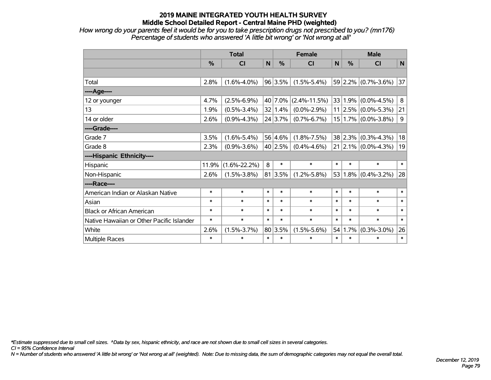*How wrong do your parents feel it would be for you to take prescription drugs not prescribed to you? (mn176) Percentage of students who answered 'A little bit wrong' or 'Not wrong at all'*

|                                           | <b>Total</b>  |                    |              |         | <b>Female</b>      | <b>Male</b> |               |                               |        |
|-------------------------------------------|---------------|--------------------|--------------|---------|--------------------|-------------|---------------|-------------------------------|--------|
|                                           | $\frac{0}{0}$ | <b>CI</b>          | $\mathsf{N}$ | %       | <b>CI</b>          | N           | $\frac{0}{0}$ | <b>CI</b>                     | N      |
|                                           |               |                    |              |         |                    |             |               |                               |        |
| Total                                     | 2.8%          | $(1.6\% - 4.0\%)$  |              | 96 3.5% | $(1.5\% - 5.4\%)$  |             |               | $59$ 2.2% (0.7%-3.6%)         | 37     |
| ----Age----                               |               |                    |              |         |                    |             |               |                               |        |
| 12 or younger                             | 4.7%          | $(2.5\% - 6.9\%)$  |              | 40 7.0% | $(2.4\% - 11.5\%)$ |             | 33 1.9%       | $(0.0\% - 4.5\%)$             | 8      |
| 13                                        | 1.9%          | $(0.5\% - 3.4\%)$  |              | 32 1.4% | $(0.0\% - 2.9\%)$  |             |               | $11 2.5\% $ (0.0%-5.3%)       | 21     |
| 14 or older                               | 2.6%          | $(0.9\% - 4.3\%)$  |              | 24 3.7% | $(0.7\% - 6.7\%)$  |             |               | 15 1.7% (0.0%-3.8%)           | 9      |
| ----Grade----                             |               |                    |              |         |                    |             |               |                               |        |
| Grade 7                                   | 3.5%          | $(1.6\% - 5.4\%)$  |              | 56 4.6% | $(1.8\% - 7.5\%)$  |             |               | 38 2.3% (0.3%-4.3%)           | 18     |
| Grade 8                                   | 2.3%          | $(0.9\% - 3.6\%)$  |              | 40 2.5% | $(0.4\% - 4.6\%)$  |             |               | $21$   2.1% $(0.0\% - 4.3\%)$ | 19     |
| ----Hispanic Ethnicity----                |               |                    |              |         |                    |             |               |                               |        |
| Hispanic                                  | 11.9%         | $(1.6\% - 22.2\%)$ | 8            | $\ast$  | $\ast$             | $\ast$      | $\ast$        | $\ast$                        | $\ast$ |
| Non-Hispanic                              | 2.6%          | $(1.5\% - 3.8\%)$  |              | 81 3.5% | $(1.2\% - 5.8\%)$  | 53          | $ 1.8\% $     | $(0.4\% - 3.2\%)$             | 28     |
| ----Race----                              |               |                    |              |         |                    |             |               |                               |        |
| American Indian or Alaskan Native         | $\ast$        | $\ast$             | $\ast$       | $\ast$  | $\ast$             | $\ast$      | $\ast$        | $\ast$                        | $\ast$ |
| Asian                                     | $\ast$        | $\ast$             | $\ast$       | $\ast$  | $\ast$             | $\ast$      | $\ast$        | $\ast$                        | $\ast$ |
| <b>Black or African American</b>          | $\ast$        | $\ast$             | $\ast$       | $\ast$  | $\ast$             | $\ast$      | $\ast$        | $\ast$                        | $\ast$ |
| Native Hawaiian or Other Pacific Islander | $\ast$        | $\ast$             | $\ast$       | $\ast$  | $\ast$             | $\ast$      | $\ast$        | $\ast$                        | $\ast$ |
| White                                     | 2.6%          | $(1.5\% - 3.7\%)$  |              | 80 3.5% | $(1.5\% - 5.6\%)$  | 54          | 1.7%          | $(0.3\% - 3.0\%)$             | 26     |
| <b>Multiple Races</b>                     | $\ast$        | $\ast$             | $\ast$       | $\ast$  | $\ast$             | $\ast$      | $\ast$        | $\ast$                        | $\ast$ |

*\*Estimate suppressed due to small cell sizes. ^Data by sex, hispanic ethnicity, and race are not shown due to small cell sizes in several categories.*

*CI = 95% Confidence Interval*

*N = Number of students who answered 'A little bit wrong' or 'Not wrong at all' (weighted). Note: Due to missing data, the sum of demographic categories may not equal the overall total.*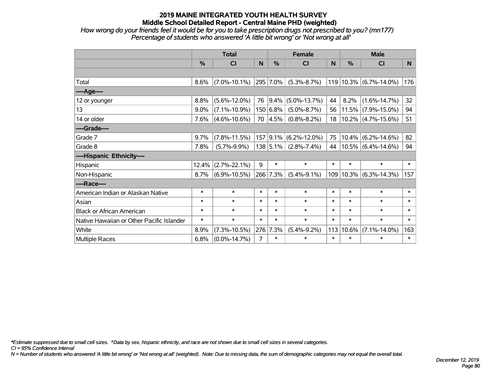*How wrong do your friends feel it would be for you to take prescription drugs not prescribed to you? (mn177) Percentage of students who answered 'A little bit wrong' or 'Not wrong at all'*

|                                           | <b>Total</b>  |                    |        |               | <b>Female</b>            |        | <b>Male</b>   |                       |        |  |
|-------------------------------------------|---------------|--------------------|--------|---------------|--------------------------|--------|---------------|-----------------------|--------|--|
|                                           | $\frac{0}{0}$ | CI                 | N      | $\frac{0}{0}$ | <b>CI</b>                | N      | $\frac{0}{0}$ | <b>CI</b>             | N      |  |
|                                           |               |                    |        |               |                          |        |               |                       |        |  |
| Total                                     | 8.6%          | $(7.0\% - 10.1\%)$ |        | 295 7.0%      | $(5.3\% - 8.7\%)$        | 119    |               | $10.3\%$ (6.7%-14.0%) | 176    |  |
| ----Age----                               |               |                    |        |               |                          |        |               |                       |        |  |
| 12 or younger                             | 8.8%          | $(5.6\% - 12.0\%)$ | 76     | $ 9.4\% $     | $(5.0\% - 13.7\%)$       | 44     | 8.2%          | $(1.6\% - 14.7\%)$    | 32     |  |
| 13                                        | 9.0%          | $(7.1\% - 10.9\%)$ |        | 150 6.8%      | $(5.0\% - 8.7\%)$        | 56     |               | $11.5\%$ (7.9%-15.0%) | 94     |  |
| 14 or older                               | 7.6%          | $(4.6\% - 10.6\%)$ |        | 70 4.5%       | $(0.8\% - 8.2\%)$        | 18     |               | $10.2\%$ (4.7%-15.6%) | 51     |  |
| ----Grade----                             |               |                    |        |               |                          |        |               |                       |        |  |
| Grade 7                                   | 9.7%          | $(7.8\% - 11.5\%)$ |        |               | 157 9.1% (6.2%-12.0%)    | 75     |               | $10.4\%$ (6.2%-14.6%) | 82     |  |
| Grade 8                                   | 7.8%          | $(5.7\% - 9.9\%)$  |        |               | $138 5.1\% $ (2.8%-7.4%) | 44     |               | $10.5\%$ (6.4%-14.6%) | 94     |  |
| ----Hispanic Ethnicity----                |               |                    |        |               |                          |        |               |                       |        |  |
| Hispanic                                  | 12.4%         | $(2.7\% - 22.1\%)$ | 9      | $\ast$        | $\ast$                   | $\ast$ | $\ast$        | $\ast$                | $\ast$ |  |
| Non-Hispanic                              | 8.7%          | $(6.9\% - 10.5\%)$ |        | 266 7.3%      | $(5.4\% - 9.1\%)$        | 109    | 10.3%         | $(6.3\% - 14.3\%)$    | 157    |  |
| ----Race----                              |               |                    |        |               |                          |        |               |                       |        |  |
| American Indian or Alaskan Native         | $\ast$        | $\ast$             | $\ast$ | $\ast$        | $\ast$                   | $\ast$ | $\ast$        | $\ast$                | $\ast$ |  |
| Asian                                     | $\ast$        | $\ast$             | $\ast$ | $\ast$        | $\ast$                   | $\ast$ | $\ast$        | $\ast$                | $\ast$ |  |
| <b>Black or African American</b>          | $\ast$        | $\ast$             | $\ast$ | $\ast$        | $\ast$                   | $\ast$ | $\ast$        | $\ast$                | $\ast$ |  |
| Native Hawaiian or Other Pacific Islander | $\ast$        | $\ast$             | $\ast$ | $\ast$        | $\ast$                   | $\ast$ | $\ast$        | $\ast$                | $\ast$ |  |
| White                                     | 8.9%          | $(7.3\% - 10.5\%)$ | 276    | 7.3%          | $(5.4\% - 9.2\%)$        | 113    | 10.6%         | $(7.1\% - 14.0\%)$    | 163    |  |
| <b>Multiple Races</b>                     | 6.8%          | $(0.0\% - 14.7\%)$ | 7      | $\ast$        | $\ast$                   | $\ast$ | $\ast$        | $\ast$                | $\ast$ |  |

*\*Estimate suppressed due to small cell sizes. ^Data by sex, hispanic ethnicity, and race are not shown due to small cell sizes in several categories.*

*CI = 95% Confidence Interval*

*N = Number of students who answered 'A little bit wrong' or 'Not wrong at all' (weighted). Note: Due to missing data, the sum of demographic categories may not equal the overall total.*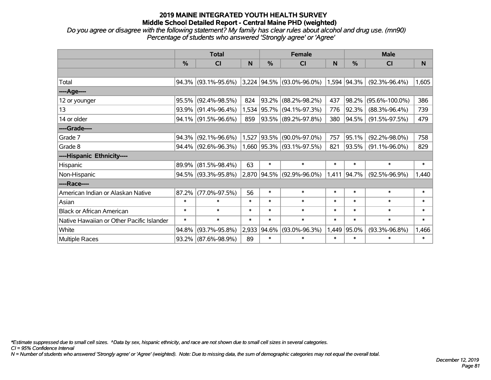*Do you agree or disagree with the following statement? My family has clear rules about alcohol and drug use. (mn90) Percentage of students who answered 'Strongly agree' or 'Agree'*

|                                           |        | <b>Total</b>        |        |             | <b>Female</b>               |        | <b>Male</b>   |                      |          |  |
|-------------------------------------------|--------|---------------------|--------|-------------|-----------------------------|--------|---------------|----------------------|----------|--|
|                                           | %      | CI                  | N      | %           | <b>CI</b>                   | N      | $\frac{0}{0}$ | <b>CI</b>            | <b>N</b> |  |
|                                           |        |                     |        |             |                             |        |               |                      |          |  |
| Total                                     |        | 94.3% (93.1%-95.6%) |        |             | $3,224$ 94.5% (93.0%-96.0%) |        | $1,594$ 94.3% | $(92.3\% - 96.4\%)$  | 1,605    |  |
| ----Age----                               |        |                     |        |             |                             |        |               |                      |          |  |
| 12 or younger                             | 95.5%  | $(92.4\% - 98.5\%)$ | 824    | 93.2%       | $(88.2\% - 98.2\%)$         | 437    | 98.2%         | $(95.6\% - 100.0\%)$ | 386      |  |
| 13                                        |        | 93.9% (91.4%-96.4%) |        | 1,534 95.7% | $(94.1\% - 97.3\%)$         | 776    | 92.3%         | $(88.3\% - 96.4\%)$  | 739      |  |
| 14 or older                               |        | 94.1% (91.5%-96.6%) | 859    |             | 93.5% (89.2%-97.8%)         | 380    | 94.5%         | $(91.5\% - 97.5\%)$  | 479      |  |
| ----Grade----                             |        |                     |        |             |                             |        |               |                      |          |  |
| Grade 7                                   |        | 94.3% (92.1%-96.6%) | 1,527  | 93.5%       | $(90.0\% - 97.0\%)$         | 757    | 95.1%         | $(92.2\% - 98.0\%)$  | 758      |  |
| Grade 8                                   |        | 94.4% (92.6%-96.3%) |        |             | 1,660 95.3% (93.1%-97.5%)   | 821    | 93.5%         | $(91.1\% - 96.0\%)$  | 829      |  |
| ----Hispanic Ethnicity----                |        |                     |        |             |                             |        |               |                      |          |  |
| Hispanic                                  | 89.9%  | $(81.5\% - 98.4\%)$ | 63     | $\ast$      | $\ast$                      | $\ast$ | $\ast$        | $\ast$               | $\ast$   |  |
| Non-Hispanic                              |        | 94.5% (93.3%-95.8%) |        | 2,870 94.5% | $(92.9\% - 96.0\%)$         | 1,411  | 94.7%         | $(92.5\% - 96.9\%)$  | 1,440    |  |
| ----Race----                              |        |                     |        |             |                             |        |               |                      |          |  |
| American Indian or Alaskan Native         | 87.2%  | $(77.0\% - 97.5\%)$ | 56     | $\ast$      | $\ast$                      | $\ast$ | $\ast$        | $\ast$               | $\ast$   |  |
| Asian                                     | $\ast$ | $\ast$              | $\ast$ | $\ast$      | $\ast$                      | $\ast$ | $\ast$        | $\ast$               | $\ast$   |  |
| <b>Black or African American</b>          | $\ast$ | $\ast$              | $\ast$ | $\ast$      | $\ast$                      | $\ast$ | $\ast$        | $\ast$               | $\ast$   |  |
| Native Hawaiian or Other Pacific Islander | $\ast$ | $\ast$              | $\ast$ | $\ast$      | $\ast$                      | $\ast$ | $\ast$        | $\ast$               | $\ast$   |  |
| White                                     | 94.8%  | $(93.7\% - 95.8\%)$ | 2,933  | 94.6%       | $(93.0\% - 96.3\%)$         | 1,449  | 95.0%         | $(93.3\% - 96.8\%)$  | 1,466    |  |
| Multiple Races                            |        | 93.2% (87.6%-98.9%) | 89     | $\ast$      | $\ast$                      | $\ast$ | $\ast$        | $\ast$               | $\ast$   |  |

*\*Estimate suppressed due to small cell sizes. ^Data by sex, hispanic ethnicity, and race are not shown due to small cell sizes in several categories.*

*CI = 95% Confidence Interval*

*N = Number of students who answered 'Strongly agree' or 'Agree' (weighted). Note: Due to missing data, the sum of demographic categories may not equal the overall total.*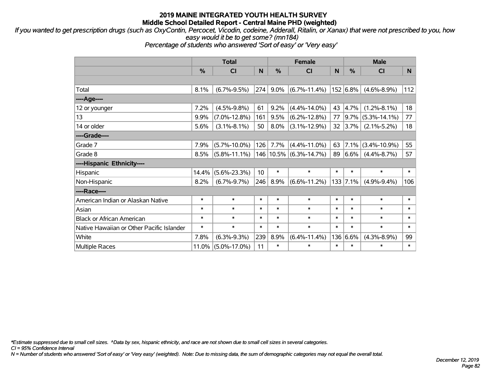*If you wanted to get prescription drugs (such as OxyContin, Percocet, Vicodin, codeine, Adderall, Ritalin, or Xanax) that were not prescribed to you, how easy would it be to get some? (mn184)*

*Percentage of students who answered 'Sort of easy' or 'Very easy'*

|                                           | <b>Total</b> |                    |        |        | <b>Female</b>          | <b>Male</b> |            |                        |        |
|-------------------------------------------|--------------|--------------------|--------|--------|------------------------|-------------|------------|------------------------|--------|
|                                           | %            | C <sub>1</sub>     | N      | %      | <b>CI</b>              | N           | %          | <b>CI</b>              | N      |
|                                           |              |                    |        |        |                        |             |            |                        |        |
| Total                                     | 8.1%         | $(6.7\% - 9.5\%)$  | 274    | 9.0%   | $(6.7\% - 11.4\%)$     |             | 152 6.8%   | $(4.6\% - 8.9\%)$      | 112    |
| ----Age----                               |              |                    |        |        |                        |             |            |                        |        |
| 12 or younger                             | 7.2%         | $(4.5\% - 9.8\%)$  | 61     | 9.2%   | $(4.4\% - 14.0\%)$     | 43          | 4.7%       | $(1.2\% - 8.1\%)$      | 18     |
| 13                                        | 9.9%         | $(7.0\% - 12.8\%)$ | 161    | 9.5%   | $(6.2\% - 12.8\%)$     | 77          |            | $ 9.7\% $ (5.3%-14.1%) | 77     |
| 14 or older                               | 5.6%         | $(3.1\% - 8.1\%)$  | 50     | 8.0%   | $(3.1\% - 12.9\%)$     | 32          | 3.7%       | $(2.1\% - 5.2\%)$      | 18     |
| ----Grade----                             |              |                    |        |        |                        |             |            |                        |        |
| Grade 7                                   | 7.9%         | $(5.7\% - 10.0\%)$ | 126    | 7.7%   | $(4.4\% - 11.0\%)$     | 63          | $ 7.1\%$   | $(3.4\% - 10.9\%)$     | 55     |
| Grade 8                                   | 8.5%         | $(5.8\% - 11.1\%)$ |        |        | 146 10.5% (6.3%-14.7%) | 89          | $ 6.6\% $  | $(4.4\% - 8.7\%)$      | 57     |
| ----Hispanic Ethnicity----                |              |                    |        |        |                        |             |            |                        |        |
| Hispanic                                  | 14.4%        | $(5.6\% - 23.3\%)$ | 10     | $\ast$ | $\ast$                 | $\ast$      | $\ast$     | $\ast$                 | $\ast$ |
| Non-Hispanic                              | 8.2%         | $(6.7\% - 9.7\%)$  | 246    | 8.9%   | $(6.6\% - 11.2\%)$     |             | 133   7.1% | $(4.9\% - 9.4\%)$      | 106    |
| ----Race----                              |              |                    |        |        |                        |             |            |                        |        |
| American Indian or Alaskan Native         | $\ast$       | $\ast$             | $\ast$ | $\ast$ | $\ast$                 | $\ast$      | $\ast$     | $\ast$                 | $\ast$ |
| Asian                                     | $\ast$       | $\ast$             | $\ast$ | $\ast$ | $\ast$                 | $\ast$      | $\ast$     | $\ast$                 | $\ast$ |
| <b>Black or African American</b>          | $\ast$       | $\ast$             | $\ast$ | $\ast$ | $\ast$                 | $\ast$      | $\ast$     | $\ast$                 | $\ast$ |
| Native Hawaiian or Other Pacific Islander | $\ast$       | $\ast$             | $\ast$ | $\ast$ | $\ast$                 | $\ast$      | $\ast$     | $\ast$                 | $\ast$ |
| White                                     | 7.8%         | $(6.3\% - 9.3\%)$  | 239    | 8.9%   | $(6.4\% - 11.4\%)$     |             | 136 6.6%   | $(4.3\% - 8.9\%)$      | 99     |
| <b>Multiple Races</b>                     | 11.0%        | $(5.0\% - 17.0\%)$ | 11     | $\ast$ | $\ast$                 | $\ast$      | $\ast$     | $\ast$                 | $\ast$ |

*\*Estimate suppressed due to small cell sizes. ^Data by sex, hispanic ethnicity, and race are not shown due to small cell sizes in several categories.*

*CI = 95% Confidence Interval*

*N = Number of students who answered 'Sort of easy' or 'Very easy' (weighted). Note: Due to missing data, the sum of demographic categories may not equal the overall total.*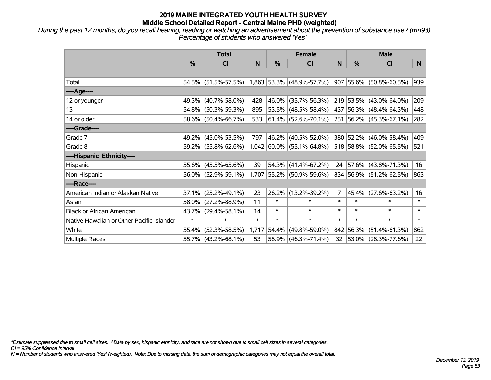*During the past 12 months, do you recall hearing, reading or watching an advertisement about the prevention of substance use? (mn93) Percentage of students who answered 'Yes'*

|                                           | <b>Total</b>  |                     |        |        | <b>Female</b>               |                 | <b>Male</b>   |                          |        |  |
|-------------------------------------------|---------------|---------------------|--------|--------|-----------------------------|-----------------|---------------|--------------------------|--------|--|
|                                           | $\frac{0}{0}$ | CI                  | N      | %      | <b>CI</b>                   | N               | $\frac{0}{0}$ | <b>CI</b>                | N.     |  |
|                                           |               |                     |        |        |                             |                 |               |                          |        |  |
| Total                                     |               | 54.5% (51.5%-57.5%) |        |        | $1,863$ 53.3% (48.9%-57.7%) |                 |               | 907 55.6% (50.8%-60.5%)  | 939    |  |
| ----Age----                               |               |                     |        |        |                             |                 |               |                          |        |  |
| 12 or younger                             | 49.3%         | $(40.7\% - 58.0\%)$ | 428    | 46.0%  | $(35.7\% - 56.3\%)$         |                 |               | 219 53.5% (43.0%-64.0%)  | 209    |  |
| 13                                        | 54.8%         | $(50.3\% - 59.3\%)$ | 895    |        | 53.5% (48.5%-58.4%)         |                 |               | 437 56.3% (48.4%-64.3%)  | 448    |  |
| 14 or older                               |               | 58.6% (50.4%-66.7%) | 533    |        | $ 61.4\% $ (52.6%-70.1%)    |                 |               | 251 56.2% (45.3%-67.1%)  | 282    |  |
| ----Grade----                             |               |                     |        |        |                             |                 |               |                          |        |  |
| Grade 7                                   |               | 49.2% (45.0%-53.5%) | 797    | 46.2%  | $(40.5\% - 52.0\%)$         |                 |               | 380 52.2% (46.0%-58.4%)  | 409    |  |
| Grade 8                                   |               | 59.2% (55.8%-62.6%) |        |        | $1,042$ 60.0% (55.1%-64.8%) |                 |               | 518 58.8% (52.0%-65.5%)  | 521    |  |
| ----Hispanic Ethnicity----                |               |                     |        |        |                             |                 |               |                          |        |  |
| Hispanic                                  | 55.6%         | $(45.5\% - 65.6\%)$ | 39     | 54.3%  | $(41.4\% - 67.2\%)$         | 24              |               | $ 57.6\% $ (43.8%-71.3%) | 16     |  |
| Non-Hispanic                              |               | 56.0% (52.9%-59.1%) |        |        | 1,707 55.2% (50.9%-59.6%)   |                 |               | 834 56.9% (51.2%-62.5%)  | 863    |  |
| ----Race----                              |               |                     |        |        |                             |                 |               |                          |        |  |
| American Indian or Alaskan Native         | 37.1%         | $(25.2\% - 49.1\%)$ | 23     | 26.2%  | $(13.2\% - 39.2\%)$         | $\overline{7}$  | 45.4%         | $(27.6\% - 63.2\%)$      | 16     |  |
| Asian                                     | 58.0%         | $(27.2\% - 88.9\%)$ | 11     | $\ast$ | $\ast$                      | $\ast$          | $\ast$        | $\ast$                   | $\ast$ |  |
| <b>Black or African American</b>          | 43.7%         | $(29.4\% - 58.1\%)$ | 14     | $\ast$ | $\ast$                      | $\ast$          | $\ast$        | $\ast$                   | $\ast$ |  |
| Native Hawaiian or Other Pacific Islander | $\ast$        | $\ast$              | $\ast$ | $\ast$ | $\ast$                      | $\ast$          | $\ast$        | $\ast$                   | $\ast$ |  |
| White                                     | 55.4%         | $(52.3\% - 58.5\%)$ | 1,717  | 54.4%  | $(49.8\% - 59.0\%)$         |                 | 842 56.3%     | $(51.4\% - 61.3\%)$      | 862    |  |
| Multiple Races                            |               | 55.7% (43.2%-68.1%) | 53     |        | 58.9% (46.3%-71.4%)         | 32 <sub>2</sub> |               | $ 53.0\% $ (28.3%-77.6%) | 22     |  |

*\*Estimate suppressed due to small cell sizes. ^Data by sex, hispanic ethnicity, and race are not shown due to small cell sizes in several categories.*

*CI = 95% Confidence Interval*

*N = Number of students who answered 'Yes' (weighted). Note: Due to missing data, the sum of demographic categories may not equal the overall total.*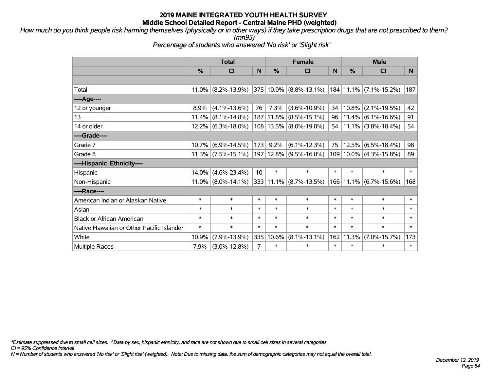*How much do you think people risk harming themselves (physically or in other ways) if they take prescription drugs that are not prescribed to them? (mn95)*

*Percentage of students who answered 'No risk' or 'Slight risk'*

|                                           |               | <b>Total</b>          |        | <b>Female</b> |                             | <b>Male</b> |               |                              |        |
|-------------------------------------------|---------------|-----------------------|--------|---------------|-----------------------------|-------------|---------------|------------------------------|--------|
|                                           | $\frac{0}{0}$ | CI                    | N      | $\%$          | CI                          | N           | $\frac{0}{0}$ | <b>CI</b>                    | N.     |
|                                           |               |                       |        |               |                             |             |               |                              |        |
| Total                                     |               | $11.0\%$ (8.2%-13.9%) |        |               | $ 375 10.9\% $ (8.8%-13.1%) |             |               | 184 11.1% (7.1%-15.2%)       | 187    |
| ----Age----                               |               |                       |        |               |                             |             |               |                              |        |
| 12 or younger                             | 8.9%          | $(4.1\% - 13.6\%)$    | 76     | 7.3%          | $(3.6\% - 10.9\%)$          | 34          | 10.8%         | $(2.1\% - 19.5\%)$           | 42     |
| 13                                        | 11.4%         | $(8.1\% - 14.8\%)$    |        | 187 11.8%     | $(8.5\% - 15.1\%)$          | 96          | 11.4%         | $(6.1\% - 16.6\%)$           | 91     |
| 14 or older                               |               | 12.2% (6.3%-18.0%)    |        |               | 108   13.5%   (8.0%-19.0%)  | 54          |               | $11.1\%$ (3.8%-18.4%)        | 54     |
| ----Grade----                             |               |                       |        |               |                             |             |               |                              |        |
| Grade 7                                   | 10.7%         | $(6.9\% - 14.5\%)$    | 173    | 9.2%          | $(6.1\% - 12.3\%)$          | 75          | 12.5%         | $(6.5\% - 18.4\%)$           | 98     |
| Grade 8                                   |               | 11.3% (7.5%-15.1%)    |        | 197   12.8%   | $(9.5\% - 16.0\%)$          |             |               | 109   10.0%   (4.3%-15.8%)   | 89     |
| ----Hispanic Ethnicity----                |               |                       |        |               |                             |             |               |                              |        |
| Hispanic                                  | 14.0%         | $(4.6\% - 23.4\%)$    | 10     | $\ast$        | $\ast$                      | $\ast$      | $\ast$        | $\ast$                       | $\ast$ |
| Non-Hispanic                              |               | $11.0\%$ (8.0%-14.1%) |        |               | 333 11.1% (8.7%-13.5%)      |             |               | $166$   11.1%   (6.7%-15.6%) | 168    |
| ----Race----                              |               |                       |        |               |                             |             |               |                              |        |
| American Indian or Alaskan Native         | $\ast$        | $\ast$                | $\ast$ | $\ast$        | $\ast$                      | $\ast$      | $\ast$        | $\ast$                       | $\ast$ |
| Asian                                     | $\ast$        | $\ast$                | $\ast$ | $\ast$        | $\ast$                      | $\ast$      | $\ast$        | $\ast$                       | $\ast$ |
| <b>Black or African American</b>          | $\ast$        | $\ast$                | $\ast$ | $\ast$        | $\ast$                      | $\ast$      | $\ast$        | $\ast$                       | $\ast$ |
| Native Hawaiian or Other Pacific Islander | $\ast$        | $\ast$                | $\ast$ | $\ast$        | $\ast$                      | $\ast$      | $\ast$        | $\ast$                       | $\ast$ |
| White                                     | 10.9%         | $(7.9\% - 13.9\%)$    | 335    | 10.6%         | $(8.1\% - 13.1\%)$          | 162         | 11.3%         | $(7.0\% - 15.7\%)$           | 173    |
| <b>Multiple Races</b>                     | 7.9%          | $(3.0\% - 12.8\%)$    | 7      | $\ast$        | $\ast$                      | $\ast$      | $\ast$        | $\ast$                       | $\ast$ |

*\*Estimate suppressed due to small cell sizes. ^Data by sex, hispanic ethnicity, and race are not shown due to small cell sizes in several categories.*

*CI = 95% Confidence Interval*

*N = Number of students who answered 'No risk' or 'Slight risk' (weighted). Note: Due to missing data, the sum of demographic categories may not equal the overall total.*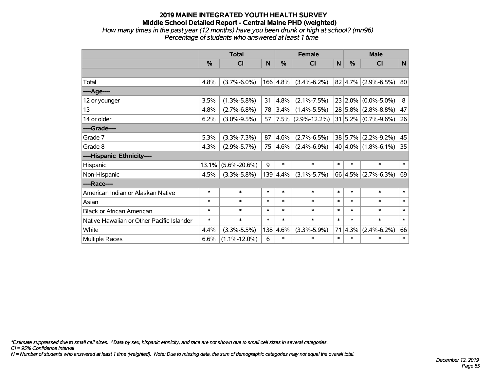# **2019 MAINE INTEGRATED YOUTH HEALTH SURVEY Middle School Detailed Report - Central Maine PHD (weighted)** *How many times in the past year (12 months) have you been drunk or high at school? (mn96)*

| w many unics in the past year (12 months) have you been urunk or high at scribble (mi |  |
|---------------------------------------------------------------------------------------|--|
| Percentage of students who answered at least 1 time                                   |  |
|                                                                                       |  |

|                                           | <b>Total</b> |                    |        |          | <b>Female</b>        | <b>Male</b> |               |                          |        |
|-------------------------------------------|--------------|--------------------|--------|----------|----------------------|-------------|---------------|--------------------------|--------|
|                                           | %            | CI                 | N      | %        | CI                   | N           | $\frac{0}{0}$ | <b>CI</b>                | N      |
|                                           |              |                    |        |          |                      |             |               |                          |        |
| Total                                     | 4.8%         | $(3.7\% - 6.0\%)$  |        | 166 4.8% | $(3.4\% - 6.2\%)$    |             |               | $82 4.7\% $ (2.9%-6.5%)  | 80     |
| ----Age----                               |              |                    |        |          |                      |             |               |                          |        |
| 12 or younger                             | 3.5%         | $(1.3\% - 5.8\%)$  | 31     | 4.8%     | $(2.1\% - 7.5\%)$    |             | 23 2.0%       | $(0.0\% - 5.0\%)$        | 8      |
| 13                                        | 4.8%         | $(2.7\% - 6.8\%)$  | 78     | 3.4%     | $(1.4\% - 5.5\%)$    |             |               | 28 5.8% (2.8%-8.8%)      | 47     |
| 14 or older                               | 6.2%         | $(3.0\% - 9.5\%)$  | 57     |          | $7.5\%$ (2.9%-12.2%) |             |               | $31 5.2\% $ (0.7%-9.6%)  | 26     |
| ----Grade----                             |              |                    |        |          |                      |             |               |                          |        |
| Grade 7                                   | 5.3%         | $(3.3\% - 7.3\%)$  | 87     | 4.6%     | $(2.7\% - 6.5\%)$    |             | 38 5.7%       | $(2.2\% - 9.2\%)$        | 45     |
| Grade 8                                   | 4.3%         | $(2.9\% - 5.7\%)$  | 75     | 4.6%     | $(2.4\% - 6.9\%)$    |             |               | 40 $ 4.0\% $ (1.8%-6.1%) | 35     |
| ----Hispanic Ethnicity----                |              |                    |        |          |                      |             |               |                          |        |
| Hispanic                                  | 13.1%        | $(5.6\% - 20.6\%)$ | 9      | $\ast$   | $\ast$               | $\ast$      | $\ast$        | $\ast$                   | $\ast$ |
| Non-Hispanic                              | 4.5%         | $(3.3\% - 5.8\%)$  | 139    | 4.4%     | $(3.1\% - 5.7\%)$    |             |               | $66 4.5\% $ (2.7%-6.3%)  | 69     |
| ----Race----                              |              |                    |        |          |                      |             |               |                          |        |
| American Indian or Alaskan Native         | $\ast$       | $\ast$             | $\ast$ | $\ast$   | $\ast$               | $\ast$      | $\ast$        | $\ast$                   | $\ast$ |
| Asian                                     | $\ast$       | $\ast$             | $\ast$ | *        | $\ast$               | $\ast$      | $\ast$        | $\ast$                   | $\ast$ |
| <b>Black or African American</b>          | $\ast$       | $\ast$             | $\ast$ | $\ast$   | $\ast$               | $\ast$      | $\ast$        | $\ast$                   | $\ast$ |
| Native Hawaiian or Other Pacific Islander | $\ast$       | $\ast$             | $\ast$ | *        | $\ast$               | $\ast$      | $\ast$        | $\ast$                   | $\ast$ |
| White                                     | 4.4%         | $(3.3\% - 5.5\%)$  | 138    | 4.6%     | $(3.3\% - 5.9\%)$    | 71          | 4.3%          | $(2.4\% - 6.2\%)$        | 66     |
| Multiple Races                            | 6.6%         | $(1.1\% - 12.0\%)$ | 6      | $\ast$   | $\ast$               | $\ast$      | $\ast$        | $\ast$                   | $\ast$ |

*\*Estimate suppressed due to small cell sizes. ^Data by sex, hispanic ethnicity, and race are not shown due to small cell sizes in several categories.*

*CI = 95% Confidence Interval*

*N = Number of students who answered at least 1 time (weighted). Note: Due to missing data, the sum of demographic categories may not equal the overall total.*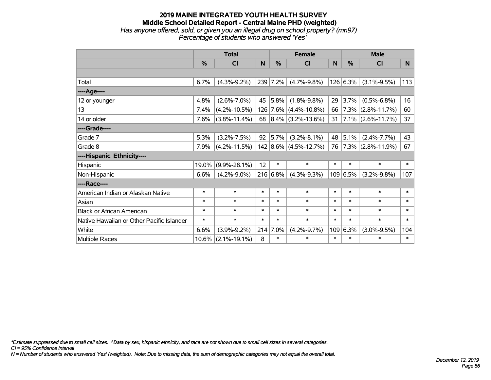### **2019 MAINE INTEGRATED YOUTH HEALTH SURVEY Middle School Detailed Report - Central Maine PHD (weighted)** *Has anyone offered, sold, or given you an illegal drug on school property? (mn97) Percentage of students who answered 'Yes'*

|                                           | <b>Total</b> |                    |        | <b>Female</b> |                                |        | <b>Male</b> |                        |        |  |
|-------------------------------------------|--------------|--------------------|--------|---------------|--------------------------------|--------|-------------|------------------------|--------|--|
|                                           | %            | <b>CI</b>          | N      | %             | CI                             | N      | %           | <b>CI</b>              | N.     |  |
|                                           |              |                    |        |               |                                |        |             |                        |        |  |
| Total                                     | 6.7%         | $(4.3\% - 9.2\%)$  |        | 239 7.2%      | $(4.7\% - 9.8\%)$              |        | 126 6.3%    | $(3.1\% - 9.5\%)$      | 113    |  |
| ----Age----                               |              |                    |        |               |                                |        |             |                        |        |  |
| 12 or younger                             | 4.8%         | $(2.6\% - 7.0\%)$  | 45     | 5.8%          | $(1.8\% - 9.8\%)$              | 29     | 3.7%        | $(0.5\% - 6.8\%)$      | 16     |  |
| 13                                        | 7.4%         | $(4.2\% - 10.5\%)$ |        |               | 126 7.6% (4.4%-10.8%)          | 66     |             | $ 7.3\% $ (2.8%-11.7%) | 60     |  |
| 14 or older                               | 7.6%         | $(3.8\% - 11.4\%)$ |        |               | 68   8.4%   $(3.2\% - 13.6\%)$ | 31     |             | $7.1\%$ (2.6%-11.7%)   | 37     |  |
| ----Grade----                             |              |                    |        |               |                                |        |             |                        |        |  |
| Grade 7                                   | 5.3%         | $(3.2\% - 7.5\%)$  | 92     | 5.7%          | $(3.2\% - 8.1\%)$              | 48     | 5.1%        | $(2.4\% - 7.7\%)$      | 43     |  |
| Grade 8                                   | 7.9%         | $(4.2\% - 11.5\%)$ |        |               | 142 8.6% (4.5%-12.7%)          | 76     |             | $ 7.3\% $ (2.8%-11.9%) | 67     |  |
| ----Hispanic Ethnicity----                |              |                    |        |               |                                |        |             |                        |        |  |
| Hispanic                                  | 19.0%        | $(9.9\% - 28.1\%)$ | 12     | $\ast$        | $\ast$                         | $\ast$ | $\ast$      | $\ast$                 | $\ast$ |  |
| Non-Hispanic                              | 6.6%         | $(4.2\% - 9.0\%)$  |        | 216 6.8%      | $(4.3\% - 9.3\%)$              |        | 109 6.5%    | $(3.2\% - 9.8\%)$      | 107    |  |
| ----Race----                              |              |                    |        |               |                                |        |             |                        |        |  |
| American Indian or Alaskan Native         | $\ast$       | $\ast$             | $\ast$ | $\ast$        | $\ast$                         | $\ast$ | $\ast$      | $\ast$                 | $\ast$ |  |
| Asian                                     | $\ast$       | $\ast$             | $\ast$ | $\ast$        | $\ast$                         | $\ast$ | $\ast$      | $\ast$                 | $\ast$ |  |
| <b>Black or African American</b>          | $\ast$       | $\ast$             | $\ast$ | $\ast$        | $\ast$                         | $\ast$ | $\ast$      | $\ast$                 | $\ast$ |  |
| Native Hawaiian or Other Pacific Islander | $\ast$       | $\ast$             | $\ast$ | $\ast$        | $\ast$                         | $\ast$ | $\ast$      | $\ast$                 | $\ast$ |  |
| White                                     | 6.6%         | $(3.9\% - 9.2\%)$  | 214    | 7.0%          | $(4.2\% - 9.7\%)$              | 109    | 6.3%        | $(3.0\% - 9.5\%)$      | 104    |  |
| <b>Multiple Races</b>                     | 10.6%        | $(2.1\% - 19.1\%)$ | 8      | $\ast$        | $\ast$                         | $\ast$ | $\ast$      | $\ast$                 | $\ast$ |  |

*\*Estimate suppressed due to small cell sizes. ^Data by sex, hispanic ethnicity, and race are not shown due to small cell sizes in several categories.*

*CI = 95% Confidence Interval*

*N = Number of students who answered 'Yes' (weighted). Note: Due to missing data, the sum of demographic categories may not equal the overall total.*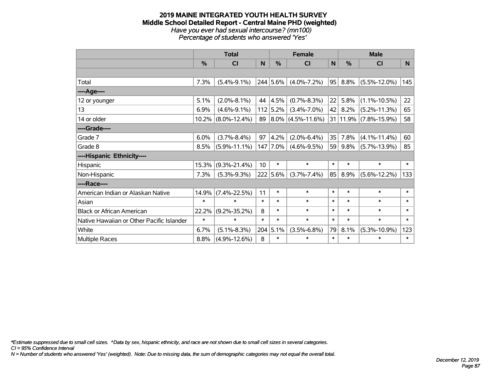#### **2019 MAINE INTEGRATED YOUTH HEALTH SURVEY Middle School Detailed Report - Central Maine PHD (weighted)** *Have you ever had sexual intercourse? (mn100) Percentage of students who answered 'Yes'*

|                                           | <b>Total</b> |                    |        | <b>Female</b> |                        |             | <b>Male</b>   |                       |        |  |
|-------------------------------------------|--------------|--------------------|--------|---------------|------------------------|-------------|---------------|-----------------------|--------|--|
|                                           | %            | <b>CI</b>          | N      | %             | <b>CI</b>              | $\mathbf N$ | $\frac{0}{0}$ | <b>CI</b>             | N      |  |
|                                           |              |                    |        |               |                        |             |               |                       |        |  |
| Total                                     | 7.3%         | $(5.4\% - 9.1\%)$  |        | 244 5.6%      | $(4.0\% - 7.2\%)$      | 95          | 8.8%          | $(5.5\% - 12.0\%)$    | 145    |  |
| ----Age----                               |              |                    |        |               |                        |             |               |                       |        |  |
| 12 or younger                             | 5.1%         | $(2.0\% - 8.1\%)$  | 44     | 4.5%          | $(0.7\% - 8.3\%)$      | 22          | 5.8%          | $(1.1\% - 10.5\%)$    | 22     |  |
| 13                                        | 6.9%         | $(4.6\% - 9.1\%)$  |        | $112$ 5.2%    | $(3.4\% - 7.0\%)$      | 42          | 8.2%          | $(5.2\% - 11.3\%)$    | 65     |  |
| 14 or older                               | 10.2%        | $(8.0\% - 12.4\%)$ | 89     |               | $ 8.0\% $ (4.5%-11.6%) |             |               | 31 11.9% (7.8%-15.9%) | 58     |  |
| ----Grade----                             |              |                    |        |               |                        |             |               |                       |        |  |
| Grade 7                                   | 6.0%         | $(3.7\% - 8.4\%)$  | 97     | 4.2%          | $(2.0\% - 6.4\%)$      | 35          | 7.8%          | $(4.1\% - 11.4\%)$    | 60     |  |
| Grade 8                                   | 8.5%         | $(5.9\% - 11.1\%)$ |        | 147 7.0%      | $(4.6\% - 9.5\%)$      | 59          | 9.8%          | $(5.7\% - 13.9\%)$    | 85     |  |
| ----Hispanic Ethnicity----                |              |                    |        |               |                        |             |               |                       |        |  |
| Hispanic                                  | 15.3%        | $(9.3\% - 21.4\%)$ | 10     | $\ast$        | $\ast$                 | $\ast$      | $\ast$        | $\ast$                | $\ast$ |  |
| Non-Hispanic                              | 7.3%         | $(5.3\% - 9.3\%)$  |        | $222   5.6\%$ | $(3.7\% - 7.4\%)$      | 85          | 8.9%          | $(5.6\% - 12.2\%)$    | 133    |  |
| ----Race----                              |              |                    |        |               |                        |             |               |                       |        |  |
| American Indian or Alaskan Native         | 14.9%        | $(7.4\% - 22.5\%)$ | 11     | $\ast$        | $\ast$                 | $\ast$      | $\ast$        | $\ast$                | $\ast$ |  |
| Asian                                     | $\ast$       | $\ast$             | $\ast$ | $\ast$        | $\ast$                 | $\ast$      | $\ast$        | $\ast$                | $\ast$ |  |
| <b>Black or African American</b>          | 22.2%        | $(9.2\% - 35.2\%)$ | 8      | $\ast$        | $\ast$                 | $\ast$      | $\ast$        | $\ast$                | $\ast$ |  |
| Native Hawaiian or Other Pacific Islander | $\ast$       | $\ast$             | $\ast$ | $\ast$        | $\ast$                 | $\ast$      | $\ast$        | $\ast$                | $\ast$ |  |
| White                                     | 6.7%         | $(5.1\% - 8.3\%)$  |        | 204   5.1%    | $(3.5\% - 6.8\%)$      | 79          | 8.1%          | $(5.3\% - 10.9\%)$    | 123    |  |
| <b>Multiple Races</b>                     | 8.8%         | $(4.9\% - 12.6\%)$ | 8      | $\ast$        | $\ast$                 | $\ast$      | $\ast$        | $\ast$                | $\ast$ |  |

*\*Estimate suppressed due to small cell sizes. ^Data by sex, hispanic ethnicity, and race are not shown due to small cell sizes in several categories.*

*CI = 95% Confidence Interval*

*N = Number of students who answered 'Yes' (weighted). Note: Due to missing data, the sum of demographic categories may not equal the overall total.*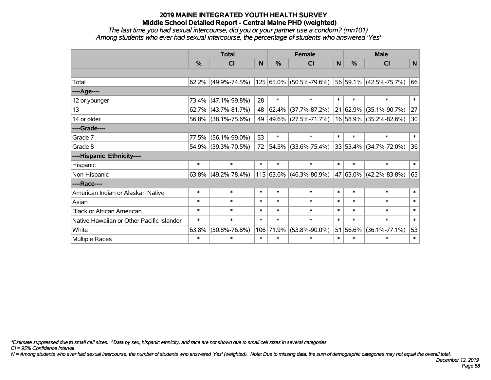*The last time you had sexual intercourse, did you or your partner use a condom? (mn101) Among students who ever had sexual intercourse, the percentage of students who answered 'Yes'*

|                                           | <b>Total</b>  |                        |          |            | <b>Female</b>               | <b>Male</b>  |               |                             |        |
|-------------------------------------------|---------------|------------------------|----------|------------|-----------------------------|--------------|---------------|-----------------------------|--------|
|                                           | $\frac{0}{0}$ | CI                     | <b>N</b> | %          | CI                          | $\mathsf{N}$ | $\frac{0}{0}$ | <b>CI</b>                   | N      |
|                                           |               |                        |          |            |                             |              |               |                             |        |
| Total                                     |               | $62.2\%$ (49.9%-74.5%) |          |            | 125 65.0% (50.5%-79.6%)     |              |               | $ 56 59.1\% $ (42.5%-75.7%) | 66     |
| ----Age----                               |               |                        |          |            |                             |              |               |                             |        |
| 12 or younger                             | 73.4%         | $(47.1\% - 99.8\%)$    | 28       | $\ast$     | $\ast$                      | $\ast$       | $\ast$        | $\ast$                      | $\ast$ |
| 13                                        |               | $62.7\%$ (43.7%-81.7%) | 48       | $ 62.4\% $ | $(37.7\% - 87.2\%)$         |              | 21 62.9%      | $(35.1\% - 90.7\%)$         | 27     |
| 14 or older                               |               | 56.8% (38.1%-75.6%)    | 49       |            | 49.6% (27.5%-71.7%)         |              |               | 16 58.9% (35.2%-82.6%)      | 30     |
| ----Grade----                             |               |                        |          |            |                             |              |               |                             |        |
| Grade 7                                   | 77.5%         | $(56.1\% - 99.0\%)$    | 53       | $\ast$     | $\ast$                      | $\ast$       | $\ast$        | $\ast$                      | $\ast$ |
| Grade 8                                   |               | 54.9% (39.3%-70.5%)    | 72       |            | 54.5% (33.6%-75.4%)         |              |               | $33 53.4\% $ (34.7%-72.0%)  | 36     |
| ----Hispanic Ethnicity----                |               |                        |          |            |                             |              |               |                             |        |
| Hispanic                                  | $\ast$        | $\ast$                 | $\ast$   | $\ast$     | $\ast$                      | $\ast$       | $\ast$        | $\ast$                      | $\ast$ |
| Non-Hispanic                              |               | $63.8\%$ (49.2%-78.4%) |          |            | $115 63.6\% $ (46.3%-80.9%) |              |               | 47 63.0% (42.2%-83.8%)      | 65     |
| ----Race----                              |               |                        |          |            |                             |              |               |                             |        |
| American Indian or Alaskan Native         | $\ast$        | $\ast$                 | $\ast$   | $\ast$     | $\ast$                      | $\ast$       | $\ast$        | $\ast$                      | $\ast$ |
| Asian                                     | $\ast$        | $\ast$                 | $\ast$   | $\ast$     | $\ast$                      | $\ast$       | $\ast$        | $\ast$                      | $\ast$ |
| <b>Black or African American</b>          | $\ast$        | $\ast$                 | $\ast$   | $\ast$     | $\ast$                      | $\ast$       | $\ast$        | $\ast$                      | $\ast$ |
| Native Hawaiian or Other Pacific Islander | $\ast$        | $\ast$                 | $\ast$   | $\ast$     | $\ast$                      | $\ast$       | $\ast$        | $\ast$                      | $\ast$ |
| White                                     | 63.8%         | $(50.8\% - 76.8\%)$    |          | 106 71.9%  | $(53.8\% - 90.0\%)$         | 51           | 56.6%         | $(36.1\% - 77.1\%)$         | 53     |
| Multiple Races                            | $\ast$        | $\ast$                 | $\ast$   | $\ast$     | $\ast$                      | $\ast$       | $\ast$        | $\ast$                      | $\ast$ |

*\*Estimate suppressed due to small cell sizes. ^Data by sex, hispanic ethnicity, and race are not shown due to small cell sizes in several categories.*

*CI = 95% Confidence Interval*

*N = Among students who ever had sexual intercourse, the number of students who answered 'Yes' (weighted). Note: Due to missing data, the sum of demographic categories may not equal the overall total.*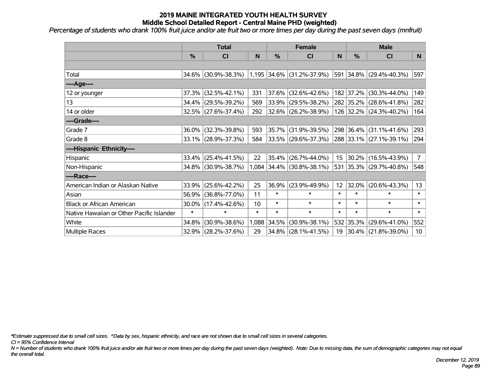*Percentage of students who drank 100% fruit juice and/or ate fruit two or more times per day during the past seven days (mnfruit)*

|                                           |        | <b>Total</b>        |        | <b>Female</b> |                             | <b>Male</b>     |            |                          |                 |
|-------------------------------------------|--------|---------------------|--------|---------------|-----------------------------|-----------------|------------|--------------------------|-----------------|
|                                           | %      | CI                  | N      | %             | <b>CI</b>                   | N               | %          | <b>CI</b>                | N               |
|                                           |        |                     |        |               |                             |                 |            |                          |                 |
| Total                                     |        | 34.6% (30.9%-38.3%) |        |               | $1,195$ 34.6% (31.2%-37.9%) |                 | 591 34.8%  | $(29.4\% - 40.3\%)$      | 597             |
| ----Age----                               |        |                     |        |               |                             |                 |            |                          |                 |
| 12 or younger                             | 37.3%  | $(32.5\% - 42.1\%)$ | 331    | 37.6%         | $(32.6\% - 42.6\%)$         |                 | 182 37.2%  | $(30.3\% - 44.0\%)$      | 149             |
| 13                                        | 34.4%  | $(29.5\% - 39.2\%)$ | 569    | 33.9%         | $(29.5\% - 38.2\%)$         |                 |            | 282 35.2% (28.6%-41.8%)  | 282             |
| 14 or older                               |        | 32.5% (27.6%-37.4%) | 292    |               | $32.6\%$ (26.2%-38.9%)      |                 |            | 126 32.2% (24.3%-40.2%)  | 164             |
| ----Grade----                             |        |                     |        |               |                             |                 |            |                          |                 |
| Grade 7                                   | 36.0%  | $(32.3\% - 39.8\%)$ | 593    | 35.7%         | $(31.9\% - 39.5\%)$         |                 | 298 36.4%  | $(31.1\% - 41.6\%)$      | 293             |
| Grade 8                                   |        | 33.1% (28.9%-37.3%) | 584    |               | $ 33.5\% $ (29.6%-37.3%)    |                 |            | 288 33.1% (27.1%-39.1%)  | 294             |
| ----Hispanic Ethnicity----                |        |                     |        |               |                             |                 |            |                          |                 |
| Hispanic                                  | 33.4%  | $(25.4\% - 41.5\%)$ | 22     | 35.4%         | $(26.7\% - 44.0\%)$         | 15              | $ 30.2\% $ | $(16.5\% - 43.9\%)$      | $\overline{7}$  |
| Non-Hispanic                              |        | 34.8% (30.9%-38.7%) |        |               | 1,084 34.4% (30.8%-38.1%)   |                 |            | 531 35.3% (29.7%-40.8%)  | 548             |
| ----Race----                              |        |                     |        |               |                             |                 |            |                          |                 |
| American Indian or Alaskan Native         | 33.9%  | $(25.6\% - 42.2\%)$ | 25     | 36.9%         | $(23.9\% - 49.9\%)$         | 12 <sub>2</sub> | 32.0%      | $(20.6\% - 43.3\%)$      | 13              |
| Asian                                     | 56.9%  | $(36.8\% - 77.0\%)$ | 11     | $\ast$        | $\ast$                      | $\ast$          | $\ast$     | $\ast$                   | $\ast$          |
| <b>Black or African American</b>          | 30.0%  | $(17.4\% - 42.6\%)$ | 10     | $\ast$        | $\ast$                      | $\ast$          | $\ast$     | $\ast$                   | $\ast$          |
| Native Hawaiian or Other Pacific Islander | $\ast$ | $\ast$              | $\ast$ | $\ast$        | $\ast$                      | $\ast$          | $\ast$     | $\ast$                   | $\ast$          |
| White                                     | 34.8%  | $(30.9\% - 38.6\%)$ | 1,088  | 34.5%         | $(30.9\% - 38.1\%)$         |                 | 532 35.3%  | $(29.6\% - 41.0\%)$      | 552             |
| <b>Multiple Races</b>                     |        | 32.9% (28.2%-37.6%) | 29     |               | $34.8\%$ (28.1%-41.5%)      | 19              |            | $ 30.4\% $ (21.8%-39.0%) | 10 <sup>1</sup> |

*\*Estimate suppressed due to small cell sizes. ^Data by sex, hispanic ethnicity, and race are not shown due to small cell sizes in several categories.*

*CI = 95% Confidence Interval*

*N = Number of students who drank 100% fruit juice and/or ate fruit two or more times per day during the past seven days (weighted). Note: Due to missing data, the sum of demographic categories may not equal the overall total.*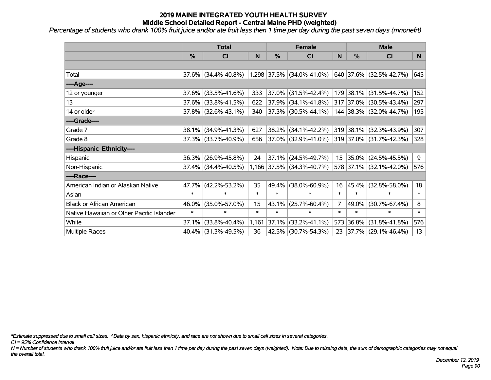*Percentage of students who drank 100% fruit juice and/or ate fruit less then 1 time per day during the past seven days (mnonefrt)*

|                                           | <b>Total</b>  |                     |        |        | <b>Female</b>             |                  | <b>Male</b>   |                          |        |  |
|-------------------------------------------|---------------|---------------------|--------|--------|---------------------------|------------------|---------------|--------------------------|--------|--|
|                                           | $\frac{0}{0}$ | <b>CI</b>           | N      | %      | <b>CI</b>                 | N                | $\frac{0}{0}$ | <b>CI</b>                | N      |  |
|                                           |               |                     |        |        |                           |                  |               |                          |        |  |
| Total                                     |               | 37.6% (34.4%-40.8%) |        |        | 1,298 37.5% (34.0%-41.0%) |                  |               | 640 37.6% (32.5%-42.7%)  | 645    |  |
| ----Age----                               |               |                     |        |        |                           |                  |               |                          |        |  |
| 12 or younger                             | 37.6%         | $(33.5\% - 41.6\%)$ | 333    | 37.0%  | $(31.5\% - 42.4\%)$       |                  | 179 38.1%     | $(31.5\% - 44.7\%)$      | 152    |  |
| 13                                        |               | 37.6% (33.8%-41.5%) | 622    | 37.9%  | $(34.1\% - 41.8\%)$       |                  |               | 317 37.0% (30.5%-43.4%)  | 297    |  |
| 14 or older                               |               | 37.8% (32.6%-43.1%) | 340    |        | $ 37.3\% $ (30.5%-44.1%)  |                  |               | 144 38.3% (32.0%-44.7%)  | 195    |  |
| ----Grade----                             |               |                     |        |        |                           |                  |               |                          |        |  |
| Grade 7                                   | 38.1%         | $(34.9\% - 41.3\%)$ | 627    | 38.2%  | $(34.1\% - 42.2\%)$       |                  | 319 38.1%     | $(32.3\% - 43.9\%)$      | 307    |  |
| Grade 8                                   |               | 37.3% (33.7%-40.9%) | 656    |        | $ 37.0\% $ (32.9%-41.0%)  |                  |               | 319 37.0% (31.7%-42.3%)  | 328    |  |
| ----Hispanic Ethnicity----                |               |                     |        |        |                           |                  |               |                          |        |  |
| Hispanic                                  | 36.3%         | $(26.9\% - 45.8\%)$ | 24     | 37.1%  | $(24.5\% - 49.7\%)$       | 15 <sub>15</sub> | $ 35.0\% $    | $(24.5\% - 45.5\%)$      | 9      |  |
| Non-Hispanic                              |               | 37.4% (34.4%-40.5%) |        |        | 1,166 37.5% (34.3%-40.7%) |                  |               | 578 37.1% (32.1%-42.0%)  | 576    |  |
| ----Race----                              |               |                     |        |        |                           |                  |               |                          |        |  |
| American Indian or Alaskan Native         | 47.7%         | $(42.2\% - 53.2\%)$ | 35     | 49.4%  | $(38.0\% - 60.9\%)$       | 16               | $ 45.4\% $    | $(32.8\% - 58.0\%)$      | 18     |  |
| Asian                                     | $\ast$        | $\ast$              | $\ast$ | $\ast$ | $\ast$                    | $\ast$           | $\ast$        | $\ast$                   | $\ast$ |  |
| <b>Black or African American</b>          | 46.0%         | $(35.0\% - 57.0\%)$ | 15     | 43.1%  | $(25.7\% - 60.4\%)$       | $\overline{7}$   | 49.0%         | $(30.7\% - 67.4\%)$      | 8      |  |
| Native Hawaiian or Other Pacific Islander | $\ast$        | $\ast$              | $\ast$ | $\ast$ | $\ast$                    | $\ast$           | $\ast$        | $\ast$                   | $\ast$ |  |
| White                                     | 37.1%         | $(33.8\% - 40.4\%)$ | 1,161  | 37.1%  | $(33.2\% - 41.1\%)$       |                  | 573 36.8%     | $(31.8\% - 41.8\%)$      | 576    |  |
| Multiple Races                            |               | 40.4% (31.3%-49.5%) | 36     |        | 42.5% (30.7%-54.3%)       | 23               |               | $ 37.7\% $ (29.1%-46.4%) | 13     |  |

*\*Estimate suppressed due to small cell sizes. ^Data by sex, hispanic ethnicity, and race are not shown due to small cell sizes in several categories.*

*CI = 95% Confidence Interval*

*N = Number of students who drank 100% fruit juice and/or ate fruit less then 1 time per day during the past seven days (weighted). Note: Due to missing data, the sum of demographic categories may not equal the overall total.*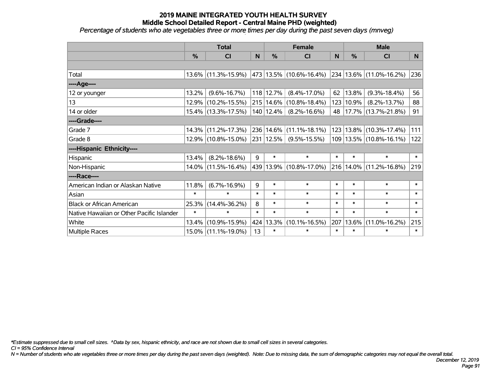*Percentage of students who ate vegetables three or more times per day during the past seven days (mnveg)*

|                                           | <b>Total</b>  |                        |        |               | <b>Female</b>               |        | <b>Male</b> |                         |          |  |
|-------------------------------------------|---------------|------------------------|--------|---------------|-----------------------------|--------|-------------|-------------------------|----------|--|
|                                           | $\frac{0}{0}$ | CI                     | N      | $\frac{9}{6}$ | CI                          | N      | %           | <b>CI</b>               | <b>N</b> |  |
|                                           |               |                        |        |               |                             |        |             |                         |          |  |
| Total                                     |               | $13.6\%$ (11.3%-15.9%) |        |               | 473 13.5% (10.6%-16.4%)     |        |             | 234 13.6% (11.0%-16.2%) | 236      |  |
| ----Age----                               |               |                        |        |               |                             |        |             |                         |          |  |
| 12 or younger                             | 13.2%         | $(9.6\% - 16.7\%)$     |        | 118 12.7%     | $(8.4\% - 17.0\%)$          | 62     | 13.8%       | $(9.3\% - 18.4\%)$      | 56       |  |
| 13                                        | 12.9%         | $(10.2\% - 15.5\%)$    |        |               | 215   14.6%   (10.8%-18.4%) | 123    | 10.9%       | $(8.2\% - 13.7\%)$      | 88       |  |
| 14 or older                               |               | 15.4% (13.3%-17.5%)    |        | 140   12.4%   | $(8.2\% - 16.6\%)$          | 48     |             | $17.7\%$ (13.7%-21.8%)  | 91       |  |
| ----Grade----                             |               |                        |        |               |                             |        |             |                         |          |  |
| Grade 7                                   | 14.3%         | $(11.2\% - 17.3\%)$    |        |               | 236 14.6% (11.1%-18.1%)     | 123    | 13.8%       | $(10.3\% - 17.4\%)$     | 111      |  |
| Grade 8                                   |               | 12.9% (10.8%-15.0%)    |        | 231 12.5%     | $(9.5\% - 15.5\%)$          | 109    |             | $13.5\%$ (10.8%-16.1%)  | 122      |  |
| ----Hispanic Ethnicity----                |               |                        |        |               |                             |        |             |                         |          |  |
| Hispanic                                  | 13.4%         | $(8.2\% - 18.6\%)$     | 9      | $\ast$        | $\ast$                      | $\ast$ | $\ast$      | $\ast$                  | $\ast$   |  |
| Non-Hispanic                              | $14.0\%$      | $(11.5\% - 16.4\%)$    |        |               | 439 13.9% (10.8%-17.0%)     | 216    | 14.0%       | $(11.2\% - 16.8\%)$     | 219      |  |
| ----Race----                              |               |                        |        |               |                             |        |             |                         |          |  |
| American Indian or Alaskan Native         | 11.8%         | $(6.7\% - 16.9\%)$     | 9      | $\ast$        | $\ast$                      | $\ast$ | $\ast$      | $\ast$                  | $\ast$   |  |
| Asian                                     | $\ast$        | $\ast$                 | $\ast$ | $\ast$        | $\ast$                      | $\ast$ | $\ast$      | $\ast$                  | $\ast$   |  |
| <b>Black or African American</b>          | 25.3%         | $(14.4\% - 36.2\%)$    | 8      | $\ast$        | $\ast$                      | $\ast$ | $\ast$      | $\ast$                  | $\ast$   |  |
| Native Hawaiian or Other Pacific Islander | $\ast$        | $\ast$                 | $\ast$ | $\ast$        | $\ast$                      | $\ast$ | $\ast$      | $\ast$                  | $\ast$   |  |
| White                                     | 13.4%         | $(10.9\% - 15.9\%)$    | 424    | 13.3%         | $(10.1\% - 16.5\%)$         | 207    | 13.6%       | $(11.0\% - 16.2\%)$     | 215      |  |
| Multiple Races                            |               | 15.0% (11.1%-19.0%)    | 13     | $\ast$        | $\ast$                      | $\ast$ | $\ast$      | $\ast$                  | $\ast$   |  |

*\*Estimate suppressed due to small cell sizes. ^Data by sex, hispanic ethnicity, and race are not shown due to small cell sizes in several categories.*

*CI = 95% Confidence Interval*

*N = Number of students who ate vegetables three or more times per day during the past seven days (weighted). Note: Due to missing data, the sum of demographic categories may not equal the overall total.*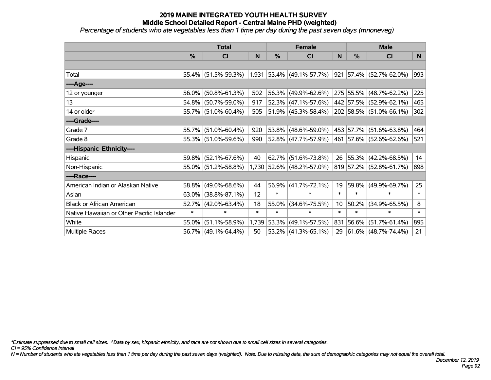*Percentage of students who ate vegetables less than 1 time per day during the past seven days (mnoneveg)*

|                                           | <b>Total</b>  |                     |        |               | <b>Female</b>               |        | <b>Male</b>   |                                  |        |  |
|-------------------------------------------|---------------|---------------------|--------|---------------|-----------------------------|--------|---------------|----------------------------------|--------|--|
|                                           | $\frac{0}{0}$ | <b>CI</b>           | N      | $\frac{0}{0}$ | <b>CI</b>                   | N      | $\frac{0}{0}$ | <b>CI</b>                        | N.     |  |
|                                           |               |                     |        |               |                             |        |               |                                  |        |  |
| Total                                     |               | 55.4% (51.5%-59.3%) |        |               | $1,931$ 53.4% (49.1%-57.7%) |        |               | $ 921 57.4\%  (52.7\% - 62.0\%)$ | 993    |  |
| ----Age----                               |               |                     |        |               |                             |        |               |                                  |        |  |
| 12 or younger                             | 56.0%         | $(50.8\% - 61.3\%)$ | 502    | 56.3%         | $(49.9\% - 62.6\%)$         |        |               | 275 55.5% (48.7%-62.2%)          | 225    |  |
| 13                                        | 54.8%         | $(50.7\% - 59.0\%)$ | 917    |               | 52.3% (47.1%-57.6%)         |        |               | 442 57.5% (52.9%-62.1%)          | 465    |  |
| 14 or older                               |               | 55.7% (51.0%-60.4%) | 505    |               | $51.9\%$ (45.3%-58.4%)      |        |               | 202 58.5% (51.0%-66.1%)          | 302    |  |
| ----Grade----                             |               |                     |        |               |                             |        |               |                                  |        |  |
| Grade 7                                   | 55.7%         | $(51.0\% - 60.4\%)$ | 920    | 53.8%         | $(48.6\% - 59.0\%)$         |        |               | 453 57.7% (51.6%-63.8%)          | 464    |  |
| Grade 8                                   |               | 55.3% (51.0%-59.6%) | 990    |               | 52.8% (47.7%-57.9%)         |        |               | 461   57.6%   (52.6%-62.6%)      | 521    |  |
| ----Hispanic Ethnicity----                |               |                     |        |               |                             |        |               |                                  |        |  |
| Hispanic                                  | 59.8%         | $(52.1\% - 67.6\%)$ | 40     | 62.7%         | $(51.6\% - 73.8\%)$         | 26     |               | $ 55.3\% $ (42.2%-68.5%)         | 14     |  |
| Non-Hispanic                              |               | 55.0% (51.2%-58.8%) |        |               | 1,730 52.6% (48.2%-57.0%)   |        |               | 819 57.2% (52.8%-61.7%)          | 898    |  |
| ----Race----                              |               |                     |        |               |                             |        |               |                                  |        |  |
| American Indian or Alaskan Native         |               | 58.8% (49.0%-68.6%) | 44     | 56.9%         | $(41.7\% - 72.1\%)$         | 19     |               | $ 59.8\% $ (49.9%-69.7%)         | 25     |  |
| Asian                                     | $63.0\%$      | $(38.8\% - 87.1\%)$ | 12     | $\ast$        | $\ast$                      | $\ast$ | $\ast$        | $\ast$                           | $\ast$ |  |
| <b>Black or African American</b>          | 52.7%         | $(42.0\% - 63.4\%)$ | 18     | 55.0%         | $(34.6\% - 75.5\%)$         | 10     | 50.2%         | $(34.9\% - 65.5\%)$              | 8      |  |
| Native Hawaiian or Other Pacific Islander | $\ast$        | $\ast$              | $\ast$ | $\ast$        | $\ast$                      | $\ast$ | $\ast$        | $\ast$                           | $\ast$ |  |
| White                                     | 55.0%         | $(51.1\% - 58.9\%)$ | 1,739  | 53.3%         | $(49.1\% - 57.5\%)$         |        | 831 56.6%     | $(51.7\% - 61.4\%)$              | 895    |  |
| Multiple Races                            |               | 56.7% (49.1%-64.4%) | 50     |               | $53.2\%$ (41.3%-65.1%)      | 29     |               | $ 61.6\% $ (48.7%-74.4%)         | 21     |  |

*\*Estimate suppressed due to small cell sizes. ^Data by sex, hispanic ethnicity, and race are not shown due to small cell sizes in several categories.*

*CI = 95% Confidence Interval*

*N = Number of students who ate vegetables less than 1 time per day during the past seven days (weighted). Note: Due to missing data, the sum of demographic categories may not equal the overall total.*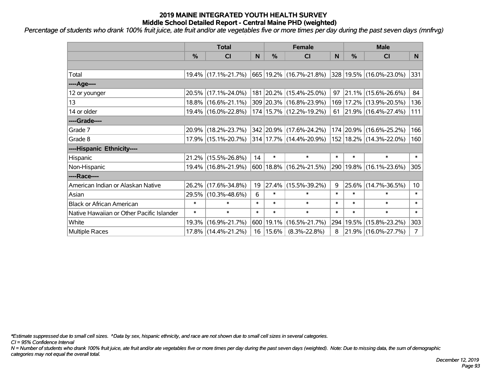*Percentage of students who drank 100% fruit juice, ate fruit and/or ate vegetables five or more times per day during the past seven days (mnfrvg)*

|                                           | <b>Total</b>  |                     |        |            | <b>Female</b>                   |        | <b>Male</b> |                                  |                 |  |
|-------------------------------------------|---------------|---------------------|--------|------------|---------------------------------|--------|-------------|----------------------------------|-----------------|--|
|                                           | $\frac{0}{0}$ | <b>CI</b>           | N      | %          | <b>CI</b>                       | N      | %           | <b>CI</b>                        | N               |  |
|                                           |               |                     |        |            |                                 |        |             |                                  |                 |  |
| Total                                     |               | 19.4% (17.1%-21.7%) |        |            | 665 19.2% (16.7%-21.8%)         |        |             | 328 19.5% (16.0%-23.0%)          | 331             |  |
| ----Age----                               |               |                     |        |            |                                 |        |             |                                  |                 |  |
| 12 or younger                             |               | 20.5% (17.1%-24.0%) |        |            | 181 20.2% (15.4%-25.0%)         | 97     |             | $ 21.1\% $ (15.6%-26.6%)         | 84              |  |
| 13                                        |               | 18.8% (16.6%-21.1%) |        |            | 309 20.3% (16.8%-23.9%)         |        |             | 169 17.2% (13.9%-20.5%)          | 136             |  |
| 14 or older                               |               | 19.4% (16.0%-22.8%) |        |            | 174   15.7%   (12.2%-19.2%)     |        |             | 61   21.9%   $(16.4\% - 27.4\%)$ | 111             |  |
| ----Grade----                             |               |                     |        |            |                                 |        |             |                                  |                 |  |
| Grade 7                                   |               | 20.9% (18.2%-23.7%) |        |            | 342 20.9% (17.6%-24.2%)         |        |             | 174 20.9% (16.6%-25.2%)          | 166             |  |
| Grade 8                                   |               | 17.9% (15.1%-20.7%) |        |            | $314 17.7\%  (14.4\% - 20.9\%)$ |        |             | 152   18.2%   (14.3%-22.0%)      | 160             |  |
| ----Hispanic Ethnicity----                |               |                     |        |            |                                 |        |             |                                  |                 |  |
| Hispanic                                  |               | 21.2% (15.5%-26.8%) | 14     | $\ast$     | $\ast$                          | $\ast$ | $\ast$      | $\ast$                           | $\ast$          |  |
| Non-Hispanic                              |               | 19.4% (16.8%-21.9%) |        |            | $600 18.8\%  (16.2\% - 21.5\%)$ |        |             | 290   19.8%   (16.1%-23.6%)      | 305             |  |
| ----Race----                              |               |                     |        |            |                                 |        |             |                                  |                 |  |
| American Indian or Alaskan Native         |               | 26.2% (17.6%-34.8%) | 19     |            | $ 27.4\% $ (15.5%-39.2%)        | 9      | $25.6\%$    | $(14.7\% - 36.5\%)$              | 10 <sup>°</sup> |  |
| Asian                                     |               | 29.5% (10.3%-48.6%) | 6      | $\ast$     | $\ast$                          | $\ast$ | $\ast$      | $\ast$                           | $\ast$          |  |
| <b>Black or African American</b>          | $\ast$        | $\ast$              | $\ast$ | $\ast$     | $\ast$                          | $\ast$ | $\ast$      | $\ast$                           | $\ast$          |  |
| Native Hawaiian or Other Pacific Islander | $\ast$        | $\ast$              | $\ast$ | $\ast$     | $\ast$                          | $\ast$ | $\ast$      | $\ast$                           | $\ast$          |  |
| White                                     | 19.3%         | $(16.9\% - 21.7\%)$ | 600    | 19.1%      | $(16.5\% - 21.7\%)$             | 294    | 19.5%       | $(15.8\% - 23.2\%)$              | 303             |  |
| <b>Multiple Races</b>                     |               | 17.8% (14.4%-21.2%) |        | 16   15.6% | $(8.3\% - 22.8\%)$              | 8      |             | 21.9% (16.0%-27.7%)              | 7 <sup>1</sup>  |  |

*\*Estimate suppressed due to small cell sizes. ^Data by sex, hispanic ethnicity, and race are not shown due to small cell sizes in several categories.*

*CI = 95% Confidence Interval*

*N = Number of students who drank 100% fruit juice, ate fruit and/or ate vegetables five or more times per day during the past seven days (weighted). Note: Due to missing data, the sum of demographic categories may not equal the overall total.*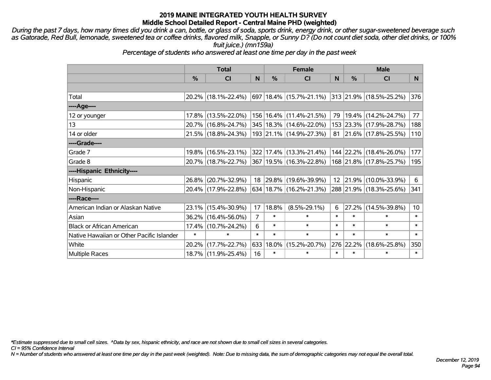*During the past 7 days, how many times did you drink a can, bottle, or glass of soda, sports drink, energy drink, or other sugar-sweetened beverage such as Gatorade, Red Bull, lemonade, sweetened tea or coffee drinks, flavored milk, Snapple, or Sunny D? (Do not count diet soda, other diet drinks, or 100% fruit juice.) (mn159a)*

*Percentage of students who answered at least one time per day in the past week*

|                                           | <b>Total</b>  |                     |                |        | <b>Female</b>                                             |        | <b>Male</b> |                         |        |  |
|-------------------------------------------|---------------|---------------------|----------------|--------|-----------------------------------------------------------|--------|-------------|-------------------------|--------|--|
|                                           | $\frac{0}{0}$ | <b>CI</b>           | N              | $\%$   | <b>CI</b>                                                 | N      | %           | <b>CI</b>               | N.     |  |
|                                           |               |                     |                |        |                                                           |        |             |                         |        |  |
| Total                                     |               | 20.2% (18.1%-22.4%) |                |        | 697   18.4%   (15.7%-21.1%)   313   21.9%   (18.5%-25.2%) |        |             |                         | 376    |  |
| ----Age----                               |               |                     |                |        |                                                           |        |             |                         |        |  |
| 12 or younger                             | 17.8%         | $(13.5\% - 22.0\%)$ |                |        | 156   16.4%   (11.4%-21.5%)                               | 79     | $19.4\%$    | $(14.2\% - 24.7\%)$     | 77     |  |
| 13                                        |               | 20.7% (16.8%-24.7%) |                |        | 345 18.3% (14.6%-22.0%)                                   |        |             | 153 23.3% (17.9%-28.7%) | 188    |  |
| 14 or older                               |               | 21.5% (18.8%-24.3%) |                |        | 193 21.1% (14.9%-27.3%)                                   |        |             | 81 21.6% (17.8%-25.5%)  | 110    |  |
| ----Grade----                             |               |                     |                |        |                                                           |        |             |                         |        |  |
| Grade 7                                   |               | 19.8% (16.5%-23.1%) |                |        | 322 17.4% (13.3%-21.4%)                                   |        |             | 144 22.2% (18.4%-26.0%) | 177    |  |
| Grade 8                                   |               | 20.7% (18.7%-22.7%) |                |        | 367   19.5%   (16.3%-22.8%)                               |        |             | 168 21.8% (17.8%-25.7%) | 195    |  |
| ----Hispanic Ethnicity----                |               |                     |                |        |                                                           |        |             |                         |        |  |
| Hispanic                                  | 26.8%         | $(20.7\% - 32.9\%)$ | 18             |        | $ 29.8\% $ (19.6%-39.9%)                                  |        | 12 21.9%    | $(10.0\% - 33.9\%)$     | 6      |  |
| Non-Hispanic                              |               | 20.4% (17.9%-22.8%) |                |        | 634 18.7% (16.2%-21.3%)                                   |        |             | 288 21.9% (18.3%-25.6%) | 341    |  |
| ----Race----                              |               |                     |                |        |                                                           |        |             |                         |        |  |
| American Indian or Alaskan Native         |               | 23.1% (15.4%-30.9%) | 17             | 18.8%  | $(8.5\% - 29.1\%)$                                        | 6      | 27.2%       | $(14.5\% - 39.8\%)$     | 10     |  |
| Asian                                     |               | 36.2% (16.4%-56.0%) | $\overline{7}$ | $\ast$ | $\ast$                                                    | $\ast$ | $\ast$      | $\ast$                  | $\ast$ |  |
| <b>Black or African American</b>          | 17.4%         | $(10.7\% - 24.2\%)$ | 6              | $\ast$ | $\ast$                                                    | $\ast$ | $\ast$      | $\ast$                  | $\ast$ |  |
| Native Hawaiian or Other Pacific Islander | $\ast$        | $\ast$              | $\ast$         | $\ast$ | $\ast$                                                    | $\ast$ | $\ast$      | $\ast$                  | $\ast$ |  |
| White                                     | 20.2%         | $(17.7\% - 22.7\%)$ | 633            | 18.0%  | $(15.2\% - 20.7\%)$                                       | 276    | 22.2%       | $(18.6\% - 25.8\%)$     | 350    |  |
| <b>Multiple Races</b>                     |               | 18.7% (11.9%-25.4%) | 16             | $\ast$ | $\ast$                                                    | $\ast$ | $\ast$      | $\ast$                  | $\ast$ |  |

*\*Estimate suppressed due to small cell sizes. ^Data by sex, hispanic ethnicity, and race are not shown due to small cell sizes in several categories.*

*CI = 95% Confidence Interval*

*N = Number of students who answered at least one time per day in the past week (weighted). Note: Due to missing data, the sum of demographic categories may not equal the overall total.*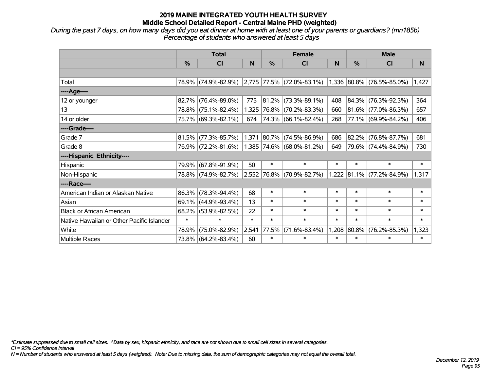*During the past 7 days, on how many days did you eat dinner at home with at least one of your parents or guardians? (mn185b) Percentage of students who answered at least 5 days*

|                                           | <b>Total</b> |                     |        | <b>Female</b> |                                    | <b>Male</b> |                 |                             |        |
|-------------------------------------------|--------------|---------------------|--------|---------------|------------------------------------|-------------|-----------------|-----------------------------|--------|
|                                           | $\%$         | <b>CI</b>           | N      | $\frac{0}{0}$ | <b>CI</b>                          | N           | %               | <b>CI</b>                   | N      |
|                                           |              |                     |        |               |                                    |             |                 |                             |        |
| Total                                     |              | 78.9% (74.9%-82.9%) |        |               | $ 2,775 77.5\%  (72.0\% - 83.1\%)$ |             |                 | $1,336$ 80.8% (76.5%-85.0%) | 1,427  |
| ----Age----                               |              |                     |        |               |                                    |             |                 |                             |        |
| 12 or younger                             | 82.7%        | $(76.4\% - 89.0\%)$ | 775    | $ 81.2\% $    | $(73.3\% - 89.1\%)$                | 408         | 84.3%           | $(76.3\% - 92.3\%)$         | 364    |
| 13                                        |              | 78.8% (75.1%-82.4%) | 1,325  |               | 76.8% (70.2%-83.3%)                | 660         | $ 81.6\% $      | $(77.0\% - 86.3\%)$         | 657    |
| 14 or older                               |              | 75.7% (69.3%-82.1%) | 674    |               | $ 74.3\% $ (66.1%-82.4%)           | 268         |                 | 77.1% (69.9%-84.2%)         | 406    |
| ----Grade----                             |              |                     |        |               |                                    |             |                 |                             |        |
| Grade 7                                   | 81.5%        | $(77.3\% - 85.7\%)$ | 1,371  |               | $ 80.7\% $ (74.5%-86.9%)           | 686         | 82.2%           | $(76.8\% - 87.7\%)$         | 681    |
| Grade 8                                   |              | 76.9% (72.2%-81.6%) |        |               | 1,385 74.6% (68.0%-81.2%)          | 649         |                 | 79.6% (74.4%-84.9%)         | 730    |
| ----Hispanic Ethnicity----                |              |                     |        |               |                                    |             |                 |                             |        |
| Hispanic                                  | 79.9%        | $(67.8\% - 91.9\%)$ | 50     | $\ast$        | $\ast$                             | $\ast$      | $\ast$          | $\ast$                      | $\ast$ |
| Non-Hispanic                              |              | 78.8% (74.9%-82.7%) |        |               | 2,552 76.8% (70.9%-82.7%)          |             | $1,222$   81.1% | $(77.2\% - 84.9\%)$         | 1,317  |
| ----Race----                              |              |                     |        |               |                                    |             |                 |                             |        |
| American Indian or Alaskan Native         | 86.3%        | $(78.3\% - 94.4\%)$ | 68     | $\ast$        | $\ast$                             | $\ast$      | $\ast$          | $\ast$                      | $\ast$ |
| Asian                                     | 69.1%        | $(44.9\% - 93.4\%)$ | 13     | $\ast$        | $\ast$                             | $\ast$      | $\ast$          | $\ast$                      | $\ast$ |
| <b>Black or African American</b>          | 68.2%        | $(53.9\% - 82.5\%)$ | 22     | $\ast$        | $\ast$                             | $\ast$      | $\ast$          | $\ast$                      | $\ast$ |
| Native Hawaiian or Other Pacific Islander | $\ast$       | $\ast$              | $\ast$ | $\ast$        | $\ast$                             | $\ast$      | $\ast$          | $\ast$                      | $\ast$ |
| White                                     | 78.9%        | $(75.0\% - 82.9\%)$ | 2,541  | 77.5%         | $(71.6\% - 83.4\%)$                | 1,208       | $ 80.8\% $      | $(76.2\% - 85.3\%)$         | 1,323  |
| <b>Multiple Races</b>                     |              | 73.8% (64.2%-83.4%) | 60     | $\ast$        | $\ast$                             | $\ast$      | $\ast$          | $\ast$                      | $\ast$ |

*\*Estimate suppressed due to small cell sizes. ^Data by sex, hispanic ethnicity, and race are not shown due to small cell sizes in several categories.*

*CI = 95% Confidence Interval*

*N = Number of students who answered at least 5 days (weighted). Note: Due to missing data, the sum of demographic categories may not equal the overall total.*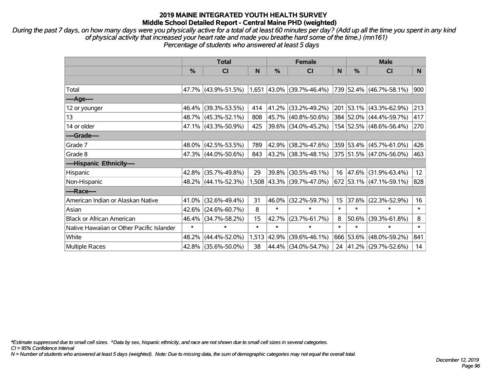*During the past 7 days, on how many days were you physically active for a total of at least 60 minutes per day? (Add up all the time you spent in any kind of physical activity that increased your heart rate and made you breathe hard some of the time.) (mn161) Percentage of students who answered at least 5 days*

|                                           | <b>Total</b> |                     |        |        | <b>Female</b>             |        | <b>Male</b>   |                          |        |  |
|-------------------------------------------|--------------|---------------------|--------|--------|---------------------------|--------|---------------|--------------------------|--------|--|
|                                           | %            | C <sub>l</sub>      | N      | %      | C <sub>l</sub>            | N      | $\frac{0}{0}$ | <b>CI</b>                | N      |  |
|                                           |              |                     |        |        |                           |        |               |                          |        |  |
| Total                                     |              | 47.7% (43.9%-51.5%) |        |        | 1,651 43.0% (39.7%-46.4%) |        |               | 739 52.4% (46.7%-58.1%)  | 900    |  |
| ----Age----                               |              |                     |        |        |                           |        |               |                          |        |  |
| 12 or younger                             | 46.4%        | $(39.3\% - 53.5\%)$ | 414    | 41.2%  | $(33.2\% - 49.2\%)$       | 201    |               | 53.1% (43.3%-62.9%)      | 213    |  |
| 13                                        |              | 48.7% (45.3%-52.1%) | 808    |        | 45.7% (40.8%-50.6%)       |        |               | 384 52.0% (44.4%-59.7%)  | 417    |  |
| 14 or older                               |              | 47.1% (43.3%-50.9%) | 425    |        | 39.6% (34.0%-45.2%)       |        |               | 154 52.5% (48.6%-56.4%)  | 270    |  |
| ----Grade----                             |              |                     |        |        |                           |        |               |                          |        |  |
| Grade 7                                   | 48.0%        | $(42.5\% - 53.5\%)$ | 789    | 42.9%  | $(38.2\% - 47.6\%)$       |        |               | 359 53.4% (45.7%-61.0%)  | 426    |  |
| Grade 8                                   |              | 47.3% (44.0%-50.6%) | 843    |        | 43.2% (38.3%-48.1%)       |        |               | 375 51.5% (47.0%-56.0%)  | 463    |  |
| ----Hispanic Ethnicity----                |              |                     |        |        |                           |        |               |                          |        |  |
| Hispanic                                  | 42.8%        | $(35.7\% - 49.8\%)$ | 29     | 39.8%  | $(30.5\% - 49.1\%)$       | 16     | 47.6%         | $(31.9\% - 63.4\%)$      | 12     |  |
| Non-Hispanic                              |              | 48.2% (44.1%-52.3%) |        |        | 1,508 43.3% (39.7%-47.0%) |        |               | 672 53.1% (47.1%-59.1%)  | 828    |  |
| ----Race----                              |              |                     |        |        |                           |        |               |                          |        |  |
| American Indian or Alaskan Native         | 41.0%        | $(32.6\% - 49.4\%)$ | 31     | 46.0%  | $(32.2\% - 59.7\%)$       | 15     | 37.6%         | $(22.3\% - 52.9\%)$      | 16     |  |
| Asian                                     | 42.6%        | $(24.6\% - 60.7\%)$ | 8      | $\ast$ | $\ast$                    | $\ast$ | $\ast$        | $\ast$                   | $\ast$ |  |
| <b>Black or African American</b>          | 46.4%        | $(34.7\% - 58.2\%)$ | 15     | 42.7%  | $(23.7\% - 61.7\%)$       | 8      | 50.6%         | $(39.3\% - 61.8\%)$      | 8      |  |
| Native Hawaiian or Other Pacific Islander | $\ast$       | $\ast$              | $\ast$ | $\ast$ | $\ast$                    | $\ast$ | $\ast$        | $\ast$                   | $\ast$ |  |
| White                                     | 48.2%        | $(44.4\% - 52.0\%)$ | 1,513  | 42.9%  | $(39.6\% - 46.1\%)$       |        | 666 53.6%     | $(48.0\% - 59.2\%)$      | 841    |  |
| Multiple Races                            |              | 42.8% (35.6%-50.0%) | 38     |        | 44.4% (34.0%-54.7%)       | 24     |               | $ 41.2\% $ (29.7%-52.6%) | 14     |  |

*\*Estimate suppressed due to small cell sizes. ^Data by sex, hispanic ethnicity, and race are not shown due to small cell sizes in several categories.*

*CI = 95% Confidence Interval*

*N = Number of students who answered at least 5 days (weighted). Note: Due to missing data, the sum of demographic categories may not equal the overall total.*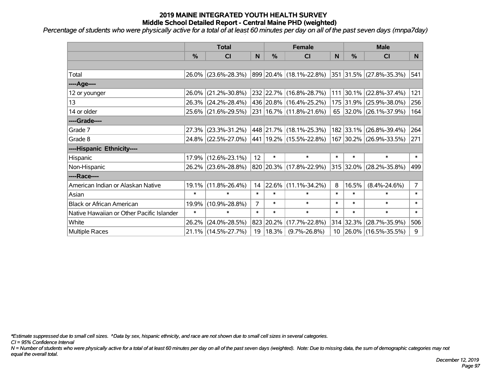*Percentage of students who were physically active for a total of at least 60 minutes per day on all of the past seven days (mnpa7day)*

|                                           | <b>Total</b>  |                     |                | <b>Female</b> |                              |        | <b>Male</b> |                         |                |
|-------------------------------------------|---------------|---------------------|----------------|---------------|------------------------------|--------|-------------|-------------------------|----------------|
|                                           | $\frac{0}{0}$ | <b>CI</b>           | N              | $\frac{9}{6}$ | <b>CI</b>                    | N      | %           | <b>CI</b>               | N.             |
|                                           |               |                     |                |               |                              |        |             |                         |                |
| Total                                     |               | 26.0% (23.6%-28.3%) |                |               | 899 20.4% (18.1%-22.8%)      |        |             | 351 31.5% (27.8%-35.3%) | 541            |
| ----Age----                               |               |                     |                |               |                              |        |             |                         |                |
| 12 or younger                             | 26.0%         | $(21.2\% - 30.8\%)$ |                |               | 232 22.7% (16.8%-28.7%)      |        | 111 30.1%   | $(22.8\% - 37.4\%)$     | 121            |
| 13                                        |               | 26.3% (24.2%-28.4%) |                |               | 436 20.8% (16.4%-25.2%)      |        |             | 175 31.9% (25.9%-38.0%) | 256            |
| 14 or older                               |               | 25.6% (21.6%-29.5%) |                |               | 231 16.7% (11.8%-21.6%)      |        |             | 65 32.0% (26.1%-37.9%)  | 164            |
| ----Grade----                             |               |                     |                |               |                              |        |             |                         |                |
| Grade 7                                   | 27.3%         | $(23.3\% - 31.2\%)$ |                |               | 448 21.7% (18.1%-25.3%)      |        | 182 33.1%   | $(26.8\% - 39.4\%)$     | 264            |
| Grade 8                                   |               | 24.8% (22.5%-27.0%) |                |               | $ 441 19.2\% $ (15.5%-22.8%) |        |             | 167 30.2% (26.9%-33.5%) | 271            |
| ----Hispanic Ethnicity----                |               |                     |                |               |                              |        |             |                         |                |
| Hispanic                                  | 17.9%         | $(12.6\% - 23.1\%)$ | 12             | $\ast$        | $\ast$                       | $\ast$ | $\ast$      | $\ast$                  | $\ast$         |
| Non-Hispanic                              |               | 26.2% (23.6%-28.8%) |                |               | 820 20.3% (17.8%-22.9%)      |        | 315 32.0%   | $(28.2\% - 35.8\%)$     | 499            |
| ----Race----                              |               |                     |                |               |                              |        |             |                         |                |
| American Indian or Alaskan Native         | 19.1%         | $(11.8\% - 26.4\%)$ | 14             |               | $ 22.6\% $ (11.1%-34.2%)     | 8      | 16.5%       | $(8.4\% - 24.6\%)$      | 7 <sup>1</sup> |
| Asian                                     | $\ast$        | $\ast$              | $\ast$         | $\ast$        | $\ast$                       | $\ast$ | $\ast$      | *                       | $\ast$         |
| <b>Black or African American</b>          | 19.9%         | $(10.9\% - 28.8\%)$ | $\overline{7}$ | $\ast$        | $\ast$                       | $\ast$ | $\ast$      | $\ast$                  | $\ast$         |
| Native Hawaiian or Other Pacific Islander | $\ast$        | $\ast$              | $\ast$         | $\ast$        | $\ast$                       | $\ast$ | $\ast$      | $\ast$                  | $\ast$         |
| White                                     | 26.2%         | $(24.0\% - 28.5\%)$ |                | 823 20.2%     | $(17.7\% - 22.8\%)$          | 314    | 32.3%       | $(28.7\% - 35.9\%)$     | 506            |
| Multiple Races                            |               | 21.1% (14.5%-27.7%) |                | 19   18.3%    | $(9.7\% - 26.8\%)$           |        |             | 10 26.0% (16.5%-35.5%)  | 9              |

*\*Estimate suppressed due to small cell sizes. ^Data by sex, hispanic ethnicity, and race are not shown due to small cell sizes in several categories.*

*CI = 95% Confidence Interval*

*N = Number of students who were physically active for a total of at least 60 minutes per day on all of the past seven days (weighted). Note: Due to missing data, the sum of demographic categories may not equal the overall total.*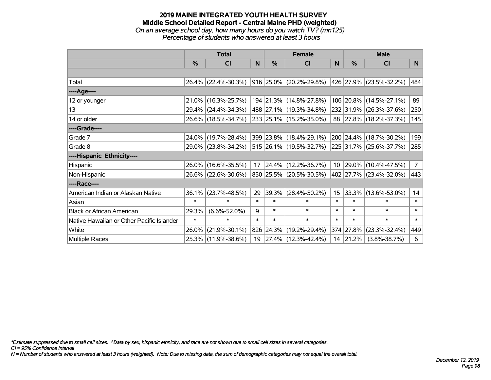### **2019 MAINE INTEGRATED YOUTH HEALTH SURVEY Middle School Detailed Report - Central Maine PHD (weighted)** *On an average school day, how many hours do you watch TV? (mn125) Percentage of students who answered at least 3 hours*

|                                           | <b>Total</b>  |                     |        |               | <b>Female</b>           | <b>Male</b>     |           |                         |                |
|-------------------------------------------|---------------|---------------------|--------|---------------|-------------------------|-----------------|-----------|-------------------------|----------------|
|                                           | $\frac{0}{0}$ | CI                  | N      | $\frac{0}{0}$ | <b>CI</b>               | N               | %         | <b>CI</b>               | N <sub>1</sub> |
|                                           |               |                     |        |               |                         |                 |           |                         |                |
| Total                                     |               | 26.4% (22.4%-30.3%) |        |               | 916 25.0% (20.2%-29.8%) |                 |           | 426 27.9% (23.5%-32.2%) | 484            |
| ----Age----                               |               |                     |        |               |                         |                 |           |                         |                |
| 12 or younger                             | 21.0%         | $(16.3\% - 25.7\%)$ |        |               | 194 21.3% (14.8%-27.8%) |                 |           | 106 20.8% (14.5%-27.1%) | 89             |
| 13                                        |               | 29.4% (24.4%-34.3%) |        |               | 488 27.1% (19.3%-34.8%) |                 |           | 232 31.9% (26.3%-37.6%) | 250            |
| 14 or older                               |               | 26.6% (18.5%-34.7%) |        |               | 233 25.1% (15.2%-35.0%) |                 |           | 88 27.8% (18.2%-37.3%)  | 145            |
| ----Grade----                             |               |                     |        |               |                         |                 |           |                         |                |
| Grade 7                                   | $24.0\%$      | $(19.7\% - 28.4\%)$ |        |               | 399 23.8% (18.4%-29.1%) |                 |           | 200 24.4% (18.7%-30.2%) | 199            |
| Grade 8                                   |               | 29.0% (23.8%-34.2%) |        |               | 515 26.1% (19.5%-32.7%) |                 |           | 225 31.7% (25.6%-37.7%) | 285            |
| ----Hispanic Ethnicity----                |               |                     |        |               |                         |                 |           |                         |                |
| Hispanic                                  | 26.0%         | $(16.6\% - 35.5\%)$ | 17     | $ 24.4\% $    | $(12.2\% - 36.7\%)$     | 10 <sup>1</sup> |           | 29.0% (10.4%-47.5%)     | 7 <sup>1</sup> |
| Non-Hispanic                              |               | 26.6% (22.6%-30.6%) |        |               | 850 25.5% (20.5%-30.5%) |                 |           | 402 27.7% (23.4%-32.0%) | 443            |
| ----Race----                              |               |                     |        |               |                         |                 |           |                         |                |
| American Indian or Alaskan Native         | 36.1%         | $(23.7\% - 48.5\%)$ | 29     | 39.3%         | $(28.4\% - 50.2\%)$     | 15 <sub>1</sub> |           | 33.3% (13.6%-53.0%)     | 14             |
| Asian                                     | $\ast$        | $\ast$              | $\ast$ | $\ast$        | $\ast$                  | $\ast$          | $\ast$    | $\ast$                  | $\ast$         |
| <b>Black or African American</b>          | 29.3%         | $(6.6\% - 52.0\%)$  | 9      | $\ast$        | $\ast$                  | $\ast$          | $\ast$    | $\ast$                  | $\ast$         |
| Native Hawaiian or Other Pacific Islander | $\ast$        | $\ast$              | $\ast$ | $\ast$        | $\ast$                  | $\ast$          | $\ast$    | $\ast$                  | $\ast$         |
| White                                     | 26.0%         | $(21.9\% - 30.1\%)$ |        | 826 24.3%     | $(19.2\% - 29.4\%)$     |                 | 374 27.8% | $(23.3\% - 32.4\%)$     | 449            |
| Multiple Races                            |               | 25.3% (11.9%-38.6%) |        |               | 19 27.4% (12.3%-42.4%)  | 14              | 21.2%     | $(3.8\% - 38.7\%)$      | 6              |

*\*Estimate suppressed due to small cell sizes. ^Data by sex, hispanic ethnicity, and race are not shown due to small cell sizes in several categories.*

*CI = 95% Confidence Interval*

*N = Number of students who answered at least 3 hours (weighted). Note: Due to missing data, the sum of demographic categories may not equal the overall total.*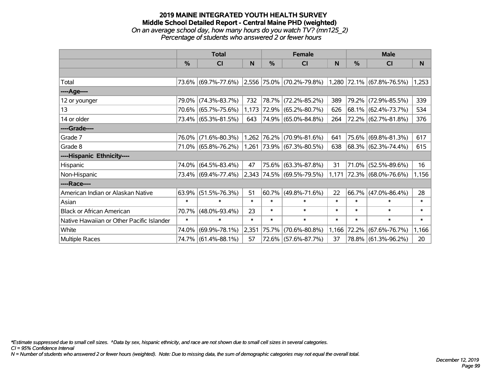### **2019 MAINE INTEGRATED YOUTH HEALTH SURVEY Middle School Detailed Report - Central Maine PHD (weighted)** *On an average school day, how many hours do you watch TV? (mn125\_2) Percentage of students who answered 2 or fewer hours*

|                                           | <b>Total</b>  |                                               |        | <b>Female</b> |                           | <b>Male</b> |        |                           |        |
|-------------------------------------------|---------------|-----------------------------------------------|--------|---------------|---------------------------|-------------|--------|---------------------------|--------|
|                                           | $\frac{0}{0}$ | C <sub>l</sub>                                | N      | %             | <b>CI</b>                 | N           | %      | <b>CI</b>                 | N      |
|                                           |               |                                               |        |               |                           |             |        |                           |        |
| Total                                     |               | 73.6% (69.7%-77.6%) 2,556 75.0% (70.2%-79.8%) |        |               |                           |             |        | 1,280 72.1% (67.8%-76.5%) | 1,253  |
| ----Age----                               |               |                                               |        |               |                           |             |        |                           |        |
| 12 or younger                             | 79.0%         | $(74.3\% - 83.7\%)$                           | 732    |               | 78.7% (72.2%-85.2%)       | 389         | 79.2%  | $(72.9\% - 85.5\%)$       | 339    |
| 13                                        |               | 70.6% (65.7%-75.6%)                           | 1,173  |               | $ 72.9\% $ (65.2%-80.7%)  | 626         |        | 68.1% (62.4%-73.7%)       | 534    |
| 14 or older                               |               | 73.4% (65.3%-81.5%)                           | 643    |               | 74.9% (65.0%-84.8%)       | 264         |        | 72.2% (62.7%-81.8%)       | 376    |
| ----Grade----                             |               |                                               |        |               |                           |             |        |                           |        |
| Grade 7                                   | 76.0%         | $(71.6\% - 80.3\%)$                           |        | 1,262 76.2%   | $(70.9\% - 81.6\%)$       | 641         | 75.6%  | $(69.8\% - 81.3\%)$       | 617    |
| Grade 8                                   |               | 71.0% (65.8%-76.2%)                           |        |               | 1,261 73.9% (67.3%-80.5%) | 638         |        | 68.3% (62.3%-74.4%)       | 615    |
| ----Hispanic Ethnicity----                |               |                                               |        |               |                           |             |        |                           |        |
| Hispanic                                  | 74.0%         | $(64.5\% - 83.4\%)$                           | 47     |               | 75.6% (63.3%-87.8%)       | 31          | 71.0%  | $(52.5\% - 89.6\%)$       | 16     |
| Non-Hispanic                              |               | 73.4% (69.4%-77.4%)                           |        |               | 2,343 74.5% (69.5%-79.5%) | 1,171       |        | 72.3% (68.0%-76.6%)       | 1,156  |
| ----Race----                              |               |                                               |        |               |                           |             |        |                           |        |
| American Indian or Alaskan Native         | 63.9%         | $(51.5\% - 76.3\%)$                           | 51     | 60.7%         | $(49.8\% - 71.6\%)$       | 22          |        | $66.7\%$ (47.0%-86.4%)    | 28     |
| Asian                                     | $\ast$        | $\ast$                                        | $\ast$ | $\ast$        | $\ast$                    | $\ast$      | $\ast$ | $\ast$                    | $\ast$ |
| <b>Black or African American</b>          | 70.7%         | $(48.0\% - 93.4\%)$                           | 23     | $\ast$        | $\ast$                    | $\ast$      | $\ast$ | $\ast$                    | $\ast$ |
| Native Hawaiian or Other Pacific Islander | $\ast$        | $\ast$                                        | $\ast$ | $\ast$        | $\ast$                    | $\ast$      | $\ast$ | $\ast$                    | $\ast$ |
| White                                     | 74.0%         | $(69.9\% - 78.1\%)$                           | 2,351  | 75.7%         | $(70.6\% - 80.8\%)$       | 1,166       | 72.2%  | $(67.6\% - 76.7\%)$       | 1,166  |
| Multiple Races                            |               | 74.7% (61.4%-88.1%)                           | 57     |               | 72.6% (57.6%-87.7%)       | 37          |        | 78.8% (61.3%-96.2%)       | 20     |

*\*Estimate suppressed due to small cell sizes. ^Data by sex, hispanic ethnicity, and race are not shown due to small cell sizes in several categories.*

*CI = 95% Confidence Interval*

*N = Number of students who answered 2 or fewer hours (weighted). Note: Due to missing data, the sum of demographic categories may not equal the overall total.*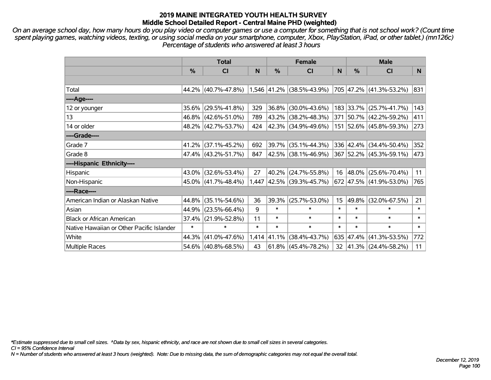*On an average school day, how many hours do you play video or computer games or use a computer for something that is not school work? (Count time spent playing games, watching videos, texting, or using social media on your smartphone, computer, Xbox, PlayStation, iPad, or other tablet.) (mn126c) Percentage of students who answered at least 3 hours*

|                                           | <b>Total</b>  |                                               |        | <b>Female</b> |                             |                 | <b>Male</b>   |                          |        |
|-------------------------------------------|---------------|-----------------------------------------------|--------|---------------|-----------------------------|-----------------|---------------|--------------------------|--------|
|                                           | $\frac{0}{0}$ | <b>CI</b>                                     | N      | %             | <b>CI</b>                   | N               | $\frac{0}{0}$ | <b>CI</b>                | N.     |
|                                           |               |                                               |        |               |                             |                 |               |                          |        |
| Total                                     |               | 44.2% (40.7%-47.8%) 1,546 41.2% (38.5%-43.9%) |        |               |                             |                 |               | 705 47.2% (41.3%-53.2%)  | 831    |
| ----Age----                               |               |                                               |        |               |                             |                 |               |                          |        |
| 12 or younger                             |               | 35.6% (29.5%-41.8%)                           | 329    |               | 36.8% (30.0%-43.6%)         |                 |               | 183 33.7% (25.7%-41.7%)  | 143    |
| 13                                        |               | 46.8% (42.6%-51.0%)                           | 789    |               | 43.2% (38.2%-48.3%)         |                 |               | 371 50.7% (42.2%-59.2%)  | 411    |
| 14 or older                               |               | 48.2% (42.7%-53.7%)                           | 424    |               | $ 42.3\% $ (34.9%-49.6%)    |                 |               | 151 52.6% (45.8%-59.3%)  | 273    |
| ----Grade----                             |               |                                               |        |               |                             |                 |               |                          |        |
| Grade 7                                   |               | 41.2% (37.1%-45.2%)                           | 692    |               | 39.7% (35.1%-44.3%)         |                 |               | 336 42.4% (34.4%-50.4%)  | 352    |
| Grade 8                                   |               | 47.4% (43.2%-51.7%)                           | 847    |               | $ 42.5\% $ (38.1%-46.9%)    |                 |               | 367 52.2% (45.3%-59.1%)  | 473    |
| ----Hispanic Ethnicity----                |               |                                               |        |               |                             |                 |               |                          |        |
| Hispanic                                  | $43.0\%$      | $(32.6\% - 53.4\%)$                           | 27     |               | 40.2% (24.7%-55.8%)         | 16              |               | 48.0% (25.6%-70.4%)      | 11     |
| Non-Hispanic                              |               | $45.0\%$ (41.7%-48.4%)                        |        |               | 1,447 42.5% (39.3%-45.7%)   |                 |               | 672 47.5% (41.9%-53.0%)  | 765    |
| ----Race----                              |               |                                               |        |               |                             |                 |               |                          |        |
| American Indian or Alaskan Native         | 44.8%         | $(35.1\% - 54.6\%)$                           | 36     | 39.3%         | $(25.7\% - 53.0\%)$         | 15              | 49.8%         | $(32.0\% - 67.5\%)$      | 21     |
| Asian                                     | 44.9%         | $(23.5\% - 66.4\%)$                           | 9      | $\ast$        | $\ast$                      | $\ast$          | $\ast$        | $\ast$                   | $\ast$ |
| <b>Black or African American</b>          | 37.4%         | $(21.9\% - 52.8\%)$                           | 11     | $\ast$        | $\ast$                      | $\ast$          | $\ast$        | $\ast$                   | $\ast$ |
| Native Hawaiian or Other Pacific Islander | $\ast$        | $\ast$                                        | $\ast$ | $\ast$        | $\ast$                      | $\ast$          | $\ast$        | $\ast$                   | $\ast$ |
| White                                     | 44.3%         | $(41.0\% - 47.6\%)$                           |        |               | $1,414$ 41.1% (38.4%-43.7%) |                 |               | 635 47.4% (41.3%-53.5%)  | 772    |
| <b>Multiple Races</b>                     |               | 54.6% (40.8%-68.5%)                           | 43     |               | $61.8\%$ (45.4%-78.2%)      | 32 <sub>2</sub> |               | $ 41.3\% $ (24.4%-58.2%) | 11     |

*\*Estimate suppressed due to small cell sizes. ^Data by sex, hispanic ethnicity, and race are not shown due to small cell sizes in several categories.*

*CI = 95% Confidence Interval*

*N = Number of students who answered at least 3 hours (weighted). Note: Due to missing data, the sum of demographic categories may not equal the overall total.*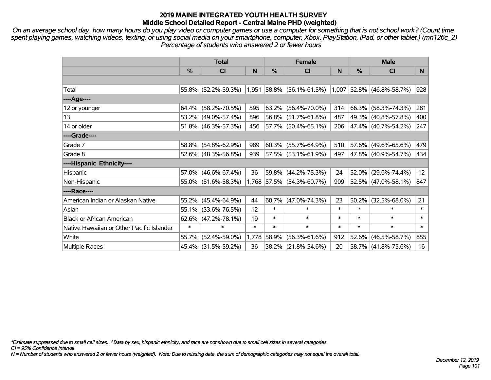*On an average school day, how many hours do you play video or computer games or use a computer for something that is not school work? (Count time spent playing games, watching videos, texting, or using social media on your smartphone, computer, Xbox, PlayStation, iPad, or other tablet.) (mn126c\_2) Percentage of students who answered 2 or fewer hours*

|                                           | <b>Total</b> |                        |                   |               | <b>Female</b>               | <b>Male</b> |               |                             |                 |
|-------------------------------------------|--------------|------------------------|-------------------|---------------|-----------------------------|-------------|---------------|-----------------------------|-----------------|
|                                           | $\%$         | <b>CI</b>              | N                 | $\frac{0}{0}$ | <b>CI</b>                   | N           | $\frac{0}{0}$ | <b>CI</b>                   | N               |
|                                           |              |                        |                   |               |                             |             |               |                             |                 |
| Total                                     |              | 55.8% (52.2%-59.3%)    |                   |               | $1,951$ 58.8% (56.1%-61.5%) |             |               | $1,007$ 52.8% (46.8%-58.7%) | 928             |
| ----Age----                               |              |                        |                   |               |                             |             |               |                             |                 |
| 12 or younger                             | 64.4%        | $(58.2\% - 70.5\%)$    | 595               | 63.2%         | $(56.4\% - 70.0\%)$         | 314         |               | 66.3% (58.3%-74.3%)         | 281             |
| 13                                        |              | 53.2% (49.0%-57.4%)    | 896               | 56.8%         | $(51.7\% - 61.8\%)$         | 487         |               | 49.3% (40.8%-57.8%)         | 400             |
| 14 or older                               |              | 51.8% (46.3%-57.3%)    | 456               |               | 57.7% (50.4%-65.1%)         | 206         |               | 47.4% (40.7%-54.2%)         | 247             |
| ----Grade----                             |              |                        |                   |               |                             |             |               |                             |                 |
| Grade 7                                   | 58.8%        | $(54.8\% - 62.9\%)$    | 989               | 60.3%         | $(55.7\% - 64.9\%)$         | 510         |               | 57.6% (49.6%-65.6%)         | 479             |
| Grade 8                                   |              | 52.6% (48.3%-56.8%)    | 939               |               | 57.5% (53.1%-61.9%)         | 497         |               | 47.8% (40.9%-54.7%)         | 434             |
| ----Hispanic Ethnicity----                |              |                        |                   |               |                             |             |               |                             |                 |
| Hispanic                                  | 57.0%        | $(46.6\% - 67.4\%)$    | 36                | 59.8%         | $(44.2\% - 75.3\%)$         | 24          | 52.0%         | $(29.6\% - 74.4\%)$         | 12 <sup>2</sup> |
| Non-Hispanic                              |              | $55.0\%$ (51.6%-58.3%) |                   |               | 1,768 57.5% (54.3%-60.7%)   | 909         |               | $52.5\%$ (47.0%-58.1%)      | 847             |
| ----Race----                              |              |                        |                   |               |                             |             |               |                             |                 |
| American Indian or Alaskan Native         | 55.2%        | $(45.4\% - 64.9\%)$    | 44                | 60.7%         | $(47.0\% - 74.3\%)$         | 23          | 50.2%         | $(32.5\% - 68.0\%)$         | 21              |
| Asian                                     | 55.1%        | $(33.6\% - 76.5\%)$    | $12 \overline{ }$ | $\ast$        | $\ast$                      | $\ast$      | $\ast$        | $\ast$                      | $\ast$          |
| <b>Black or African American</b>          | 62.6%        | $(47.2\% - 78.1\%)$    | 19                | $\ast$        | $\ast$                      | $\ast$      | $\ast$        | $\ast$                      | $\ast$          |
| Native Hawaiian or Other Pacific Islander | $\ast$       | $\ast$                 | $\ast$            | $\ast$        | $\ast$                      | $\ast$      | $\ast$        | $\ast$                      | $\ast$          |
| White                                     | 55.7%        | $(52.4\% - 59.0\%)$    | 1,778             | 58.9%         | $(56.3\% - 61.6\%)$         | 912         | 52.6%         | $(46.5\% - 58.7\%)$         | 855             |
| Multiple Races                            |              | 45.4% (31.5%-59.2%)    | 36                |               | 38.2% (21.8%-54.6%)         | 20          |               | 58.7% (41.8%-75.6%)         | 16              |

*\*Estimate suppressed due to small cell sizes. ^Data by sex, hispanic ethnicity, and race are not shown due to small cell sizes in several categories.*

*CI = 95% Confidence Interval*

*N = Number of students who answered 2 or fewer hours (weighted). Note: Due to missing data, the sum of demographic categories may not equal the overall total.*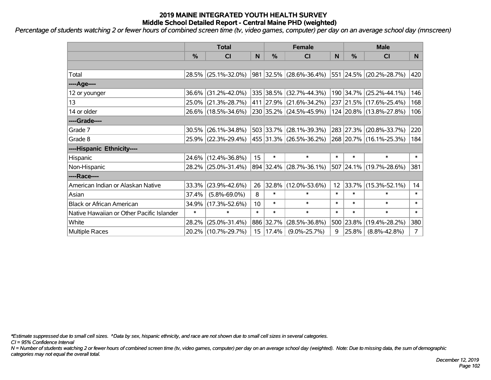*Percentage of students watching 2 or fewer hours of combined screen time (tv, video games, computer) per day on an average school day (mnscreen)*

|                                           | <b>Total</b>  |                     | <b>Female</b>    |           |                         | <b>Male</b> |           |                          |                |
|-------------------------------------------|---------------|---------------------|------------------|-----------|-------------------------|-------------|-----------|--------------------------|----------------|
|                                           | $\frac{0}{0}$ | CI                  | N                | %         | <b>CI</b>               | N           | %         | <b>CI</b>                | N.             |
|                                           |               |                     |                  |           |                         |             |           |                          |                |
| Total                                     |               | 28.5% (25.1%-32.0%) |                  |           | 981 32.5% (28.6%-36.4%) |             |           | 551 24.5% (20.2%-28.7%)  | 420            |
| ----Age----                               |               |                     |                  |           |                         |             |           |                          |                |
| 12 or younger                             |               | 36.6% (31.2%-42.0%) |                  |           | 335 38.5% (32.7%-44.3%) |             | 190 34.7% | $(25.2\% - 44.1\%)$      | 146            |
| 13                                        |               | 25.0% (21.3%-28.7%) |                  |           | 411 27.9% (21.6%-34.2%) |             |           | 237 21.5% (17.6%-25.4%)  | 168            |
| 14 or older                               |               | 26.6% (18.5%-34.6%) |                  |           | 230 35.2% (24.5%-45.9%) |             |           | 124 20.8% (13.8%-27.8%)  | 106            |
| ----Grade----                             |               |                     |                  |           |                         |             |           |                          |                |
| Grade 7                                   | 30.5%         | $(26.1\% - 34.8\%)$ |                  | 503 33.7% | $(28.1\% - 39.3\%)$     |             | 283 27.3% | $(20.8\% - 33.7\%)$      | 220            |
| Grade 8                                   |               | 25.9% (22.3%-29.4%) |                  |           | 455 31.3% (26.5%-36.2%) |             |           | 268 20.7% (16.1%-25.3%)  | 184            |
| ----Hispanic Ethnicity----                |               |                     |                  |           |                         |             |           |                          |                |
| Hispanic                                  |               | 24.6% (12.4%-36.8%) | 15               | $\ast$    | $\ast$                  | $\ast$      | $\ast$    | $\ast$                   | $\ast$         |
| Non-Hispanic                              |               | 28.2% (25.0%-31.4%) |                  |           | 894 32.4% (28.7%-36.1%) |             |           | 507 24.1% (19.7%-28.6%)  | 381            |
| ----Race----                              |               |                     |                  |           |                         |             |           |                          |                |
| American Indian or Alaskan Native         |               | 33.3% (23.9%-42.6%) | 26               | 32.8%     | $(12.0\% - 53.6\%)$     | 12          |           | $ 33.7\% $ (15.3%-52.1%) | 14             |
| Asian                                     | 37.4%         | $(5.8\% - 69.0\%)$  | 8                | $\ast$    | $\ast$                  | $\ast$      | $\ast$    | $\ast$                   | $\ast$         |
| <b>Black or African American</b>          | 34.9%         | $(17.3\% - 52.6\%)$ | 10               | $\ast$    | $\ast$                  | $\ast$      | $\ast$    | $\ast$                   | $\ast$         |
| Native Hawaiian or Other Pacific Islander | $\ast$        | $\ast$              | $\ast$           | $\ast$    | $\ast$                  | $\ast$      | $\ast$    | $\ast$                   | $\ast$         |
| White                                     | 28.2%         | $(25.0\% - 31.4\%)$ |                  | 886 32.7% | $(28.5\% - 36.8\%)$     |             | 500 23.8% | $(19.4\% - 28.2\%)$      | 380            |
| Multiple Races                            |               | 20.2% (10.7%-29.7%) | 15 <sub>15</sub> | 17.4%     | $(9.0\% - 25.7\%)$      | 9           | 25.8%     | $(8.8\% - 42.8\%)$       | $\overline{7}$ |

*\*Estimate suppressed due to small cell sizes. ^Data by sex, hispanic ethnicity, and race are not shown due to small cell sizes in several categories.*

*CI = 95% Confidence Interval*

*N = Number of students watching 2 or fewer hours of combined screen time (tv, video games, computer) per day on an average school day (weighted). Note: Due to missing data, the sum of demographic categories may not equal the overall total.*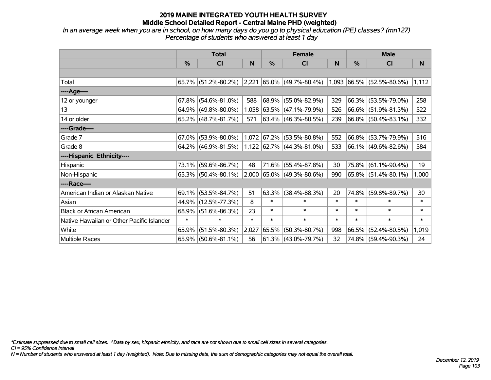*In an average week when you are in school, on how many days do you go to physical education (PE) classes? (mn127) Percentage of students who answered at least 1 day*

|                                           | <b>Total</b> |                        |        |               | <b>Female</b>                                            |        | <b>Male</b> |                        |        |  |
|-------------------------------------------|--------------|------------------------|--------|---------------|----------------------------------------------------------|--------|-------------|------------------------|--------|--|
|                                           | $\%$         | CI                     | N      | $\frac{0}{0}$ | CI                                                       | N      | %           | CI                     | N      |  |
|                                           |              |                        |        |               |                                                          |        |             |                        |        |  |
| Total                                     |              | 65.7% (51.2%-80.2%)    |        |               | $ 2,221 65.0\% $ (49.7%-80.4%) 1,093 66.5% (52.5%-80.6%) |        |             |                        | 1,112  |  |
| ----Age----                               |              |                        |        |               |                                                          |        |             |                        |        |  |
| 12 or younger                             | 67.8%        | $(54.6\% - 81.0\%)$    | 588    | $68.9\%$      | $(55.0\% - 82.9\%)$                                      | 329    | 66.3%       | $(53.5\% - 79.0\%)$    | 258    |  |
| 13                                        | 64.9%        | $(49.8\% - 80.0\%)$    |        |               | 1,058 63.5% (47.1%-79.9%)                                | 526    |             | $66.6\%$ (51.9%-81.3%) | 522    |  |
| 14 or older                               |              | $65.2\%$ (48.7%-81.7%) | 571    |               | $ 63.4\% $ (46.3%-80.5%)                                 | 239    |             | 66.8% (50.4%-83.1%)    | 332    |  |
| ----Grade----                             |              |                        |        |               |                                                          |        |             |                        |        |  |
| Grade 7                                   | 67.0%        | $(53.9\% - 80.0\%)$    | 1,072  | 67.2%         | $(53.5\% - 80.8\%)$                                      | 552    | $66.8\%$    | $(53.7\% - 79.9\%)$    | 516    |  |
| Grade 8                                   |              | $64.2\%$ (46.9%-81.5%) |        |               | 1,122 62.7% (44.3%-81.0%)                                | 533    |             | 66.1% (49.6%-82.6%)    | 584    |  |
| ----Hispanic Ethnicity----                |              |                        |        |               |                                                          |        |             |                        |        |  |
| Hispanic                                  | 73.1%        | $(59.6\% - 86.7\%)$    | 48     | 71.6%         | $(55.4\% - 87.8\%)$                                      | 30     | 75.8%       | $(61.1\% - 90.4\%)$    | 19     |  |
| Non-Hispanic                              |              | $65.3\%$ (50.4%-80.1%) |        |               | 2,000 65.0% (49.3%-80.6%)                                | 990    | $ 65.8\% $  | $(51.4\% - 80.1\%)$    | 1,000  |  |
| ----Race----                              |              |                        |        |               |                                                          |        |             |                        |        |  |
| American Indian or Alaskan Native         | 69.1%        | $(53.5\% - 84.7\%)$    | 51     | 63.3%         | $(38.4\% - 88.3\%)$                                      | 20     | 74.8%       | $(59.8\% - 89.7\%)$    | 30     |  |
| Asian                                     | 44.9%        | $(12.5\% - 77.3\%)$    | 8      | $\ast$        | $\ast$                                                   | $\ast$ | $\ast$      | $\ast$                 | $\ast$ |  |
| <b>Black or African American</b>          | 68.9%        | $(51.6\% - 86.3\%)$    | 23     | $\ast$        | $\ast$                                                   | $\ast$ | $\ast$      | $\ast$                 | $\ast$ |  |
| Native Hawaiian or Other Pacific Islander | $\ast$       | $\ast$                 | $\ast$ | $\ast$        | $\ast$                                                   | $\ast$ | $\ast$      | $\ast$                 | $\ast$ |  |
| White                                     | 65.9%        | $(51.5\% - 80.3\%)$    | 2,027  | 65.5%         | $(50.3\% - 80.7\%)$                                      | 998    | 66.5%       | $(52.4\% - 80.5\%)$    | 1,019  |  |
| Multiple Races                            | 65.9%        | $(50.6\% - 81.1\%)$    | 56     |               | $ 61.3\% $ (43.0%-79.7%)                                 | 32     |             | 74.8% (59.4%-90.3%)    | 24     |  |

*\*Estimate suppressed due to small cell sizes. ^Data by sex, hispanic ethnicity, and race are not shown due to small cell sizes in several categories.*

*CI = 95% Confidence Interval*

*N = Number of students who answered at least 1 day (weighted). Note: Due to missing data, the sum of demographic categories may not equal the overall total.*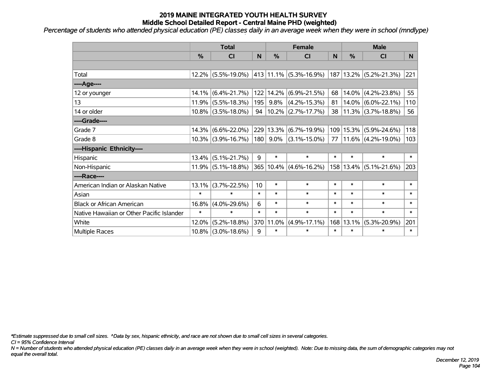*Percentage of students who attended physical education (PE) classes daily in an average week when they were in school (mndlype)*

|                                           | <b>Total</b> |                       |        | <b>Female</b> |                        |        | <b>Male</b>   |                        |        |  |
|-------------------------------------------|--------------|-----------------------|--------|---------------|------------------------|--------|---------------|------------------------|--------|--|
|                                           | %            | C <sub>l</sub>        | N      | $\frac{0}{0}$ | <b>CI</b>              | N      | $\frac{0}{0}$ | <b>CI</b>              | N.     |  |
|                                           |              |                       |        |               |                        |        |               |                        |        |  |
| Total                                     |              | $12.2\%$ (5.5%-19.0%) |        |               | 413 11.1% (5.3%-16.9%) | 187    |               | $13.2\%$ (5.2%-21.3%)  | 221    |  |
| ---- Age----                              |              |                       |        |               |                        |        |               |                        |        |  |
| 12 or younger                             | $14.1\%$     | $(6.4\% - 21.7\%)$    |        | 122 14.2%     | $(6.9\% - 21.5\%)$     | 68     | 14.0%         | $(4.2\% - 23.8\%)$     | 55     |  |
| 13                                        |              | $11.9\%$ (5.5%-18.3%) | 195    | 9.8%          | $(4.2\% - 15.3\%)$     | 81     |               | $14.0\%$ (6.0%-22.1%)  | 110    |  |
| 14 or older                               |              | $10.8\%$ (3.5%-18.0%) | 94     |               | $10.2\%$ (2.7%-17.7%)  | 38     |               | $11.3\%$ (3.7%-18.8%)  | 56     |  |
| ----Grade----                             |              |                       |        |               |                        |        |               |                        |        |  |
| Grade 7                                   | 14.3%        | $(6.6\% - 22.0\%)$    |        | 229 13.3%     | $(6.7\% - 19.9\%)$     | 109    | 15.3%         | $(5.9\% - 24.6\%)$     | 118    |  |
| Grade 8                                   |              | $10.3\%$ (3.9%-16.7%) | 180    | $9.0\%$       | $(3.1\% - 15.0\%)$     | 77     |               | $11.6\%$ (4.2%-19.0%)  | 103    |  |
| ----Hispanic Ethnicity----                |              |                       |        |               |                        |        |               |                        |        |  |
| Hispanic                                  | 13.4%        | $(5.1\% - 21.7\%)$    | 9      | $\ast$        | $\ast$                 | $\ast$ | $\ast$        | $\ast$                 | $\ast$ |  |
| Non-Hispanic                              |              | $11.9\%$ (5.1%-18.8%) |        | 365 10.4%     | $(4.6\% - 16.2\%)$     |        |               | 158 13.4% (5.1%-21.6%) | 203    |  |
| ----Race----                              |              |                       |        |               |                        |        |               |                        |        |  |
| American Indian or Alaskan Native         | 13.1%        | $(3.7\% - 22.5\%)$    | 10     | $\ast$        | $\ast$                 | *      | $\ast$        | $\ast$                 | $\ast$ |  |
| Asian                                     | $\ast$       | $\ast$                | $\ast$ | $\ast$        | $\ast$                 | $\ast$ | $\ast$        | $\ast$                 | $\ast$ |  |
| <b>Black or African American</b>          | 16.8%        | $(4.0\% - 29.6\%)$    | 6      | $\ast$        | $\ast$                 | $\ast$ | $\ast$        | $\ast$                 | $\ast$ |  |
| Native Hawaiian or Other Pacific Islander | $\ast$       | $\ast$                | $\ast$ | $\ast$        | $\ast$                 | $\ast$ | $\ast$        | $\ast$                 | $\ast$ |  |
| White                                     | 12.0%        | $(5.2\% - 18.8\%)$    | 370    | 11.0%         | $(4.9\% - 17.1\%)$     | 168    | 13.1%         | $(5.3\% - 20.9\%)$     | 201    |  |
| Multiple Races                            |              | $10.8\%$ (3.0%-18.6%) | 9      | $\ast$        | $\ast$                 | $\ast$ | $\ast$        | $\ast$                 | $\ast$ |  |

*\*Estimate suppressed due to small cell sizes. ^Data by sex, hispanic ethnicity, and race are not shown due to small cell sizes in several categories.*

*CI = 95% Confidence Interval*

*N = Number of students who attended physical education (PE) classes daily in an average week when they were in school (weighted). Note: Due to missing data, the sum of demographic categories may not equal the overall total.*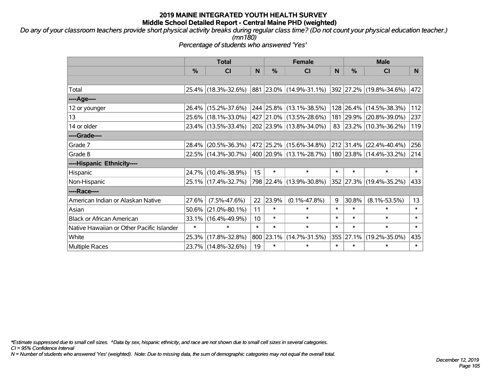*Do any of your classroom teachers provide short physical activity breaks during regular class time? (Do not count your physical education teacher.) (mn180)*

*Percentage of students who answered 'Yes'*

|                                           | <b>Total</b>  |                                             | <b>Female</b> |        |                           | <b>Male</b> |           |                              |          |
|-------------------------------------------|---------------|---------------------------------------------|---------------|--------|---------------------------|-------------|-----------|------------------------------|----------|
|                                           | $\frac{0}{0}$ | <b>CI</b>                                   | N             | %      | <b>CI</b>                 | N           | %         | <b>CI</b>                    | <b>N</b> |
|                                           |               |                                             |               |        |                           |             |           |                              |          |
| Total                                     |               | 25.4% (18.3%-32.6%)                         |               |        | 881  23.0%  (14.9%-31.1%) |             |           | $ 392 27.2\% $ (19.8%-34.6%) | 472      |
| ----Age----                               |               |                                             |               |        |                           |             |           |                              |          |
| 12 or younger                             |               | 26.4% (15.2%-37.6%)                         |               |        | 244 25.8% (13.1%-38.5%)   |             | 128 26.4% | $(14.5\% - 38.3\%)$          | 112      |
| 13                                        |               | 25.6% (18.1%-33.0%)                         |               |        | 427 21.0% (13.5%-28.6%)   |             | 181 29.9% | $(20.8\% - 39.0\%)$          | 237      |
| 14 or older                               |               | 23.4% (13.5%-33.4%)                         |               |        | 202 23.9% (13.8%-34.0%)   |             |           | 83 23.2% (10.3%-36.2%)       | 119      |
| ----Grade----                             |               |                                             |               |        |                           |             |           |                              |          |
| Grade 7                                   | 28.4%         | $(20.5\% - 36.3\%)$                         |               |        | 472 25.2% (15.6%-34.8%)   |             | 212 31.4% | $(22.4\% - 40.4\%)$          | 256      |
| Grade 8                                   |               | 22.5% (14.3%-30.7%) 400 20.9% (13.1%-28.7%) |               |        |                           |             |           | 180 23.8% (14.4%-33.2%)      | 214      |
| ----Hispanic Ethnicity----                |               |                                             |               |        |                           |             |           |                              |          |
| Hispanic                                  | 24.7%         | $(10.4\% - 38.9\%)$                         | 15            | $\ast$ | $\ast$                    | $\ast$      | $\ast$    | $\ast$                       | $\ast$   |
| Non-Hispanic                              |               | 25.1% (17.4%-32.7%)                         |               |        | 798 22.4% (13.9%-30.8%)   |             |           | 352 27.3% (19.4%-35.2%)      | 433      |
| ----Race----                              |               |                                             |               |        |                           |             |           |                              |          |
| American Indian or Alaskan Native         | 27.6%         | $(7.5\% - 47.6\%)$                          | 22            | 23.9%  | $(0.1\% - 47.8\%)$        | 9           | 30.8%     | $(8.1\% - 53.5\%)$           | 13       |
| Asian                                     | $50.6\%$      | $(21.0\% - 80.1\%)$                         | 11            | $\ast$ | $\ast$                    | $\ast$      | $\ast$    | $\ast$                       | $\ast$   |
| <b>Black or African American</b>          | 33.1%         | $(16.4\% - 49.9\%)$                         | 10            | $\ast$ | $\ast$                    | $\ast$      | $\ast$    | $\ast$                       | $\ast$   |
| Native Hawaiian or Other Pacific Islander | $\ast$        | $\ast$                                      | $\ast$        | $\ast$ | $\ast$                    | $\ast$      | $\ast$    | $\ast$                       | $\ast$   |
| White                                     | 25.3%         | $(17.8\% - 32.8\%)$                         | 800           | 23.1%  | $(14.7\% - 31.5\%)$       | 355         | 27.1%     | $(19.2\% - 35.0\%)$          | 435      |
| <b>Multiple Races</b>                     |               | 23.7% (14.8%-32.6%)                         | 19            | $\ast$ | $\ast$                    | $\ast$      | $\ast$    | $\ast$                       | $\ast$   |

*\*Estimate suppressed due to small cell sizes. ^Data by sex, hispanic ethnicity, and race are not shown due to small cell sizes in several categories.*

*CI = 95% Confidence Interval*

*N = Number of students who answered 'Yes' (weighted). Note: Due to missing data, the sum of demographic categories may not equal the overall total.*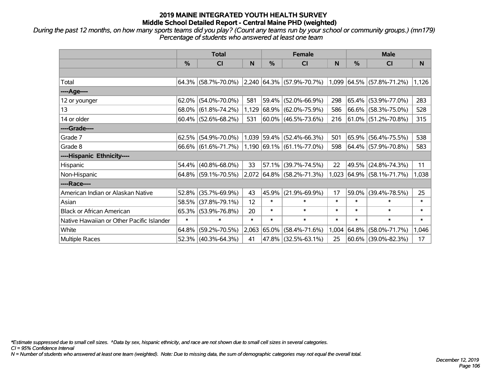*During the past 12 months, on how many sports teams did you play? (Count any teams run by your school or community groups.) (mn179) Percentage of students who answered at least one team*

|                                           | <b>Total</b> |                                                  |        |               | <b>Female</b>                |        | <b>Male</b> |                             |        |
|-------------------------------------------|--------------|--------------------------------------------------|--------|---------------|------------------------------|--------|-------------|-----------------------------|--------|
|                                           | $\%$         | <b>CI</b>                                        | N      | $\frac{0}{0}$ | <b>CI</b>                    | N      | %           | <b>CI</b>                   | N      |
|                                           |              |                                                  |        |               |                              |        |             |                             |        |
| Total                                     |              | $64.3\%$ (58.7%-70.0%) 2,240 64.3% (57.9%-70.7%) |        |               |                              |        |             | $1,099$ 64.5% (57.8%-71.2%) | 1,126  |
| ----Age----                               |              |                                                  |        |               |                              |        |             |                             |        |
| 12 or younger                             | 62.0%        | $(54.0\% - 70.0\%)$                              | 581    | 59.4%         | $(52.0\% - 66.9\%)$          | 298    | 65.4%       | $(53.9\% - 77.0\%)$         | 283    |
| 13                                        |              | 68.0% (61.8%-74.2%)                              | 1,129  |               | $ 68.9\%  (62.0\% - 75.9\%)$ | 586    |             | 66.6% (58.3%-75.0%)         | 528    |
| 14 or older                               |              | $60.4\%$ (52.6%-68.2%)                           | 531    |               | $ 60.0\% $ (46.5%-73.6%)     | 216    |             | $ 61.0\% $ (51.2%-70.8%)    | 315    |
| ----Grade----                             |              |                                                  |        |               |                              |        |             |                             |        |
| Grade 7                                   | 62.5%        | $(54.9\% - 70.0\%)$                              |        |               | $1,039$ 59.4% (52.4%-66.3%)  | 501    | 65.9%       | $(56.4\% - 75.5\%)$         | 538    |
| Grade 8                                   |              | 66.6% (61.6%-71.7%)                              |        |               | $1,190$ 69.1% (61.1%-77.0%)  | 598    |             | $ 64.4\% $ (57.9%-70.8%)    | 583    |
| ----Hispanic Ethnicity----                |              |                                                  |        |               |                              |        |             |                             |        |
| Hispanic                                  | 54.4%        | $(40.8\% - 68.0\%)$                              | 33     | 57.1%         | $(39.7\% - 74.5\%)$          | 22     | 49.5%       | $(24.8\% - 74.3\%)$         | 11     |
| Non-Hispanic                              |              | $64.8\%$ (59.1%-70.5%)                           |        |               | 2,072 64.8% (58.2%-71.3%)    | 1,023  |             | $ 64.9\% $ (58.1%-71.7%)    | 1,038  |
| ----Race----                              |              |                                                  |        |               |                              |        |             |                             |        |
| American Indian or Alaskan Native         | 52.8%        | $(35.7\% - 69.9\%)$                              | 43     | 45.9%         | $(21.9\% - 69.9\%)$          | 17     | 59.0%       | $(39.4\% - 78.5\%)$         | 25     |
| Asian                                     | 58.5%        | $(37.8\% - 79.1\%)$                              | 12     | $\ast$        | $\ast$                       | $\ast$ | $\ast$      | $\ast$                      | $\ast$ |
| <b>Black or African American</b>          | 65.3%        | $(53.9\% - 76.8\%)$                              | 20     | $\ast$        | $\ast$                       | $\ast$ | $\ast$      | $\ast$                      | $\ast$ |
| Native Hawaiian or Other Pacific Islander | $\ast$       | $\ast$                                           | $\ast$ | $\ast$        | $\ast$                       | $\ast$ | $\ast$      | $\ast$                      | $\ast$ |
| White                                     | 64.8%        | $(59.2\% - 70.5\%)$                              | 2,063  | 65.0%         | $(58.4\% - 71.6\%)$          | 1,004  | $ 64.8\% $  | $(58.0\% - 71.7\%)$         | 1,046  |
| Multiple Races                            |              | $52.3\%$ (40.3%-64.3%)                           | 41     |               | 47.8% (32.5%-63.1%)          | 25     | $ 60.6\% $  | $(39.0\% - 82.3\%)$         | 17     |

*\*Estimate suppressed due to small cell sizes. ^Data by sex, hispanic ethnicity, and race are not shown due to small cell sizes in several categories.*

*CI = 95% Confidence Interval*

*N = Number of students who answered at least one team (weighted). Note: Due to missing data, the sum of demographic categories may not equal the overall total.*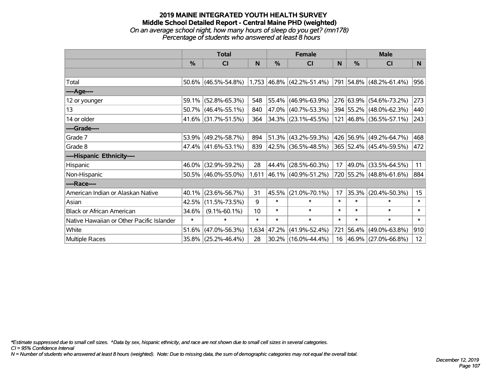### **2019 MAINE INTEGRATED YOUTH HEALTH SURVEY Middle School Detailed Report - Central Maine PHD (weighted)** *On an average school night, how many hours of sleep do you get? (mn178) Percentage of students who answered at least 8 hours*

|                                           | <b>Total</b>  |                        |        | <b>Female</b> |                                                                          |        | <b>Male</b>   |                         |                  |  |  |
|-------------------------------------------|---------------|------------------------|--------|---------------|--------------------------------------------------------------------------|--------|---------------|-------------------------|------------------|--|--|
|                                           | $\frac{0}{0}$ | CI                     | N      | %             | <b>CI</b>                                                                | N      | $\frac{0}{0}$ | <b>CI</b>               | N.               |  |  |
|                                           |               |                        |        |               |                                                                          |        |               |                         |                  |  |  |
| Total                                     |               |                        |        |               | $50.6\%$ (46.5%-54.8%) 1,753 46.8% (42.2%-51.4%) 791 54.8% (48.2%-61.4%) |        |               |                         | 956              |  |  |
| ----Age----                               |               |                        |        |               |                                                                          |        |               |                         |                  |  |  |
| 12 or younger                             | 59.1%         | $(52.8\% - 65.3\%)$    | 548    | 55.4%         | $(46.9\% - 63.9\%)$                                                      |        |               | 276 63.9% (54.6%-73.2%) | 273              |  |  |
| 13                                        |               | 50.7% (46.4%-55.1%)    | 840    |               | 47.0% (40.7%-53.3%)                                                      |        |               | 394 55.2% (48.0%-62.3%) | 440              |  |  |
| 14 or older                               |               | 41.6% (31.7%-51.5%)    | 364    |               | $ 34.3\% $ (23.1%-45.5%)                                                 |        |               | 121 46.8% (36.5%-57.1%) | 243              |  |  |
| ----Grade----                             |               |                        |        |               |                                                                          |        |               |                         |                  |  |  |
| Grade 7                                   |               | 53.9% (49.2%-58.7%)    | 894    |               | 51.3% (43.2%-59.3%)                                                      |        |               | 426 56.9% (49.2%-64.7%) | 468              |  |  |
| Grade 8                                   |               | $47.4\%$ (41.6%-53.1%) | 839    |               | 42.5% (36.5%-48.5%)                                                      |        |               | 365 52.4% (45.4%-59.5%) | 472              |  |  |
| ----Hispanic Ethnicity----                |               |                        |        |               |                                                                          |        |               |                         |                  |  |  |
| Hispanic                                  | 46.0%         | $(32.9\% - 59.2\%)$    | 28     | 44.4%         | $(28.5\% - 60.3\%)$                                                      | 17     | 49.0%         | $(33.5\% - 64.5\%)$     | 11               |  |  |
| Non-Hispanic                              |               | 50.5% (46.0%-55.0%)    |        |               | 1,611 46.1% $(40.9\% - 51.2\%)$                                          |        |               | 720 55.2% (48.8%-61.6%) | 884              |  |  |
| ----Race----                              |               |                        |        |               |                                                                          |        |               |                         |                  |  |  |
| American Indian or Alaskan Native         | 40.1%         | $(23.6\% - 56.7\%)$    | 31     | 45.5%         | $(21.0\% - 70.1\%)$                                                      | 17     | 35.3%         | $(20.4\% - 50.3\%)$     | 15 <sub>15</sub> |  |  |
| Asian                                     | 42.5%         | $(11.5\% - 73.5\%)$    | 9      | $\ast$        | $\ast$                                                                   | $\ast$ | $\ast$        | $\ast$                  | $\ast$           |  |  |
| <b>Black or African American</b>          | 34.6%         | $(9.1\% - 60.1\%)$     | 10     | $\ast$        | $\ast$                                                                   | $\ast$ | $\ast$        | $\ast$                  | $\ast$           |  |  |
| Native Hawaiian or Other Pacific Islander | $\ast$        | $\ast$                 | $\ast$ | $\ast$        | $\ast$                                                                   | $\ast$ | $\ast$        | $\ast$                  | $\ast$           |  |  |
| White                                     | 51.6%         | $(47.0\% - 56.3\%)$    | 1,634  | 47.2%         | $(41.9\% - 52.4\%)$                                                      | 721    | 56.4%         | $(49.0\% - 63.8\%)$     | 910              |  |  |
| Multiple Races                            |               | 35.8% (25.2%-46.4%)    | 28     |               | $30.2\%$ (16.0%-44.4%)                                                   |        |               | 16 46.9% (27.0%-66.8%)  | 12 <sup>2</sup>  |  |  |

*\*Estimate suppressed due to small cell sizes. ^Data by sex, hispanic ethnicity, and race are not shown due to small cell sizes in several categories.*

*CI = 95% Confidence Interval*

*N = Number of students who answered at least 8 hours (weighted). Note: Due to missing data, the sum of demographic categories may not equal the overall total.*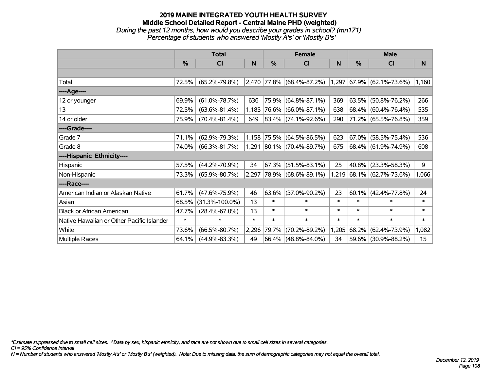### **2019 MAINE INTEGRATED YOUTH HEALTH SURVEY Middle School Detailed Report - Central Maine PHD (weighted)** *During the past 12 months, how would you describe your grades in school? (mn171) Percentage of students who answered 'Mostly A's' or 'Mostly B's'*

|                                           | <b>Total</b> |                      |        | <b>Female</b> |                             |        | <b>Male</b> |                             |        |  |  |
|-------------------------------------------|--------------|----------------------|--------|---------------|-----------------------------|--------|-------------|-----------------------------|--------|--|--|
|                                           | $\%$         | <b>CI</b>            | N.     | $\%$          | <b>CI</b>                   | N      | $\%$        | <b>CI</b>                   | N.     |  |  |
|                                           |              |                      |        |               |                             |        |             |                             |        |  |  |
| Total                                     | 72.5%        | $(65.2\% - 79.8\%)$  |        |               | $2,470$ 77.8% (68.4%-87.2%) |        |             | $1,297$ 67.9% (62.1%-73.6%) | 1,160  |  |  |
| ----Age----                               |              |                      |        |               |                             |        |             |                             |        |  |  |
| 12 or younger                             | 69.9%        | $(61.0\% - 78.7\%)$  | 636    | 75.9%         | $(64.8\% - 87.1\%)$         | 369    | 63.5%       | $(50.8\% - 76.2\%)$         | 266    |  |  |
| 13                                        | 72.5%        | $(63.6\% - 81.4\%)$  | 1,185  |               | 76.6% (66.0%-87.1%)         | 638    |             | 68.4% (60.4%-76.4%)         | 535    |  |  |
| 14 or older                               | 75.9%        | $(70.4\% - 81.4\%)$  | 649    |               | $ 83.4\% $ (74.1%-92.6%)    | 290    |             | 71.2% (65.5%-76.8%)         | 359    |  |  |
| ----Grade----                             |              |                      |        |               |                             |        |             |                             |        |  |  |
| Grade 7                                   | 71.1%        | $(62.9\% - 79.3\%)$  | 1,158  | 75.5%         | $(64.5\% - 86.5\%)$         | 623    | 67.0%       | $(58.5\% - 75.4\%)$         | 536    |  |  |
| Grade 8                                   | 74.0%        | $(66.3\% - 81.7\%)$  |        |               | 1,291 80.1% (70.4%-89.7%)   | 675    |             | 68.4% (61.9%-74.9%)         | 608    |  |  |
| ----Hispanic Ethnicity----                |              |                      |        |               |                             |        |             |                             |        |  |  |
| Hispanic                                  | 57.5%        | $(44.2\% - 70.9\%)$  | 34     | 67.3%         | $(51.5\% - 83.1\%)$         | 25     | 40.8%       | $(23.3\% - 58.3\%)$         | 9      |  |  |
| Non-Hispanic                              | 73.3%        | $(65.9\% - 80.7\%)$  |        |               | 2,297 78.9% (68.6%-89.1%)   |        |             | $1,219$ 68.1% (62.7%-73.6%) | 1,066  |  |  |
| ----Race----                              |              |                      |        |               |                             |        |             |                             |        |  |  |
| American Indian or Alaskan Native         | 61.7%        | $(47.6\% - 75.9\%)$  | 46     | 63.6%         | $(37.0\% - 90.2\%)$         | 23     | 60.1%       | $(42.4\% - 77.8\%)$         | 24     |  |  |
| Asian                                     | 68.5%        | $(31.3\% - 100.0\%)$ | 13     | *             | $\ast$                      | $\ast$ | $\ast$      | $\ast$                      | $\ast$ |  |  |
| <b>Black or African American</b>          | 47.7%        | $(28.4\% - 67.0\%)$  | 13     | $\ast$        | $\ast$                      | $\ast$ | $\ast$      | $\ast$                      | $\ast$ |  |  |
| Native Hawaiian or Other Pacific Islander | $\ast$       | $\ast$               | $\ast$ | $\ast$        | $\ast$                      | $\ast$ | $\ast$      | $\ast$                      | $\ast$ |  |  |
| White                                     | 73.6%        | $(66.5\% - 80.7\%)$  | 2,296  | 79.7%         | $(70.2\% - 89.2\%)$         | 1,205  | 68.2%       | $(62.4\% - 73.9\%)$         | 1,082  |  |  |
| Multiple Races                            | 64.1%        | $(44.9\% - 83.3\%)$  | 49     |               | 66.4% (48.8%-84.0%)         | 34     |             | 59.6% (30.9%-88.2%)         | 15     |  |  |

*\*Estimate suppressed due to small cell sizes. ^Data by sex, hispanic ethnicity, and race are not shown due to small cell sizes in several categories.*

*CI = 95% Confidence Interval*

*N = Number of students who answered 'Mostly A's' or 'Mostly B's' (weighted). Note: Due to missing data, the sum of demographic categories may not equal the overall total.*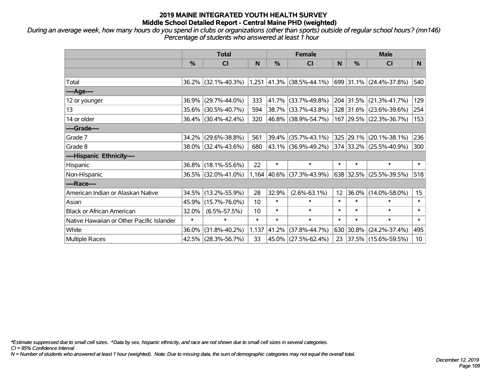*During an average week, how many hours do you spend in clubs or organizations (other than sports) outside of regular school hours? (mn146) Percentage of students who answered at least 1 hour*

|                                           | <b>Total</b> |                     |        | <b>Female</b> |                             |        | <b>Male</b> |                         |        |
|-------------------------------------------|--------------|---------------------|--------|---------------|-----------------------------|--------|-------------|-------------------------|--------|
|                                           | %            | CI                  | N      | %             | <b>CI</b>                   | N      | $\%$        | <b>CI</b>               | N.     |
|                                           |              |                     |        |               |                             |        |             |                         |        |
| Total                                     |              | 36.2% (32.1%-40.3%) |        |               | $1,251$ 41.3% (38.5%-44.1%) |        |             | 699 31.1% (24.4%-37.8%) | 540    |
| ----Age----                               |              |                     |        |               |                             |        |             |                         |        |
| 12 or younger                             | 36.9%        | $(29.7\% - 44.0\%)$ | 333    | 41.7%         | $(33.7\% - 49.8\%)$         |        |             | 204 31.5% (21.3%-41.7%) | 129    |
| 13                                        |              | 35.6% (30.5%-40.7%) | 594    |               | 38.7% (33.7%-43.8%)         |        |             | 328 31.6% (23.6%-39.6%) | 254    |
| 14 or older                               |              | 36.4% (30.4%-42.4%) | 320    |               | 46.8% (38.9%-54.7%)         |        |             | 167 29.5% (22.3%-36.7%) | 153    |
| ----Grade----                             |              |                     |        |               |                             |        |             |                         |        |
| Grade 7                                   | 34.2%        | $(29.6\% - 38.8\%)$ | 561    | 39.4%         | $(35.7\% - 43.1\%)$         |        | 325 29.1%   | $(20.1\% - 38.1\%)$     | 236    |
| Grade 8                                   |              | 38.0% (32.4%-43.6%) | 680    |               | 43.1% (36.9%-49.2%)         |        |             | 374 33.2% (25.5%-40.9%) | 300    |
| ----Hispanic Ethnicity----                |              |                     |        |               |                             |        |             |                         |        |
| Hispanic                                  | 36.8%        | $(18.1\% - 55.6\%)$ | 22     | $\ast$        | $\ast$                      | $\ast$ | $\ast$      | $\ast$                  | $\ast$ |
| Non-Hispanic                              |              | 36.5% (32.0%-41.0%) |        | 1,164 40.6%   | $(37.3\% - 43.9\%)$         |        |             | 638 32.5% (25.5%-39.5%) | 518    |
| ----Race----                              |              |                     |        |               |                             |        |             |                         |        |
| American Indian or Alaskan Native         |              | 34.5% (13.2%-55.9%) | 28     | 32.9%         | $(2.6\% - 63.1\%)$          | 12     | 36.0%       | $(14.0\% - 58.0\%)$     | 15     |
| Asian                                     | 45.9%        | $(15.7\% - 76.0\%)$ | 10     | $\ast$        | $\ast$                      | $\ast$ | $\ast$      | $\ast$                  | $\ast$ |
| <b>Black or African American</b>          | 32.0%        | $(6.5\% - 57.5\%)$  | 10     | $\ast$        | $\ast$                      | $\ast$ | $\ast$      | $\ast$                  | $\ast$ |
| Native Hawaiian or Other Pacific Islander | $\ast$       | $\ast$              | $\ast$ | $\ast$        | $\ast$                      | $\ast$ | $\ast$      | $\ast$                  | $\ast$ |
| White                                     | 36.0%        | $(31.8\% - 40.2\%)$ | 1,137  | 41.2%         | $(37.8\% - 44.7\%)$         | 630    | 30.8%       | $(24.2\% - 37.4\%)$     | 495    |
| Multiple Races                            |              | 42.5% (28.3%-56.7%) | 33     | 45.0%         | $(27.5\% - 62.4\%)$         | 23     |             | 37.5% (15.6%-59.5%)     | 10     |

*\*Estimate suppressed due to small cell sizes. ^Data by sex, hispanic ethnicity, and race are not shown due to small cell sizes in several categories.*

*CI = 95% Confidence Interval*

*N = Number of students who answered at least 1 hour (weighted). Note: Due to missing data, the sum of demographic categories may not equal the overall total.*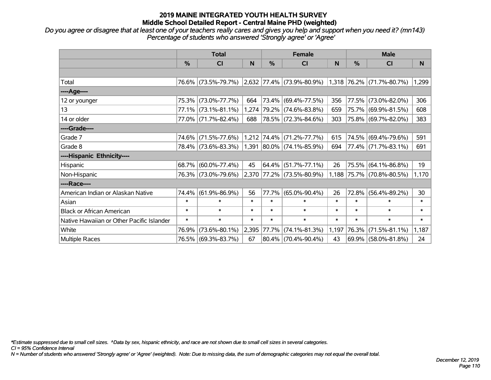*Do you agree or disagree that at least one of your teachers really cares and gives you help and support when you need it? (mn143) Percentage of students who answered 'Strongly agree' or 'Agree'*

|                                           | <b>Total</b> |                     |        |        | <b>Female</b>                                                           |        | <b>Male</b>   |                           |        |
|-------------------------------------------|--------------|---------------------|--------|--------|-------------------------------------------------------------------------|--------|---------------|---------------------------|--------|
|                                           | $\%$         | CI                  | N      | $\%$   | <b>CI</b>                                                               | N      | $\frac{0}{0}$ | <b>CI</b>                 | N      |
|                                           |              |                     |        |        |                                                                         |        |               |                           |        |
| Total                                     |              |                     |        |        | 76.6% (73.5%-79.7%) 2,632 77.4% (73.9%-80.9%) 1,318 76.2% (71.7%-80.7%) |        |               |                           | 1,299  |
| ----Age----                               |              |                     |        |        |                                                                         |        |               |                           |        |
| 12 or younger                             | 75.3%        | $(73.0\% - 77.7\%)$ | 664    |        | 73.4% (69.4%-77.5%)                                                     | 356    | 77.5%         | $(73.0\% - 82.0\%)$       | 306    |
| 13                                        |              | 77.1% (73.1%-81.1%) |        |        | 1,274 79.2% (74.6%-83.8%)                                               | 659    |               | 75.7% (69.9%-81.5%)       | 608    |
| 14 or older                               |              | 77.0% (71.7%-82.4%) | 688    |        | 78.5% (72.3%-84.6%)                                                     | 303    |               | 75.8% (69.7%-82.0%)       | 383    |
| ----Grade----                             |              |                     |        |        |                                                                         |        |               |                           |        |
| Grade 7                                   | 74.6%        | $(71.5\% - 77.6\%)$ |        |        | 1,212 74.4% (71.2%-77.7%)                                               | 615    | 74.5%         | $(69.4\% - 79.6\%)$       | 591    |
| Grade 8                                   |              | 78.4% (73.6%-83.3%) |        |        | 1,391 80.0% (74.1%-85.9%)                                               | 694    |               | 77.4% (71.7%-83.1%)       | 691    |
| ----Hispanic Ethnicity----                |              |                     |        |        |                                                                         |        |               |                           |        |
| Hispanic                                  | $68.7\%$     | $(60.0\% - 77.4\%)$ | 45     | 64.4%  | $(51.7\% - 77.1\%)$                                                     | 26     | 75.5%         | $(64.1\% - 86.8\%)$       | 19     |
| Non-Hispanic                              |              | 76.3% (73.0%-79.6%) |        |        | 2,370 77.2% (73.5%-80.9%)                                               |        |               | 1,188 75.7% (70.8%-80.5%) | 1,170  |
| ----Race----                              |              |                     |        |        |                                                                         |        |               |                           |        |
| American Indian or Alaskan Native         | 74.4%        | $(61.9\% - 86.9\%)$ | 56     | 77.7%  | $(65.0\% - 90.4\%)$                                                     | 26     | 72.8%         | $(56.4\% - 89.2\%)$       | 30     |
| Asian                                     | $\ast$       | $\ast$              | $\ast$ | $\ast$ | $\ast$                                                                  | $\ast$ | $\ast$        | $\ast$                    | $\ast$ |
| <b>Black or African American</b>          | $\ast$       | $\ast$              | $\ast$ | $\ast$ | $\ast$                                                                  | $\ast$ | $\ast$        | $\ast$                    | $\ast$ |
| Native Hawaiian or Other Pacific Islander | $\ast$       | $\ast$              | $\ast$ | $\ast$ | $\ast$                                                                  | $\ast$ | $\ast$        | $\ast$                    | $\ast$ |
| White                                     | 76.9%        | $(73.6\% - 80.1\%)$ | 2,395  | 77.7%  | $(74.1\% - 81.3\%)$                                                     | 1,197  | 76.3%         | $(71.5\% - 81.1\%)$       | 1,187  |
| Multiple Races                            |              | 76.5% (69.3%-83.7%) | 67     |        | 80.4% (70.4%-90.4%)                                                     | 43     |               | 69.9% (58.0%-81.8%)       | 24     |

*\*Estimate suppressed due to small cell sizes. ^Data by sex, hispanic ethnicity, and race are not shown due to small cell sizes in several categories.*

*CI = 95% Confidence Interval*

*N = Number of students who answered 'Strongly agree' or 'Agree' (weighted). Note: Due to missing data, the sum of demographic categories may not equal the overall total.*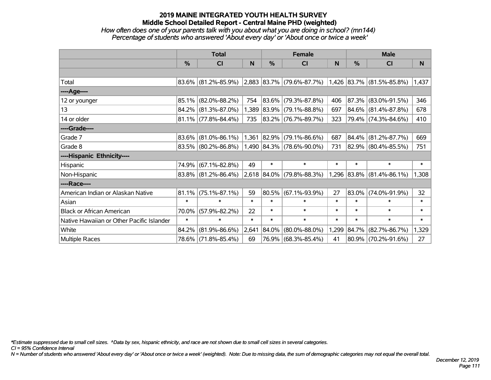### *How often does one of your parents talk with you about what you are doing in school? (mn144) Percentage of students who answered 'About every day' or 'About once or twice a week'*

|                                           | <b>Total</b>  |                        |        |             | <b>Female</b>                                                 |        | <b>Male</b> |                             |        |
|-------------------------------------------|---------------|------------------------|--------|-------------|---------------------------------------------------------------|--------|-------------|-----------------------------|--------|
|                                           | $\frac{0}{0}$ | CI                     | N      | %           | CI                                                            | N      | %           | <b>CI</b>                   | N      |
|                                           |               |                        |        |             |                                                               |        |             |                             |        |
| Total                                     |               | $83.6\%$ (81.2%-85.9%) |        |             | $ 2,883 83.7\% $ (79.6%-87.7%) $ 1,426 83.7\% $ (81.5%-85.8%) |        |             |                             | 1,437  |
| ----Age----                               |               |                        |        |             |                                                               |        |             |                             |        |
| 12 or younger                             | 85.1%         | $(82.0\% - 88.2\%)$    | 754    | $ 83.6\% $  | $(79.3\% - 87.8\%)$                                           | 406    |             | 87.3% (83.0%-91.5%)         | 346    |
| 13                                        |               | 84.2% (81.3%-87.0%)    |        |             | 1,389 83.9% (79.1%-88.8%)                                     | 697    |             | 84.6% (81.4%-87.8%)         | 678    |
| 14 or older                               |               | $81.1\%$ (77.8%-84.4%) | 735    |             | $ 83.2\% $ (76.7%-89.7%)                                      | 323    |             | 79.4% (74.3%-84.6%)         | 410    |
| ----Grade----                             |               |                        |        |             |                                                               |        |             |                             |        |
| Grade 7                                   | 83.6%         | $(81.0\% - 86.1\%)$    |        | 1,361 82.9% | $(79.1\% - 86.6\%)$                                           | 687    |             | 84.4% (81.2%-87.7%)         | 669    |
| Grade 8                                   |               | 83.5% (80.2%-86.8%)    |        |             | $1,490$ 84.3% (78.6%-90.0%)                                   | 731    |             | 82.9% (80.4%-85.5%)         | 751    |
| ----Hispanic Ethnicity----                |               |                        |        |             |                                                               |        |             |                             |        |
| Hispanic                                  | 74.9%         | $(67.1\% - 82.8\%)$    | 49     | $\ast$      | $\ast$                                                        | $\ast$ | $\ast$      | $\ast$                      | $\ast$ |
| Non-Hispanic                              |               | $83.8\%$ (81.2%-86.4%) |        |             | $2,618$ $ 84.0\% $ (79.8%-88.3%)                              |        |             | $1,296$ 83.8% (81.4%-86.1%) | 1,308  |
| ----Race----                              |               |                        |        |             |                                                               |        |             |                             |        |
| American Indian or Alaskan Native         | 81.1%         | $(75.1\% - 87.1\%)$    | 59     | $ 80.5\% $  | $(67.1\% - 93.9\%)$                                           | 27     |             | 83.0% (74.0%-91.9%)         | 32     |
| Asian                                     | $\ast$        | $\ast$                 | $\ast$ | $\ast$      | $\ast$                                                        | $\ast$ | $\ast$      | $\ast$                      | $\ast$ |
| <b>Black or African American</b>          | 70.0%         | $(57.9\% - 82.2\%)$    | 22     | $\ast$      | $\ast$                                                        | $\ast$ | $\ast$      | $\ast$                      | $\ast$ |
| Native Hawaiian or Other Pacific Islander | $\ast$        | $\ast$                 | $\ast$ | $\ast$      | $\ast$                                                        | $\ast$ | $\ast$      | $\ast$                      | $\ast$ |
| White                                     | 84.2%         | $(81.9\% - 86.6\%)$    | 2,641  | $ 84.0\% $  | $(80.0\% - 88.0\%)$                                           | 1,299  |             | 84.7% (82.7%-86.7%)         | 1,329  |
| Multiple Races                            |               | 78.6% (71.8%-85.4%)    | 69     |             | 76.9% (68.3%-85.4%)                                           | 41     |             | 80.9% (70.2%-91.6%)         | 27     |

*\*Estimate suppressed due to small cell sizes. ^Data by sex, hispanic ethnicity, and race are not shown due to small cell sizes in several categories.*

*CI = 95% Confidence Interval*

*N = Number of students who answered 'About every day' or 'About once or twice a week' (weighted). Note: Due to missing data, the sum of demographic categories may not equal the overall total.*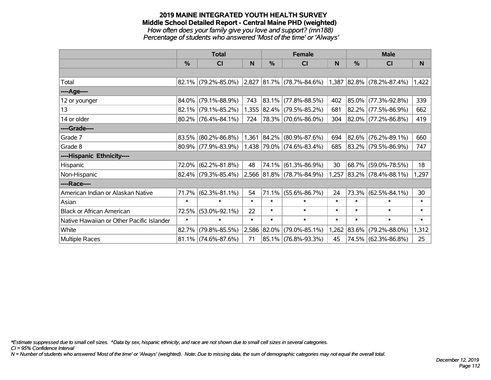#### **2019 MAINE INTEGRATED YOUTH HEALTH SURVEY Middle School Detailed Report - Central Maine PHD (weighted)** *How often does your family give you love and support? (mn188) Percentage of students who answered 'Most of the time' or 'Always'*

|                                           | <b>Total</b>  |                        |        |               | <b>Female</b>                                                           |        | <b>Male</b> |                          |        |
|-------------------------------------------|---------------|------------------------|--------|---------------|-------------------------------------------------------------------------|--------|-------------|--------------------------|--------|
|                                           | $\frac{0}{0}$ | <b>CI</b>              | N      | $\frac{0}{0}$ | <b>CI</b>                                                               | N      | %           | <b>CI</b>                | N      |
|                                           |               |                        |        |               |                                                                         |        |             |                          |        |
| Total                                     |               |                        |        |               | 82.1% (79.2%-85.0%) 2,827 81.7% (78.7%-84.6%) 1,387 82.8% (78.2%-87.4%) |        |             |                          | 1,422  |
| ----Age----                               |               |                        |        |               |                                                                         |        |             |                          |        |
| 12 or younger                             | 84.0%         | $(79.1\% - 88.9\%)$    | 743    |               | $ 83.1\% $ (77.8%-88.5%)                                                | 402    | 85.0%       | $(77.3\% - 92.8\%)$      | 339    |
| 13                                        |               | $82.1\%$ (79.1%-85.2%) |        |               | 1,355 82.4% (79.5%-85.2%)                                               | 681    |             | 82.2% (77.5%-86.9%)      | 662    |
| 14 or older                               |               | $80.2\%$ (76.4%-84.1%) | 724    |               | $ 78.3\% $ (70.6%-86.0%)                                                | 304    |             | 82.0% (77.2%-86.8%)      | 419    |
| ----Grade----                             |               |                        |        |               |                                                                         |        |             |                          |        |
| Grade 7                                   | 83.5%         | $(80.2\% - 86.8\%)$    |        |               | $1,361$ 84.2% (80.9%-87.6%)                                             | 694    |             | 82.6% (76.2%-89.1%)      | 660    |
| Grade 8                                   |               | $80.9\%$ (77.9%-83.9%) |        |               | $1,438$ 79.0% (74.6%-83.4%)                                             | 685    |             | 83.2% (79.5%-86.9%)      | 747    |
| ----Hispanic Ethnicity----                |               |                        |        |               |                                                                         |        |             |                          |        |
| Hispanic                                  | 72.0%         | $(62.2\% - 81.8\%)$    | 48     | 74.1%         | $(61.3\% - 86.9\%)$                                                     | 30     | 68.7%       | $(59.0\% - 78.5\%)$      | 18     |
| Non-Hispanic                              |               | $82.4\%$ (79.3%-85.4%) |        |               | 2,566 81.8% (78.7%-84.9%)                                               | 1,257  |             | $ 83.2\% $ (78.4%-88.1%) | 1,297  |
| ----Race----                              |               |                        |        |               |                                                                         |        |             |                          |        |
| American Indian or Alaskan Native         | 71.7%         | $(62.3\% - 81.1\%)$    | 54     |               | 71.1% (55.6%-86.7%)                                                     | 24     |             | 73.3% (62.5%-84.1%)      | 30     |
| Asian                                     | $\ast$        | $\ast$                 | $\ast$ | $\ast$        | $\ast$                                                                  | $\ast$ | $\ast$      | $\ast$                   | $\ast$ |
| <b>Black or African American</b>          | 72.5%         | $(53.0\% - 92.1\%)$    | 22     | $\ast$        | $\ast$                                                                  | $\ast$ | $\ast$      | $\ast$                   | $\ast$ |
| Native Hawaiian or Other Pacific Islander | $\ast$        | $\ast$                 | $\ast$ | $\ast$        | $\ast$                                                                  | $\ast$ | $\ast$      | $\ast$                   | $\ast$ |
| White                                     | 82.7%         | $(79.8\% - 85.5\%)$    |        | 2,586 82.0%   | $(79.0\% - 85.1\%)$                                                     | 1,262  | 83.6%       | $(79.2\% - 88.0\%)$      | 1,312  |
| <b>Multiple Races</b>                     |               | $81.1\%$ (74.6%-87.6%) | 71     |               | 85.1% (76.8%-93.3%)                                                     | 45     |             | 74.5% (62.3%-86.8%)      | 25     |

*\*Estimate suppressed due to small cell sizes. ^Data by sex, hispanic ethnicity, and race are not shown due to small cell sizes in several categories.*

*CI = 95% Confidence Interval*

*N = Number of students who answered 'Most of the time' or 'Always' (weighted). Note: Due to missing data, the sum of demographic categories may not equal the overall total.*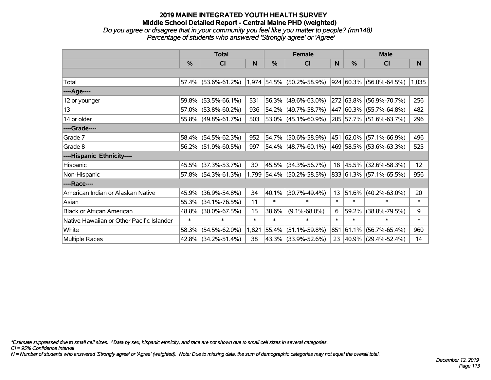# **2019 MAINE INTEGRATED YOUTH HEALTH SURVEY Middle School Detailed Report - Central Maine PHD (weighted)** *Do you agree or disagree that in your community you feel like you matter to people? (mn148)*

|                                           | <b>Total</b> |                     |        |        | <b>Female</b>               |        | <b>Male</b>    |                         |          |  |
|-------------------------------------------|--------------|---------------------|--------|--------|-----------------------------|--------|----------------|-------------------------|----------|--|
|                                           | %            | CI                  | N      | %      | CI                          | N      | %              | CI                      | <b>N</b> |  |
|                                           |              |                     |        |        |                             |        |                |                         |          |  |
| Total                                     |              | 57.4% (53.6%-61.2%) |        |        | $1,974$ 54.5% (50.2%-58.9%) |        |                | 924 60.3% (56.0%-64.5%) | 1,035    |  |
| ----Age----                               |              |                     |        |        |                             |        |                |                         |          |  |
| 12 or younger                             | 59.8%        | $(53.5\% - 66.1\%)$ | 531    | 56.3%  | $(49.6\% - 63.0\%)$         |        | $ 272 63.8\% $ | $(56.9\% - 70.7\%)$     | 256      |  |
| 13                                        | 57.0%        | $(53.8\% - 60.2\%)$ | 936    |        | 54.2% (49.7%-58.7%)         |        |                | 447 60.3% (55.7%-64.8%) | 482      |  |
| 14 or older                               |              | 55.8% (49.8%-61.7%) | 503    |        | $53.0\%$ (45.1%-60.9%)      |        |                | 205 57.7% (51.6%-63.7%) | 296      |  |
| ----Grade----                             |              |                     |        |        |                             |        |                |                         |          |  |
| Grade 7                                   | 58.4%        | $(54.5\% - 62.3\%)$ | 952    | 54.7%  | $(50.6\% - 58.9\%)$         |        | 451 62.0%      | $(57.1\% - 66.9\%)$     | 496      |  |
| Grade 8                                   |              | 56.2% (51.9%-60.5%) | 997    |        | $54.4\%$ (48.7%-60.1%)      |        |                | 469 58.5% (53.6%-63.3%) | 525      |  |
| ----Hispanic Ethnicity----                |              |                     |        |        |                             |        |                |                         |          |  |
| Hispanic                                  | 45.5%        | $(37.3\% - 53.7\%)$ | 30     |        | 45.5% (34.3%-56.7%)         | 18     |                | 45.5% (32.6%-58.3%)     | 12       |  |
| Non-Hispanic                              |              | 57.8% (54.3%-61.3%) |        |        | 1,799 54.4% (50.2%-58.5%)   |        |                | 833 61.3% (57.1%-65.5%) | 956      |  |
| ----Race----                              |              |                     |        |        |                             |        |                |                         |          |  |
| American Indian or Alaskan Native         | 45.9%        | $(36.9\% - 54.8\%)$ | 34     | 40.1%  | $(30.7\% - 49.4\%)$         | 13     | 51.6%          | $(40.2\% - 63.0\%)$     | 20       |  |
| Asian                                     | 55.3%        | $(34.1\% - 76.5\%)$ | 11     | $\ast$ | $\ast$                      | $\ast$ | $\ast$         | $\ast$                  | $\ast$   |  |
| <b>Black or African American</b>          | 48.8%        | $(30.0\% - 67.5\%)$ | 15     | 38.6%  | $(9.1\% - 68.0\%)$          | 6      | 59.2%          | $(38.8\% - 79.5\%)$     | 9        |  |
| Native Hawaiian or Other Pacific Islander | $\ast$       | $\ast$              | $\ast$ | $\ast$ | $\ast$                      | $\ast$ | $\ast$         | $\ast$                  | $\ast$   |  |
| White                                     | 58.3%        | $(54.5\% - 62.0\%)$ | 1,821  | 55.4%  | $(51.1\% - 59.8\%)$         | 851    | 61.1%          | $(56.7\% - 65.4\%)$     | 960      |  |
| Multiple Races                            |              | 42.8% (34.2%-51.4%) | 38     |        | 43.3% (33.9%-52.6%)         | 23     |                | 40.9% (29.4%-52.4%)     | 14       |  |

*Percentage of students who answered 'Strongly agree' or 'Agree'*

*\*Estimate suppressed due to small cell sizes. ^Data by sex, hispanic ethnicity, and race are not shown due to small cell sizes in several categories.*

*CI = 95% Confidence Interval*

*N = Number of students who answered 'Strongly agree' or 'Agree' (weighted). Note: Due to missing data, the sum of demographic categories may not equal the overall total.*